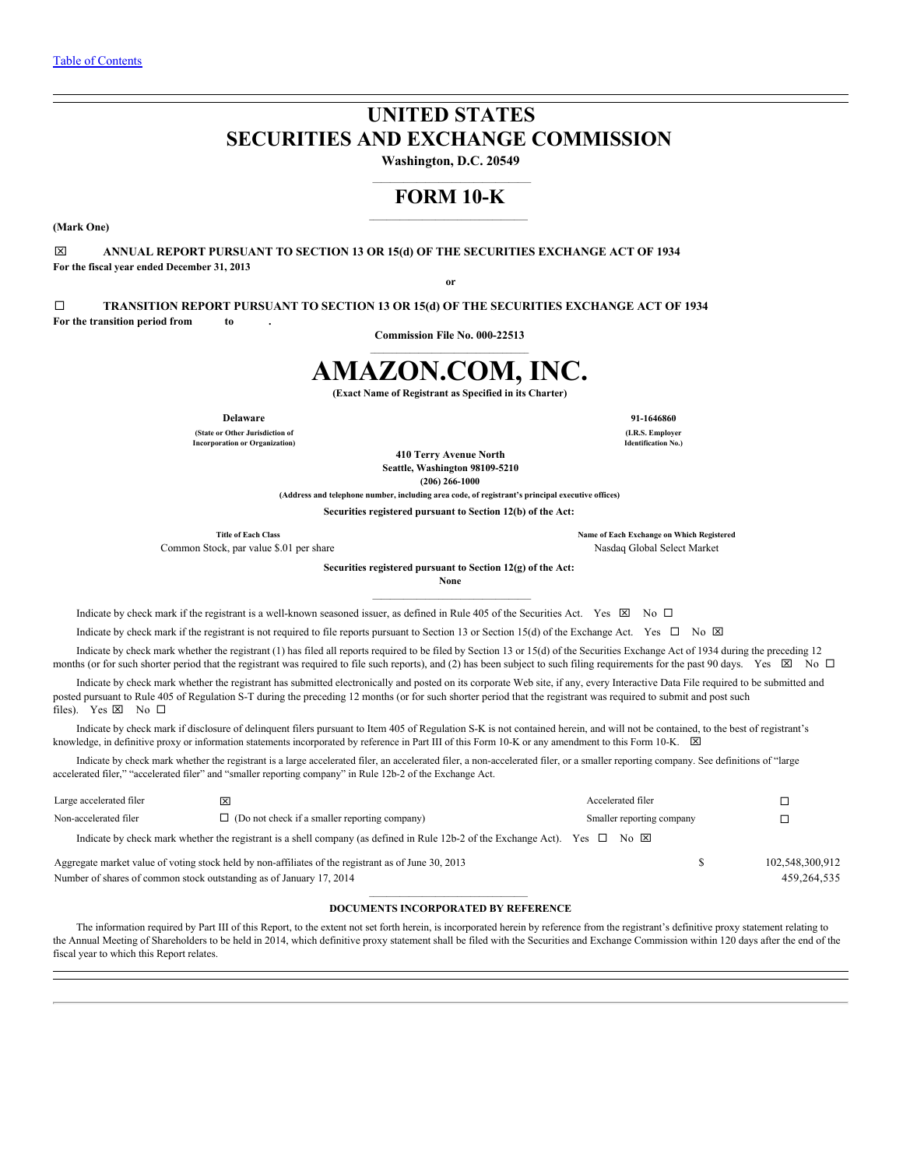# **UNITED STATES SECURITIES AND EXCHANGE COMMISSION**

**Washington, D.C. 20549**  $\mathcal{L}_\text{max}$ 

# **FORM 10-K** \_\_\_\_\_\_\_\_\_\_\_\_\_\_\_\_\_\_\_\_\_\_\_\_\_\_\_\_\_\_\_\_\_\_\_\_

**(Mark One)**

x **ANNUAL REPORT PURSUANT TO SECTION 13 OR 15(d) OF THE SECURITIES EXCHANGE ACT OF 1934 For the fiscal year ended December 31, 2013**

**or**

**TRANSITION REPORT PURSUANT TO SECTION 13 OR 15(d) OF THE SECURITIES EXCHANGE ACT OF 1934** For the transition period from to

**Commission File No. 000-22513**

# **AMAZON.COM, INC.**

**(Exact Name of Registrant as Specified in its Charter)**

**(State or Other Jurisdiction of Incorporation or Organization)**

**410 Terry Avenue North Seattle, Washington 98109-5210 (206) 266-1000**

**(Address and telephone number, including area code, of registrant's principal executive offices)**

**Securities registered pursuant to Section 12(b) of the Act:**

**Title of Each Class Name of Each Exchange on Which Registered**

Common Stock, par value \$.01 per share Nashare Nashare Nasdaq Global Select Market

**Securities registered pursuant to Section 12(g) of the Act:**

**None**

Indicate by check mark if the registrant is a well-known seasoned issuer, as defined in Rule 405 of the Securities Act. Yes  $\boxtimes$  No  $\Box$ 

Indicate by check mark if the registrant is not required to file reports pursuant to Section 13 or Section 15(d) of the Exchange Act. Yes  $\Box$  No  $\boxtimes$ 

Indicate by check mark whether the registrant (1) has filed all reports required to be filed by Section 13 or 15(d) of the Securities Exchange Act of 1934 during the preceding 12 months (or for such shorter period that the registrant was required to file such reports), and (2) has been subject to such filing requirements for the past 90 days. Yes  $\boxtimes$  No  $\Box$ 

Indicate by check mark whether the registrant has submitted electronically and posted on its corporate Web site, if any, every Interactive Data File required to be submitted and posted pursuant to Rule 405 of Regulation S-T during the preceding 12 months (or for such shorter period that the registrant was required to submit and post such files). Yes  $\boxtimes$  No  $\square$ 

Indicate by check mark if disclosure of delinquent filers pursuant to Item 405 of Regulation S-K is not contained herein, and will not be contained, to the best of registrant's knowledge, in definitive proxy or information statements incorporated by reference in Part III of this Form 10-K or any amendment to this Form 10-K.  $\boxtimes$ 

Indicate by check mark whether the registrant is a large accelerated filer, an accelerated filer, a non-accelerated filer, or a smaller reporting company. See definitions of "large accelerated filer," "accelerated filer" and "smaller reporting company" in Rule 12b-2 of the Exchange Act.

| Large accelerated filer                                             | ⊠                                                                                                                                           | Accelerated filer |  |                                |
|---------------------------------------------------------------------|---------------------------------------------------------------------------------------------------------------------------------------------|-------------------|--|--------------------------------|
| Non-accelerated filer                                               | Smaller reporting company                                                                                                                   |                   |  |                                |
|                                                                     | Indicate by check mark whether the registrant is a shell company (as defined in Rule 12b-2 of the Exchange Act). Yes $\square$ No $\square$ |                   |  |                                |
| Number of shares of common stock outstanding as of January 17, 2014 | Aggregate market value of voting stock held by non-affiliates of the registrant as of June 30, 2013                                         |                   |  | 102,548,300,912<br>459.264.535 |
|                                                                     |                                                                                                                                             |                   |  |                                |

#### **DOCUMENTS INCORPORATED BY REFERENCE**

The information required by Part III of this Report, to the extent not set forth herein, is incorporated herein by reference from the registrant's definitive proxy statement relating to the Annual Meeting of Shareholders to be held in 2014, which definitive proxy statement shall be filed with the Securities and Exchange Commission within 120 days after the end of the fiscal year to which this Report relates.

**Delaware 91-1646860 (I.R.S. Employer**

**Identification No.)**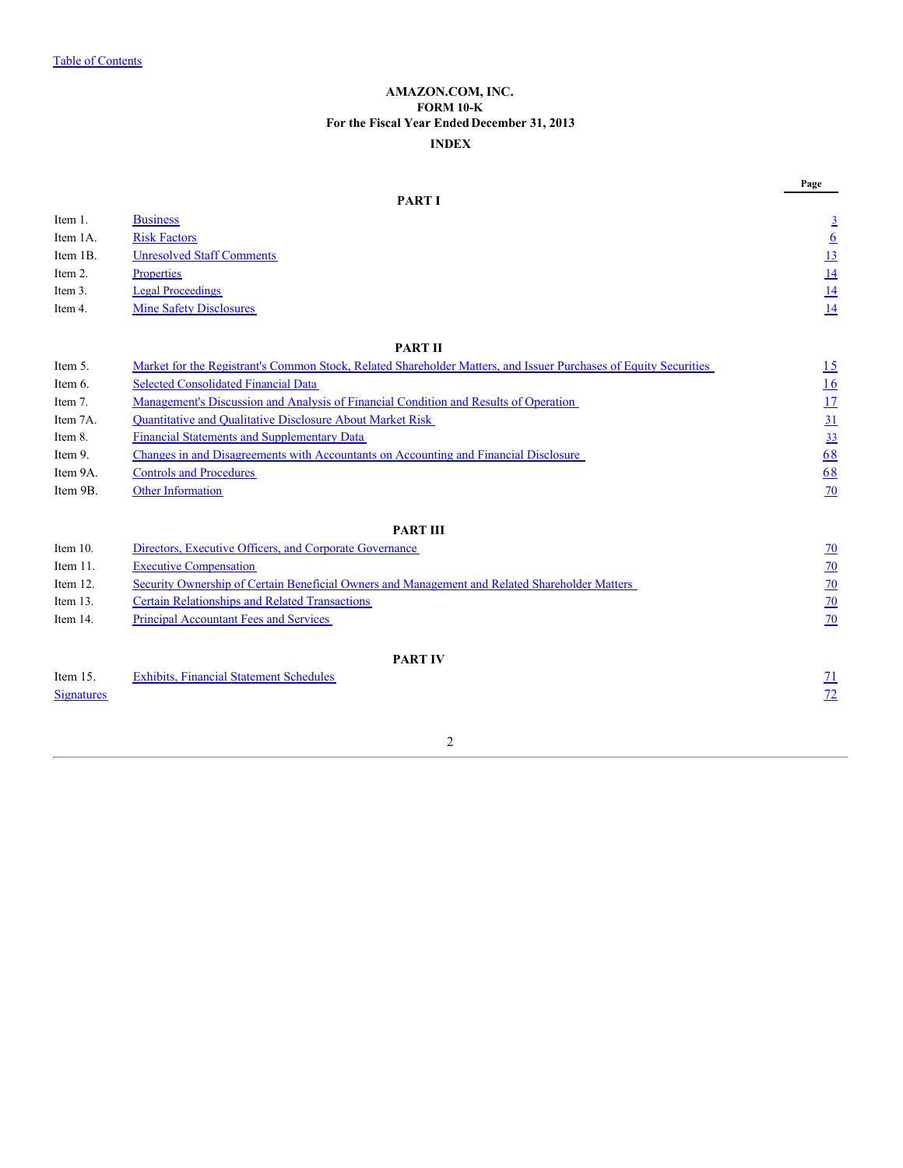# **AMAZON.COM, INC. FORM 10-K For the Fiscal Year Ended December 31, 2013 INDEX**

<span id="page-1-0"></span>

|                   |                                                                                                                  | Page             |
|-------------------|------------------------------------------------------------------------------------------------------------------|------------------|
|                   | <b>PART I</b>                                                                                                    |                  |
| Item 1.           | <b>Business</b>                                                                                                  | $\overline{3}$   |
| Item 1A.          | <b>Risk Factors</b>                                                                                              | $\underline{6}$  |
| Item 1B.          | <b>Unresolved Staff Comments</b>                                                                                 | $\overline{13}$  |
| Item 2.           | Properties                                                                                                       | 14               |
| Item 3.           | <b>Legal Proceedings</b>                                                                                         | 14               |
| Item 4.           | <b>Mine Safety Disclosures</b>                                                                                   | 14               |
|                   | <b>PART II</b>                                                                                                   |                  |
| Item 5.           | Market for the Registrant's Common Stock, Related Shareholder Matters, and Issuer Purchases of Equity Securities | 15               |
| Item 6.           | <b>Selected Consolidated Financial Data</b>                                                                      | <u>16</u>        |
| Item 7.           | Management's Discussion and Analysis of Financial Condition and Results of Operation                             | 17               |
| Item 7A.          | <b>Quantitative and Qualitative Disclosure About Market Risk</b>                                                 | $\frac{31}{2}$   |
| Item 8.           | <b>Financial Statements and Supplementary Data</b>                                                               | 33               |
| Item 9.           | Changes in and Disagreements with Accountants on Accounting and Financial Disclosure                             | 68               |
| Item 9A.          | <b>Controls and Procedures</b>                                                                                   | 68               |
| Item 9B.          | <b>Other Information</b>                                                                                         | 70               |
|                   | <b>PART III</b>                                                                                                  |                  |
| Item 10.          | Directors, Executive Officers, and Corporate Governance                                                          | $\underline{70}$ |
| Item 11.          | <b>Executive Compensation</b>                                                                                    | $\overline{20}$  |
| Item 12.          | Security Ownership of Certain Beneficial Owners and Management and Related Shareholder Matters                   | $\overline{20}$  |
| Item 13.          | <b>Certain Relationships and Related Transactions</b>                                                            | $\overline{20}$  |
| Item 14.          | <b>Principal Accountant Fees and Services</b>                                                                    | 70               |
|                   | <b>PART IV</b>                                                                                                   |                  |
| Item 15.          | <b>Exhibits, Financial Statement Schedules</b>                                                                   | <u>71</u>        |
| <b>Signatures</b> |                                                                                                                  | 72               |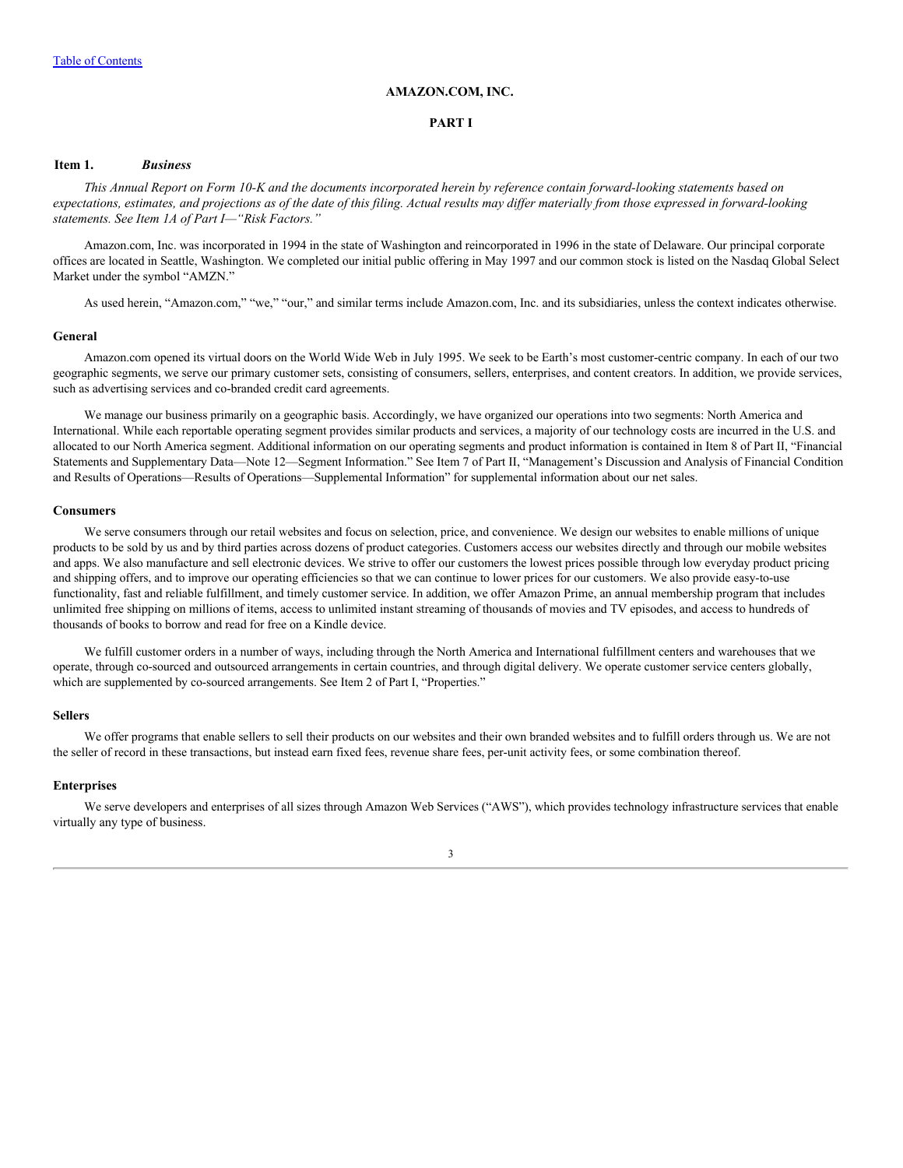#### **AMAZON.COM, INC.**

## **PART I**

## <span id="page-2-0"></span>**Item 1.** *Business*

*This Annual Report on Form 10-K and the documents incorporated herein by reference contain forward-looking statements based on expectations, estimates, and projections as of the date of this filing. Actual results may differ materially from those expressed in forward-looking statements. See Item 1A of Part I—"Risk Factors."*

Amazon.com, Inc. was incorporated in 1994 in the state of Washington and reincorporated in 1996 in the state of Delaware. Our principal corporate offices are located in Seattle, Washington. We completed our initial public offering in May 1997 and our common stock is listed on the Nasdaq Global Select Market under the symbol "AMZN."

As used herein, "Amazon.com," "we," "our," and similar terms include Amazon.com, Inc. and its subsidiaries, unless the context indicates otherwise.

#### **General**

Amazon.com opened its virtual doors on the World Wide Web in July 1995. We seek to be Earth's most customer-centric company. In each of our two geographic segments, we serve our primary customer sets, consisting of consumers, sellers, enterprises, and content creators. In addition, we provide services, such as advertising services and co-branded credit card agreements.

We manage our business primarily on a geographic basis. Accordingly, we have organized our operations into two segments: North America and International. While each reportable operating segment provides similar products and services, a majority of our technology costs are incurred in the U.S. and allocated to our North America segment. Additional information on our operating segments and product information is contained in Item 8 of Part II, "Financial Statements and Supplementary Data—Note 12—Segment Information." See Item 7 of Part II, "Management's Discussion and Analysis of Financial Condition and Results of Operations—Results of Operations—Supplemental Information" for supplemental information about our net sales.

## **Consumers**

We serve consumers through our retail websites and focus on selection, price, and convenience. We design our websites to enable millions of unique products to be sold by us and by third parties across dozens of product categories. Customers access our websites directly and through our mobile websites and apps. We also manufacture and sell electronic devices. We strive to offer our customers the lowest prices possible through low everyday product pricing and shipping offers, and to improve our operating efficiencies so that we can continue to lower prices for our customers. We also provide easy-to-use functionality, fast and reliable fulfillment, and timely customer service. In addition, we offer Amazon Prime, an annual membership program that includes unlimited free shipping on millions of items, access to unlimited instant streaming of thousands of movies and TV episodes, and access to hundreds of thousands of books to borrow and read for free on a Kindle device.

We fulfill customer orders in a number of ways, including through the North America and International fulfillment centers and warehouses that we operate, through co-sourced and outsourced arrangements in certain countries, and through digital delivery. We operate customer service centers globally, which are supplemented by co-sourced arrangements. See Item 2 of Part I, "Properties."

#### **Sellers**

We offer programs that enable sellers to sell their products on our websites and their own branded websites and to fulfill orders through us. We are not the seller of record in these transactions, but instead earn fixed fees, revenue share fees, per-unit activity fees, or some combination thereof.

## **Enterprises**

We serve developers and enterprises of all sizes through Amazon Web Services ("AWS"), which provides technology infrastructure services that enable virtually any type of business.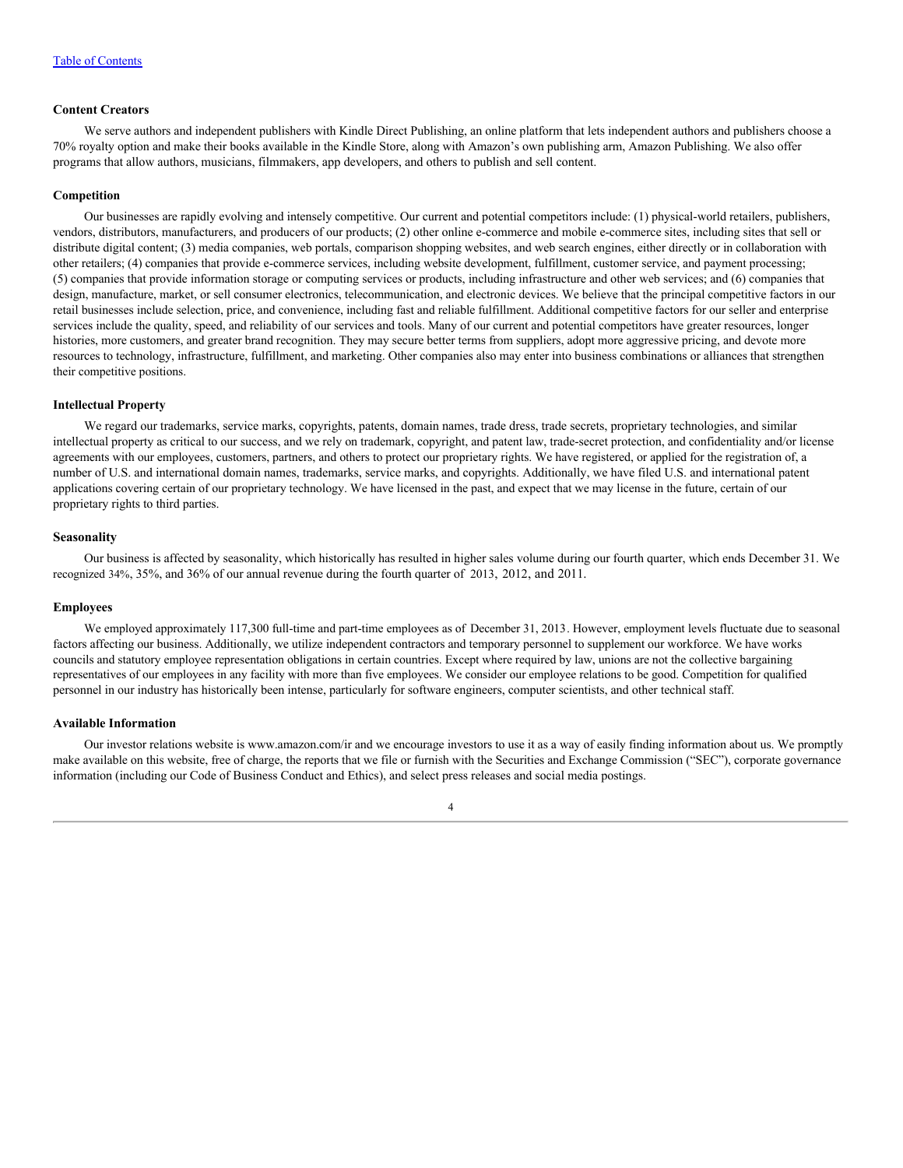## **Content Creators**

We serve authors and independent publishers with Kindle Direct Publishing, an online platform that lets independent authors and publishers choose a 70% royalty option and make their books available in the Kindle Store, along with Amazon's own publishing arm, Amazon Publishing. We also offer programs that allow authors, musicians, filmmakers, app developers, and others to publish and sell content.

## **Competition**

Our businesses are rapidly evolving and intensely competitive. Our current and potential competitors include: (1) physical-world retailers, publishers, vendors, distributors, manufacturers, and producers of our products; (2) other online e-commerce and mobile e-commerce sites, including sites that sell or distribute digital content; (3) media companies, web portals, comparison shopping websites, and web search engines, either directly or in collaboration with other retailers; (4) companies that provide e-commerce services, including website development, fulfillment, customer service, and payment processing; (5) companies that provide information storage or computing services or products, including infrastructure and other web services; and (6) companies that design, manufacture, market, or sell consumer electronics, telecommunication, and electronic devices. We believe that the principal competitive factors in our retail businesses include selection, price, and convenience, including fast and reliable fulfillment. Additional competitive factors for our seller and enterprise services include the quality, speed, and reliability of our services and tools. Many of our current and potential competitors have greater resources, longer histories, more customers, and greater brand recognition. They may secure better terms from suppliers, adopt more aggressive pricing, and devote more resources to technology, infrastructure, fulfillment, and marketing. Other companies also may enter into business combinations or alliances that strengthen their competitive positions.

#### **Intellectual Property**

We regard our trademarks, service marks, copyrights, patents, domain names, trade dress, trade secrets, proprietary technologies, and similar intellectual property as critical to our success, and we rely on trademark, copyright, and patent law, trade-secret protection, and confidentiality and/or license agreements with our employees, customers, partners, and others to protect our proprietary rights. We have registered, or applied for the registration of, a number of U.S. and international domain names, trademarks, service marks, and copyrights. Additionally, we have filed U.S. and international patent applications covering certain of our proprietary technology. We have licensed in the past, and expect that we may license in the future, certain of our proprietary rights to third parties.

## **Seasonality**

Our business is affected by seasonality, which historically has resulted in higher sales volume during our fourth quarter, which ends December 31. We recognized 34%, 35%, and 36% of our annual revenue during the fourth quarter of 2013, 2012, and 2011.

## **Employees**

We employed approximately 117,300 full-time and part-time employees as of December 31, 2013. However, employment levels fluctuate due to seasonal factors affecting our business. Additionally, we utilize independent contractors and temporary personnel to supplement our workforce. We have works councils and statutory employee representation obligations in certain countries. Except where required by law, unions are not the collective bargaining representatives of our employees in any facility with more than five employees. We consider our employee relations to be good. Competition for qualified personnel in our industry has historically been intense, particularly for software engineers, computer scientists, and other technical staff.

#### **Available Information**

Our investor relations website is www.amazon.com/ir and we encourage investors to use it as a way of easily finding information about us. We promptly make available on this website, free of charge, the reports that we file or furnish with the Securities and Exchange Commission ("SEC"), corporate governance information (including our Code of Business Conduct and Ethics), and select press releases and social media postings.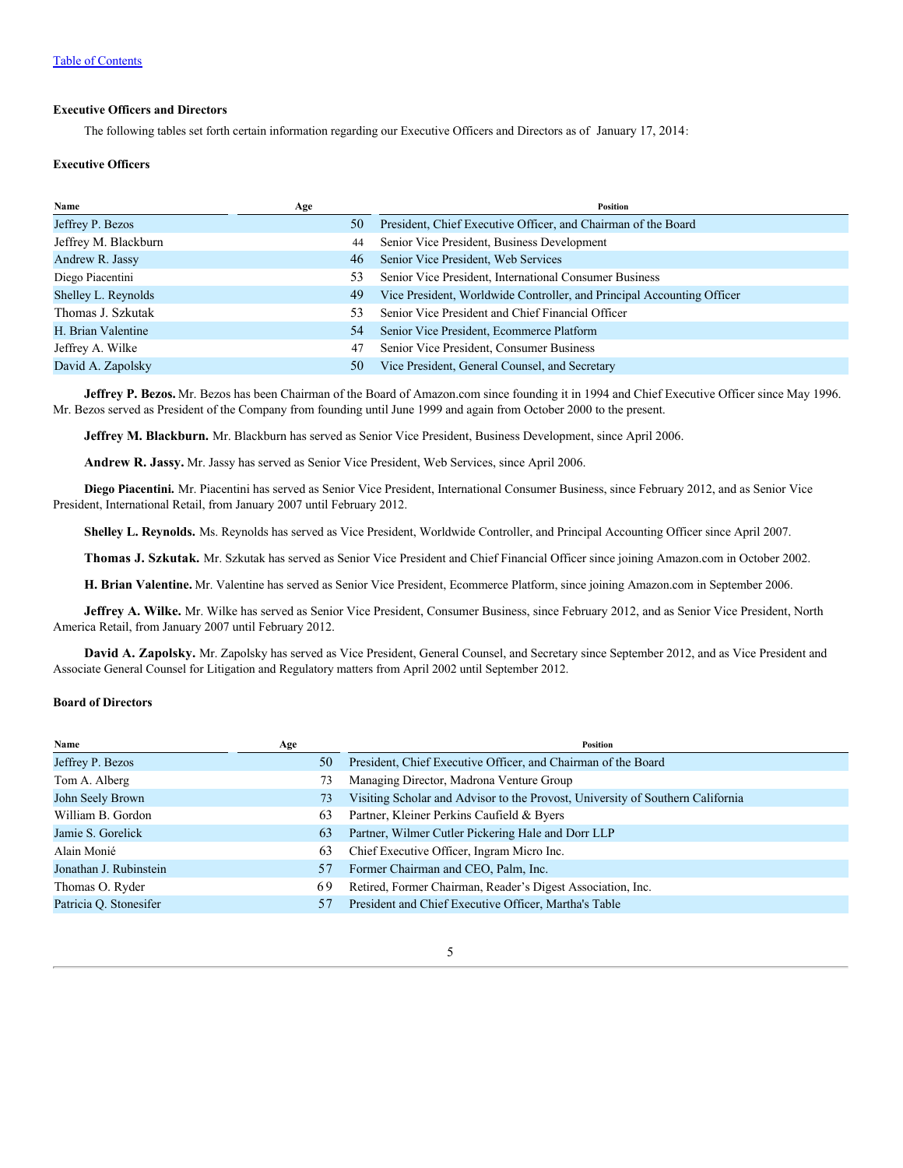## **Executive Officers and Directors**

The following tables set forth certain information regarding our Executive Officers and Directors as of January 17, 2014:

## **Executive Officers**

| Name                 | Age | Position                                                               |
|----------------------|-----|------------------------------------------------------------------------|
| Jeffrey P. Bezos     | 50  | President, Chief Executive Officer, and Chairman of the Board          |
| Jeffrey M. Blackburn | 44  | Senior Vice President, Business Development                            |
| Andrew R. Jassy      | 46  | Senior Vice President, Web Services                                    |
| Diego Piacentini     | 53  | Senior Vice President, International Consumer Business                 |
| Shelley L. Reynolds  | 49  | Vice President, Worldwide Controller, and Principal Accounting Officer |
| Thomas J. Szkutak    | 53  | Senior Vice President and Chief Financial Officer                      |
| H. Brian Valentine   | 54  | Senior Vice President, Ecommerce Platform                              |
| Jeffrey A. Wilke     | 47  | Senior Vice President, Consumer Business                               |
| David A. Zapolsky    | 50  | Vice President, General Counsel, and Secretary                         |

**Jeffrey P. Bezos.** Mr. Bezos has been Chairman of the Board of Amazon.com since founding it in 1994 and Chief Executive Officer since May 1996. Mr. Bezos served as President of the Company from founding until June 1999 and again from October 2000 to the present.

**Jeffrey M. Blackburn.** Mr. Blackburn has served as Senior Vice President, Business Development, since April 2006.

**Andrew R. Jassy.** Mr. Jassy has served as Senior Vice President, Web Services, since April 2006.

**Diego Piacentini.** Mr. Piacentini has served as Senior Vice President, International Consumer Business, since February 2012, and as Senior Vice President, International Retail, from January 2007 until February 2012.

**Shelley L. Reynolds.** Ms. Reynolds has served as Vice President, Worldwide Controller, and Principal Accounting Officer since April 2007.

**Thomas J. Szkutak.** Mr. Szkutak has served as Senior Vice President and Chief Financial Officer since joining Amazon.com in October 2002.

**H. Brian Valentine.** Mr. Valentine has served as Senior Vice President, Ecommerce Platform, since joining Amazon.com in September 2006.

**Jeffrey A. Wilke.** Mr. Wilke has served as Senior Vice President, Consumer Business, since February 2012, and as Senior Vice President, North America Retail, from January 2007 until February 2012.

**David A. Zapolsky.** Mr. Zapolsky has served as Vice President, General Counsel, and Secretary since September 2012, and as Vice President and Associate General Counsel for Litigation and Regulatory matters from April 2002 until September 2012.

## **Board of Directors**

| Name                   | Age | Position                                                                       |
|------------------------|-----|--------------------------------------------------------------------------------|
| Jeffrey P. Bezos       | 50  | President, Chief Executive Officer, and Chairman of the Board                  |
| Tom A. Alberg          | 73  | Managing Director, Madrona Venture Group                                       |
| John Seely Brown       | 73  | Visiting Scholar and Advisor to the Provost, University of Southern California |
| William B. Gordon      | 63  | Partner, Kleiner Perkins Caufield & Byers                                      |
| Jamie S. Gorelick      | 63  | Partner, Wilmer Cutler Pickering Hale and Dorr LLP                             |
| Alain Monié            | 63  | Chief Executive Officer, Ingram Micro Inc.                                     |
| Jonathan J. Rubinstein | 57  | Former Chairman and CEO, Palm, Inc.                                            |
| Thomas O. Ryder        | 69  | Retired, Former Chairman, Reader's Digest Association, Inc.                    |
| Patricia Q. Stonesifer |     | President and Chief Executive Officer, Martha's Table                          |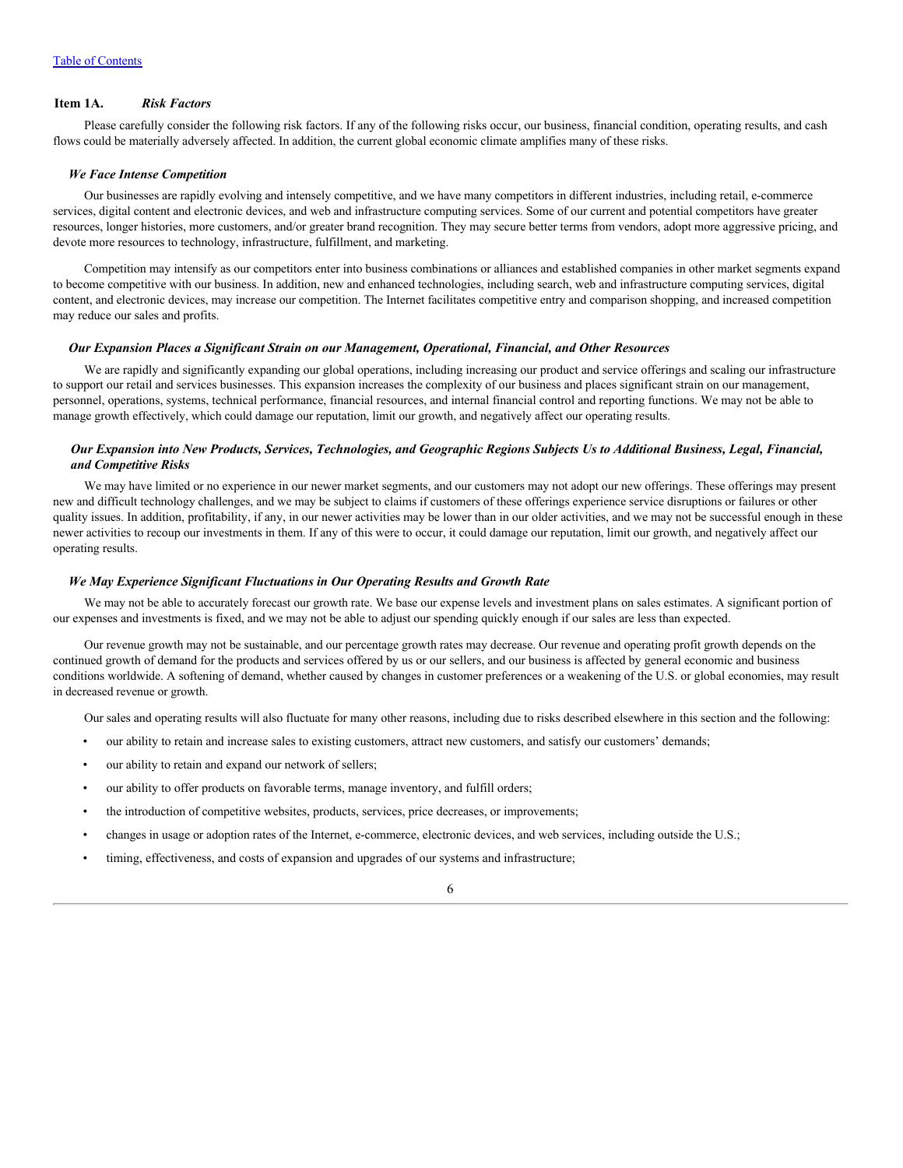## <span id="page-5-0"></span>**Item 1A.** *Risk Factors*

Please carefully consider the following risk factors. If any of the following risks occur, our business, financial condition, operating results, and cash flows could be materially adversely affected. In addition, the current global economic climate amplifies many of these risks.

#### *We Face Intense Competition*

Our businesses are rapidly evolving and intensely competitive, and we have many competitors in different industries, including retail, e-commerce services, digital content and electronic devices, and web and infrastructure computing services. Some of our current and potential competitors have greater resources, longer histories, more customers, and/or greater brand recognition. They may secure better terms from vendors, adopt more aggressive pricing, and devote more resources to technology, infrastructure, fulfillment, and marketing.

Competition may intensify as our competitors enter into business combinations or alliances and established companies in other market segments expand to become competitive with our business. In addition, new and enhanced technologies, including search, web and infrastructure computing services, digital content, and electronic devices, may increase our competition. The Internet facilitates competitive entry and comparison shopping, and increased competition may reduce our sales and profits.

#### *Our Expansion Places a Significant Strain on our Management, Operational, Financial, and Other Resources*

We are rapidly and significantly expanding our global operations, including increasing our product and service offerings and scaling our infrastructure to support our retail and services businesses. This expansion increases the complexity of our business and places significant strain on our management, personnel, operations, systems, technical performance, financial resources, and internal financial control and reporting functions. We may not be able to manage growth effectively, which could damage our reputation, limit our growth, and negatively affect our operating results.

## *Our Expansion into New Products, Services, Technologies, and Geographic Regions Subjects Us to Additional Business, Legal, Financial, and Competitive Risks*

We may have limited or no experience in our newer market segments, and our customers may not adopt our new offerings. These offerings may present new and difficult technology challenges, and we may be subject to claims if customers of these offerings experience service disruptions or failures or other quality issues. In addition, profitability, if any, in our newer activities may be lower than in our older activities, and we may not be successful enough in these newer activities to recoup our investments in them. If any of this were to occur, it could damage our reputation, limit our growth, and negatively affect our operating results.

#### *We May Experience Significant Fluctuations in Our Operating Results and Growth Rate*

We may not be able to accurately forecast our growth rate. We base our expense levels and investment plans on sales estimates. A significant portion of our expenses and investments is fixed, and we may not be able to adjust our spending quickly enough if our sales are less than expected.

Our revenue growth may not be sustainable, and our percentage growth rates may decrease. Our revenue and operating profit growth depends on the continued growth of demand for the products and services offered by us or our sellers, and our business is affected by general economic and business conditions worldwide. A softening of demand, whether caused by changes in customer preferences or a weakening of the U.S. or global economies, may result in decreased revenue or growth.

Our sales and operating results will also fluctuate for many other reasons, including due to risks described elsewhere in this section and the following:

- our ability to retain and increase sales to existing customers, attract new customers, and satisfy our customers' demands;
- our ability to retain and expand our network of sellers;
- our ability to offer products on favorable terms, manage inventory, and fulfill orders;
- the introduction of competitive websites, products, services, price decreases, or improvements;
- changes in usage or adoption rates of the Internet, e-commerce, electronic devices, and web services, including outside the U.S.;
- timing, effectiveness, and costs of expansion and upgrades of our systems and infrastructure;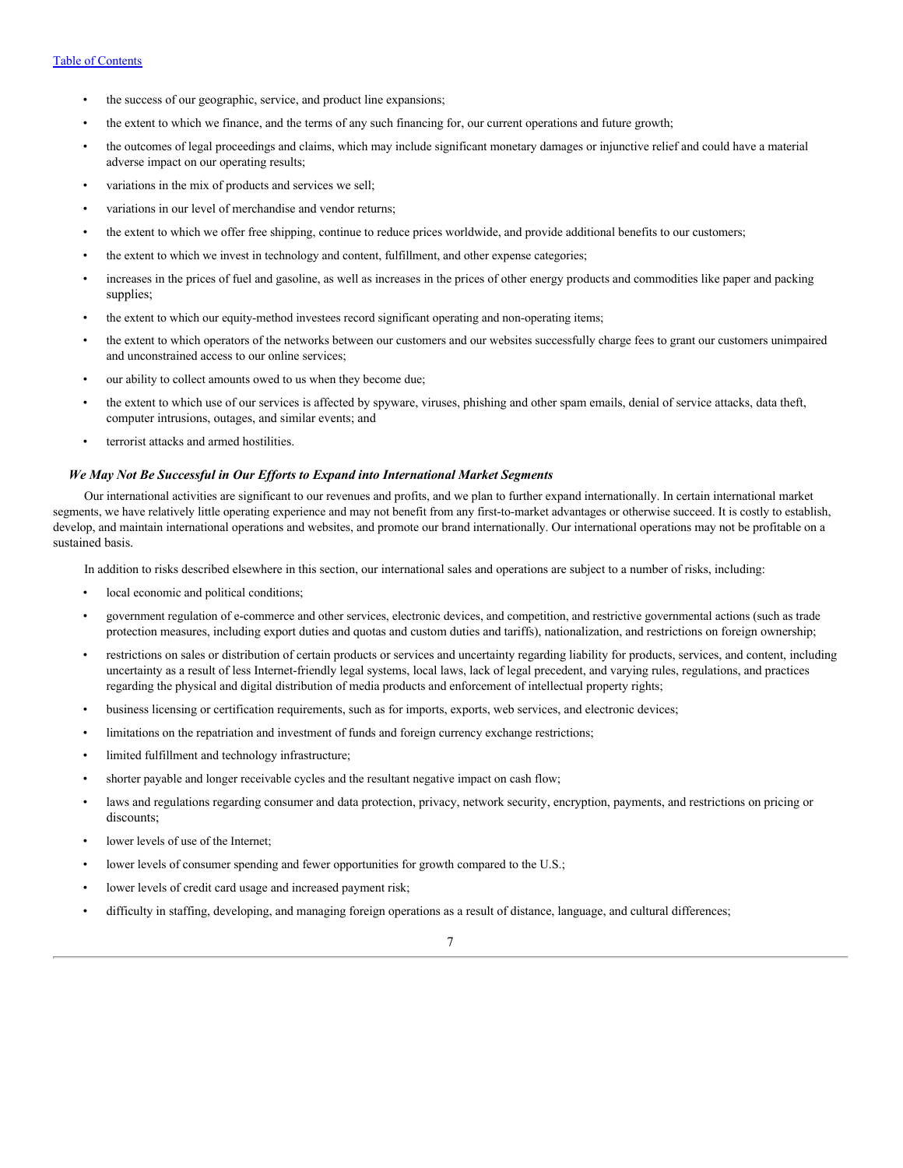- the success of our geographic, service, and product line expansions;
- the extent to which we finance, and the terms of any such financing for, our current operations and future growth;
- the outcomes of legal proceedings and claims, which may include significant monetary damages or injunctive relief and could have a material adverse impact on our operating results;
- variations in the mix of products and services we sell;
- variations in our level of merchandise and vendor returns;
- the extent to which we offer free shipping, continue to reduce prices worldwide, and provide additional benefits to our customers;
- the extent to which we invest in technology and content, fulfillment, and other expense categories;
- increases in the prices of fuel and gasoline, as well as increases in the prices of other energy products and commodities like paper and packing supplies;
- the extent to which our equity-method investees record significant operating and non-operating items;
- the extent to which operators of the networks between our customers and our websites successfully charge fees to grant our customers unimpaired and unconstrained access to our online services;
- our ability to collect amounts owed to us when they become due;
- the extent to which use of our services is affected by spyware, viruses, phishing and other spam emails, denial of service attacks, data theft, computer intrusions, outages, and similar events; and
- terrorist attacks and armed hostilities.

#### *We May Not Be Successful in Our Efforts to Expand into International Market Segments*

Our international activities are significant to our revenues and profits, and we plan to further expand internationally. In certain international market segments, we have relatively little operating experience and may not benefit from any first-to-market advantages or otherwise succeed. It is costly to establish, develop, and maintain international operations and websites, and promote our brand internationally. Our international operations may not be profitable on a sustained basis.

In addition to risks described elsewhere in this section, our international sales and operations are subject to a number of risks, including:

- local economic and political conditions;
- government regulation of e-commerce and other services, electronic devices, and competition, and restrictive governmental actions (such as trade protection measures, including export duties and quotas and custom duties and tariffs), nationalization, and restrictions on foreign ownership;
- restrictions on sales or distribution of certain products or services and uncertainty regarding liability for products, services, and content, including uncertainty as a result of less Internet-friendly legal systems, local laws, lack of legal precedent, and varying rules, regulations, and practices regarding the physical and digital distribution of media products and enforcement of intellectual property rights;
- business licensing or certification requirements, such as for imports, exports, web services, and electronic devices;
- limitations on the repatriation and investment of funds and foreign currency exchange restrictions;
- limited fulfillment and technology infrastructure;
- shorter payable and longer receivable cycles and the resultant negative impact on cash flow;
- laws and regulations regarding consumer and data protection, privacy, network security, encryption, payments, and restrictions on pricing or discounts;
- lower levels of use of the Internet;
- lower levels of consumer spending and fewer opportunities for growth compared to the U.S.;
- lower levels of credit card usage and increased payment risk;
- difficulty in staffing, developing, and managing foreign operations as a result of distance, language, and cultural differences;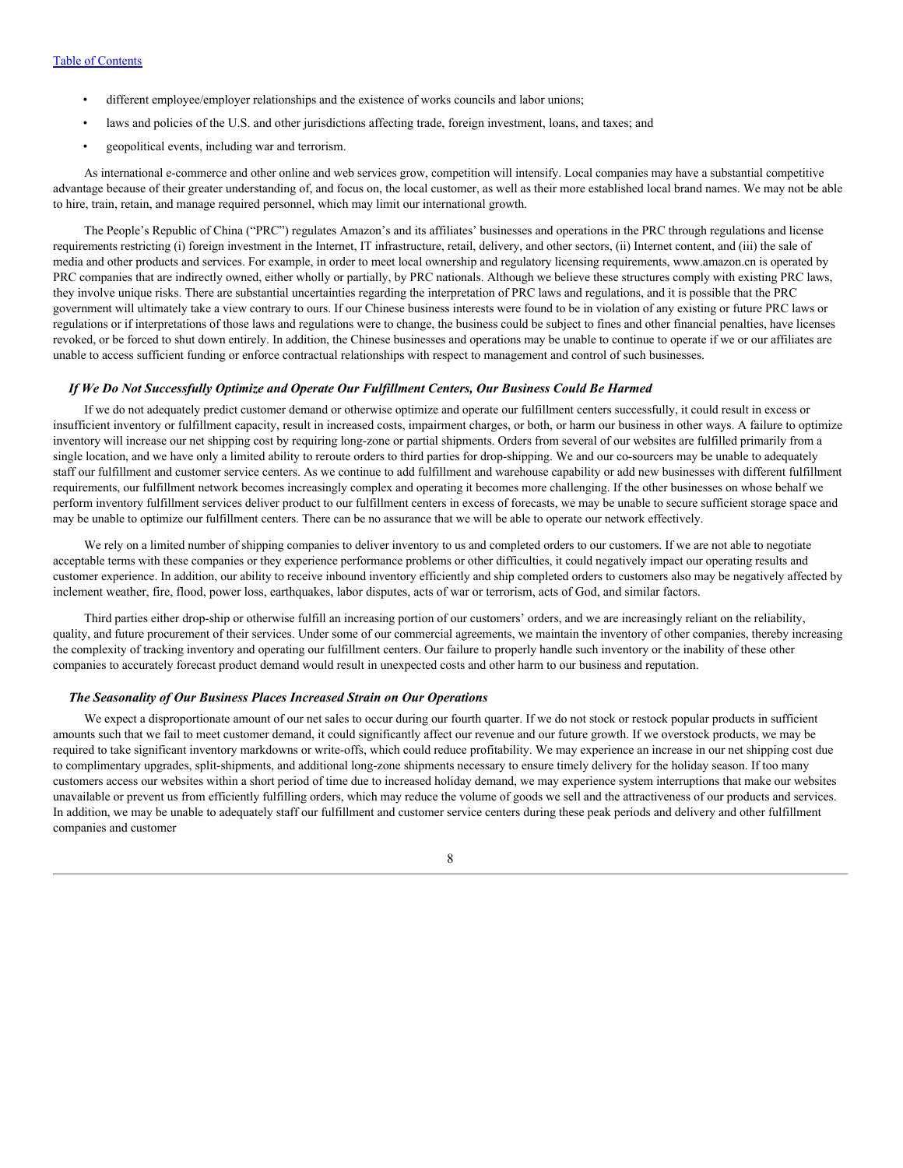- different employee/employer relationships and the existence of works councils and labor unions;
- laws and policies of the U.S. and other jurisdictions affecting trade, foreign investment, loans, and taxes; and
- geopolitical events, including war and terrorism.

As international e-commerce and other online and web services grow, competition will intensify. Local companies may have a substantial competitive advantage because of their greater understanding of, and focus on, the local customer, as well as their more established local brand names. We may not be able to hire, train, retain, and manage required personnel, which may limit our international growth.

The People's Republic of China ("PRC") regulates Amazon's and its affiliates' businesses and operations in the PRC through regulations and license requirements restricting (i) foreign investment in the Internet, IT infrastructure, retail, delivery, and other sectors, (ii) Internet content, and (iii) the sale of media and other products and services. For example, in order to meet local ownership and regulatory licensing requirements, www.amazon.cn is operated by PRC companies that are indirectly owned, either wholly or partially, by PRC nationals. Although we believe these structures comply with existing PRC laws, they involve unique risks. There are substantial uncertainties regarding the interpretation of PRC laws and regulations, and it is possible that the PRC government will ultimately take a view contrary to ours. If our Chinese business interests were found to be in violation of any existing or future PRC laws or regulations or if interpretations of those laws and regulations were to change, the business could be subject to fines and other financial penalties, have licenses revoked, or be forced to shut down entirely. In addition, the Chinese businesses and operations may be unable to continue to operate if we or our affiliates are unable to access sufficient funding or enforce contractual relationships with respect to management and control of such businesses.

#### *If We Do Not Successfully Optimize and Operate Our Fulfillment Centers, Our Business Could Be Harmed*

If we do not adequately predict customer demand or otherwise optimize and operate our fulfillment centers successfully, it could result in excess or insufficient inventory or fulfillment capacity, result in increased costs, impairment charges, or both, or harm our business in other ways. A failure to optimize inventory will increase our net shipping cost by requiring long-zone or partial shipments. Orders from several of our websites are fulfilled primarily from a single location, and we have only a limited ability to reroute orders to third parties for drop-shipping. We and our co-sourcers may be unable to adequately staff our fulfillment and customer service centers. As we continue to add fulfillment and warehouse capability or add new businesses with different fulfillment requirements, our fulfillment network becomes increasingly complex and operating it becomes more challenging. If the other businesses on whose behalf we perform inventory fulfillment services deliver product to our fulfillment centers in excess of forecasts, we may be unable to secure sufficient storage space and may be unable to optimize our fulfillment centers. There can be no assurance that we will be able to operate our network effectively.

We rely on a limited number of shipping companies to deliver inventory to us and completed orders to our customers. If we are not able to negotiate acceptable terms with these companies or they experience performance problems or other difficulties, it could negatively impact our operating results and customer experience. In addition, our ability to receive inbound inventory efficiently and ship completed orders to customers also may be negatively affected by inclement weather, fire, flood, power loss, earthquakes, labor disputes, acts of war or terrorism, acts of God, and similar factors.

Third parties either drop-ship or otherwise fulfill an increasing portion of our customers' orders, and we are increasingly reliant on the reliability, quality, and future procurement of their services. Under some of our commercial agreements, we maintain the inventory of other companies, thereby increasing the complexity of tracking inventory and operating our fulfillment centers. Our failure to properly handle such inventory or the inability of these other companies to accurately forecast product demand would result in unexpected costs and other harm to our business and reputation.

## *The Seasonality of Our Business Places Increased Strain on Our Operations*

We expect a disproportionate amount of our net sales to occur during our fourth quarter. If we do not stock or restock popular products in sufficient amounts such that we fail to meet customer demand, it could significantly affect our revenue and our future growth. If we overstock products, we may be required to take significant inventory markdowns or write-offs, which could reduce profitability. We may experience an increase in our net shipping cost due to complimentary upgrades, split-shipments, and additional long-zone shipments necessary to ensure timely delivery for the holiday season. If too many customers access our websites within a short period of time due to increased holiday demand, we may experience system interruptions that make our websites unavailable or prevent us from efficiently fulfilling orders, which may reduce the volume of goods we sell and the attractiveness of our products and services. In addition, we may be unable to adequately staff our fulfillment and customer service centers during these peak periods and delivery and other fulfillment companies and customer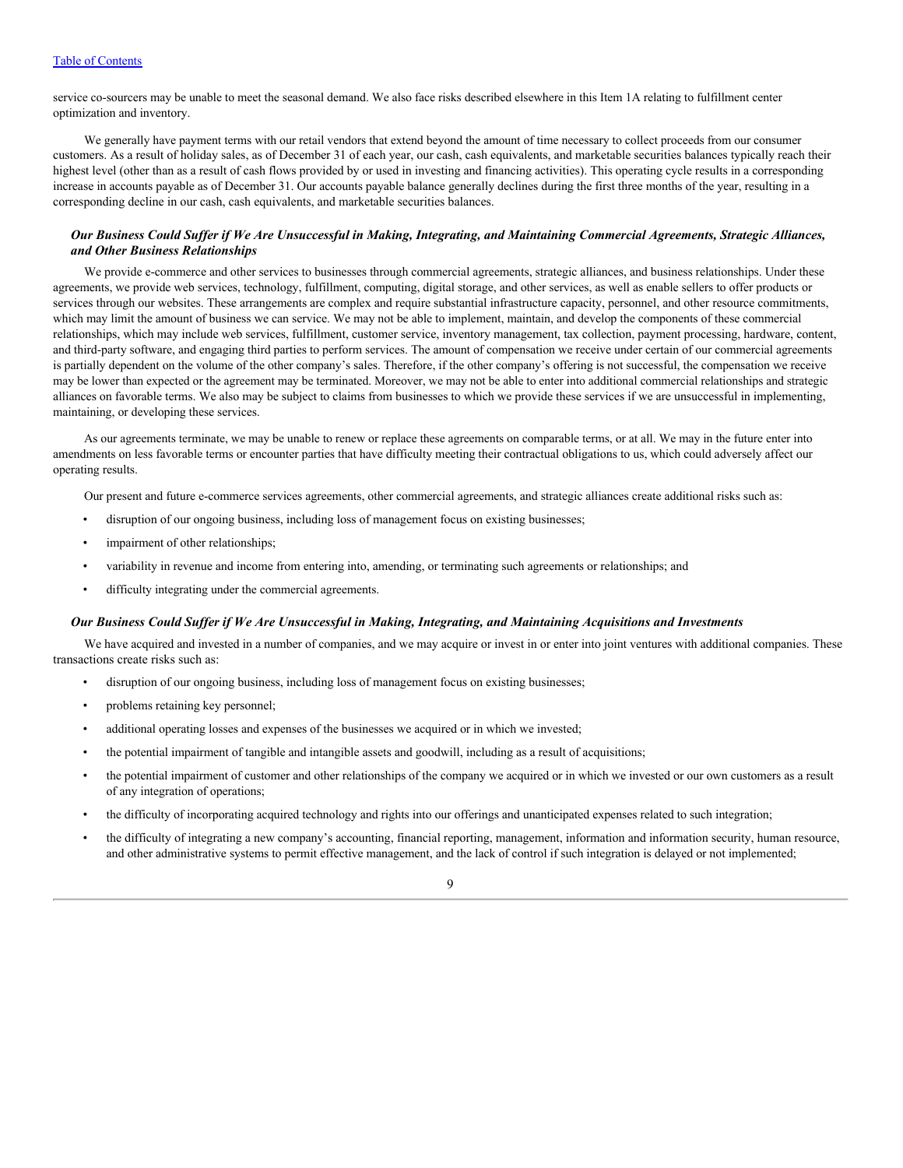service co-sourcers may be unable to meet the seasonal demand. We also face risks described elsewhere in this Item 1A relating to fulfillment center optimization and inventory.

We generally have payment terms with our retail vendors that extend beyond the amount of time necessary to collect proceeds from our consumer customers. As a result of holiday sales, as of December 31 of each year, our cash, cash equivalents, and marketable securities balances typically reach their highest level (other than as a result of cash flows provided by or used in investing and financing activities). This operating cycle results in a corresponding increase in accounts payable as of December 31. Our accounts payable balance generally declines during the first three months of the year, resulting in a corresponding decline in our cash, cash equivalents, and marketable securities balances.

## *Our Business Could Suffer if We Are Unsuccessful in Making, Integrating, and Maintaining Commercial Agreements, Strategic Alliances, and Other Business Relationships*

We provide e-commerce and other services to businesses through commercial agreements, strategic alliances, and business relationships. Under these agreements, we provide web services, technology, fulfillment, computing, digital storage, and other services, as well as enable sellers to offer products or services through our websites. These arrangements are complex and require substantial infrastructure capacity, personnel, and other resource commitments, which may limit the amount of business we can service. We may not be able to implement, maintain, and develop the components of these commercial relationships, which may include web services, fulfillment, customer service, inventory management, tax collection, payment processing, hardware, content, and third-party software, and engaging third parties to perform services. The amount of compensation we receive under certain of our commercial agreements is partially dependent on the volume of the other company's sales. Therefore, if the other company's offering is not successful, the compensation we receive may be lower than expected or the agreement may be terminated. Moreover, we may not be able to enter into additional commercial relationships and strategic alliances on favorable terms. We also may be subject to claims from businesses to which we provide these services if we are unsuccessful in implementing, maintaining, or developing these services.

As our agreements terminate, we may be unable to renew or replace these agreements on comparable terms, or at all. We may in the future enter into amendments on less favorable terms or encounter parties that have difficulty meeting their contractual obligations to us, which could adversely affect our operating results.

Our present and future e-commerce services agreements, other commercial agreements, and strategic alliances create additional risks such as:

- disruption of our ongoing business, including loss of management focus on existing businesses;
- impairment of other relationships;
- variability in revenue and income from entering into, amending, or terminating such agreements or relationships; and
- difficulty integrating under the commercial agreements.

## *Our Business Could Suffer if We Are Unsuccessful in Making, Integrating, and Maintaining Acquisitions and Investments*

We have acquired and invested in a number of companies, and we may acquire or invest in or enter into joint ventures with additional companies. These transactions create risks such as:

- disruption of our ongoing business, including loss of management focus on existing businesses;
- problems retaining key personnel;
- additional operating losses and expenses of the businesses we acquired or in which we invested;
- the potential impairment of tangible and intangible assets and goodwill, including as a result of acquisitions;
- the potential impairment of customer and other relationships of the company we acquired or in which we invested or our own customers as a result of any integration of operations;
- the difficulty of incorporating acquired technology and rights into our offerings and unanticipated expenses related to such integration;
- the difficulty of integrating a new company's accounting, financial reporting, management, information and information security, human resource, and other administrative systems to permit effective management, and the lack of control if such integration is delayed or not implemented;

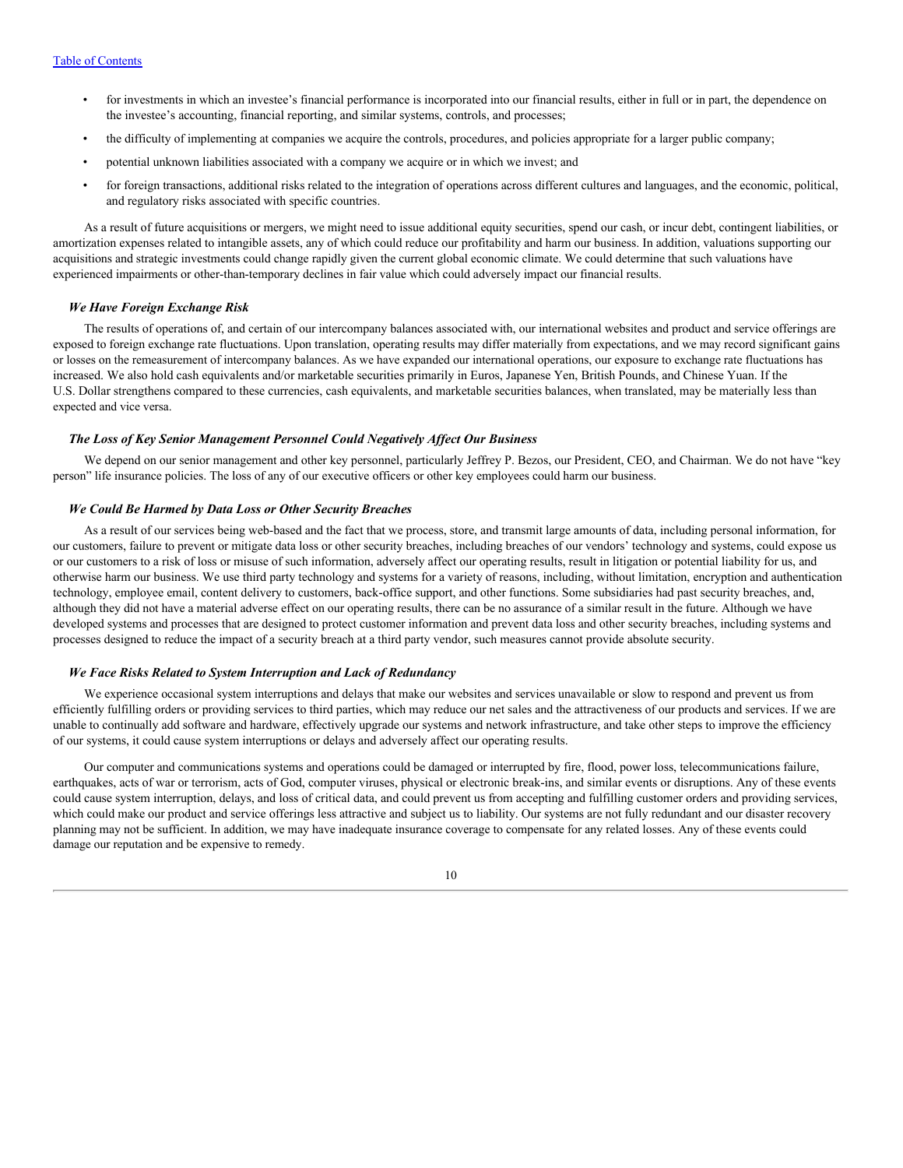- for investments in which an investee's financial performance is incorporated into our financial results, either in full or in part, the dependence on the investee's accounting, financial reporting, and similar systems, controls, and processes;
- the difficulty of implementing at companies we acquire the controls, procedures, and policies appropriate for a larger public company;
- potential unknown liabilities associated with a company we acquire or in which we invest; and
- for foreign transactions, additional risks related to the integration of operations across different cultures and languages, and the economic, political, and regulatory risks associated with specific countries.

As a result of future acquisitions or mergers, we might need to issue additional equity securities, spend our cash, or incur debt, contingent liabilities, or amortization expenses related to intangible assets, any of which could reduce our profitability and harm our business. In addition, valuations supporting our acquisitions and strategic investments could change rapidly given the current global economic climate. We could determine that such valuations have experienced impairments or other-than-temporary declines in fair value which could adversely impact our financial results.

#### *We Have Foreign Exchange Risk*

The results of operations of, and certain of our intercompany balances associated with, our international websites and product and service offerings are exposed to foreign exchange rate fluctuations. Upon translation, operating results may differ materially from expectations, and we may record significant gains or losses on the remeasurement of intercompany balances. As we have expanded our international operations, our exposure to exchange rate fluctuations has increased. We also hold cash equivalents and/or marketable securities primarily in Euros, Japanese Yen, British Pounds, and Chinese Yuan. If the U.S. Dollar strengthens compared to these currencies, cash equivalents, and marketable securities balances, when translated, may be materially less than expected and vice versa.

## *The Loss of Key Senior Management Personnel Could Negatively Affect Our Business*

We depend on our senior management and other key personnel, particularly Jeffrey P. Bezos, our President, CEO, and Chairman. We do not have "key person" life insurance policies. The loss of any of our executive officers or other key employees could harm our business.

## *We Could Be Harmed by Data Loss or Other Security Breaches*

As a result of our services being web-based and the fact that we process, store, and transmit large amounts of data, including personal information, for our customers, failure to prevent or mitigate data loss or other security breaches, including breaches of our vendors' technology and systems, could expose us or our customers to a risk of loss or misuse of such information, adversely affect our operating results, result in litigation or potential liability for us, and otherwise harm our business. We use third party technology and systems for a variety of reasons, including, without limitation, encryption and authentication technology, employee email, content delivery to customers, back-office support, and other functions. Some subsidiaries had past security breaches, and, although they did not have a material adverse effect on our operating results, there can be no assurance of a similar result in the future. Although we have developed systems and processes that are designed to protect customer information and prevent data loss and other security breaches, including systems and processes designed to reduce the impact of a security breach at a third party vendor, such measures cannot provide absolute security.

## *We Face Risks Related to System Interruption and Lack of Redundancy*

We experience occasional system interruptions and delays that make our websites and services unavailable or slow to respond and prevent us from efficiently fulfilling orders or providing services to third parties, which may reduce our net sales and the attractiveness of our products and services. If we are unable to continually add software and hardware, effectively upgrade our systems and network infrastructure, and take other steps to improve the efficiency of our systems, it could cause system interruptions or delays and adversely affect our operating results.

Our computer and communications systems and operations could be damaged or interrupted by fire, flood, power loss, telecommunications failure, earthquakes, acts of war or terrorism, acts of God, computer viruses, physical or electronic break-ins, and similar events or disruptions. Any of these events could cause system interruption, delays, and loss of critical data, and could prevent us from accepting and fulfilling customer orders and providing services, which could make our product and service offerings less attractive and subject us to liability. Our systems are not fully redundant and our disaster recovery planning may not be sufficient. In addition, we may have inadequate insurance coverage to compensate for any related losses. Any of these events could damage our reputation and be expensive to remedy.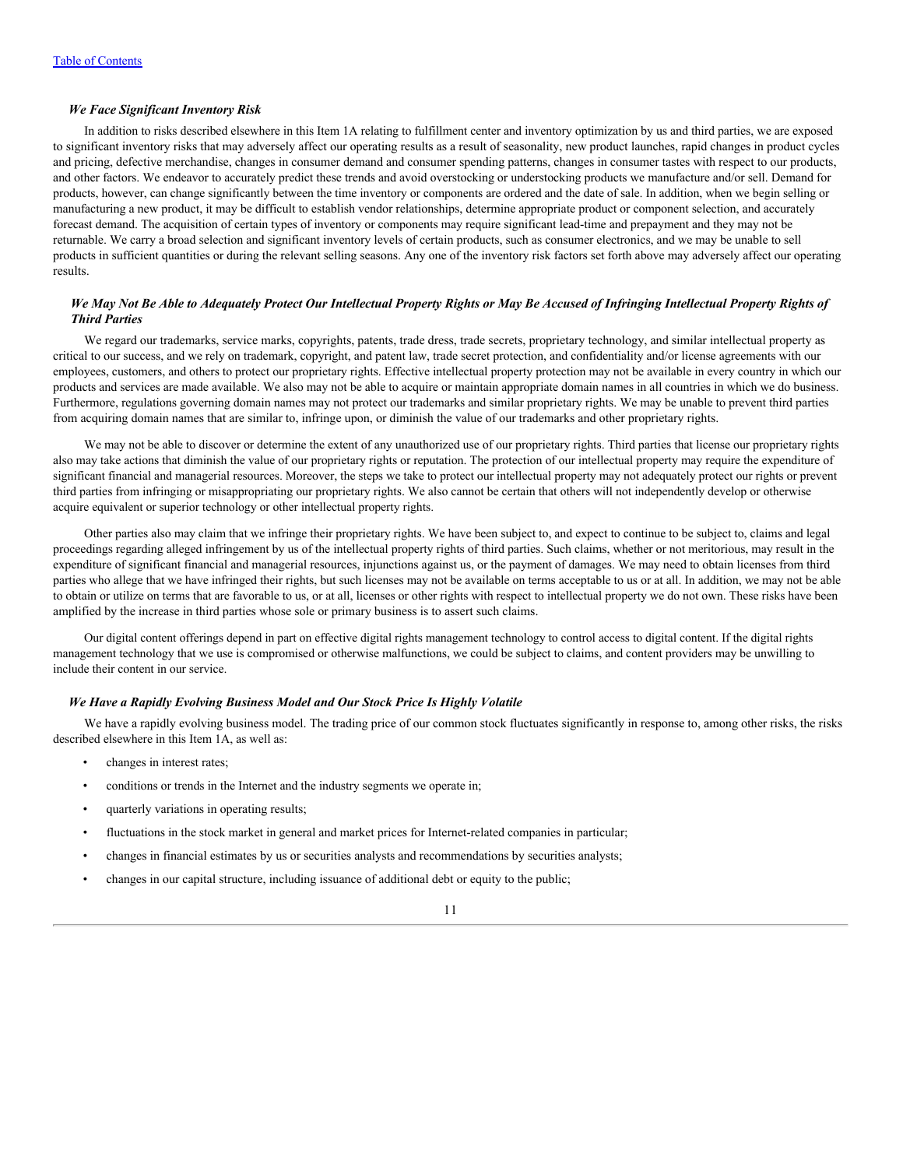## *We Face Significant Inventory Risk*

In addition to risks described elsewhere in this Item 1A relating to fulfillment center and inventory optimization by us and third parties, we are exposed to significant inventory risks that may adversely affect our operating results as a result of seasonality, new product launches, rapid changes in product cycles and pricing, defective merchandise, changes in consumer demand and consumer spending patterns, changes in consumer tastes with respect to our products, and other factors. We endeavor to accurately predict these trends and avoid overstocking or understocking products we manufacture and/or sell. Demand for products, however, can change significantly between the time inventory or components are ordered and the date of sale. In addition, when we begin selling or manufacturing a new product, it may be difficult to establish vendor relationships, determine appropriate product or component selection, and accurately forecast demand. The acquisition of certain types of inventory or components may require significant lead-time and prepayment and they may not be returnable. We carry a broad selection and significant inventory levels of certain products, such as consumer electronics, and we may be unable to sell products in sufficient quantities or during the relevant selling seasons. Any one of the inventory risk factors set forth above may adversely affect our operating results.

## *We May Not Be Able to Adequately Protect Our Intellectual Property Rights or May Be Accused of Infringing Intellectual Property Rights of Third Parties*

We regard our trademarks, service marks, copyrights, patents, trade dress, trade secrets, proprietary technology, and similar intellectual property as critical to our success, and we rely on trademark, copyright, and patent law, trade secret protection, and confidentiality and/or license agreements with our employees, customers, and others to protect our proprietary rights. Effective intellectual property protection may not be available in every country in which our products and services are made available. We also may not be able to acquire or maintain appropriate domain names in all countries in which we do business. Furthermore, regulations governing domain names may not protect our trademarks and similar proprietary rights. We may be unable to prevent third parties from acquiring domain names that are similar to, infringe upon, or diminish the value of our trademarks and other proprietary rights.

We may not be able to discover or determine the extent of any unauthorized use of our proprietary rights. Third parties that license our proprietary rights also may take actions that diminish the value of our proprietary rights or reputation. The protection of our intellectual property may require the expenditure of significant financial and managerial resources. Moreover, the steps we take to protect our intellectual property may not adequately protect our rights or prevent third parties from infringing or misappropriating our proprietary rights. We also cannot be certain that others will not independently develop or otherwise acquire equivalent or superior technology or other intellectual property rights.

Other parties also may claim that we infringe their proprietary rights. We have been subject to, and expect to continue to be subject to, claims and legal proceedings regarding alleged infringement by us of the intellectual property rights of third parties. Such claims, whether or not meritorious, may result in the expenditure of significant financial and managerial resources, injunctions against us, or the payment of damages. We may need to obtain licenses from third parties who allege that we have infringed their rights, but such licenses may not be available on terms acceptable to us or at all. In addition, we may not be able to obtain or utilize on terms that are favorable to us, or at all, licenses or other rights with respect to intellectual property we do not own. These risks have been amplified by the increase in third parties whose sole or primary business is to assert such claims.

Our digital content offerings depend in part on effective digital rights management technology to control access to digital content. If the digital rights management technology that we use is compromised or otherwise malfunctions, we could be subject to claims, and content providers may be unwilling to include their content in our service.

## *We Have a Rapidly Evolving Business Model and Our Stock Price Is Highly Volatile*

We have a rapidly evolving business model. The trading price of our common stock fluctuates significantly in response to, among other risks, the risks described elsewhere in this Item 1A, as well as:

- changes in interest rates;
- conditions or trends in the Internet and the industry segments we operate in;
- quarterly variations in operating results;
- fluctuations in the stock market in general and market prices for Internet-related companies in particular;
- changes in financial estimates by us or securities analysts and recommendations by securities analysts;
- changes in our capital structure, including issuance of additional debt or equity to the public;

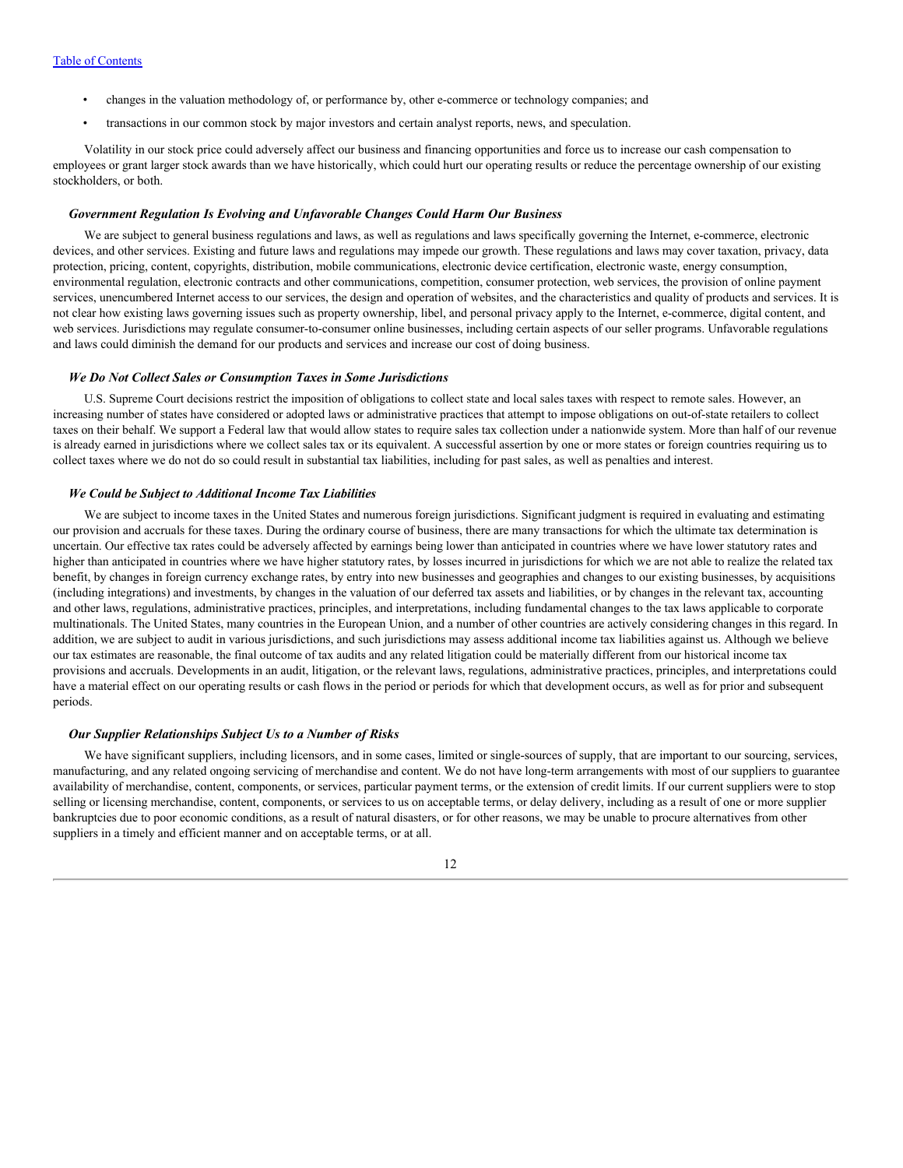- changes in the valuation methodology of, or performance by, other e-commerce or technology companies; and
- transactions in our common stock by major investors and certain analyst reports, news, and speculation.

Volatility in our stock price could adversely affect our business and financing opportunities and force us to increase our cash compensation to employees or grant larger stock awards than we have historically, which could hurt our operating results or reduce the percentage ownership of our existing stockholders, or both.

#### *Government Regulation Is Evolving and Unfavorable Changes Could Harm Our Business*

We are subject to general business regulations and laws, as well as regulations and laws specifically governing the Internet, e-commerce, electronic devices, and other services. Existing and future laws and regulations may impede our growth. These regulations and laws may cover taxation, privacy, data protection, pricing, content, copyrights, distribution, mobile communications, electronic device certification, electronic waste, energy consumption, environmental regulation, electronic contracts and other communications, competition, consumer protection, web services, the provision of online payment services, unencumbered Internet access to our services, the design and operation of websites, and the characteristics and quality of products and services. It is not clear how existing laws governing issues such as property ownership, libel, and personal privacy apply to the Internet, e-commerce, digital content, and web services. Jurisdictions may regulate consumer-to-consumer online businesses, including certain aspects of our seller programs. Unfavorable regulations and laws could diminish the demand for our products and services and increase our cost of doing business.

#### *We Do Not Collect Sales or Consumption Taxes in Some Jurisdictions*

U.S. Supreme Court decisions restrict the imposition of obligations to collect state and local sales taxes with respect to remote sales. However, an increasing number of states have considered or adopted laws or administrative practices that attempt to impose obligations on out-of-state retailers to collect taxes on their behalf. We support a Federal law that would allow states to require sales tax collection under a nationwide system. More than half of our revenue is already earned in jurisdictions where we collect sales tax or its equivalent. A successful assertion by one or more states or foreign countries requiring us to collect taxes where we do not do so could result in substantial tax liabilities, including for past sales, as well as penalties and interest.

#### *We Could be Subject to Additional Income Tax Liabilities*

We are subject to income taxes in the United States and numerous foreign jurisdictions. Significant judgment is required in evaluating and estimating our provision and accruals for these taxes. During the ordinary course of business, there are many transactions for which the ultimate tax determination is uncertain. Our effective tax rates could be adversely affected by earnings being lower than anticipated in countries where we have lower statutory rates and higher than anticipated in countries where we have higher statutory rates, by losses incurred in jurisdictions for which we are not able to realize the related tax benefit, by changes in foreign currency exchange rates, by entry into new businesses and geographies and changes to our existing businesses, by acquisitions (including integrations) and investments, by changes in the valuation of our deferred tax assets and liabilities, or by changes in the relevant tax, accounting and other laws, regulations, administrative practices, principles, and interpretations, including fundamental changes to the tax laws applicable to corporate multinationals. The United States, many countries in the European Union, and a number of other countries are actively considering changes in this regard. In addition, we are subject to audit in various jurisdictions, and such jurisdictions may assess additional income tax liabilities against us. Although we believe our tax estimates are reasonable, the final outcome of tax audits and any related litigation could be materially different from our historical income tax provisions and accruals. Developments in an audit, litigation, or the relevant laws, regulations, administrative practices, principles, and interpretations could have a material effect on our operating results or cash flows in the period or periods for which that development occurs, as well as for prior and subsequent periods.

#### *Our Supplier Relationships Subject Us to a Number of Risks*

We have significant suppliers, including licensors, and in some cases, limited or single-sources of supply, that are important to our sourcing, services, manufacturing, and any related ongoing servicing of merchandise and content. We do not have long-term arrangements with most of our suppliers to guarantee availability of merchandise, content, components, or services, particular payment terms, or the extension of credit limits. If our current suppliers were to stop selling or licensing merchandise, content, components, or services to us on acceptable terms, or delay delivery, including as a result of one or more supplier bankruptcies due to poor economic conditions, as a result of natural disasters, or for other reasons, we may be unable to procure alternatives from other suppliers in a timely and efficient manner and on acceptable terms, or at all.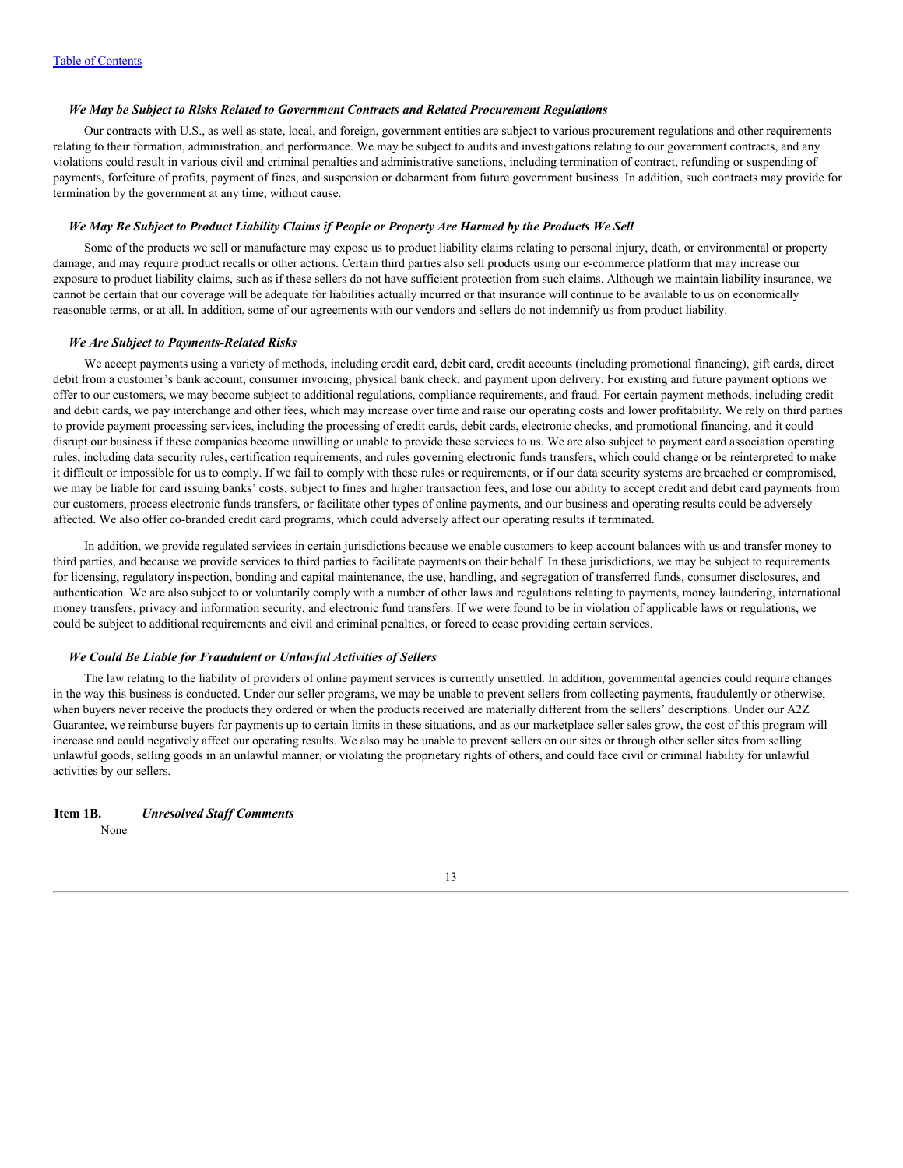## <span id="page-12-0"></span>*We May be Subject to Risks Related to Government Contracts and Related Procurement Regulations*

Our contracts with U.S., as well as state, local, and foreign, government entities are subject to various procurement regulations and other requirements relating to their formation, administration, and performance. We may be subject to audits and investigations relating to our government contracts, and any violations could result in various civil and criminal penalties and administrative sanctions, including termination of contract, refunding or suspending of payments, forfeiture of profits, payment of fines, and suspension or debarment from future government business. In addition, such contracts may provide for termination by the government at any time, without cause.

## *We May Be Subject to Product Liability Claims if People or Property Are Harmed by the Products We Sell*

Some of the products we sell or manufacture may expose us to product liability claims relating to personal injury, death, or environmental or property damage, and may require product recalls or other actions. Certain third parties also sell products using our e-commerce platform that may increase our exposure to product liability claims, such as if these sellers do not have sufficient protection from such claims. Although we maintain liability insurance, we cannot be certain that our coverage will be adequate for liabilities actually incurred or that insurance will continue to be available to us on economically reasonable terms, or at all. In addition, some of our agreements with our vendors and sellers do not indemnify us from product liability.

#### *We Are Subject to Payments-Related Risks*

We accept payments using a variety of methods, including credit card, debit card, credit accounts (including promotional financing), gift cards, direct debit from a customer's bank account, consumer invoicing, physical bank check, and payment upon delivery. For existing and future payment options we offer to our customers, we may become subject to additional regulations, compliance requirements, and fraud. For certain payment methods, including credit and debit cards, we pay interchange and other fees, which may increase over time and raise our operating costs and lower profitability. We rely on third parties to provide payment processing services, including the processing of credit cards, debit cards, electronic checks, and promotional financing, and it could disrupt our business if these companies become unwilling or unable to provide these services to us. We are also subject to payment card association operating rules, including data security rules, certification requirements, and rules governing electronic funds transfers, which could change or be reinterpreted to make it difficult or impossible for us to comply. If we fail to comply with these rules or requirements, or if our data security systems are breached or compromised, we may be liable for card issuing banks' costs, subject to fines and higher transaction fees, and lose our ability to accept credit and debit card payments from our customers, process electronic funds transfers, or facilitate other types of online payments, and our business and operating results could be adversely affected. We also offer co-branded credit card programs, which could adversely affect our operating results if terminated.

In addition, we provide regulated services in certain jurisdictions because we enable customers to keep account balances with us and transfer money to third parties, and because we provide services to third parties to facilitate payments on their behalf. In these jurisdictions, we may be subject to requirements for licensing, regulatory inspection, bonding and capital maintenance, the use, handling, and segregation of transferred funds, consumer disclosures, and authentication. We are also subject to or voluntarily comply with a number of other laws and regulations relating to payments, money laundering, international money transfers, privacy and information security, and electronic fund transfers. If we were found to be in violation of applicable laws or regulations, we could be subject to additional requirements and civil and criminal penalties, or forced to cease providing certain services.

#### *We Could Be Liable for Fraudulent or Unlawful Activities of Sellers*

The law relating to the liability of providers of online payment services is currently unsettled. In addition, governmental agencies could require changes in the way this business is conducted. Under our seller programs, we may be unable to prevent sellers from collecting payments, fraudulently or otherwise, when buyers never receive the products they ordered or when the products received are materially different from the sellers' descriptions. Under our A2Z Guarantee, we reimburse buyers for payments up to certain limits in these situations, and as our marketplace seller sales grow, the cost of this program will increase and could negatively affect our operating results. We also may be unable to prevent sellers on our sites or through other seller sites from selling unlawful goods, selling goods in an unlawful manner, or violating the proprietary rights of others, and could face civil or criminal liability for unlawful activities by our sellers.

#### **Item 1B.** *Unresolved Staff Comments*

None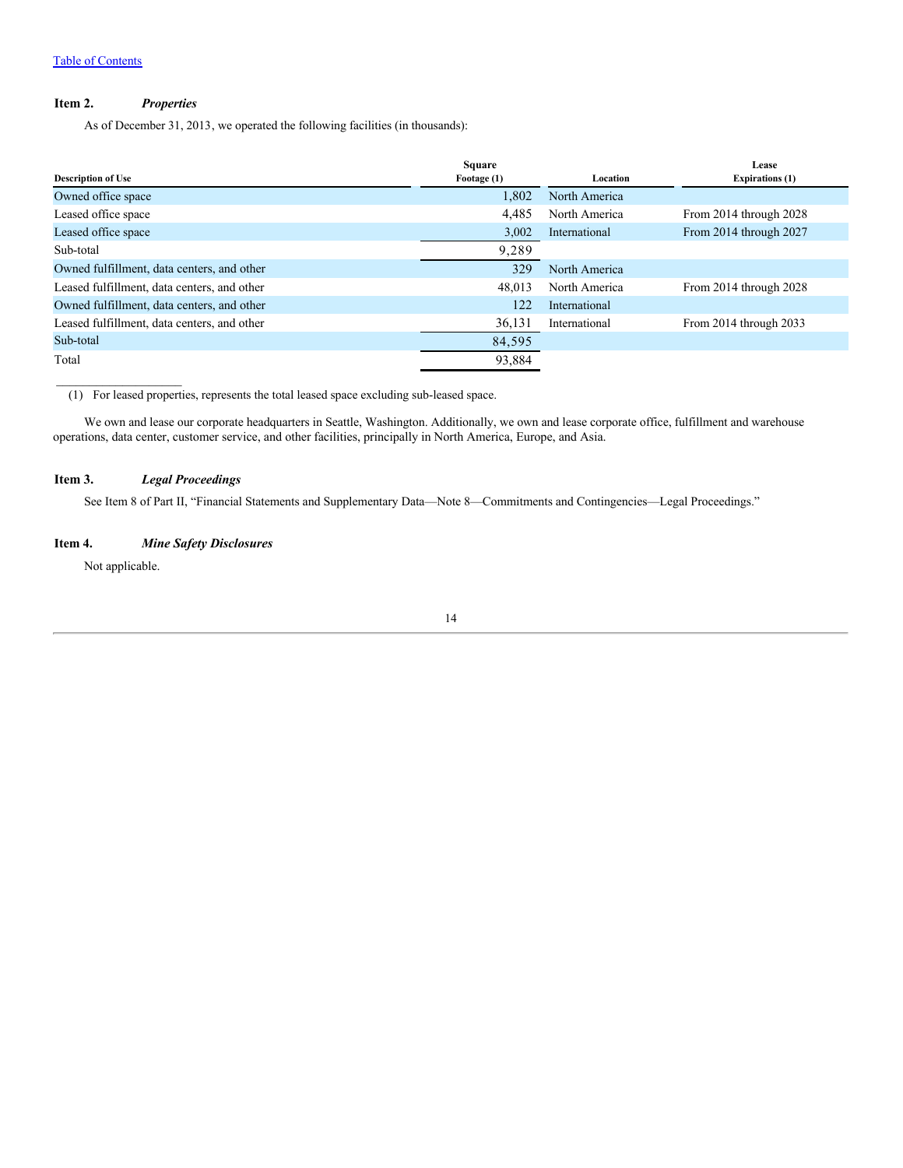## <span id="page-13-0"></span>**Item 2.** *Properties*

As of December 31, 2013, we operated the following facilities (in thousands):

| <b>Description of Use</b>                   | Square<br>Footage (1) | Location      | Lease<br><b>Expirations</b> (1) |
|---------------------------------------------|-----------------------|---------------|---------------------------------|
| Owned office space                          | 1,802                 | North America |                                 |
| Leased office space                         | 4,485                 | North America | From 2014 through 2028          |
| Leased office space                         | 3,002                 | International | From 2014 through 2027          |
| Sub-total                                   | 9,289                 |               |                                 |
| Owned fulfillment, data centers, and other  | 329                   | North America |                                 |
| Leased fulfillment, data centers, and other | 48,013                | North America | From 2014 through 2028          |
| Owned fulfillment, data centers, and other  | 122                   | International |                                 |
| Leased fulfillment, data centers, and other | 36,131                | International | From 2014 through 2033          |
| Sub-total                                   | 84,595                |               |                                 |
| Total                                       | 93,884                |               |                                 |

(1) For leased properties, represents the total leased space excluding sub-leased space.

We own and lease our corporate headquarters in Seattle, Washington. Additionally, we own and lease corporate office, fulfillment and warehouse operations, data center, customer service, and other facilities, principally in North America, Europe, and Asia.

## **Item 3.** *Legal Proceedings*

See Item 8 of Part II, "Financial Statements and Supplementary Data—Note 8—Commitments and Contingencies—Legal Proceedings."

# **Item 4.** *Mine Safety Disclosures*

Not applicable.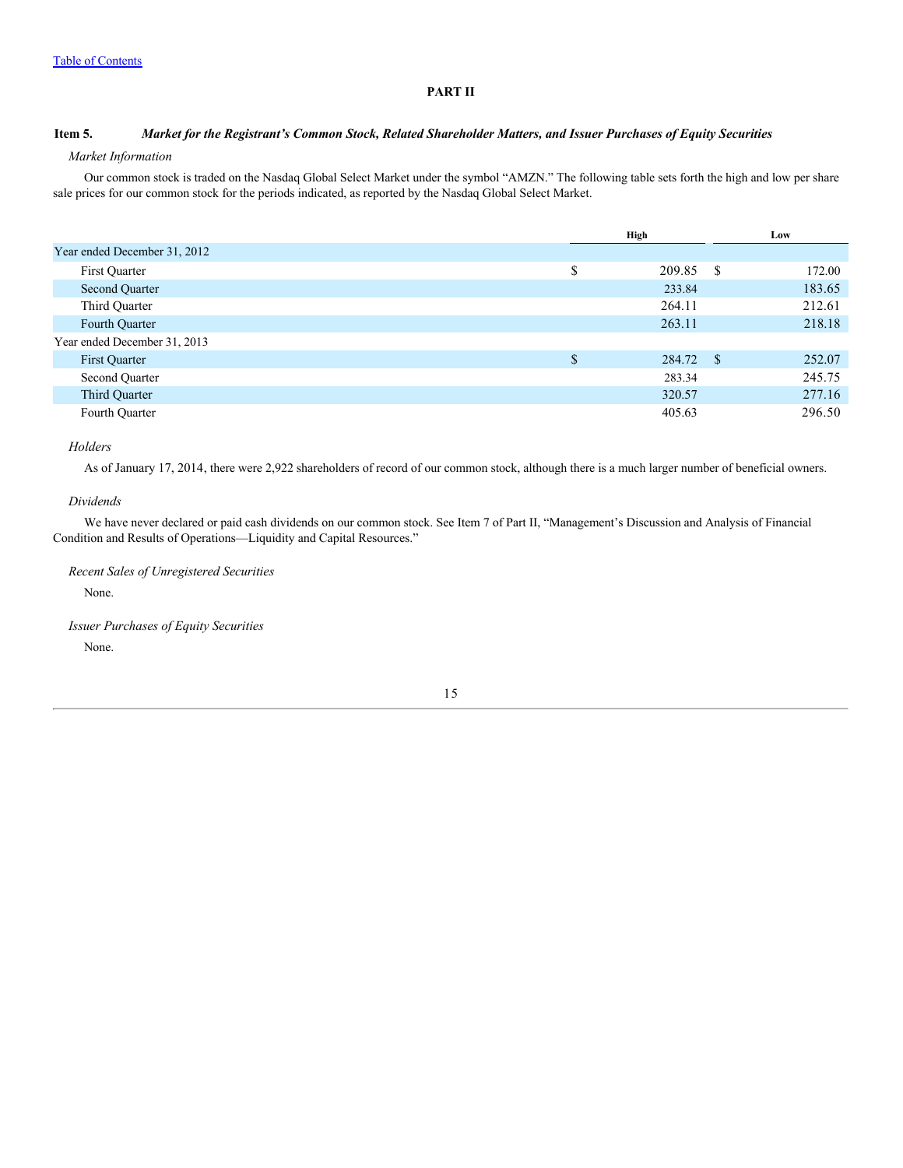## **PART II**

## <span id="page-14-0"></span>**Item 5.** *Market for the Registrant's Common Stock, Related Shareholder Matters, and Issuer Purchases of Equity Securities*

## *Market Information*

Our common stock is traded on the Nasdaq Global Select Market under the symbol "AMZN." The following table sets forth the high and low per share sale prices for our common stock for the periods indicated, as reported by the Nasdaq Global Select Market.

|                              |              | High   |              | Low    |
|------------------------------|--------------|--------|--------------|--------|
| Year ended December 31, 2012 |              |        |              |        |
| First Quarter                | Φ<br>D       | 209.85 | <sup>S</sup> | 172.00 |
| Second Quarter               |              | 233.84 |              | 183.65 |
| Third Quarter                |              | 264.11 |              | 212.61 |
| Fourth Quarter               |              | 263.11 |              | 218.18 |
| Year ended December 31, 2013 |              |        |              |        |
| First Quarter                | $\mathbb{S}$ | 284.72 | -S           | 252.07 |
| Second Quarter               |              | 283.34 |              | 245.75 |
| Third Quarter                |              | 320.57 |              | 277.16 |
| Fourth Quarter               |              | 405.63 |              | 296.50 |

## *Holders*

As of January 17, 2014, there were 2,922 shareholders of record of our common stock, although there is a much larger number of beneficial owners.

## *Dividends*

We have never declared or paid cash dividends on our common stock. See Item 7 of Part II, "Management's Discussion and Analysis of Financial Condition and Results of Operations—Liquidity and Capital Resources."

*Recent Sales of Unregistered Securities*

None.

*Issuer Purchases of Equity Securities* None.

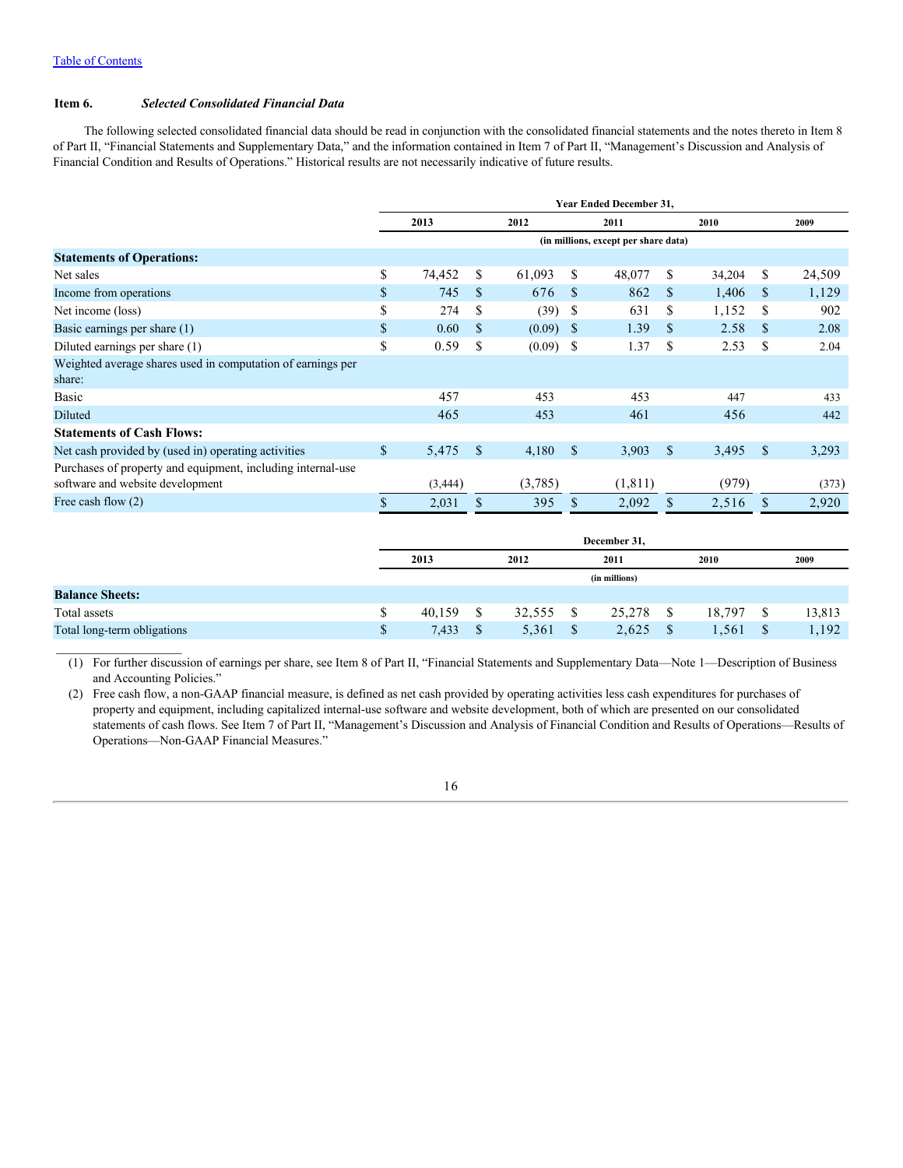## <span id="page-15-0"></span>**Item 6.** *Selected Consolidated Financial Data*

The following selected consolidated financial data should be read in conjunction with the consolidated financial statements and the notes thereto in Item 8 of Part II, "Financial Statements and Supplementary Data," and the information contained in Item 7 of Part II, "Management's Discussion and Analysis of Financial Condition and Results of Operations." Historical results are not necessarily indicative of future results.

|                                                             | <b>Year Ended December 31,</b> |          |               |             |               |                                      |               |        |              |        |
|-------------------------------------------------------------|--------------------------------|----------|---------------|-------------|---------------|--------------------------------------|---------------|--------|--------------|--------|
|                                                             |                                | 2013     |               | 2012        |               | 2011                                 |               | 2010   |              | 2009   |
|                                                             |                                |          |               |             |               | (in millions, except per share data) |               |        |              |        |
| <b>Statements of Operations:</b>                            |                                |          |               |             |               |                                      |               |        |              |        |
| Net sales                                                   | \$                             | 74,452   | \$.           | 61,093      | \$            | 48,077                               | \$.           | 34,204 | S.           | 24,509 |
| Income from operations                                      | \$                             | 745      | <sup>\$</sup> | 676         | $\mathbf{s}$  | 862                                  | \$.           | 1,406  | S.           | 1,129  |
| Net income (loss)                                           | C                              | 274      | S             | (39)        | -S            | 631                                  | \$            | 1,152  | <b>S</b>     | 902    |
| Basic earnings per share (1)                                | D                              | 0.60     | \$            | $(0.09)$ \$ |               | 1.39                                 | \$            | 2.58   | <b>S</b>     | 2.08   |
| Diluted earnings per share (1)                              | \$                             | 0.59     | \$            | (0.09)      | S             | 1.37                                 | \$            | 2.53   | \$           | 2.04   |
| Weighted average shares used in computation of earnings per |                                |          |               |             |               |                                      |               |        |              |        |
| share:                                                      |                                |          |               |             |               |                                      |               |        |              |        |
| Basic                                                       |                                | 457      |               | 453         |               | 453                                  |               | 447    |              | 433    |
| <b>Diluted</b>                                              |                                | 465      |               | 453         |               | 461                                  |               | 456    |              | 442    |
| <b>Statements of Cash Flows:</b>                            |                                |          |               |             |               |                                      |               |        |              |        |
| Net cash provided by (used in) operating activities         | \$                             | 5,475    | $\mathbf{s}$  | 4,180       | <sup>\$</sup> | 3,903                                | <sup>\$</sup> | 3,495  | <sup>S</sup> | 3,293  |
| Purchases of property and equipment, including internal-use |                                |          |               |             |               |                                      |               |        |              |        |
| software and website development                            |                                | (3, 444) |               | (3,785)     |               | (1, 811)                             |               | (979)  |              | (373)  |
| Free cash flow $(2)$                                        |                                | 2,031    | \$            | 395         | \$            | 2,092                                | \$            | 2,516  |              | 2,920  |

|                             | December 31,  |  |        |              |        |   |        |  |        |
|-----------------------------|---------------|--|--------|--------------|--------|---|--------|--|--------|
|                             | 2013          |  | 2012   |              | 2011   |   | 2010   |  | 2009   |
|                             | (in millions) |  |        |              |        |   |        |  |        |
| <b>Balance Sheets:</b>      |               |  |        |              |        |   |        |  |        |
| Total assets                | 40,159        |  | 32,555 | <sup>S</sup> | 25,278 | S | 18,797 |  | 13,813 |
| Total long-term obligations | 7.433         |  | 5,361  |              | 2,625  | S | 1,561  |  | 1,192  |

(1) For further discussion of earnings per share, see Item 8 of Part II, "Financial Statements and Supplementary Data—Note 1—Description of Business and Accounting Policies."

(2) Free cash flow, a non-GAAP financial measure, is defined as net cash provided by operating activities less cash expenditures for purchases of property and equipment, including capitalized internal-use software and website development, both of which are presented on our consolidated statements of cash flows. See Item 7 of Part II, "Management's Discussion and Analysis of Financial Condition and Results of Operations—Results of Operations—Non-GAAP Financial Measures."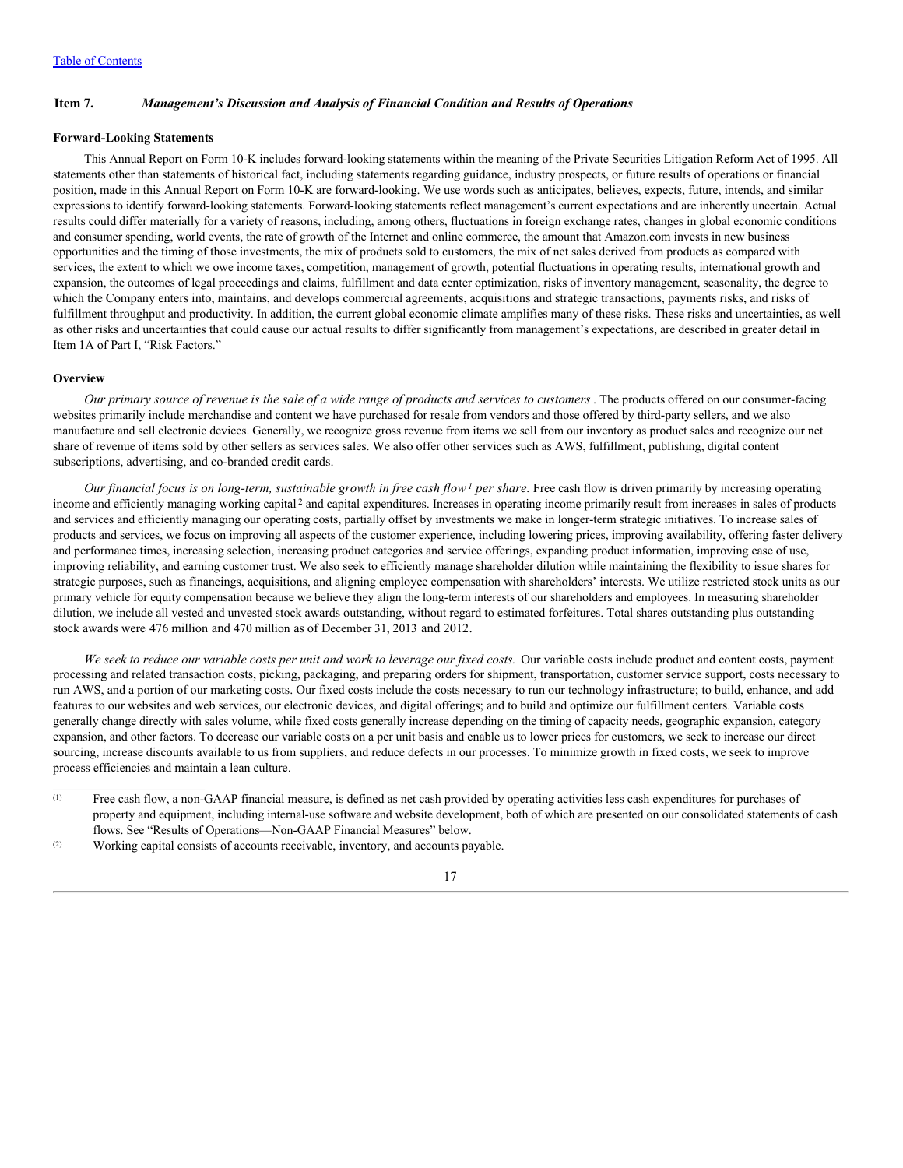#### **Item 7.** *Management's Discussion and Analysis of Financial Condition and Results of Operations*

## **Forward-Looking Statements**

 $\frac{1}{2}$  ,  $\frac{1}{2}$  ,  $\frac{1}{2}$  ,  $\frac{1}{2}$  ,  $\frac{1}{2}$  ,  $\frac{1}{2}$  ,  $\frac{1}{2}$  ,  $\frac{1}{2}$  ,  $\frac{1}{2}$  ,  $\frac{1}{2}$  ,  $\frac{1}{2}$  ,  $\frac{1}{2}$  ,  $\frac{1}{2}$  ,  $\frac{1}{2}$  ,  $\frac{1}{2}$  ,  $\frac{1}{2}$  ,  $\frac{1}{2}$  ,  $\frac{1}{2}$  ,  $\frac{1$ 

This Annual Report on Form 10-K includes forward-looking statements within the meaning of the Private Securities Litigation Reform Act of 1995. All statements other than statements of historical fact, including statements regarding guidance, industry prospects, or future results of operations or financial position, made in this Annual Report on Form 10-K are forward-looking. We use words such as anticipates, believes, expects, future, intends, and similar expressions to identify forward-looking statements. Forward-looking statements reflect management's current expectations and are inherently uncertain. Actual results could differ materially for a variety of reasons, including, among others, fluctuations in foreign exchange rates, changes in global economic conditions and consumer spending, world events, the rate of growth of the Internet and online commerce, the amount that Amazon.com invests in new business opportunities and the timing of those investments, the mix of products sold to customers, the mix of net sales derived from products as compared with services, the extent to which we owe income taxes, competition, management of growth, potential fluctuations in operating results, international growth and expansion, the outcomes of legal proceedings and claims, fulfillment and data center optimization, risks of inventory management, seasonality, the degree to which the Company enters into, maintains, and develops commercial agreements, acquisitions and strategic transactions, payments risks, and risks of fulfillment throughput and productivity. In addition, the current global economic climate amplifies many of these risks. These risks and uncertainties, as well as other risks and uncertainties that could cause our actual results to differ significantly from management's expectations, are described in greater detail in Item 1A of Part I, "Risk Factors."

#### **Overview**

*Our primary source of revenue is the sale of a wide range of products and services to customers* . The products offered on our consumer-facing websites primarily include merchandise and content we have purchased for resale from vendors and those offered by third-party sellers, and we also manufacture and sell electronic devices. Generally, we recognize gross revenue from items we sell from our inventory as product sales and recognize our net share of revenue of items sold by other sellers as services sales. We also offer other services such as AWS, fulfillment, publishing, digital content subscriptions, advertising, and co-branded credit cards.

*Our financial focus is on long-term, sustainable growth in free cash flow<sup>1</sup> per share. Free cash flow is driven primarily by increasing operating* income and efficiently managing working capital<sup>2</sup> and capital expenditures. Increases in operating income primarily result from increases in sales of products and services and efficiently managing our operating costs, partially offset by investments we make in longer-term strategic initiatives. To increase sales of products and services, we focus on improving all aspects of the customer experience, including lowering prices, improving availability, offering faster delivery and performance times, increasing selection, increasing product categories and service offerings, expanding product information, improving ease of use, improving reliability, and earning customer trust. We also seek to efficiently manage shareholder dilution while maintaining the flexibility to issue shares for strategic purposes, such as financings, acquisitions, and aligning employee compensation with shareholders' interests. We utilize restricted stock units as our primary vehicle for equity compensation because we believe they align the long-term interests of our shareholders and employees. In measuring shareholder dilution, we include all vested and unvested stock awards outstanding, without regard to estimated forfeitures. Total shares outstanding plus outstanding stock awards were 476 million and 470 million as of December 31, 2013 and 2012.

*We seek to reduce our variable costs per unit and work to leverage our fixed costs.* Our variable costs include product and content costs, payment processing and related transaction costs, picking, packaging, and preparing orders for shipment, transportation, customer service support, costs necessary to run AWS, and a portion of our marketing costs. Our fixed costs include the costs necessary to run our technology infrastructure; to build, enhance, and add features to our websites and web services, our electronic devices, and digital offerings; and to build and optimize our fulfillment centers. Variable costs generally change directly with sales volume, while fixed costs generally increase depending on the timing of capacity needs, geographic expansion, category expansion, and other factors. To decrease our variable costs on a per unit basis and enable us to lower prices for customers, we seek to increase our direct sourcing, increase discounts available to us from suppliers, and reduce defects in our processes. To minimize growth in fixed costs, we seek to improve process efficiencies and maintain a lean culture.

<sup>(2)</sup> Working capital consists of accounts receivable, inventory, and accounts payable.



<sup>(1)</sup> Free cash flow, a non-GAAP financial measure, is defined as net cash provided by operating activities less cash expenditures for purchases of property and equipment, including internal-use software and website development, both of which are presented on our consolidated statements of cash flows. See "Results of Operations—Non-GAAP Financial Measures" below.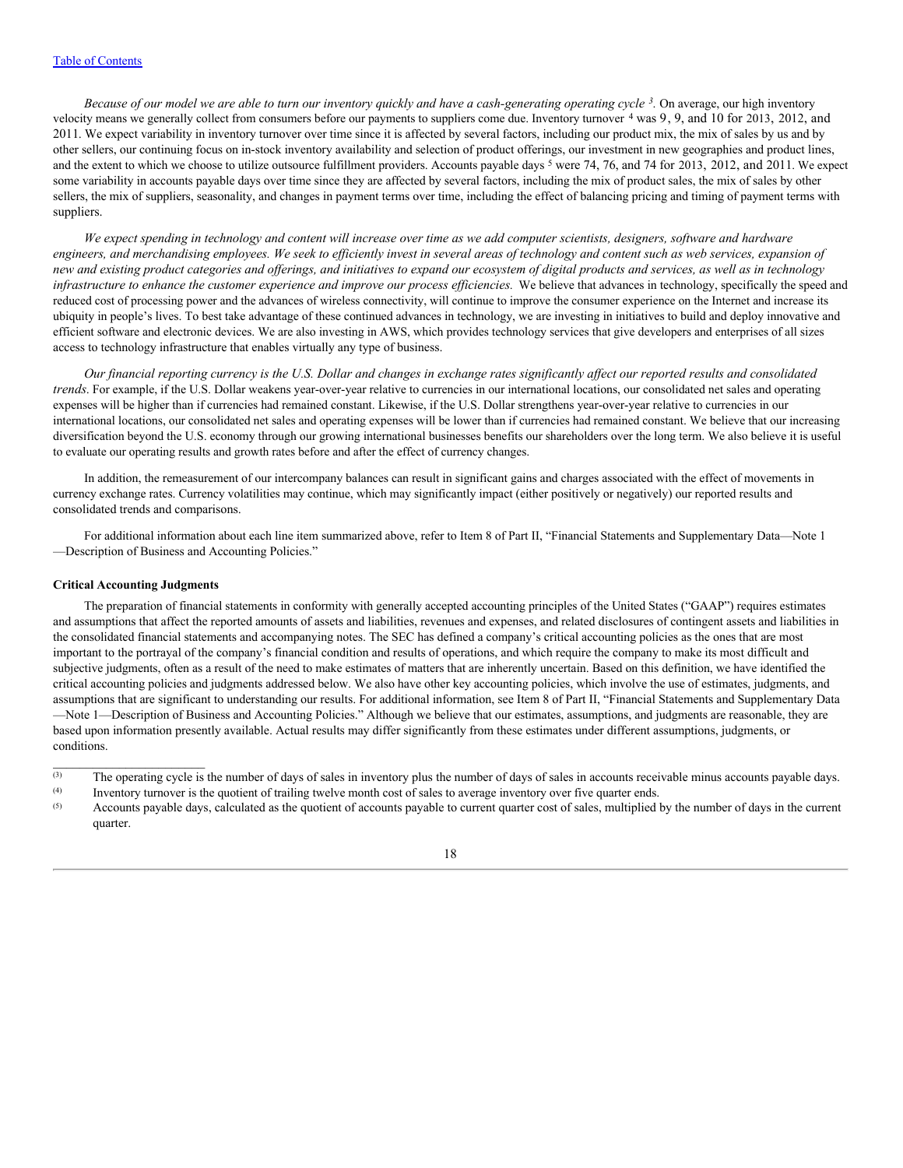*Because of our model we are able to turn our inventory quickly and have a cash-generating operating cycle <sup>3</sup> .* On average, our high inventory velocity means we generally collect from consumers before our payments to suppliers come due. Inventory turnover <sup>4</sup> was 9, 9, and 10 for 2013, 2012, and 2011. We expect variability in inventory turnover over time since it is affected by several factors, including our product mix, the mix of sales by us and by other sellers, our continuing focus on in-stock inventory availability and selection of product offerings, our investment in new geographies and product lines, and the extent to which we choose to utilize outsource fulfillment providers. Accounts payable days  $5$  were 74, 76, and 74 for 2013, 2012, and 2011. We expect some variability in accounts payable days over time since they are affected by several factors, including the mix of product sales, the mix of sales by other sellers, the mix of suppliers, seasonality, and changes in payment terms over time, including the effect of balancing pricing and timing of payment terms with suppliers.

*We expect spending in technology and content will increase over time as we add computer scientists, designers, software and hardware engineers, and merchandising employees. We seek to efficiently invest in several areas of technology and content such as web services, expansion of new and existing product categories and offerings, and initiatives to expand our ecosystem of digital products and services, as well as in technology infrastructure to enhance the customer experience and improve our process efficiencies.* We believe that advances in technology, specifically the speed and reduced cost of processing power and the advances of wireless connectivity, will continue to improve the consumer experience on the Internet and increase its ubiquity in people's lives. To best take advantage of these continued advances in technology, we are investing in initiatives to build and deploy innovative and efficient software and electronic devices. We are also investing in AWS, which provides technology services that give developers and enterprises of all sizes access to technology infrastructure that enables virtually any type of business.

*Our financial reporting currency is the U.S. Dollar and changes in exchange rates significantly affect our reported results and consolidated trends*. For example, if the U.S. Dollar weakens year-over-year relative to currencies in our international locations, our consolidated net sales and operating expenses will be higher than if currencies had remained constant. Likewise, if the U.S. Dollar strengthens year-over-year relative to currencies in our international locations, our consolidated net sales and operating expenses will be lower than if currencies had remained constant. We believe that our increasing diversification beyond the U.S. economy through our growing international businesses benefits our shareholders over the long term. We also believe it is useful to evaluate our operating results and growth rates before and after the effect of currency changes.

In addition, the remeasurement of our intercompany balances can result in significant gains and charges associated with the effect of movements in currency exchange rates. Currency volatilities may continue, which may significantly impact (either positively or negatively) our reported results and consolidated trends and comparisons.

For additional information about each line item summarized above, refer to Item 8 of Part II, "Financial Statements and Supplementary Data—Note 1 —Description of Business and Accounting Policies."

## **Critical Accounting Judgments**

The preparation of financial statements in conformity with generally accepted accounting principles of the United States ("GAAP") requires estimates and assumptions that affect the reported amounts of assets and liabilities, revenues and expenses, and related disclosures of contingent assets and liabilities in the consolidated financial statements and accompanying notes. The SEC has defined a company's critical accounting policies as the ones that are most important to the portrayal of the company's financial condition and results of operations, and which require the company to make its most difficult and subjective judgments, often as a result of the need to make estimates of matters that are inherently uncertain. Based on this definition, we have identified the critical accounting policies and judgments addressed below. We also have other key accounting policies, which involve the use of estimates, judgments, and assumptions that are significant to understanding our results. For additional information, see Item 8 of Part II, "Financial Statements and Supplementary Data —Note 1—Description of Business and Accounting Policies." Although we believe that our estimates, assumptions, and judgments are reasonable, they are based upon information presently available. Actual results may differ significantly from these estimates under different assumptions, judgments, or conditions.

 $\overline{3}$  The operating cycle is the number of days of sales in inventory plus the number of days of sales in accounts receivable minus accounts payable days.

(4) Inventory turnover is the quotient of trailing twelve month cost of sales to average inventory over five quarter ends.

(5) Accounts payable days, calculated as the quotient of accounts payable to current quarter cost of sales, multiplied by the number of days in the current quarter.

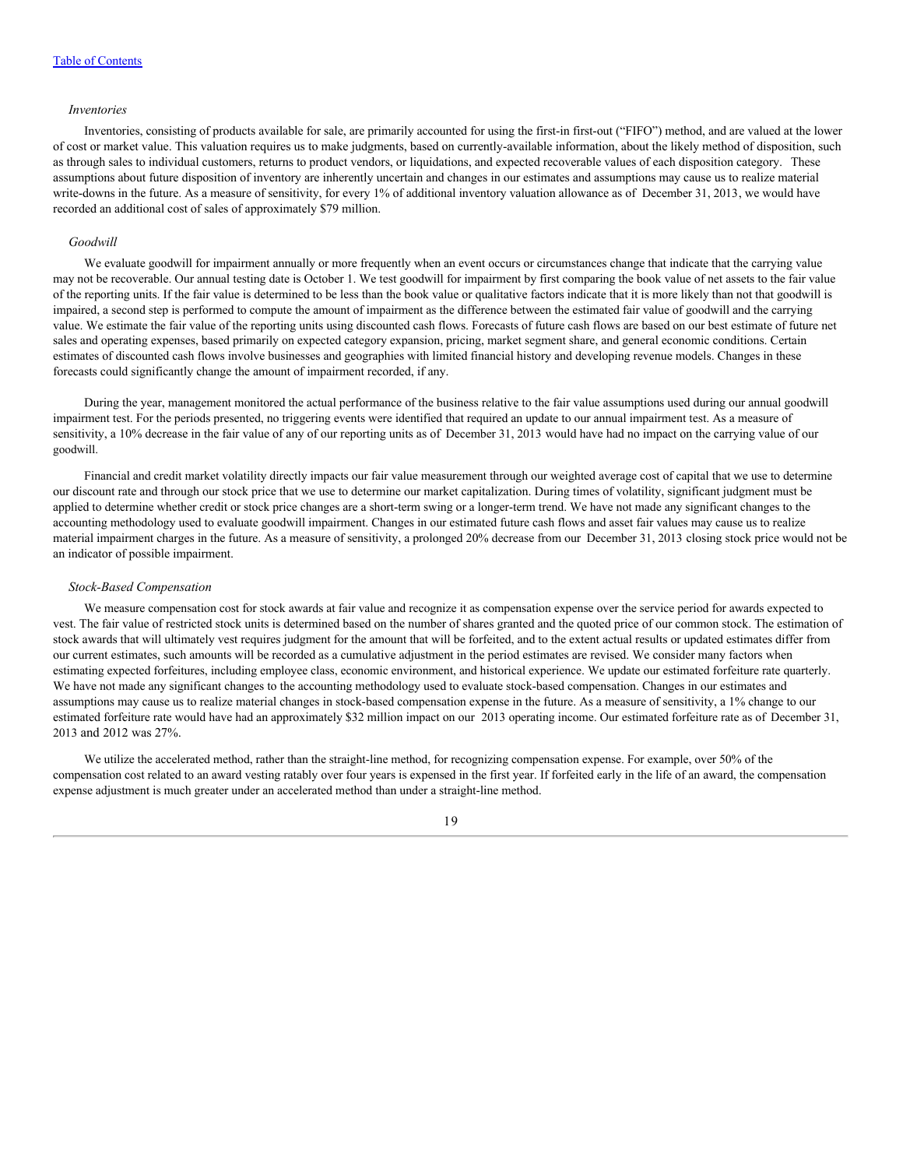## *Inventories*

Inventories, consisting of products available for sale, are primarily accounted for using the first-in first-out ("FIFO") method, and are valued at the lower of cost or market value. This valuation requires us to make judgments, based on currently-available information, about the likely method of disposition, such as through sales to individual customers, returns to product vendors, or liquidations, and expected recoverable values of each disposition category. These assumptions about future disposition of inventory are inherently uncertain and changes in our estimates and assumptions may cause us to realize material write-downs in the future. As a measure of sensitivity, for every 1% of additional inventory valuation allowance as of December 31, 2013, we would have recorded an additional cost of sales of approximately \$79 million.

## *Goodwill*

We evaluate goodwill for impairment annually or more frequently when an event occurs or circumstances change that indicate that the carrying value may not be recoverable. Our annual testing date is October 1. We test goodwill for impairment by first comparing the book value of net assets to the fair value of the reporting units. If the fair value is determined to be less than the book value or qualitative factors indicate that it is more likely than not that goodwill is impaired, a second step is performed to compute the amount of impairment as the difference between the estimated fair value of goodwill and the carrying value. We estimate the fair value of the reporting units using discounted cash flows. Forecasts of future cash flows are based on our best estimate of future net sales and operating expenses, based primarily on expected category expansion, pricing, market segment share, and general economic conditions. Certain estimates of discounted cash flows involve businesses and geographies with limited financial history and developing revenue models. Changes in these forecasts could significantly change the amount of impairment recorded, if any.

During the year, management monitored the actual performance of the business relative to the fair value assumptions used during our annual goodwill impairment test. For the periods presented, no triggering events were identified that required an update to our annual impairment test. As a measure of sensitivity, a 10% decrease in the fair value of any of our reporting units as of December 31, 2013 would have had no impact on the carrying value of our goodwill.

Financial and credit market volatility directly impacts our fair value measurement through our weighted average cost of capital that we use to determine our discount rate and through our stock price that we use to determine our market capitalization. During times of volatility, significant judgment must be applied to determine whether credit or stock price changes are a short-term swing or a longer-term trend. We have not made any significant changes to the accounting methodology used to evaluate goodwill impairment. Changes in our estimated future cash flows and asset fair values may cause us to realize material impairment charges in the future. As a measure of sensitivity, a prolonged 20% decrease from our December 31, 2013 closing stock price would not be an indicator of possible impairment.

#### *Stock-Based Compensation*

We measure compensation cost for stock awards at fair value and recognize it as compensation expense over the service period for awards expected to vest. The fair value of restricted stock units is determined based on the number of shares granted and the quoted price of our common stock. The estimation of stock awards that will ultimately vest requires judgment for the amount that will be forfeited, and to the extent actual results or updated estimates differ from our current estimates, such amounts will be recorded as a cumulative adjustment in the period estimates are revised. We consider many factors when estimating expected forfeitures, including employee class, economic environment, and historical experience. We update our estimated forfeiture rate quarterly. We have not made any significant changes to the accounting methodology used to evaluate stock-based compensation. Changes in our estimates and assumptions may cause us to realize material changes in stock-based compensation expense in the future. As a measure of sensitivity, a 1% change to our estimated forfeiture rate would have had an approximately \$32 million impact on our 2013 operating income. Our estimated forfeiture rate as of December 31, 2013 and 2012 was 27%.

We utilize the accelerated method, rather than the straight-line method, for recognizing compensation expense. For example, over 50% of the compensation cost related to an award vesting ratably over four years is expensed in the first year. If forfeited early in the life of an award, the compensation expense adjustment is much greater under an accelerated method than under a straight-line method.

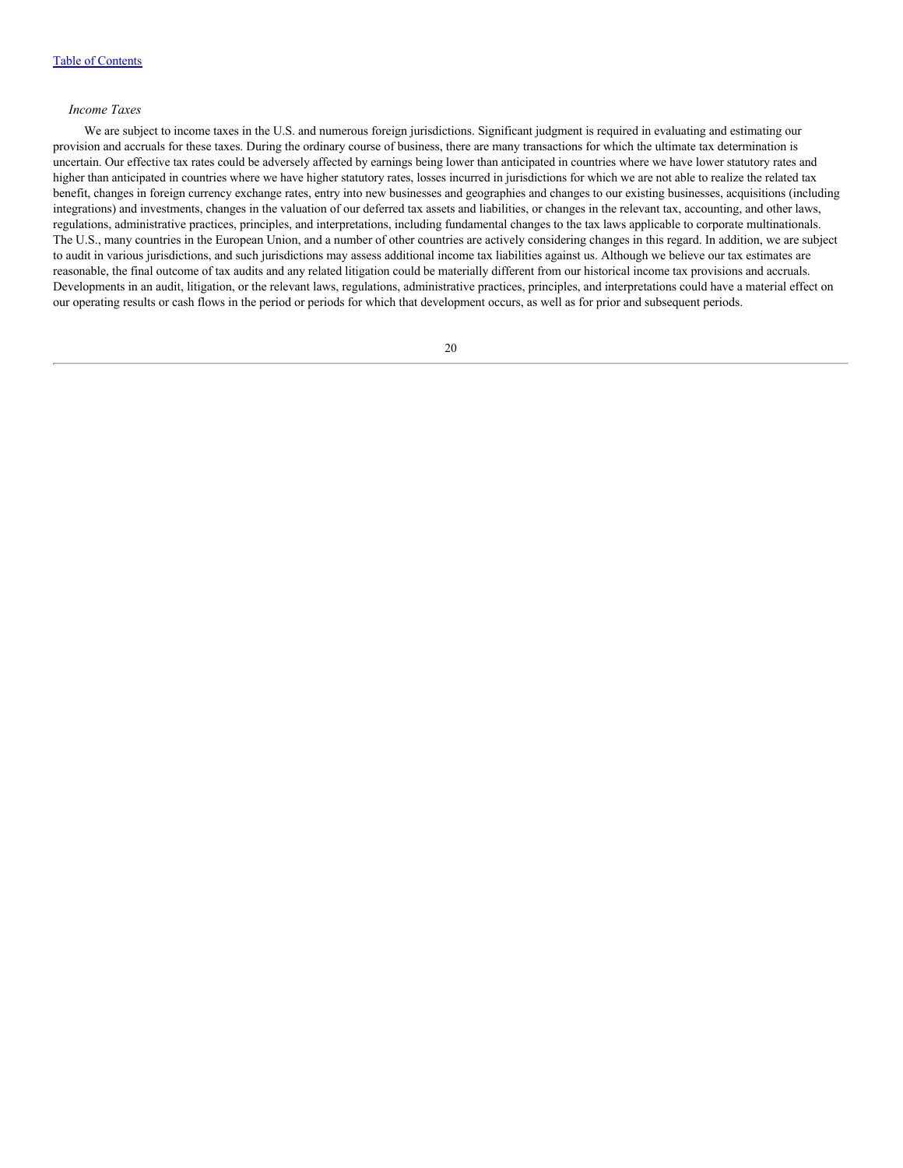## *Income Taxes*

We are subject to income taxes in the U.S. and numerous foreign jurisdictions. Significant judgment is required in evaluating and estimating our provision and accruals for these taxes. During the ordinary course of business, there are many transactions for which the ultimate tax determination is uncertain. Our effective tax rates could be adversely affected by earnings being lower than anticipated in countries where we have lower statutory rates and higher than anticipated in countries where we have higher statutory rates, losses incurred in jurisdictions for which we are not able to realize the related tax benefit, changes in foreign currency exchange rates, entry into new businesses and geographies and changes to our existing businesses, acquisitions (including integrations) and investments, changes in the valuation of our deferred tax assets and liabilities, or changes in the relevant tax, accounting, and other laws, regulations, administrative practices, principles, and interpretations, including fundamental changes to the tax laws applicable to corporate multinationals. The U.S., many countries in the European Union, and a number of other countries are actively considering changes in this regard. In addition, we are subject to audit in various jurisdictions, and such jurisdictions may assess additional income tax liabilities against us. Although we believe our tax estimates are reasonable, the final outcome of tax audits and any related litigation could be materially different from our historical income tax provisions and accruals. Developments in an audit, litigation, or the relevant laws, regulations, administrative practices, principles, and interpretations could have a material effect on our operating results or cash flows in the period or periods for which that development occurs, as well as for prior and subsequent periods.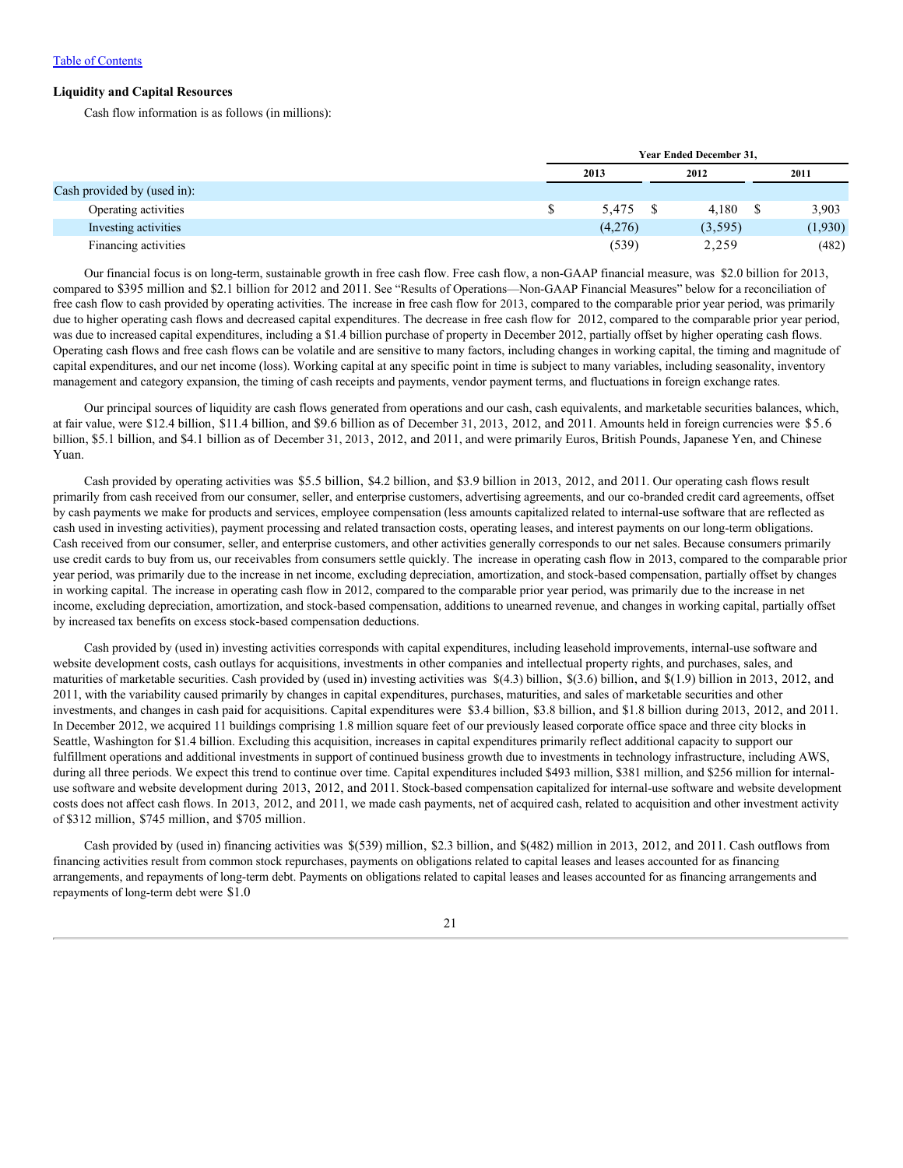## **Liquidity and Capital Resources**

Cash flow information is as follows (in millions):

|                             |   | Year Ended December 31, |         |  |         |  |  |  |
|-----------------------------|---|-------------------------|---------|--|---------|--|--|--|
|                             |   | 2013                    | 2012    |  | 2011    |  |  |  |
| Cash provided by (used in): |   |                         |         |  |         |  |  |  |
| Operating activities        | ъ | 5,475                   | 4,180   |  | 3,903   |  |  |  |
| Investing activities        |   | (4,276)                 | (3,595) |  | (1,930) |  |  |  |
| Financing activities        |   | (539)                   | 2,259   |  | (482)   |  |  |  |

Our financial focus is on long-term, sustainable growth in free cash flow. Free cash flow, a non-GAAP financial measure, was \$2.0 billion for 2013, compared to \$395 million and \$2.1 billion for 2012 and 2011. See "Results of Operations—Non-GAAP Financial Measures" below for a reconciliation of free cash flow to cash provided by operating activities. The increase in free cash flow for 2013, compared to the comparable prior year period, was primarily due to higher operating cash flows and decreased capital expenditures. The decrease in free cash flow for 2012, compared to the comparable prior year period, was due to increased capital expenditures, including a \$1.4 billion purchase of property in December 2012, partially offset by higher operating cash flows. Operating cash flows and free cash flows can be volatile and are sensitive to many factors, including changes in working capital, the timing and magnitude of capital expenditures, and our net income (loss). Working capital at any specific point in time is subject to many variables, including seasonality, inventory management and category expansion, the timing of cash receipts and payments, vendor payment terms, and fluctuations in foreign exchange rates.

Our principal sources of liquidity are cash flows generated from operations and our cash, cash equivalents, and marketable securities balances, which, at fair value, were \$12.4 billion, \$11.4 billion, and \$9.6 billion as of December 31, 2013, 2012, and 2011. Amounts held in foreign currencies were \$5.6 billion, \$5.1 billion, and \$4.1 billion as of December 31, 2013, 2012, and 2011, and were primarily Euros, British Pounds, Japanese Yen, and Chinese Yuan.

Cash provided by operating activities was \$5.5 billion, \$4.2 billion, and \$3.9 billion in 2013, 2012, and 2011. Our operating cash flows result primarily from cash received from our consumer, seller, and enterprise customers, advertising agreements, and our co-branded credit card agreements, offset by cash payments we make for products and services, employee compensation (less amounts capitalized related to internal-use software that are reflected as cash used in investing activities), payment processing and related transaction costs, operating leases, and interest payments on our long-term obligations. Cash received from our consumer, seller, and enterprise customers, and other activities generally corresponds to our net sales. Because consumers primarily use credit cards to buy from us, our receivables from consumers settle quickly. The increase in operating cash flow in 2013, compared to the comparable prior year period, was primarily due to the increase in net income, excluding depreciation, amortization, and stock-based compensation, partially offset by changes in working capital. The increase in operating cash flow in 2012, compared to the comparable prior year period, was primarily due to the increase in net income, excluding depreciation, amortization, and stock-based compensation, additions to unearned revenue, and changes in working capital, partially offset by increased tax benefits on excess stock-based compensation deductions.

Cash provided by (used in) investing activities corresponds with capital expenditures, including leasehold improvements, internal-use software and website development costs, cash outlays for acquisitions, investments in other companies and intellectual property rights, and purchases, sales, and maturities of marketable securities. Cash provided by (used in) investing activities was \$(4.3) billion, \$(3.6) billion, and \$(1.9) billion in 2013, 2012, and 2011, with the variability caused primarily by changes in capital expenditures, purchases, maturities, and sales of marketable securities and other investments, and changes in cash paid for acquisitions. Capital expenditures were \$3.4 billion, \$3.8 billion, and \$1.8 billion during 2013, 2012, and 2011. In December 2012, we acquired 11 buildings comprising 1.8 million square feet of our previously leased corporate office space and three city blocks in Seattle, Washington for \$1.4 billion. Excluding this acquisition, increases in capital expenditures primarily reflect additional capacity to support our fulfillment operations and additional investments in support of continued business growth due to investments in technology infrastructure, including AWS, during all three periods. We expect this trend to continue over time. Capital expenditures included \$493 million, \$381 million, and \$256 million for internaluse software and website development during 2013, 2012, and 2011. Stock-based compensation capitalized for internal-use software and website development costs does not affect cash flows. In 2013, 2012, and 2011, we made cash payments, net of acquired cash, related to acquisition and other investment activity of \$312 million, \$745 million, and \$705 million.

Cash provided by (used in) financing activities was \$(539) million, \$2.3 billion, and \$(482) million in 2013, 2012, and 2011. Cash outflows from financing activities result from common stock repurchases, payments on obligations related to capital leases and leases accounted for as financing arrangements, and repayments of long-term debt. Payments on obligations related to capital leases and leases accounted for as financing arrangements and repayments of long-term debt were \$1.0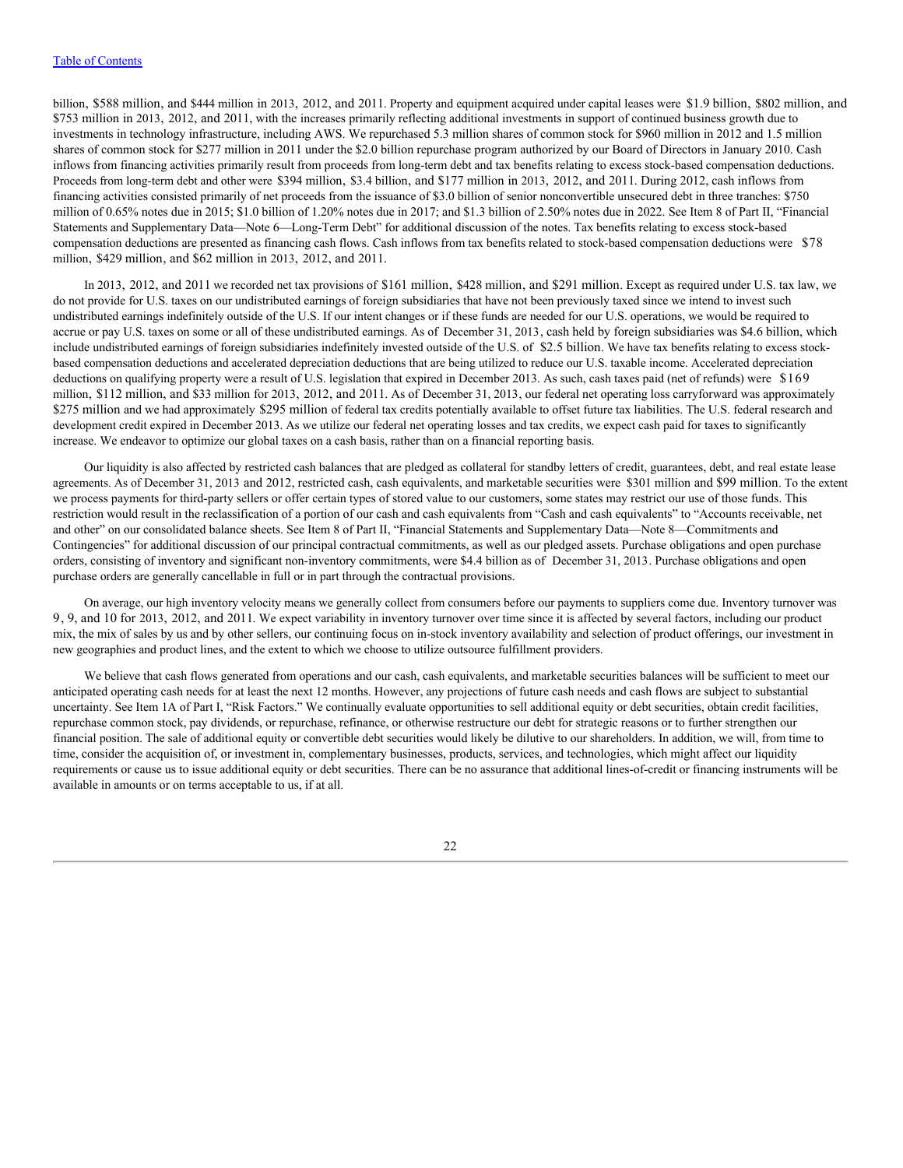billion, \$588 million, and \$444 million in 2013, 2012, and 2011. Property and equipment acquired under capital leases were \$1.9 billion, \$802 million, and \$753 million in 2013, 2012, and 2011, with the increases primarily reflecting additional investments in support of continued business growth due to investments in technology infrastructure, including AWS. We repurchased 5.3 million shares of common stock for \$960 million in 2012 and 1.5 million shares of common stock for \$277 million in 2011 under the \$2.0 billion repurchase program authorized by our Board of Directors in January 2010. Cash inflows from financing activities primarily result from proceeds from long-term debt and tax benefits relating to excess stock-based compensation deductions. Proceeds from long-term debt and other were \$394 million, \$3.4 billion, and \$177 million in 2013, 2012, and 2011. During 2012, cash inflows from financing activities consisted primarily of net proceeds from the issuance of \$3.0 billion of senior nonconvertible unsecured debt in three tranches: \$750 million of 0.65% notes due in 2015; \$1.0 billion of 1.20% notes due in 2017; and \$1.3 billion of 2.50% notes due in 2022. See Item 8 of Part II, "Financial Statements and Supplementary Data—Note 6—Long-Term Debt" for additional discussion of the notes. Tax benefits relating to excess stock-based compensation deductions are presented as financing cash flows. Cash inflows from tax benefits related to stock-based compensation deductions were \$78 million, \$429 million, and \$62 million in 2013, 2012, and 2011.

In 2013, 2012, and 2011 we recorded net tax provisions of \$161 million, \$428 million, and \$291 million. Except as required under U.S. tax law, we do not provide for U.S. taxes on our undistributed earnings of foreign subsidiaries that have not been previously taxed since we intend to invest such undistributed earnings indefinitely outside of the U.S. If our intent changes or if these funds are needed for our U.S. operations, we would be required to accrue or pay U.S. taxes on some or all of these undistributed earnings. As of December 31, 2013, cash held by foreign subsidiaries was \$4.6 billion, which include undistributed earnings of foreign subsidiaries indefinitely invested outside of the U.S. of \$2.5 billion. We have tax benefits relating to excess stockbased compensation deductions and accelerated depreciation deductions that are being utilized to reduce our U.S. taxable income. Accelerated depreciation deductions on qualifying property were a result of U.S. legislation that expired in December 2013. As such, cash taxes paid (net of refunds) were \$169 million, \$112 million, and \$33 million for 2013, 2012, and 2011. As of December 31, 2013, our federal net operating loss carryforward was approximately \$275 million and we had approximately \$295 million of federal tax credits potentially available to offset future tax liabilities. The U.S. federal research and development credit expired in December 2013. As we utilize our federal net operating losses and tax credits, we expect cash paid for taxes to significantly increase. We endeavor to optimize our global taxes on a cash basis, rather than on a financial reporting basis.

Our liquidity is also affected by restricted cash balances that are pledged as collateral for standby letters of credit, guarantees, debt, and real estate lease agreements. As of December 31, 2013 and 2012, restricted cash, cash equivalents, and marketable securities were \$301 million and \$99 million. To the extent we process payments for third-party sellers or offer certain types of stored value to our customers, some states may restrict our use of those funds. This restriction would result in the reclassification of a portion of our cash and cash equivalents from "Cash and cash equivalents" to "Accounts receivable, net and other" on our consolidated balance sheets. See Item 8 of Part II, "Financial Statements and Supplementary Data—Note 8—Commitments and Contingencies" for additional discussion of our principal contractual commitments, as well as our pledged assets. Purchase obligations and open purchase orders, consisting of inventory and significant non-inventory commitments, were \$4.4 billion as of December 31, 2013. Purchase obligations and open purchase orders are generally cancellable in full or in part through the contractual provisions.

On average, our high inventory velocity means we generally collect from consumers before our payments to suppliers come due. Inventory turnover was 9, 9, and 10 for 2013, 2012, and 2011. We expect variability in inventory turnover over time since it is affected by several factors, including our product mix, the mix of sales by us and by other sellers, our continuing focus on in-stock inventory availability and selection of product offerings, our investment in new geographies and product lines, and the extent to which we choose to utilize outsource fulfillment providers.

We believe that cash flows generated from operations and our cash, cash equivalents, and marketable securities balances will be sufficient to meet our anticipated operating cash needs for at least the next 12 months. However, any projections of future cash needs and cash flows are subject to substantial uncertainty. See Item 1A of Part I, "Risk Factors." We continually evaluate opportunities to sell additional equity or debt securities, obtain credit facilities, repurchase common stock, pay dividends, or repurchase, refinance, or otherwise restructure our debt for strategic reasons or to further strengthen our financial position. The sale of additional equity or convertible debt securities would likely be dilutive to our shareholders. In addition, we will, from time to time, consider the acquisition of, or investment in, complementary businesses, products, services, and technologies, which might affect our liquidity requirements or cause us to issue additional equity or debt securities. There can be no assurance that additional lines-of-credit or financing instruments will be available in amounts or on terms acceptable to us, if at all.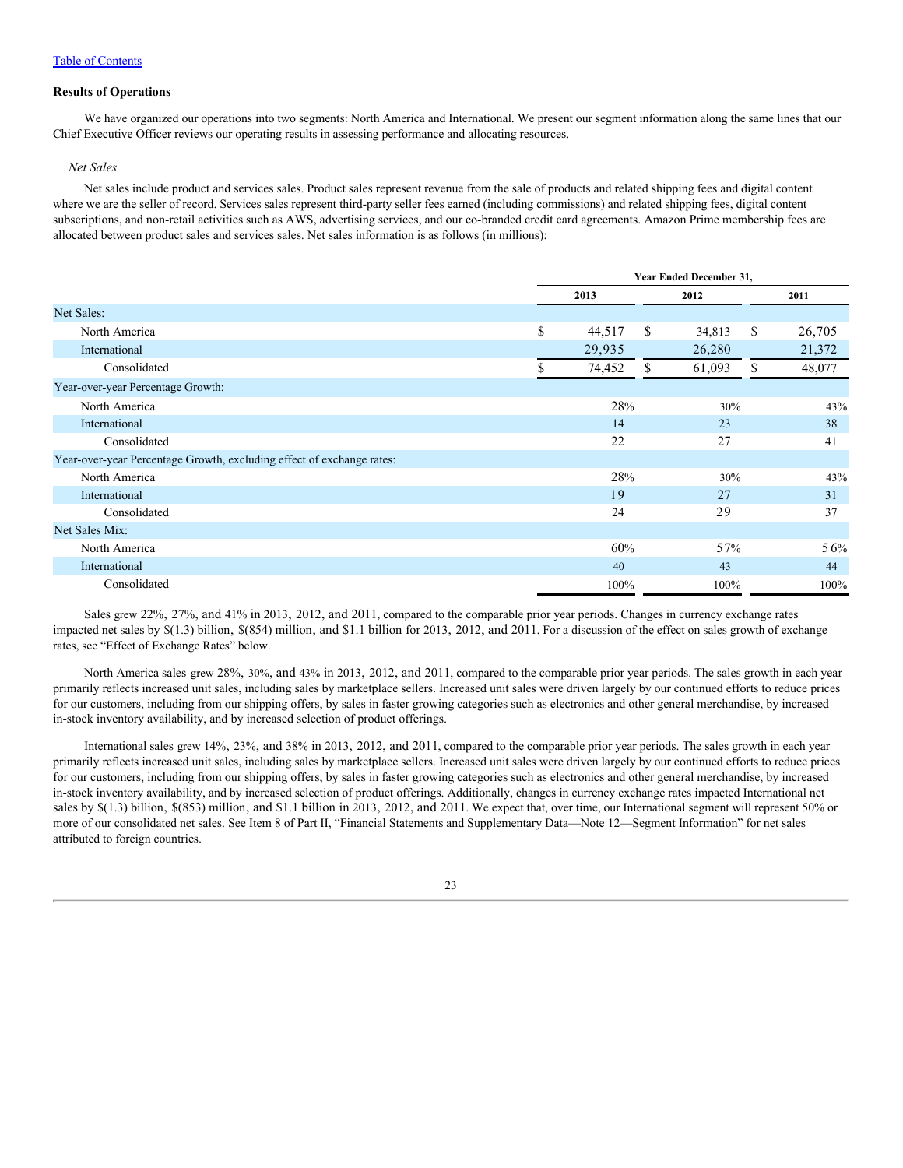#### **Results of Operations**

We have organized our operations into two segments: North America and International. We present our segment information along the same lines that our Chief Executive Officer reviews our operating results in assessing performance and allocating resources.

#### *Net Sales*

Net sales include product and services sales. Product sales represent revenue from the sale of products and related shipping fees and digital content where we are the seller of record. Services sales represent third-party seller fees earned (including commissions) and related shipping fees, digital content subscriptions, and non-retail activities such as AWS, advertising services, and our co-branded credit card agreements. Amazon Prime membership fees are allocated between product sales and services sales. Net sales information is as follows (in millions):

|                                                                       | Year Ended December 31, |               |        |    |        |  |  |
|-----------------------------------------------------------------------|-------------------------|---------------|--------|----|--------|--|--|
|                                                                       | 2013                    |               | 2012   |    | 2011   |  |  |
| Net Sales:                                                            |                         |               |        |    |        |  |  |
| North America                                                         | \$<br>44,517            | <sup>\$</sup> | 34,813 | \$ | 26,705 |  |  |
| International                                                         | 29,935                  |               | 26,280 |    | 21,372 |  |  |
| Consolidated                                                          | \$<br>74,452            | \$            | 61,093 | S. | 48,077 |  |  |
| Year-over-year Percentage Growth:                                     |                         |               |        |    |        |  |  |
| North America                                                         | 28%                     |               | 30%    |    | 43%    |  |  |
| International                                                         | 14                      |               | 23     |    | 38     |  |  |
| Consolidated                                                          | 22                      |               | 27     |    | 41     |  |  |
| Year-over-year Percentage Growth, excluding effect of exchange rates: |                         |               |        |    |        |  |  |
| North America                                                         | 28%                     |               | 30%    |    | 43%    |  |  |
| International                                                         | 19                      |               | 27     |    | 31     |  |  |
| Consolidated                                                          | 24                      |               | 29     |    | 37     |  |  |
| Net Sales Mix:                                                        |                         |               |        |    |        |  |  |
| North America                                                         | 60%                     |               | 57%    |    | 56%    |  |  |
| International                                                         | 40                      |               | 43     |    | 44     |  |  |
| Consolidated                                                          | 100%                    |               | 100%   |    | 100%   |  |  |

Sales grew 22%, 27%, and 41% in 2013, 2012, and 2011, compared to the comparable prior year periods. Changes in currency exchange rates impacted net sales by \$(1.3) billion, \$(854) million, and \$1.1 billion for 2013, 2012, and 2011. For a discussion of the effect on sales growth of exchange rates, see "Effect of Exchange Rates" below.

North America sales grew 28%, 30%, and 43% in 2013, 2012, and 2011, compared to the comparable prior year periods. The sales growth in each year primarily reflects increased unit sales, including sales by marketplace sellers. Increased unit sales were driven largely by our continued efforts to reduce prices for our customers, including from our shipping offers, by sales in faster growing categories such as electronics and other general merchandise, by increased in-stock inventory availability, and by increased selection of product offerings.

International sales grew 14%, 23%, and 38% in 2013, 2012, and 2011, compared to the comparable prior year periods. The sales growth in each year primarily reflects increased unit sales, including sales by marketplace sellers. Increased unit sales were driven largely by our continued efforts to reduce prices for our customers, including from our shipping offers, by sales in faster growing categories such as electronics and other general merchandise, by increased in-stock inventory availability, and by increased selection of product offerings. Additionally, changes in currency exchange rates impacted International net sales by  $\{(1.3)$  billion,  $\{(853)$  million, and  $\{1.1\}$  billion in 2013, 2012, and 2011. We expect that, over time, our International segment will represent 50% or more of our consolidated net sales. See Item 8 of Part II, "Financial Statements and Supplementary Data—Note 12—Segment Information" for net sales attributed to foreign countries.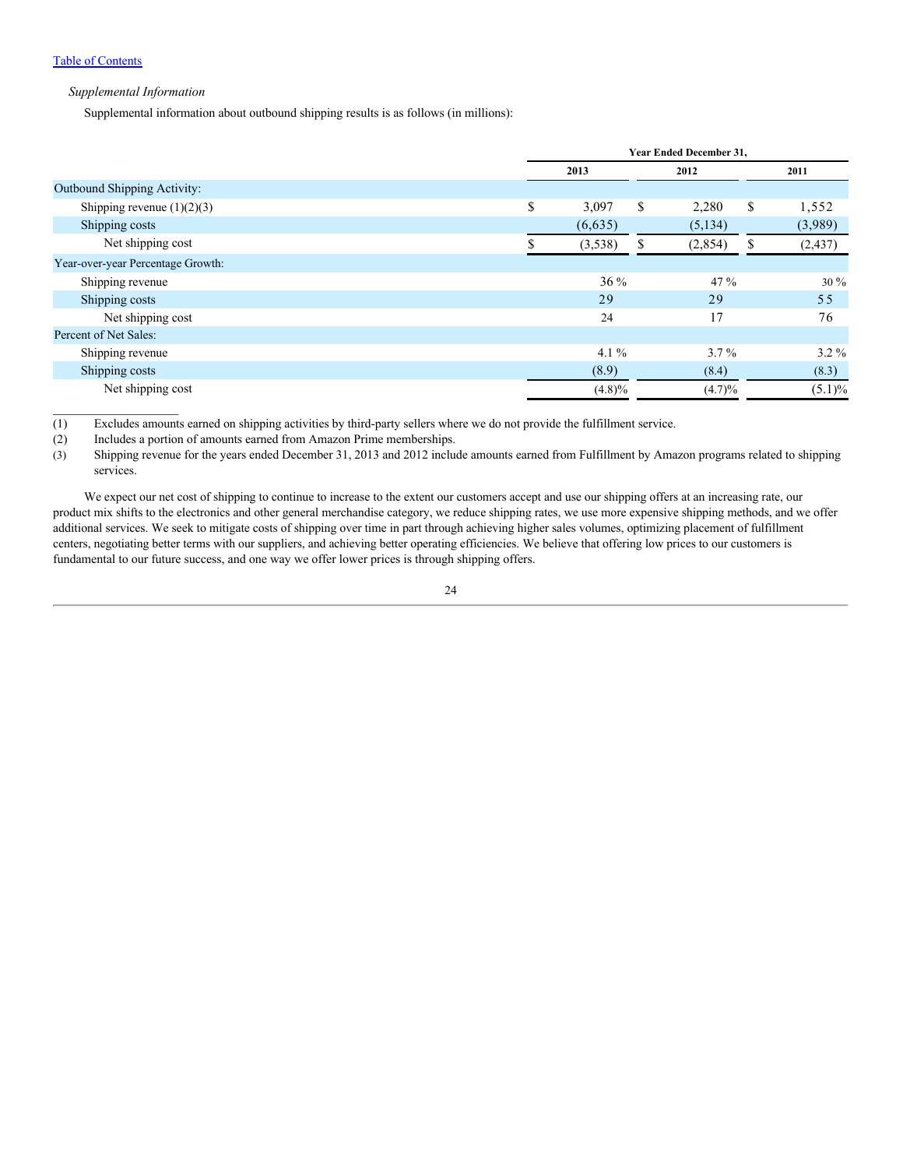## *Supplemental Information*

Supplemental information about outbound shipping results is as follows (in millions):

|                                   | <b>Year Ended December 31,</b> |   |          |    |           |  |  |  |
|-----------------------------------|--------------------------------|---|----------|----|-----------|--|--|--|
|                                   | 2013                           |   | 2012     |    | 2011      |  |  |  |
| Outbound Shipping Activity:       |                                |   |          |    |           |  |  |  |
| Shipping revenue $(1)(2)(3)$      | \$<br>3,097                    | S | 2,280    | \$ | 1,552     |  |  |  |
| Shipping costs                    | (6,635)                        |   | (5, 134) |    | (3,989)   |  |  |  |
| Net shipping cost                 | (3,538)                        | S | (2,854)  | S  | (2, 437)  |  |  |  |
| Year-over-year Percentage Growth: |                                |   |          |    |           |  |  |  |
| Shipping revenue                  | $36\%$                         |   | $47\%$   |    | $30\%$    |  |  |  |
| Shipping costs                    | 29                             |   | 29       |    | 55        |  |  |  |
| Net shipping cost                 | 24                             |   | 17       |    | 76        |  |  |  |
| Percent of Net Sales:             |                                |   |          |    |           |  |  |  |
| Shipping revenue                  | 4.1 $\%$                       |   | $3.7\%$  |    | $3.2\%$   |  |  |  |
| Shipping costs                    | (8.9)                          |   | (8.4)    |    | (8.3)     |  |  |  |
| Net shipping cost                 | $(4.8)\%$                      |   | (4.7)%   |    | $(5.1)\%$ |  |  |  |

(1) Excludes amounts earned on shipping activities by third-party sellers where we do not provide the fulfillment service.

(2) Includes a portion of amounts earned from Amazon Prime memberships.

(3) Shipping revenue for the years ended December 31, 2013 and 2012 include amounts earned from Fulfillment by Amazon programs related to shipping services.

We expect our net cost of shipping to continue to increase to the extent our customers accept and use our shipping offers at an increasing rate, our product mix shifts to the electronics and other general merchandise category, we reduce shipping rates, we use more expensive shipping methods, and we offer additional services. We seek to mitigate costs of shipping over time in part through achieving higher sales volumes, optimizing placement of fulfillment centers, negotiating better terms with our suppliers, and achieving better operating efficiencies. We believe that offering low prices to our customers is fundamental to our future success, and one way we offer lower prices is through shipping offers.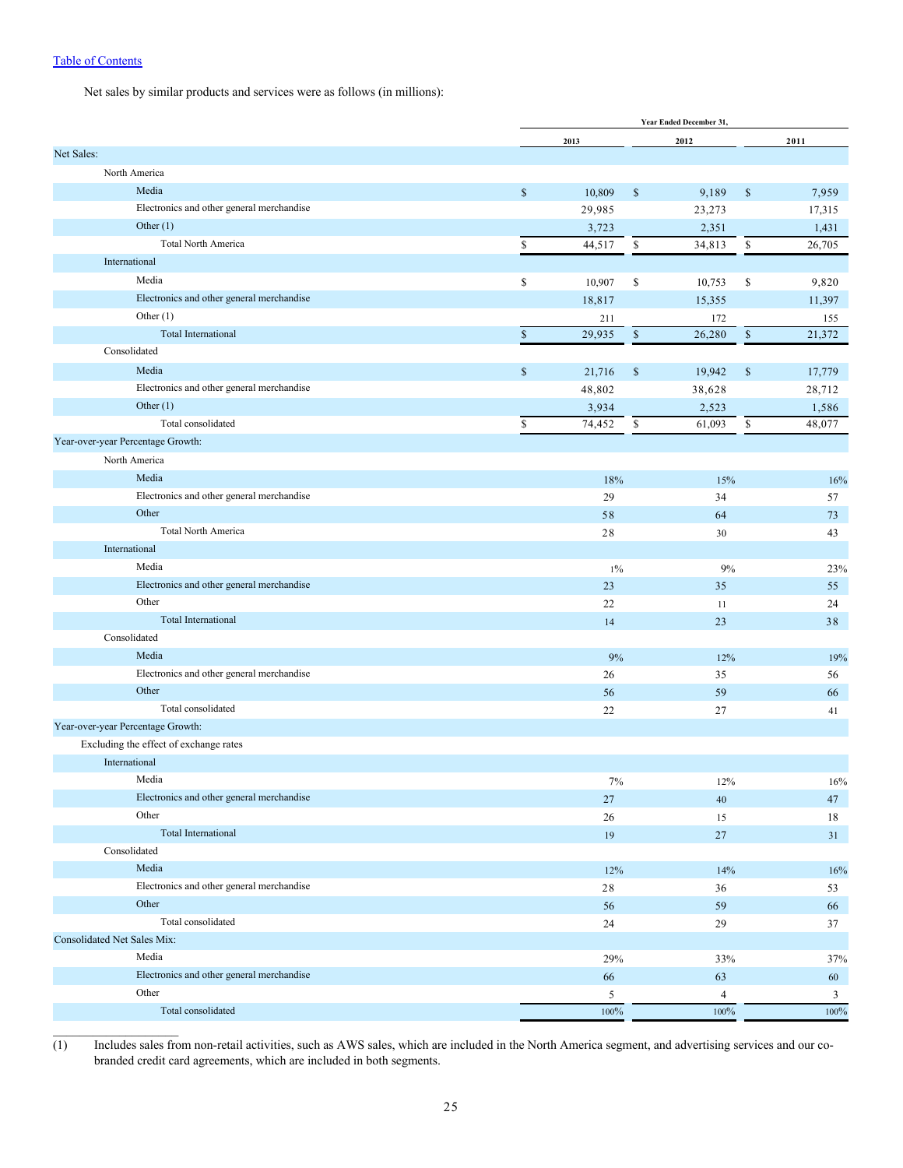Net sales by similar products and services were as follows (in millions):

|                                           |              | Year Ended December 31, |              |                |              |              |  |
|-------------------------------------------|--------------|-------------------------|--------------|----------------|--------------|--------------|--|
|                                           |              | 2013                    |              | 2012           |              | 2011         |  |
| Net Sales:                                |              |                         |              |                |              |              |  |
| North America                             |              |                         |              |                |              |              |  |
| Media                                     | $\mathbb{S}$ | 10,809                  | $\mathbb{S}$ | 9,189          | $\mathbb{S}$ | 7,959        |  |
| Electronics and other general merchandise |              | 29,985                  |              | 23,273         |              | 17,315       |  |
| Other $(1)$                               |              | 3,723                   |              | 2,351          |              | 1,431        |  |
| <b>Total North America</b>                | \$           | 44,517                  | \$           | 34,813         | \$           | 26,705       |  |
| International                             |              |                         |              |                |              |              |  |
| Media                                     | \$           | 10,907                  | \$           | 10,753         | \$           | 9,820        |  |
| Electronics and other general merchandise |              | 18,817                  |              | 15,355         |              | 11,397       |  |
| Other $(1)$                               |              | 211                     |              | 172            |              | 155          |  |
| <b>Total International</b>                | $\$$         | 29,935                  | $\mathbb S$  | 26,280         | $\mathbb{S}$ | 21,372       |  |
| Consolidated                              |              |                         |              |                |              |              |  |
| Media                                     | $\mathbb{S}$ | 21,716                  | $\mathbb{S}$ | 19,942         | $\mathbb{S}$ | 17,779       |  |
| Electronics and other general merchandise |              | 48,802                  |              | 38,628         |              | 28,712       |  |
| Other $(1)$                               |              | 3,934                   |              | 2,523          |              | 1,586        |  |
| Total consolidated                        | \$           | 74,452                  | $\mathbb S$  | 61,093         | $\mathbb S$  | 48,077       |  |
| Year-over-year Percentage Growth:         |              |                         |              |                |              |              |  |
| North America                             |              |                         |              |                |              |              |  |
| Media                                     |              | 18%                     |              | 15%            |              | 16%          |  |
| Electronics and other general merchandise |              | 29                      |              | 34             |              | 57           |  |
| Other                                     |              | 58                      |              | 64             |              | 73           |  |
| <b>Total North America</b>                |              | $2\,8$                  |              | 30             |              | 43           |  |
| International                             |              |                         |              |                |              |              |  |
| Media                                     |              | $1\%$                   |              | $9\%$          |              | 23%          |  |
| Electronics and other general merchandise |              | 23                      |              | 35             |              | 55           |  |
| Other                                     |              | $22\,$                  |              | 11             |              | 24           |  |
| <b>Total International</b>                |              | 14                      |              | 23             |              | 38           |  |
| Consolidated                              |              |                         |              |                |              |              |  |
| Media                                     |              | 9%                      |              | 12%            |              | 19%          |  |
| Electronics and other general merchandise |              | 26                      |              | 35             |              | 56           |  |
| Other                                     |              | 56                      |              | 59             |              | 66           |  |
| Total consolidated                        |              | 22                      |              | 27             |              | 41           |  |
| Year-over-year Percentage Growth:         |              |                         |              |                |              |              |  |
| Excluding the effect of exchange rates    |              |                         |              |                |              |              |  |
| International                             |              |                         |              |                |              |              |  |
| Media                                     |              | $7\%$                   |              | 12%            |              | 16%          |  |
| Electronics and other general merchandise |              | 27                      |              | 40             |              | 47           |  |
| Other                                     |              | 26                      |              | $15\,$         |              | 18           |  |
| <b>Total International</b>                |              | $19$                    |              | $27\,$         |              | 31           |  |
| Consolidated                              |              |                         |              |                |              |              |  |
| Media                                     |              | 12%                     |              | 14%            |              | 16%          |  |
| Electronics and other general merchandise |              | 28                      |              | 36             |              | 53           |  |
| Other                                     |              | 56                      |              | 59             |              | 66           |  |
| Total consolidated                        |              | $24\,$                  |              | 29             |              | 37           |  |
| Consolidated Net Sales Mix:               |              |                         |              |                |              |              |  |
| Media                                     |              | 29%                     |              | 33%            |              | 37%          |  |
| Electronics and other general merchandise |              | 66                      |              | 63             |              | 60           |  |
| Other                                     |              | $\sqrt{5}$              |              | $\overline{4}$ |              | $\mathbf{3}$ |  |
| Total consolidated                        |              | $100\%$                 |              | $100\%$        |              | 100%         |  |

 $\overline{(1)}$  Includes sales from non-retail activities, such as AWS sales, which are included in the North America segment, and advertising services and our cobranded credit card agreements, which are included in both segments.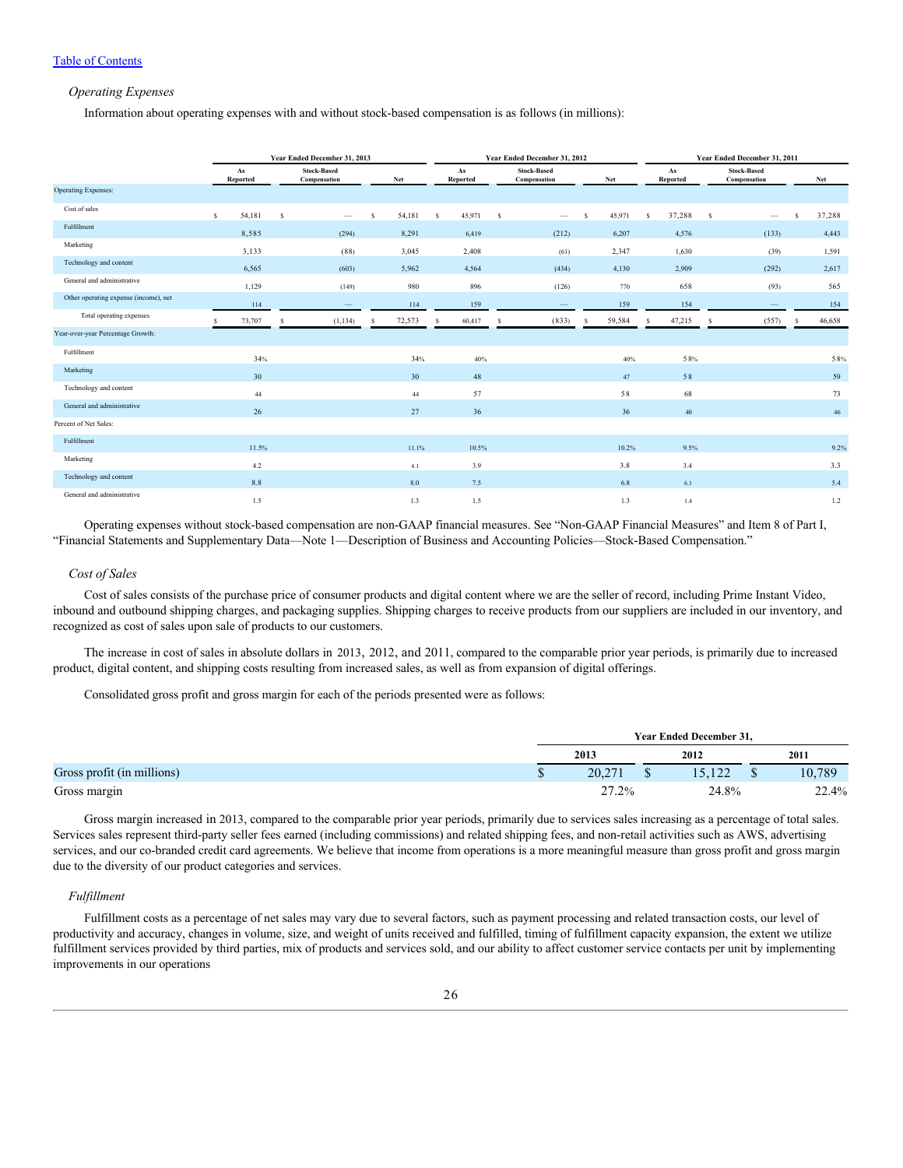## *Operating Expenses*

Information about operating expenses with and without stock-based compensation is as follows (in millions):

|                                       |              | Year Ended December 31, 2013 |   |                                    |    |        |    |                | Year Ended December 31, 2012 |                                    | Year Ended December 31, 2011 |        |                |        |                                    |                                 |          |        |
|---------------------------------------|--------------|------------------------------|---|------------------------------------|----|--------|----|----------------|------------------------------|------------------------------------|------------------------------|--------|----------------|--------|------------------------------------|---------------------------------|----------|--------|
|                                       |              | As<br>Reported               |   | <b>Stock-Based</b><br>Compensation |    | Net    |    | As<br>Reported |                              | <b>Stock-Based</b><br>Compensation | Net                          |        | As<br>Reported |        | <b>Stock-Based</b><br>Compensation |                                 |          | Net    |
| <b>Operating Expenses:</b>            |              |                              |   |                                    |    |        |    |                |                              |                                    |                              |        |                |        |                                    |                                 |          |        |
| Cost of sales                         | $\mathbb{S}$ | 54,181                       | s | $\overline{\phantom{0}}$           | -S | 54,181 | s  | 45,971         | s                            | $\overline{\phantom{0}}$           | s                            | 45,971 | s              | 37,288 | $\sim$                             | $\hspace{0.1mm}-\hspace{0.1mm}$ | <b>s</b> | 37,288 |
| Fulfillment                           |              | 8,585                        |   | (294)                              |    | 8,291  |    | 6,419          |                              | (212)                              |                              | 6,207  |                | 4,576  |                                    | (133)                           |          | 4,443  |
| Marketing                             |              | 3,133                        |   | (88)                               |    | 3,045  |    | 2,408          |                              | (61)                               |                              | 2,347  |                | 1,630  |                                    | (39)                            |          | 1,591  |
| Technology and content                |              | 6,565                        |   | (603)                              |    | 5,962  |    | 4,564          |                              | (434)                              |                              | 4,130  |                | 2,909  |                                    | (292)                           |          | 2,617  |
| General and administrative            |              | 1,129                        |   | (149)                              |    | 980    |    | 896            |                              | (126)                              |                              | 770    |                | 658    |                                    | (93)                            |          | 565    |
| Other operating expense (income), net |              | 114                          |   |                                    |    | 114    |    | 159            |                              | $\hspace{0.1mm}-\hspace{0.1mm}$    |                              | 159    |                | 154    |                                    |                                 |          | 154    |
| Total operating expenses              |              | 73,707                       |   | (1, 134)                           | -8 | 72,573 | -S | 60,417         |                              | (833)                              | $\mathbf{\hat{S}}$           | 59,584 |                | 47,215 |                                    | (557)                           |          | 46,658 |
| Year-over-year Percentage Growth:     |              |                              |   |                                    |    |        |    |                |                              |                                    |                              |        |                |        |                                    |                                 |          |        |
| Fulfillment                           |              | 34%                          |   |                                    |    | 34%    |    | 40%            |                              |                                    |                              | 40%    |                | 58%    |                                    |                                 |          | 58%    |
| Marketing                             |              | 30                           |   |                                    |    | 30     |    | 48             |                              |                                    |                              | 47     |                | 58     |                                    |                                 |          | 59     |
| Technology and content                |              | 44                           |   |                                    |    | 44     |    | 57             |                              |                                    |                              | 58     |                | 68     |                                    |                                 |          | 73     |
| General and administrative            |              | 26                           |   |                                    |    | 27     |    | 36             |                              |                                    |                              | 36     |                | 40     |                                    |                                 |          | 46     |
| Percent of Net Sales:                 |              |                              |   |                                    |    |        |    |                |                              |                                    |                              |        |                |        |                                    |                                 |          |        |
| Fulfillment                           |              | 11.5%                        |   |                                    |    | 11.1%  |    | 10.5%          |                              |                                    |                              | 10.2%  |                | 9.5%   |                                    |                                 |          | 9.2%   |
| Marketing                             |              | 4.2                          |   |                                    |    | 4.1    |    | 3.9            |                              |                                    |                              | 3.8    |                | 3.4    |                                    |                                 |          | 3.3    |
| Technology and content                |              | $8.8\,$                      |   |                                    |    | 8.0    |    | 7.5            |                              |                                    |                              | 6.8    |                | 6.1    |                                    |                                 |          | 5.4    |
| General and administrative            |              | 1.5                          |   |                                    |    | 1.3    |    | 1.5            |                              |                                    |                              | 1.3    |                | 1.4    |                                    |                                 |          | 1.2    |

Operating expenses without stock-based compensation are non-GAAP financial measures. See "Non-GAAP Financial Measures" and Item 8 of Part I, "Financial Statements and Supplementary Data—Note 1—Description of Business and Accounting Policies—Stock-Based Compensation."

## *Cost of Sales*

Cost of sales consists of the purchase price of consumer products and digital content where we are the seller of record, including Prime Instant Video, inbound and outbound shipping charges, and packaging supplies. Shipping charges to receive products from our suppliers are included in our inventory, and recognized as cost of sales upon sale of products to our customers.

The increase in cost of sales in absolute dollars in 2013, 2012, and 2011, compared to the comparable prior year periods, is primarily due to increased product, digital content, and shipping costs resulting from increased sales, as well as from expansion of digital offerings.

Consolidated gross profit and gross margin for each of the periods presented were as follows:

|                            | <b>Year Ended December 31.</b> |  |        |     |        |  |  |  |
|----------------------------|--------------------------------|--|--------|-----|--------|--|--|--|
|                            | 2013                           |  | 2012   |     | 2011   |  |  |  |
| Gross profit (in millions) | 20,271                         |  | 15.122 | - S | 10,789 |  |  |  |
| Gross margin               | 27.2%                          |  | 24.8%  |     | 22.4%  |  |  |  |

Gross margin increased in 2013, compared to the comparable prior year periods, primarily due to services sales increasing as a percentage of total sales. Services sales represent third-party seller fees earned (including commissions) and related shipping fees, and non-retail activities such as AWS, advertising services, and our co-branded credit card agreements. We believe that income from operations is a more meaningful measure than gross profit and gross margin due to the diversity of our product categories and services.

## *Fulfillment*

Fulfillment costs as a percentage of net sales may vary due to several factors, such as payment processing and related transaction costs, our level of productivity and accuracy, changes in volume, size, and weight of units received and fulfilled, timing of fulfillment capacity expansion, the extent we utilize fulfillment services provided by third parties, mix of products and services sold, and our ability to affect customer service contacts per unit by implementing improvements in our operations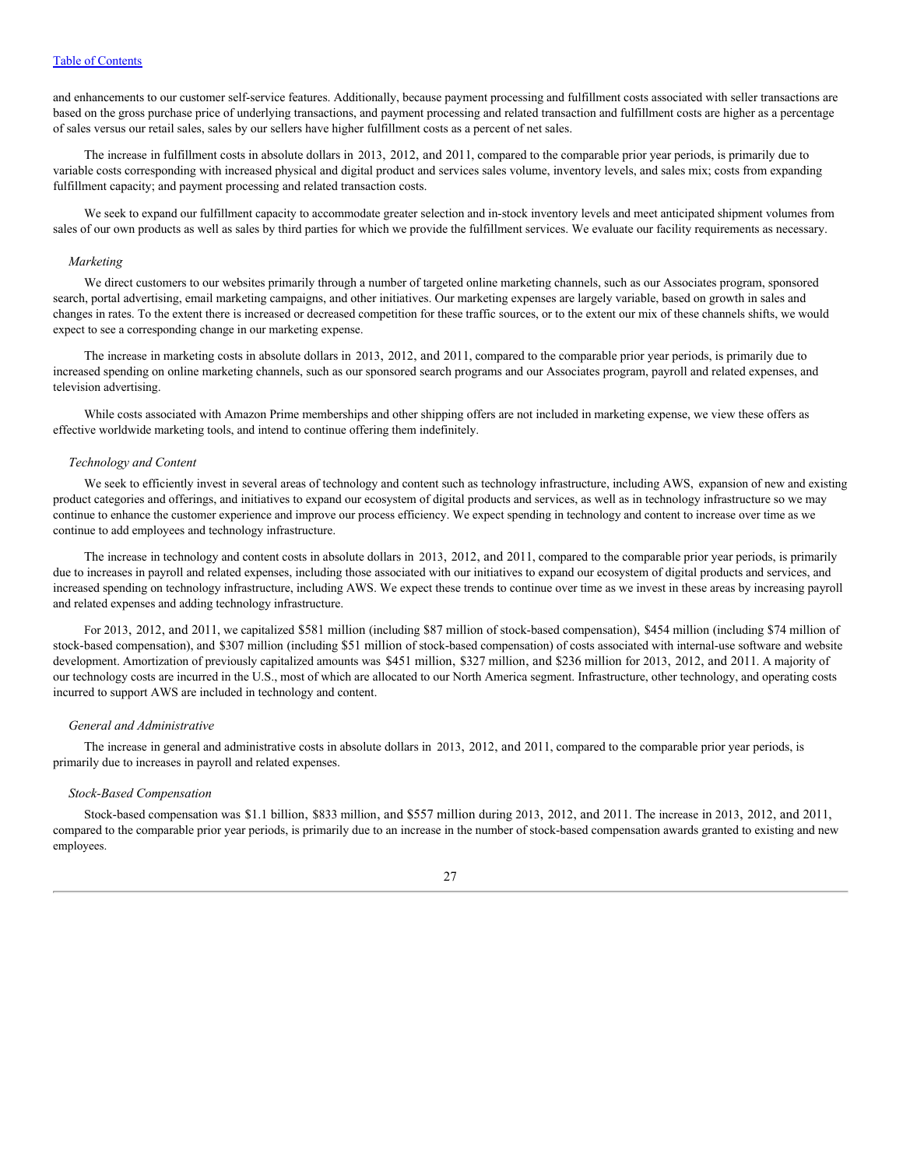and enhancements to our customer self-service features. Additionally, because payment processing and fulfillment costs associated with seller transactions are based on the gross purchase price of underlying transactions, and payment processing and related transaction and fulfillment costs are higher as a percentage of sales versus our retail sales, sales by our sellers have higher fulfillment costs as a percent of net sales.

The increase in fulfillment costs in absolute dollars in 2013, 2012, and 2011, compared to the comparable prior year periods, is primarily due to variable costs corresponding with increased physical and digital product and services sales volume, inventory levels, and sales mix; costs from expanding fulfillment capacity; and payment processing and related transaction costs.

We seek to expand our fulfillment capacity to accommodate greater selection and in-stock inventory levels and meet anticipated shipment volumes from sales of our own products as well as sales by third parties for which we provide the fulfillment services. We evaluate our facility requirements as necessary.

## *Marketing*

We direct customers to our websites primarily through a number of targeted online marketing channels, such as our Associates program, sponsored search, portal advertising, email marketing campaigns, and other initiatives. Our marketing expenses are largely variable, based on growth in sales and changes in rates. To the extent there is increased or decreased competition for these traffic sources, or to the extent our mix of these channels shifts, we would expect to see a corresponding change in our marketing expense.

The increase in marketing costs in absolute dollars in 2013, 2012, and 2011, compared to the comparable prior year periods, is primarily due to increased spending on online marketing channels, such as our sponsored search programs and our Associates program, payroll and related expenses, and television advertising.

While costs associated with Amazon Prime memberships and other shipping offers are not included in marketing expense, we view these offers as effective worldwide marketing tools, and intend to continue offering them indefinitely.

#### *Technology and Content*

We seek to efficiently invest in several areas of technology and content such as technology infrastructure, including AWS, expansion of new and existing product categories and offerings, and initiatives to expand our ecosystem of digital products and services, as well as in technology infrastructure so we may continue to enhance the customer experience and improve our process efficiency. We expect spending in technology and content to increase over time as we continue to add employees and technology infrastructure.

The increase in technology and content costs in absolute dollars in 2013, 2012, and 2011, compared to the comparable prior year periods, is primarily due to increases in payroll and related expenses, including those associated with our initiatives to expand our ecosystem of digital products and services, and increased spending on technology infrastructure, including AWS. We expect these trends to continue over time as we invest in these areas by increasing payroll and related expenses and adding technology infrastructure.

For 2013, 2012, and 2011, we capitalized \$581 million (including \$87 million of stock-based compensation), \$454 million (including \$74 million of stock-based compensation), and \$307 million (including \$51 million of stock-based compensation) of costs associated with internal-use software and website development. Amortization of previously capitalized amounts was \$451 million, \$327 million, and \$236 million for 2013, 2012, and 2011. A majority of our technology costs are incurred in the U.S., most of which are allocated to our North America segment. Infrastructure, other technology, and operating costs incurred to support AWS are included in technology and content.

## *General and Administrative*

The increase in general and administrative costs in absolute dollars in 2013, 2012, and 2011, compared to the comparable prior year periods, is primarily due to increases in payroll and related expenses.

#### *Stock-Based Compensation*

Stock-based compensation was \$1.1 billion, \$833 million, and \$557 million during 2013, 2012, and 2011. The increase in 2013, 2012, and 2011, compared to the comparable prior year periods, is primarily due to an increase in the number of stock-based compensation awards granted to existing and new employees.

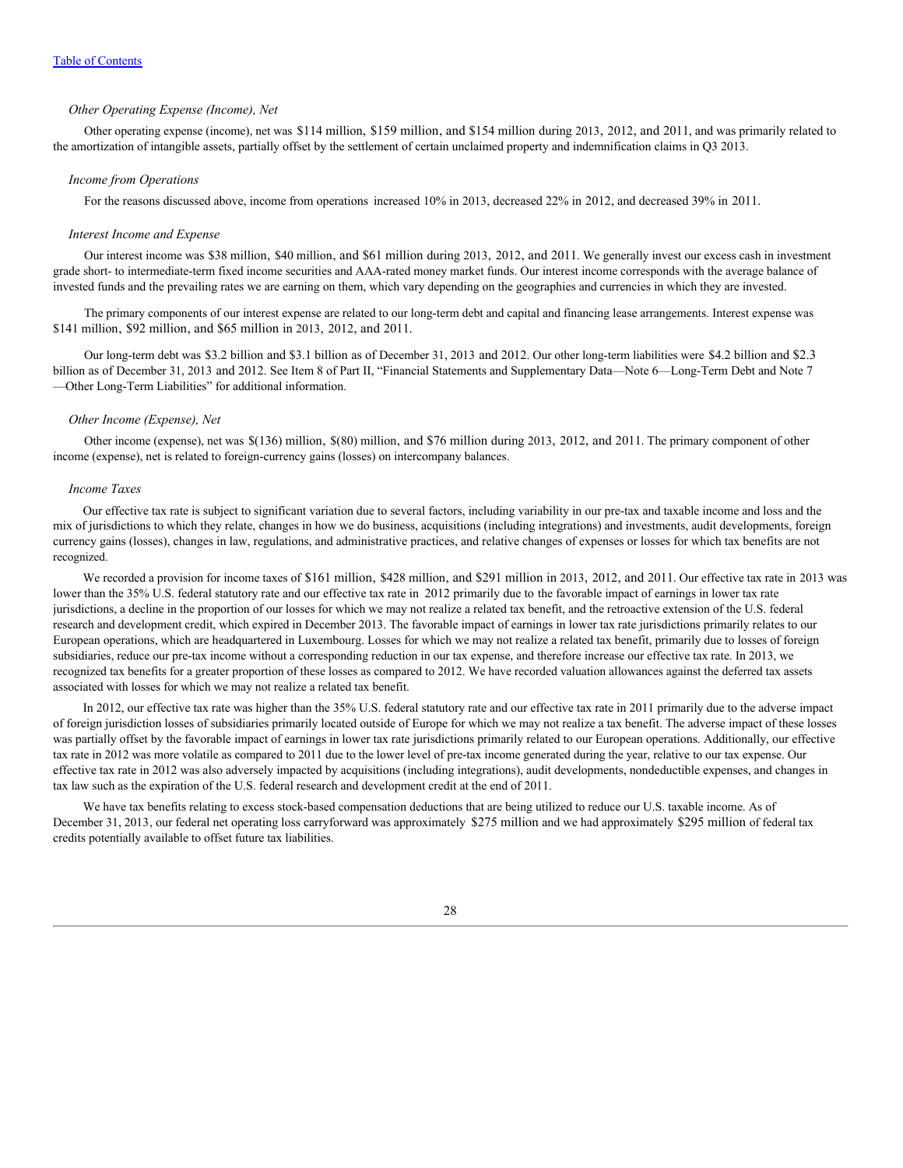#### *Other Operating Expense (Income), Net*

Other operating expense (income), net was \$114 million, \$159 million, and \$154 million during 2013, 2012, and 2011, and was primarily related to the amortization of intangible assets, partially offset by the settlement of certain unclaimed property and indemnification claims in Q3 2013.

#### *Income from Operations*

For the reasons discussed above, income from operations increased 10% in 2013, decreased 22% in 2012, and decreased 39% in 2011.

#### *Interest Income and Expense*

Our interest income was \$38 million, \$40 million, and \$61 million during 2013, 2012, and 2011. We generally invest our excess cash in investment grade short- to intermediate-term fixed income securities and AAA-rated money market funds. Our interest income corresponds with the average balance of invested funds and the prevailing rates we are earning on them, which vary depending on the geographies and currencies in which they are invested.

The primary components of our interest expense are related to our long-term debt and capital and financing lease arrangements. Interest expense was \$141 million, \$92 million, and \$65 million in 2013, 2012, and 2011.

Our long-term debt was \$3.2 billion and \$3.1 billion as of December 31, 2013 and 2012. Our other long-term liabilities were \$4.2 billion and \$2.3 billion as of December 31, 2013 and 2012. See Item 8 of Part II, "Financial Statements and Supplementary Data—Note 6—Long-Term Debt and Note 7 —Other Long-Term Liabilities" for additional information.

#### *Other Income (Expense), Net*

Other income (expense), net was \$(136) million, \$(80) million, and \$76 million during 2013, 2012, and 2011. The primary component of other income (expense), net is related to foreign-currency gains (losses) on intercompany balances.

#### *Income Taxes*

Our effective tax rate is subject to significant variation due to several factors, including variability in our pre-tax and taxable income and loss and the mix of jurisdictions to which they relate, changes in how we do business, acquisitions (including integrations) and investments, audit developments, foreign currency gains (losses), changes in law, regulations, and administrative practices, and relative changes of expenses or losses for which tax benefits are not recognized.

We recorded a provision for income taxes of \$161 million, \$428 million, and \$291 million in 2013, 2012, and 2011. Our effective tax rate in 2013 was lower than the 35% U.S. federal statutory rate and our effective tax rate in 2012 primarily due to the favorable impact of earnings in lower tax rate jurisdictions, a decline in the proportion of our losses for which we may not realize a related tax benefit, and the retroactive extension of the U.S. federal research and development credit, which expired in December 2013. The favorable impact of earnings in lower tax rate jurisdictions primarily relates to our European operations, which are headquartered in Luxembourg. Losses for which we may not realize a related tax benefit, primarily due to losses of foreign subsidiaries, reduce our pre-tax income without a corresponding reduction in our tax expense, and therefore increase our effective tax rate. In 2013, we recognized tax benefits for a greater proportion of these losses as compared to 2012. We have recorded valuation allowances against the deferred tax assets associated with losses for which we may not realize a related tax benefit.

In 2012, our effective tax rate was higher than the 35% U.S. federal statutory rate and our effective tax rate in 2011 primarily due to the adverse impact of foreign jurisdiction losses of subsidiaries primarily located outside of Europe for which we may not realize a tax benefit. The adverse impact of these losses was partially offset by the favorable impact of earnings in lower tax rate jurisdictions primarily related to our European operations. Additionally, our effective tax rate in 2012 was more volatile as compared to 2011 due to the lower level of pre-tax income generated during the year, relative to our tax expense. Our effective tax rate in 2012 was also adversely impacted by acquisitions (including integrations), audit developments, nondeductible expenses, and changes in tax law such as the expiration of the U.S. federal research and development credit at the end of 2011.

We have tax benefits relating to excess stock-based compensation deductions that are being utilized to reduce our U.S. taxable income. As of December 31, 2013, our federal net operating loss carryforward was approximately \$275 million and we had approximately \$295 million of federal tax credits potentially available to offset future tax liabilities.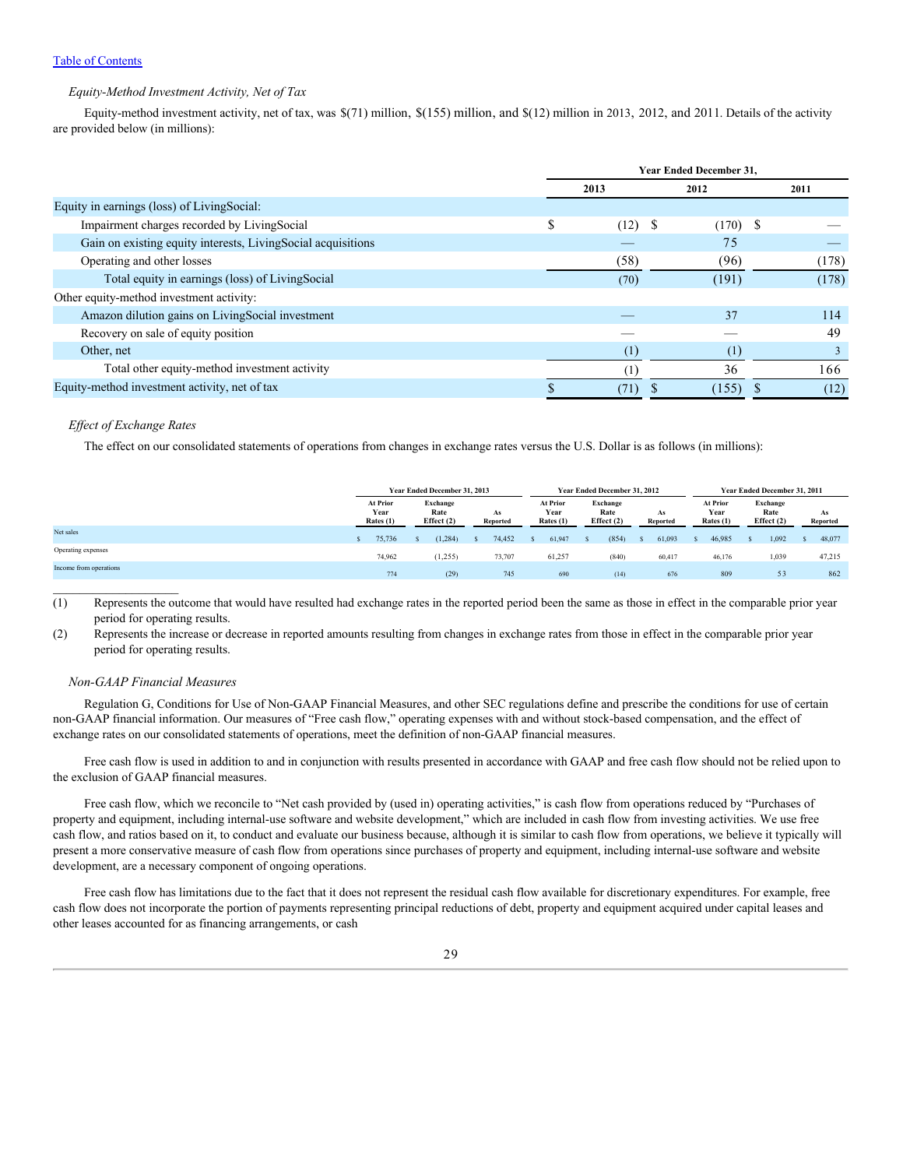## *Equity-Method Investment Activity, Net of Tax*

Equity-method investment activity, net of tax, was \$(71) million, \$(155) million, and \$(12) million in 2013, 2012, and 2011. Details of the activity are provided below (in millions):

|                                                              | <b>Year Ended December 31,</b> |      |                  |  |       |  |  |
|--------------------------------------------------------------|--------------------------------|------|------------------|--|-------|--|--|
|                                                              | 2013                           |      | 2012             |  | 2011  |  |  |
| Equity in earnings (loss) of LivingSocial:                   |                                |      |                  |  |       |  |  |
| Impairment charges recorded by LivingSocial                  | \$                             | (12) | $(170)$ \$<br>-S |  |       |  |  |
| Gain on existing equity interests, LivingSocial acquisitions |                                |      | 75               |  |       |  |  |
| Operating and other losses                                   |                                | (58) | (96)             |  | (178) |  |  |
| Total equity in earnings (loss) of LivingSocial              |                                | (70) | (191)            |  | (178) |  |  |
| Other equity-method investment activity:                     |                                |      |                  |  |       |  |  |
| Amazon dilution gains on LivingSocial investment             |                                |      | 37               |  | 114   |  |  |
| Recovery on sale of equity position                          |                                |      |                  |  | 49    |  |  |
| Other, net                                                   |                                | (1)  | (1)              |  |       |  |  |
| Total other equity-method investment activity                |                                | (1)  | 36               |  | 166   |  |  |
| Equity-method investment activity, net of tax                |                                | (71) | (155)            |  | (12)  |  |  |

#### *Effect of Exchange Rates*

The effect on our consolidated statements of operations from changes in exchange rates versus the U.S. Dollar is as follows (in millions):

|                        |                                      |        |                                  | Year Ended December 31, 2013 |                |        |                                      | Year Ended December 31, 2012 |                                  |       |                       |        |                                        | Year Ended December 31, 2011 |                                  |       |                |        |  |
|------------------------|--------------------------------------|--------|----------------------------------|------------------------------|----------------|--------|--------------------------------------|------------------------------|----------------------------------|-------|-----------------------|--------|----------------------------------------|------------------------------|----------------------------------|-------|----------------|--------|--|
|                        | <b>At Prior</b><br>Year<br>Rates (1) |        | Exchange<br>Rate<br>Effect $(2)$ |                              | As<br>Reported |        | <b>At Prior</b><br>Year<br>Rates (1) |                              | Exchange<br>Rate<br>Effect $(2)$ |       | As<br><b>Reported</b> |        | <b>At Prior</b><br>Year<br>Rates $(1)$ |                              | Exchange<br>Rate<br>Effect $(2)$ |       | As<br>Reported |        |  |
| Net sales              |                                      | 75,736 |                                  | (1, 284)                     |                | 74,452 |                                      | 61,947                       |                                  | (854) |                       | 61,093 |                                        | 46,985                       |                                  | 1,092 |                | 48,077 |  |
| Operating expenses     |                                      | 74,962 |                                  | (1, 255)                     |                | 73,707 |                                      | 61,257                       |                                  | (840) |                       | 60,417 |                                        | 46,176                       |                                  | 1,039 |                | 47,215 |  |
| Income from operations |                                      | 774    |                                  | (29)                         |                | 745    |                                      | 690                          |                                  | (14)  |                       | 676    |                                        | 809                          |                                  | 53    |                | 862    |  |

(1) Represents the outcome that would have resulted had exchange rates in the reported period been the same as those in effect in the comparable prior year period for operating results.

(2) Represents the increase or decrease in reported amounts resulting from changes in exchange rates from those in effect in the comparable prior year period for operating results.

#### *Non-GAAP Financial Measures*

Regulation G, Conditions for Use of Non-GAAP Financial Measures, and other SEC regulations define and prescribe the conditions for use of certain non-GAAP financial information. Our measures of "Free cash flow," operating expenses with and without stock-based compensation, and the effect of exchange rates on our consolidated statements of operations, meet the definition of non-GAAP financial measures.

Free cash flow is used in addition to and in conjunction with results presented in accordance with GAAP and free cash flow should not be relied upon to the exclusion of GAAP financial measures.

Free cash flow, which we reconcile to "Net cash provided by (used in) operating activities," is cash flow from operations reduced by "Purchases of property and equipment, including internal-use software and website development," which are included in cash flow from investing activities. We use free cash flow, and ratios based on it, to conduct and evaluate our business because, although it is similar to cash flow from operations, we believe it typically will present a more conservative measure of cash flow from operations since purchases of property and equipment, including internal-use software and website development, are a necessary component of ongoing operations.

Free cash flow has limitations due to the fact that it does not represent the residual cash flow available for discretionary expenditures. For example, free cash flow does not incorporate the portion of payments representing principal reductions of debt, property and equipment acquired under capital leases and other leases accounted for as financing arrangements, or cash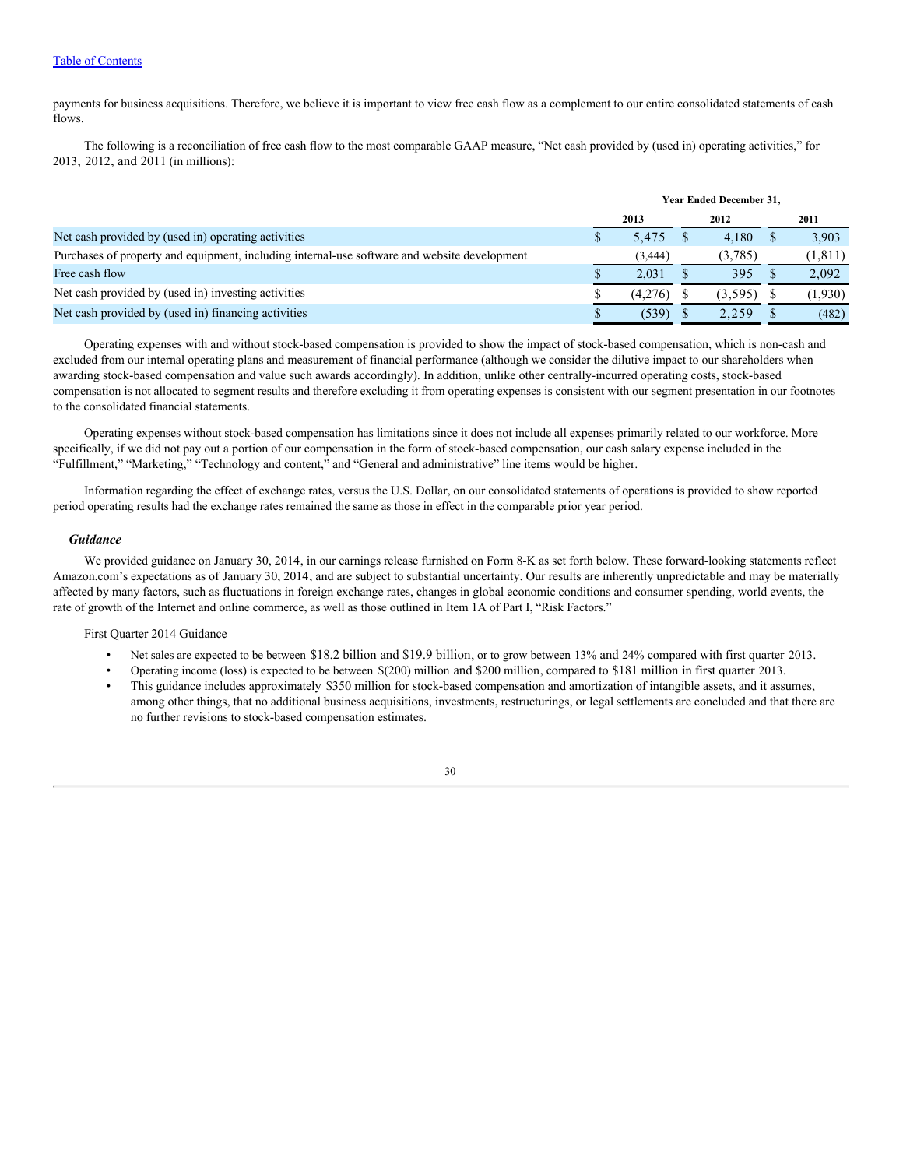<span id="page-30-0"></span>payments for business acquisitions. Therefore, we believe it is important to view free cash flow as a complement to our entire consolidated statements of cash flows.

The following is a reconciliation of free cash flow to the most comparable GAAP measure, "Net cash provided by (used in) operating activities," for 2013, 2012, and 2011 (in millions):

|                                                                                              | <b>Year Ended December 31.</b> |          |  |          |  |          |  |  |  |
|----------------------------------------------------------------------------------------------|--------------------------------|----------|--|----------|--|----------|--|--|--|
|                                                                                              |                                | 2013     |  | 2012     |  | 2011     |  |  |  |
| Net cash provided by (used in) operating activities                                          |                                | 5.475    |  | 4.180    |  | 3,903    |  |  |  |
| Purchases of property and equipment, including internal-use software and website development |                                | (3, 444) |  | (3,785)  |  | (1, 811) |  |  |  |
| Free cash flow                                                                               |                                | 2.031    |  | 395      |  | 2.092    |  |  |  |
| Net cash provided by (used in) investing activities                                          |                                | (4,276)  |  | (3, 595) |  | (1,930)  |  |  |  |
| Net cash provided by (used in) financing activities                                          |                                | (539)    |  | 2.259    |  | (482)    |  |  |  |

Operating expenses with and without stock-based compensation is provided to show the impact of stock-based compensation, which is non-cash and excluded from our internal operating plans and measurement of financial performance (although we consider the dilutive impact to our shareholders when awarding stock-based compensation and value such awards accordingly). In addition, unlike other centrally-incurred operating costs, stock-based compensation is not allocated to segment results and therefore excluding it from operating expenses is consistent with our segment presentation in our footnotes to the consolidated financial statements.

Operating expenses without stock-based compensation has limitations since it does not include all expenses primarily related to our workforce. More specifically, if we did not pay out a portion of our compensation in the form of stock-based compensation, our cash salary expense included in the "Fulfillment," "Marketing," "Technology and content," and "General and administrative" line items would be higher.

Information regarding the effect of exchange rates, versus the U.S. Dollar, on our consolidated statements of operations is provided to show reported period operating results had the exchange rates remained the same as those in effect in the comparable prior year period.

## *Guidance*

We provided guidance on January 30, 2014, in our earnings release furnished on Form 8-K as set forth below. These forward-looking statements reflect Amazon.com's expectations as of January 30, 2014, and are subject to substantial uncertainty. Our results are inherently unpredictable and may be materially affected by many factors, such as fluctuations in foreign exchange rates, changes in global economic conditions and consumer spending, world events, the rate of growth of the Internet and online commerce, as well as those outlined in Item 1A of Part I, "Risk Factors."

#### First Quarter 2014 Guidance

- Net sales are expected to be between \$18.2 billion and \$19.9 billion, or to grow between 13% and 24% compared with first quarter 2013.
- Operating income (loss) is expected to be between \$(200) million and \$200 million, compared to \$181 million in first quarter 2013.
- This guidance includes approximately \$350 million for stock-based compensation and amortization of intangible assets, and it assumes, among other things, that no additional business acquisitions, investments, restructurings, or legal settlements are concluded and that there are no further revisions to stock-based compensation estimates.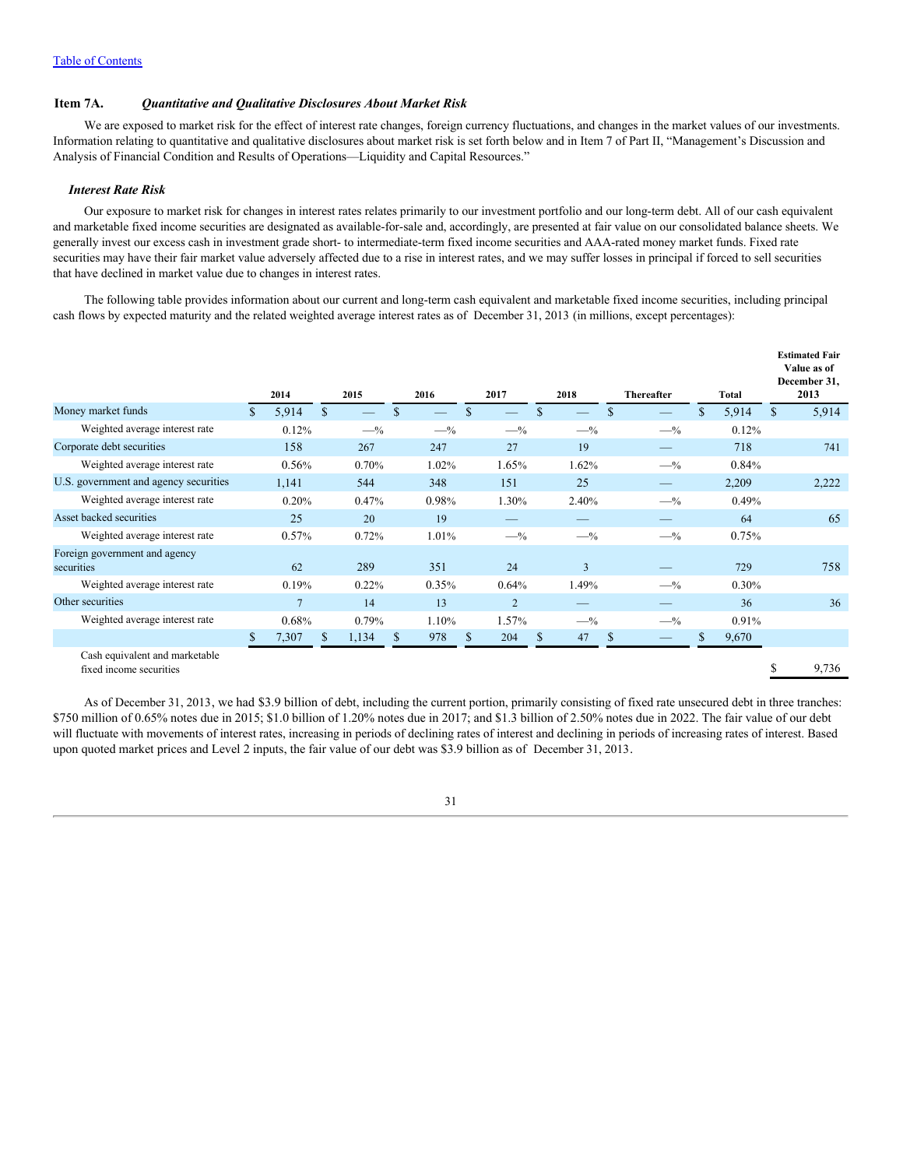## **Item 7A.** *Quantitative and Qualitative Disclosures About Market Risk*

We are exposed to market risk for the effect of interest rate changes, foreign currency fluctuations, and changes in the market values of our investments. Information relating to quantitative and qualitative disclosures about market risk is set forth below and in Item 7 of Part II, "Management's Discussion and Analysis of Financial Condition and Results of Operations—Liquidity and Capital Resources."

#### *Interest Rate Risk*

Our exposure to market risk for changes in interest rates relates primarily to our investment portfolio and our long-term debt. All of our cash equivalent and marketable fixed income securities are designated as available-for-sale and, accordingly, are presented at fair value on our consolidated balance sheets. We generally invest our excess cash in investment grade short- to intermediate-term fixed income securities and AAA-rated money market funds. Fixed rate securities may have their fair market value adversely affected due to a rise in interest rates, and we may suffer losses in principal if forced to sell securities that have declined in market value due to changes in interest rates.

The following table provides information about our current and long-term cash equivalent and marketable fixed income securities, including principal cash flows by expected maturity and the related weighted average interest rates as of December 31, 2013 (in millions, except percentages):

|                                             |              | 2014           | 2015        | 2016      |     | 2017           |               | 2018  | <b>Thereafter</b> | Total       |               | <b>Estimated Fair</b><br>Value as of<br>December 31,<br>2013 |
|---------------------------------------------|--------------|----------------|-------------|-----------|-----|----------------|---------------|-------|-------------------|-------------|---------------|--------------------------------------------------------------|
| Money market funds                          | $\mathbb{S}$ | 5,914          | \$          | \$        | \$. |                | <sup>\$</sup> |       | \$                | \$<br>5,914 | <sup>\$</sup> | 5,914                                                        |
| Weighted average interest rate              |              | 0.12%          | $-$ %       | $-$ %     |     | $-$ %          |               | $-$ % | $-$ %             | 0.12%       |               |                                                              |
| Corporate debt securities                   |              | 158            | 267         | 247       |     | 27             |               | 19    |                   | 718         |               | 741                                                          |
| Weighted average interest rate              |              | 0.56%          | 0.70%       | 1.02%     |     | 1.65%          |               | 1.62% | $-$ %             | 0.84%       |               |                                                              |
| U.S. government and agency securities       |              | 1,141          | 544         | 348       |     | 151            |               | 25    |                   | 2,209       |               | 2,222                                                        |
| Weighted average interest rate              |              | 0.20%          | 0.47%       | 0.98%     |     | 1.30%          |               | 2.40% | $-$ %             | 0.49%       |               |                                                              |
| Asset backed securities                     |              | 25             | 20          | 19        |     |                |               |       |                   | 64          |               | 65                                                           |
| Weighted average interest rate              |              | 0.57%          | 0.72%       | 1.01%     |     | $-$ %          |               | $-$ % | $-$ %             | 0.75%       |               |                                                              |
| Foreign government and agency<br>securities |              | 62             | 289         | 351       |     | 24             |               | 3     |                   | 729         |               | 758                                                          |
| Weighted average interest rate              |              | 0.19%          | 0.22%       | 0.35%     |     | 0.64%          |               | 1.49% | $-$ %             | 0.30%       |               |                                                              |
| Other securities                            |              | $\overline{7}$ | 14          | 13        |     | $\overline{2}$ |               |       |                   | 36          |               | 36                                                           |
| Weighted average interest rate              |              | 0.68%          | 0.79%       | 1.10%     |     | 1.57%          |               | $-$ % | $-$ %             | 0.91%       |               |                                                              |
|                                             | \$           | 7,307          | \$<br>1,134 | \$<br>978 | \$  | 204            | \$            | 47    | \$                | \$<br>9,670 |               |                                                              |
| Cash equivalent and marketable              |              |                |             |           |     |                |               |       |                   |             |               |                                                              |

fixed income securities  $\qquad \qquad$  9,736

As of December 31, 2013, we had \$3.9 billion of debt, including the current portion, primarily consisting of fixed rate unsecured debt in three tranches: \$750 million of 0.65% notes due in 2015; \$1.0 billion of 1.20% notes due in 2017; and \$1.3 billion of 2.50% notes due in 2022. The fair value of our debt will fluctuate with movements of interest rates, increasing in periods of declining rates of interest and declining in periods of increasing rates of interest. Based upon quoted market prices and Level 2 inputs, the fair value of our debt was \$3.9 billion as of December 31, 2013.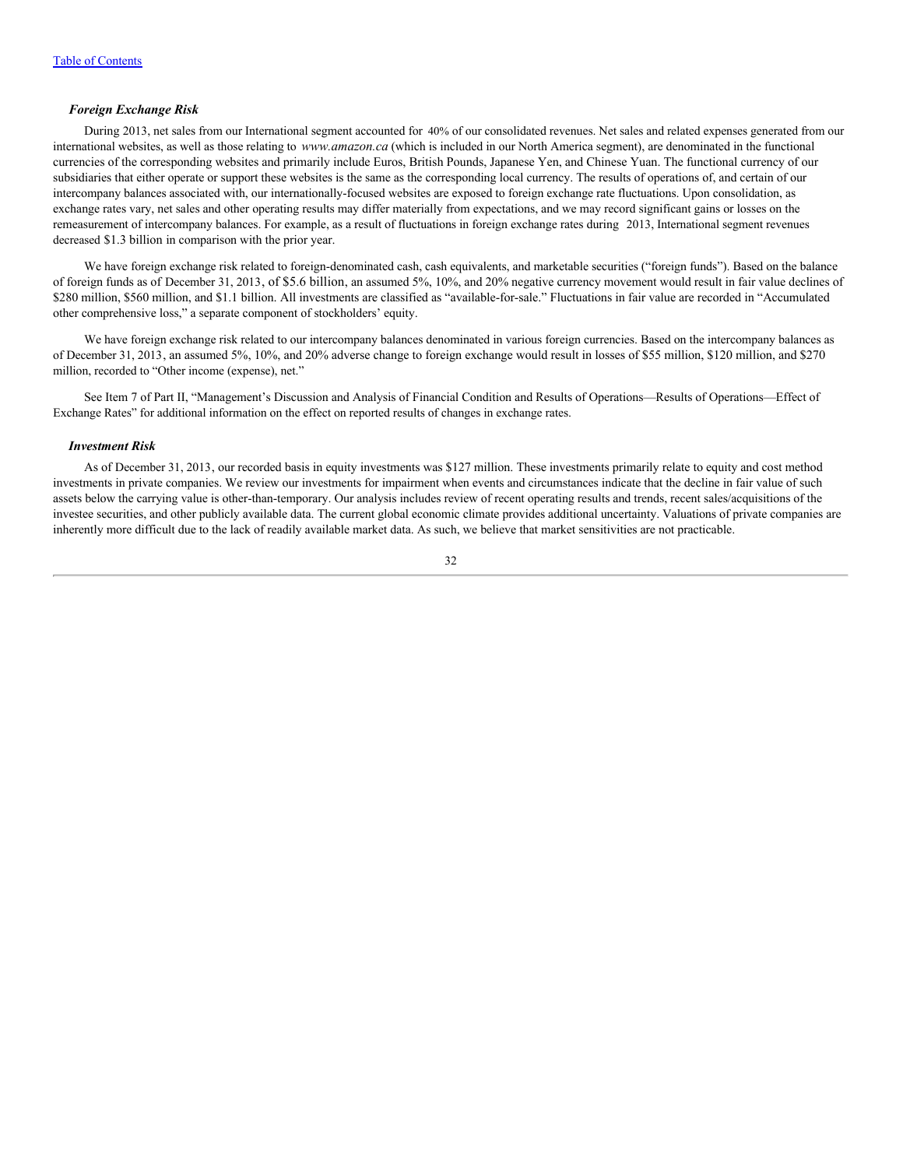## <span id="page-32-0"></span>*Foreign Exchange Risk*

During 2013, net sales from our International segment accounted for 40% of our consolidated revenues. Net sales and related expenses generated from our international websites, as well as those relating to *www.amazon.ca* (which is included in our North America segment), are denominated in the functional currencies of the corresponding websites and primarily include Euros, British Pounds, Japanese Yen, and Chinese Yuan. The functional currency of our subsidiaries that either operate or support these websites is the same as the corresponding local currency. The results of operations of, and certain of our intercompany balances associated with, our internationally-focused websites are exposed to foreign exchange rate fluctuations. Upon consolidation, as exchange rates vary, net sales and other operating results may differ materially from expectations, and we may record significant gains or losses on the remeasurement of intercompany balances. For example, as a result of fluctuations in foreign exchange rates during 2013, International segment revenues decreased \$1.3 billion in comparison with the prior year.

We have foreign exchange risk related to foreign-denominated cash, cash equivalents, and marketable securities ("foreign funds"). Based on the balance of foreign funds as of December 31, 2013, of \$5.6 billion, an assumed 5%, 10%, and 20% negative currency movement would result in fair value declines of \$280 million, \$560 million, and \$1.1 billion. All investments are classified as "available-for-sale." Fluctuations in fair value are recorded in "Accumulated other comprehensive loss," a separate component of stockholders' equity.

We have foreign exchange risk related to our intercompany balances denominated in various foreign currencies. Based on the intercompany balances as of December 31, 2013, an assumed 5%, 10%, and 20% adverse change to foreign exchange would result in losses of \$55 million, \$120 million, and \$270 million, recorded to "Other income (expense), net."

See Item 7 of Part II, "Management's Discussion and Analysis of Financial Condition and Results of Operations—Results of Operations—Effect of Exchange Rates" for additional information on the effect on reported results of changes in exchange rates.

#### *Investment Risk*

As of December 31, 2013, our recorded basis in equity investments was \$127 million. These investments primarily relate to equity and cost method investments in private companies. We review our investments for impairment when events and circumstances indicate that the decline in fair value of such assets below the carrying value is other-than-temporary. Our analysis includes review of recent operating results and trends, recent sales/acquisitions of the investee securities, and other publicly available data. The current global economic climate provides additional uncertainty. Valuations of private companies are inherently more difficult due to the lack of readily available market data. As such, we believe that market sensitivities are not practicable.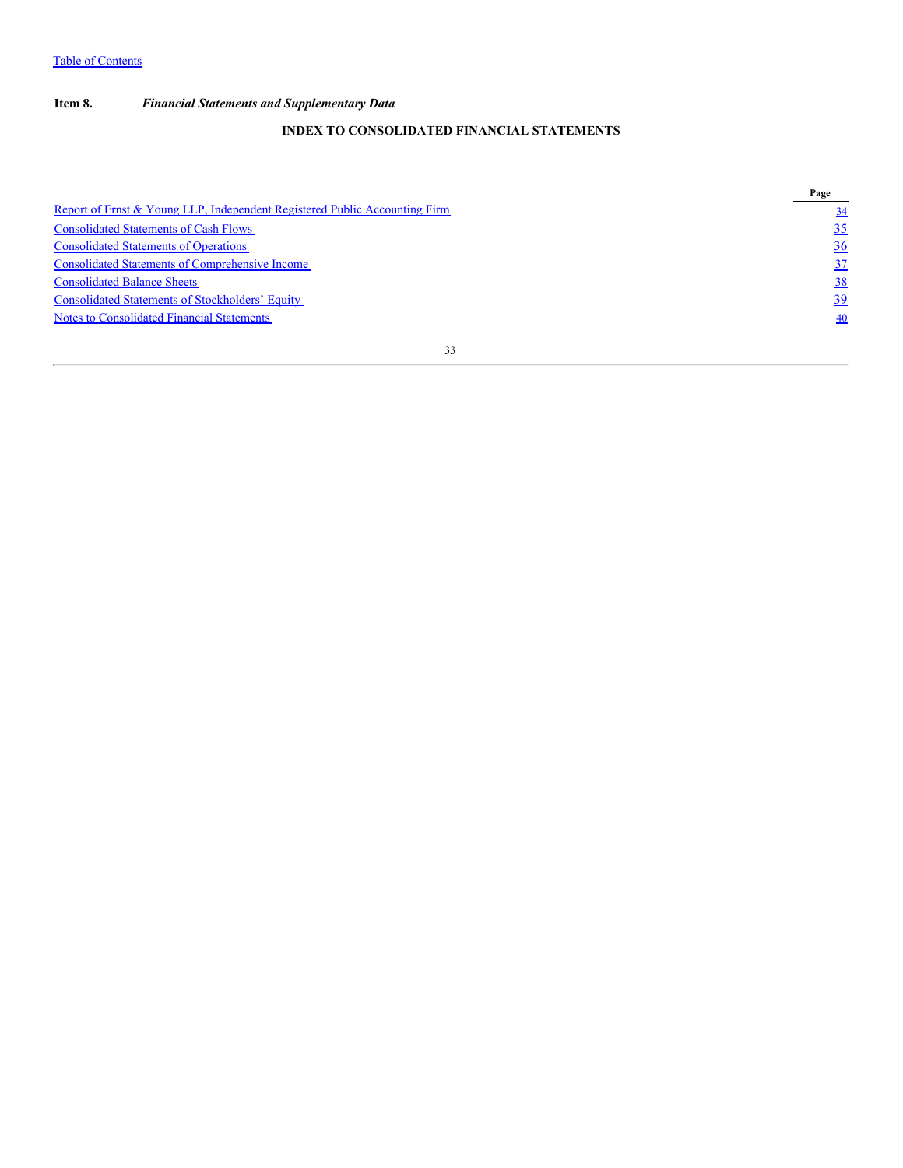# **Item 8.** *Financial Statements and Supplementary Data*

# **INDEX TO CONSOLIDATED FINANCIAL STATEMENTS**

|                                                                            | Page      |
|----------------------------------------------------------------------------|-----------|
| Report of Ernst & Young LLP, Independent Registered Public Accounting Firm | 34        |
| <b>Consolidated Statements of Cash Flows</b>                               | 35        |
| <b>Consolidated Statements of Operations</b>                               | <u>36</u> |
| <b>Consolidated Statements of Comprehensive Income</b>                     | 37        |
| <b>Consolidated Balance Sheets</b>                                         | <u>38</u> |
| <b>Consolidated Statements of Stockholders' Equity</b>                     | 39        |
| Notes to Consolidated Financial Statements                                 | 40        |
|                                                                            |           |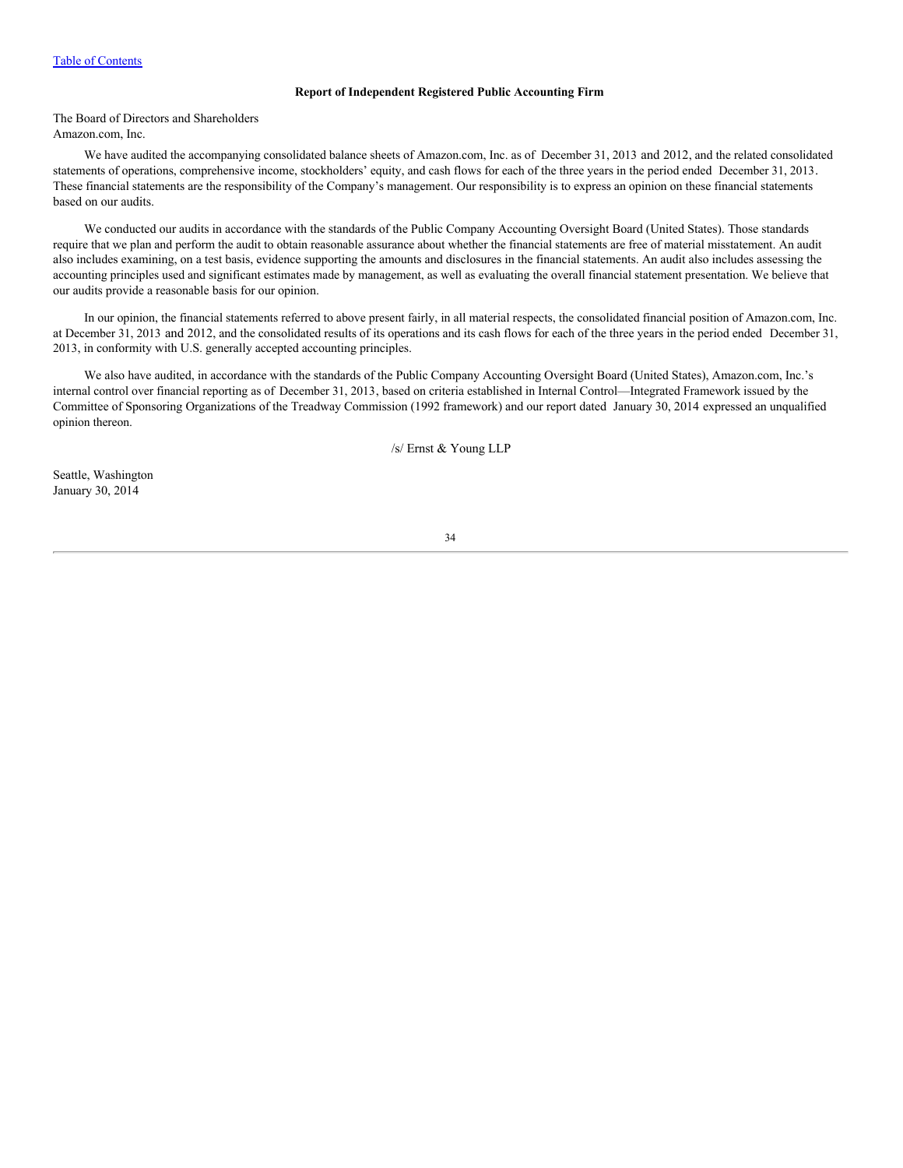#### **Report of Independent Registered Public Accounting Firm**

<span id="page-34-0"></span>The Board of Directors and Shareholders Amazon.com, Inc.

We have audited the accompanying consolidated balance sheets of Amazon.com, Inc. as of December 31, 2013 and 2012, and the related consolidated statements of operations, comprehensive income, stockholders' equity, and cash flows for each of the three years in the period ended December 31, 2013. These financial statements are the responsibility of the Company's management. Our responsibility is to express an opinion on these financial statements based on our audits.

We conducted our audits in accordance with the standards of the Public Company Accounting Oversight Board (United States). Those standards require that we plan and perform the audit to obtain reasonable assurance about whether the financial statements are free of material misstatement. An audit also includes examining, on a test basis, evidence supporting the amounts and disclosures in the financial statements. An audit also includes assessing the accounting principles used and significant estimates made by management, as well as evaluating the overall financial statement presentation. We believe that our audits provide a reasonable basis for our opinion.

In our opinion, the financial statements referred to above present fairly, in all material respects, the consolidated financial position of Amazon.com, Inc. at December 31, 2013 and 2012, and the consolidated results of its operations and its cash flows for each of the three years in the period ended December 31, 2013, in conformity with U.S. generally accepted accounting principles.

We also have audited, in accordance with the standards of the Public Company Accounting Oversight Board (United States), Amazon.com, Inc.'s internal control over financial reporting as of December 31, 2013, based on criteria established in Internal Control—Integrated Framework issued by the Committee of Sponsoring Organizations of the Treadway Commission (1992 framework) and our report dated January 30, 2014 expressed an unqualified opinion thereon.

/s/ Ernst & Young LLP

Seattle, Washington January 30, 2014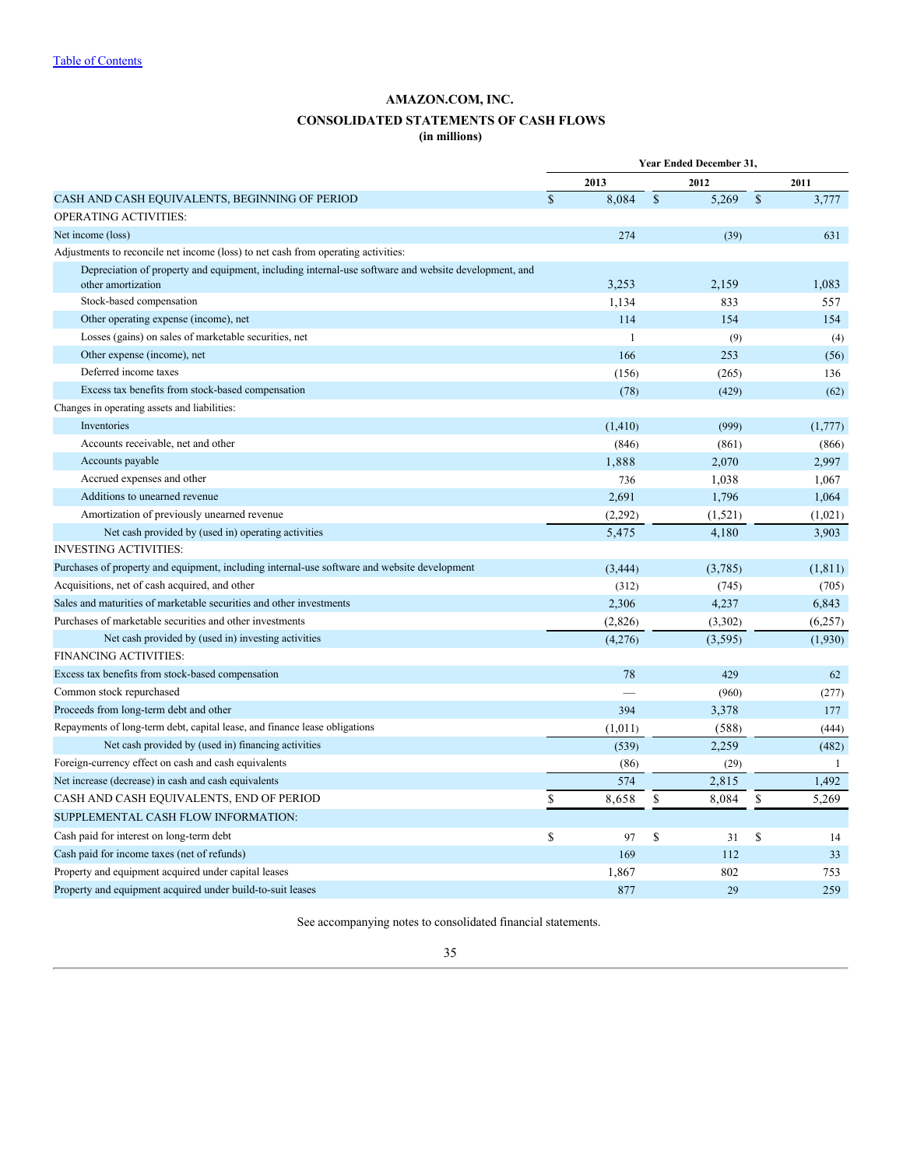# **AMAZON.COM, INC.**

# **CONSOLIDATED STATEMENTS OF CASH FLOWS**

## **(in millions)**

<span id="page-35-0"></span>

| 2013<br>2011<br>2012<br>$\mathbf S$<br>CASH AND CASH EQUIVALENTS, BEGINNING OF PERIOD<br>$\mathbf{\hat{s}}$<br>8.084<br>5,269<br>$\mathbb{S}$<br>3,777<br><b>OPERATING ACTIVITIES:</b><br>Net income (loss)<br>274<br>(39)<br>631<br>Adjustments to reconcile net income (loss) to net cash from operating activities:<br>Depreciation of property and equipment, including internal-use software and website development, and<br>3,253<br>1,083<br>other amortization<br>2,159<br>Stock-based compensation<br>1,134<br>833<br>557<br>Other operating expense (income), net<br>154<br>114<br>154<br>Losses (gains) on sales of marketable securities, net<br>(9)<br>(4)<br>1<br>Other expense (income), net<br>253<br>166<br>(56)<br>Deferred income taxes<br>(156)<br>(265)<br>136<br>Excess tax benefits from stock-based compensation<br>(78)<br>(429)<br>(62)<br>Changes in operating assets and liabilities:<br>Inventories<br>(1, 410)<br>(999)<br>(1,777)<br>Accounts receivable, net and other<br>(846)<br>(861)<br>(866)<br>Accounts payable<br>1,888<br>2,070<br>2,997 |                            |     | <b>Year Ended December 31,</b> |  |       |  |  |  |
|----------------------------------------------------------------------------------------------------------------------------------------------------------------------------------------------------------------------------------------------------------------------------------------------------------------------------------------------------------------------------------------------------------------------------------------------------------------------------------------------------------------------------------------------------------------------------------------------------------------------------------------------------------------------------------------------------------------------------------------------------------------------------------------------------------------------------------------------------------------------------------------------------------------------------------------------------------------------------------------------------------------------------------------------------------------------------------|----------------------------|-----|--------------------------------|--|-------|--|--|--|
|                                                                                                                                                                                                                                                                                                                                                                                                                                                                                                                                                                                                                                                                                                                                                                                                                                                                                                                                                                                                                                                                                  |                            |     |                                |  |       |  |  |  |
|                                                                                                                                                                                                                                                                                                                                                                                                                                                                                                                                                                                                                                                                                                                                                                                                                                                                                                                                                                                                                                                                                  |                            |     |                                |  |       |  |  |  |
|                                                                                                                                                                                                                                                                                                                                                                                                                                                                                                                                                                                                                                                                                                                                                                                                                                                                                                                                                                                                                                                                                  |                            |     |                                |  |       |  |  |  |
|                                                                                                                                                                                                                                                                                                                                                                                                                                                                                                                                                                                                                                                                                                                                                                                                                                                                                                                                                                                                                                                                                  |                            |     |                                |  |       |  |  |  |
|                                                                                                                                                                                                                                                                                                                                                                                                                                                                                                                                                                                                                                                                                                                                                                                                                                                                                                                                                                                                                                                                                  |                            |     |                                |  |       |  |  |  |
|                                                                                                                                                                                                                                                                                                                                                                                                                                                                                                                                                                                                                                                                                                                                                                                                                                                                                                                                                                                                                                                                                  |                            |     |                                |  |       |  |  |  |
|                                                                                                                                                                                                                                                                                                                                                                                                                                                                                                                                                                                                                                                                                                                                                                                                                                                                                                                                                                                                                                                                                  |                            |     |                                |  |       |  |  |  |
|                                                                                                                                                                                                                                                                                                                                                                                                                                                                                                                                                                                                                                                                                                                                                                                                                                                                                                                                                                                                                                                                                  |                            |     |                                |  |       |  |  |  |
|                                                                                                                                                                                                                                                                                                                                                                                                                                                                                                                                                                                                                                                                                                                                                                                                                                                                                                                                                                                                                                                                                  |                            |     |                                |  |       |  |  |  |
|                                                                                                                                                                                                                                                                                                                                                                                                                                                                                                                                                                                                                                                                                                                                                                                                                                                                                                                                                                                                                                                                                  |                            |     |                                |  |       |  |  |  |
|                                                                                                                                                                                                                                                                                                                                                                                                                                                                                                                                                                                                                                                                                                                                                                                                                                                                                                                                                                                                                                                                                  |                            |     |                                |  |       |  |  |  |
|                                                                                                                                                                                                                                                                                                                                                                                                                                                                                                                                                                                                                                                                                                                                                                                                                                                                                                                                                                                                                                                                                  |                            |     |                                |  |       |  |  |  |
|                                                                                                                                                                                                                                                                                                                                                                                                                                                                                                                                                                                                                                                                                                                                                                                                                                                                                                                                                                                                                                                                                  |                            |     |                                |  |       |  |  |  |
|                                                                                                                                                                                                                                                                                                                                                                                                                                                                                                                                                                                                                                                                                                                                                                                                                                                                                                                                                                                                                                                                                  |                            |     |                                |  |       |  |  |  |
|                                                                                                                                                                                                                                                                                                                                                                                                                                                                                                                                                                                                                                                                                                                                                                                                                                                                                                                                                                                                                                                                                  |                            |     |                                |  |       |  |  |  |
|                                                                                                                                                                                                                                                                                                                                                                                                                                                                                                                                                                                                                                                                                                                                                                                                                                                                                                                                                                                                                                                                                  |                            |     |                                |  |       |  |  |  |
|                                                                                                                                                                                                                                                                                                                                                                                                                                                                                                                                                                                                                                                                                                                                                                                                                                                                                                                                                                                                                                                                                  |                            |     |                                |  |       |  |  |  |
|                                                                                                                                                                                                                                                                                                                                                                                                                                                                                                                                                                                                                                                                                                                                                                                                                                                                                                                                                                                                                                                                                  | Accrued expenses and other | 736 | 1,038                          |  | 1,067 |  |  |  |
| Additions to unearned revenue<br>2,691<br>1,796<br>1,064                                                                                                                                                                                                                                                                                                                                                                                                                                                                                                                                                                                                                                                                                                                                                                                                                                                                                                                                                                                                                         |                            |     |                                |  |       |  |  |  |
| Amortization of previously unearned revenue<br>(2,292)<br>(1,521)<br>(1,021)                                                                                                                                                                                                                                                                                                                                                                                                                                                                                                                                                                                                                                                                                                                                                                                                                                                                                                                                                                                                     |                            |     |                                |  |       |  |  |  |
| Net cash provided by (used in) operating activities<br>5,475<br>4,180<br>3,903                                                                                                                                                                                                                                                                                                                                                                                                                                                                                                                                                                                                                                                                                                                                                                                                                                                                                                                                                                                                   |                            |     |                                |  |       |  |  |  |
| <b>INVESTING ACTIVITIES:</b>                                                                                                                                                                                                                                                                                                                                                                                                                                                                                                                                                                                                                                                                                                                                                                                                                                                                                                                                                                                                                                                     |                            |     |                                |  |       |  |  |  |
| Purchases of property and equipment, including internal-use software and website development<br>(1,811)<br>(3, 444)<br>(3,785)                                                                                                                                                                                                                                                                                                                                                                                                                                                                                                                                                                                                                                                                                                                                                                                                                                                                                                                                                   |                            |     |                                |  |       |  |  |  |
| Acquisitions, net of cash acquired, and other<br>(705)<br>(312)<br>(745)                                                                                                                                                                                                                                                                                                                                                                                                                                                                                                                                                                                                                                                                                                                                                                                                                                                                                                                                                                                                         |                            |     |                                |  |       |  |  |  |
| Sales and maturities of marketable securities and other investments<br>2,306<br>4,237<br>6,843                                                                                                                                                                                                                                                                                                                                                                                                                                                                                                                                                                                                                                                                                                                                                                                                                                                                                                                                                                                   |                            |     |                                |  |       |  |  |  |
| Purchases of marketable securities and other investments<br>(2,826)<br>(3,302)<br>(6,257)                                                                                                                                                                                                                                                                                                                                                                                                                                                                                                                                                                                                                                                                                                                                                                                                                                                                                                                                                                                        |                            |     |                                |  |       |  |  |  |
| Net cash provided by (used in) investing activities<br>(4,276)<br>(3,595)<br>(1,930)                                                                                                                                                                                                                                                                                                                                                                                                                                                                                                                                                                                                                                                                                                                                                                                                                                                                                                                                                                                             |                            |     |                                |  |       |  |  |  |
| <b>FINANCING ACTIVITIES:</b>                                                                                                                                                                                                                                                                                                                                                                                                                                                                                                                                                                                                                                                                                                                                                                                                                                                                                                                                                                                                                                                     |                            |     |                                |  |       |  |  |  |
| Excess tax benefits from stock-based compensation<br>78<br>429<br>62                                                                                                                                                                                                                                                                                                                                                                                                                                                                                                                                                                                                                                                                                                                                                                                                                                                                                                                                                                                                             |                            |     |                                |  |       |  |  |  |
| Common stock repurchased<br>(960)<br>(277)                                                                                                                                                                                                                                                                                                                                                                                                                                                                                                                                                                                                                                                                                                                                                                                                                                                                                                                                                                                                                                       |                            |     |                                |  |       |  |  |  |
| Proceeds from long-term debt and other<br>3,378<br>394<br>177                                                                                                                                                                                                                                                                                                                                                                                                                                                                                                                                                                                                                                                                                                                                                                                                                                                                                                                                                                                                                    |                            |     |                                |  |       |  |  |  |
| Repayments of long-term debt, capital lease, and finance lease obligations<br>(1,011)<br>(588)<br>(444)                                                                                                                                                                                                                                                                                                                                                                                                                                                                                                                                                                                                                                                                                                                                                                                                                                                                                                                                                                          |                            |     |                                |  |       |  |  |  |
| 2,259<br>Net cash provided by (used in) financing activities<br>(539)<br>(482)                                                                                                                                                                                                                                                                                                                                                                                                                                                                                                                                                                                                                                                                                                                                                                                                                                                                                                                                                                                                   |                            |     |                                |  |       |  |  |  |
| Foreign-currency effect on cash and cash equivalents<br>(86)<br>(29)<br>1                                                                                                                                                                                                                                                                                                                                                                                                                                                                                                                                                                                                                                                                                                                                                                                                                                                                                                                                                                                                        |                            |     |                                |  |       |  |  |  |
| 574<br>2,815<br>Net increase (decrease) in cash and cash equivalents<br>1,492                                                                                                                                                                                                                                                                                                                                                                                                                                                                                                                                                                                                                                                                                                                                                                                                                                                                                                                                                                                                    |                            |     |                                |  |       |  |  |  |
| $\mathbf{\hat{s}}$<br>\$<br>CASH AND CASH EQUIVALENTS, END OF PERIOD<br>\$.<br>8.658<br>8,084<br>5,269                                                                                                                                                                                                                                                                                                                                                                                                                                                                                                                                                                                                                                                                                                                                                                                                                                                                                                                                                                           |                            |     |                                |  |       |  |  |  |
| SUPPLEMENTAL CASH FLOW INFORMATION:                                                                                                                                                                                                                                                                                                                                                                                                                                                                                                                                                                                                                                                                                                                                                                                                                                                                                                                                                                                                                                              |                            |     |                                |  |       |  |  |  |
| Cash paid for interest on long-term debt<br>\$<br>\$<br>\$<br>97<br>31<br>14                                                                                                                                                                                                                                                                                                                                                                                                                                                                                                                                                                                                                                                                                                                                                                                                                                                                                                                                                                                                     |                            |     |                                |  |       |  |  |  |
| Cash paid for income taxes (net of refunds)<br>112<br>169<br>33                                                                                                                                                                                                                                                                                                                                                                                                                                                                                                                                                                                                                                                                                                                                                                                                                                                                                                                                                                                                                  |                            |     |                                |  |       |  |  |  |
| Property and equipment acquired under capital leases<br>1,867<br>802<br>753                                                                                                                                                                                                                                                                                                                                                                                                                                                                                                                                                                                                                                                                                                                                                                                                                                                                                                                                                                                                      |                            |     |                                |  |       |  |  |  |
| Property and equipment acquired under build-to-suit leases<br>877<br>259<br>29                                                                                                                                                                                                                                                                                                                                                                                                                                                                                                                                                                                                                                                                                                                                                                                                                                                                                                                                                                                                   |                            |     |                                |  |       |  |  |  |

See accompanying notes to consolidated financial statements.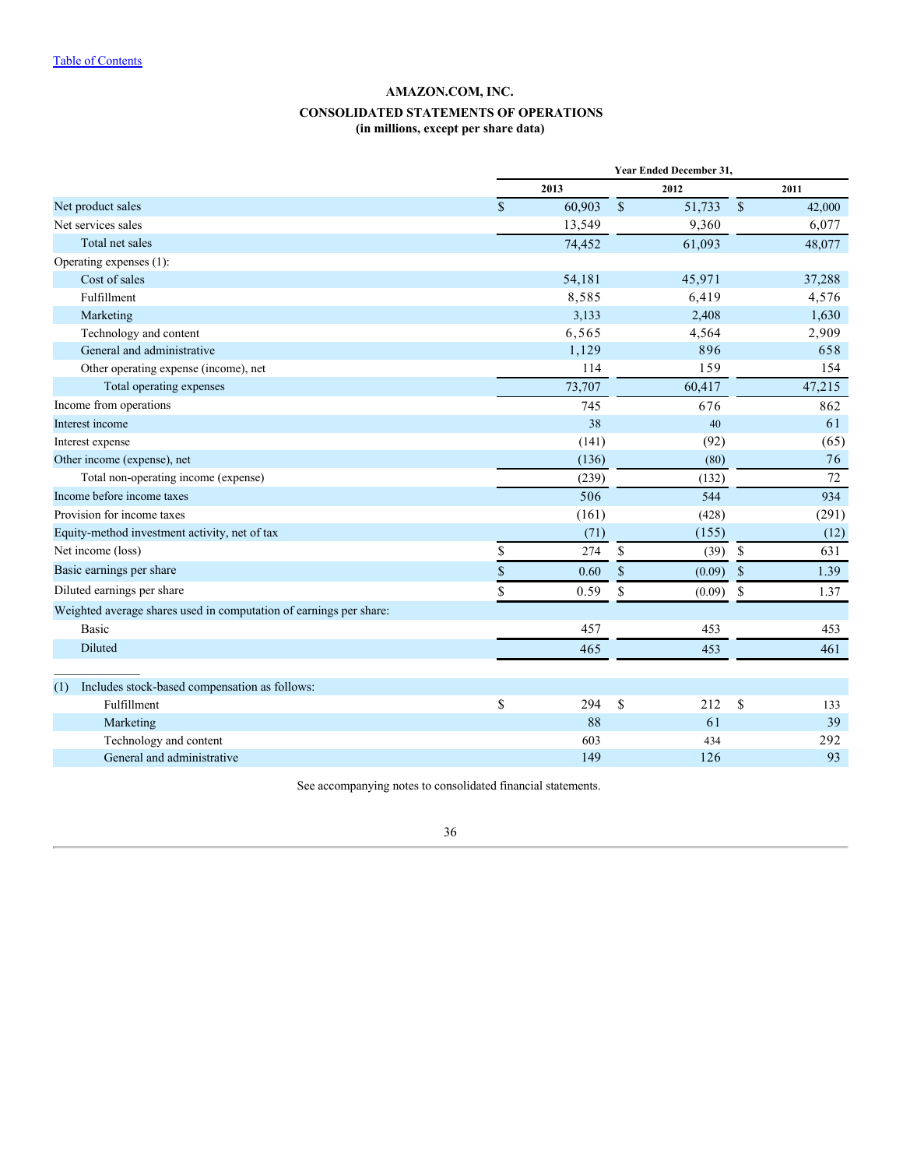# **AMAZON.COM, INC. CONSOLIDATED STATEMENTS OF OPERATIONS (in millions, except per share data)**

|                                                                    | <b>Year Ended December 31,</b> |        |                           |        |                           |        |
|--------------------------------------------------------------------|--------------------------------|--------|---------------------------|--------|---------------------------|--------|
|                                                                    |                                | 2013   |                           | 2012   |                           | 2011   |
| Net product sales                                                  | $\boldsymbol{\mathsf{S}}$      | 60,903 | $\boldsymbol{\mathsf{S}}$ | 51,733 | $\boldsymbol{\mathsf{S}}$ | 42,000 |
| Net services sales                                                 |                                | 13,549 |                           | 9,360  |                           | 6,077  |
| Total net sales                                                    |                                | 74,452 |                           | 61,093 |                           | 48,077 |
| Operating expenses (1):                                            |                                |        |                           |        |                           |        |
| Cost of sales                                                      |                                | 54,181 |                           | 45,971 |                           | 37,288 |
| Fulfillment                                                        |                                | 8,585  |                           | 6,419  |                           | 4,576  |
| Marketing                                                          |                                | 3,133  |                           | 2,408  |                           | 1,630  |
| Technology and content                                             |                                | 6,565  |                           | 4,564  |                           | 2,909  |
| General and administrative                                         |                                | 1,129  |                           | 896    |                           | 658    |
| Other operating expense (income), net                              |                                | 114    |                           | 159    |                           | 154    |
| Total operating expenses                                           |                                | 73,707 |                           | 60,417 |                           | 47,215 |
| Income from operations                                             |                                | 745    |                           | 676    |                           | 862    |
| Interest income                                                    |                                | 38     |                           | 40     |                           | 61     |
| Interest expense                                                   |                                | (141)  |                           | (92)   |                           | (65)   |
| Other income (expense), net                                        |                                | (136)  |                           | (80)   |                           | 76     |
| Total non-operating income (expense)                               |                                | (239)  |                           | (132)  |                           | 72     |
| Income before income taxes                                         |                                | 506    |                           | 544    |                           | 934    |
| Provision for income taxes                                         |                                | (161)  |                           | (428)  |                           | (291)  |
| Equity-method investment activity, net of tax                      |                                | (71)   |                           | (155)  |                           | (12)   |
| Net income (loss)                                                  | \$                             | 274    | \$                        | (39)   | \$                        | 631    |
| Basic earnings per share                                           | \$                             | 0.60   | \$                        | (0.09) | $\mathbf{s}$              | 1.39   |
| Diluted earnings per share                                         | \$                             | 0.59   | \$                        | (0.09) | \$                        | 1.37   |
| Weighted average shares used in computation of earnings per share: |                                |        |                           |        |                           |        |
| <b>Basic</b>                                                       |                                | 457    |                           | 453    |                           | 453    |
| Diluted                                                            |                                | 465    |                           | 453    |                           | 461    |
|                                                                    |                                |        |                           |        |                           |        |
| Includes stock-based compensation as follows:<br>(1)               |                                |        |                           |        |                           |        |
| Fulfillment                                                        | \$                             | 294    | \$                        | 212    | \$                        | 133    |
| Marketing                                                          |                                | 88     |                           | 61     |                           | 39     |
| Technology and content                                             |                                | 603    |                           | 434    |                           | 292    |
| General and administrative                                         |                                | 149    |                           | 126    |                           | 93     |

See accompanying notes to consolidated financial statements.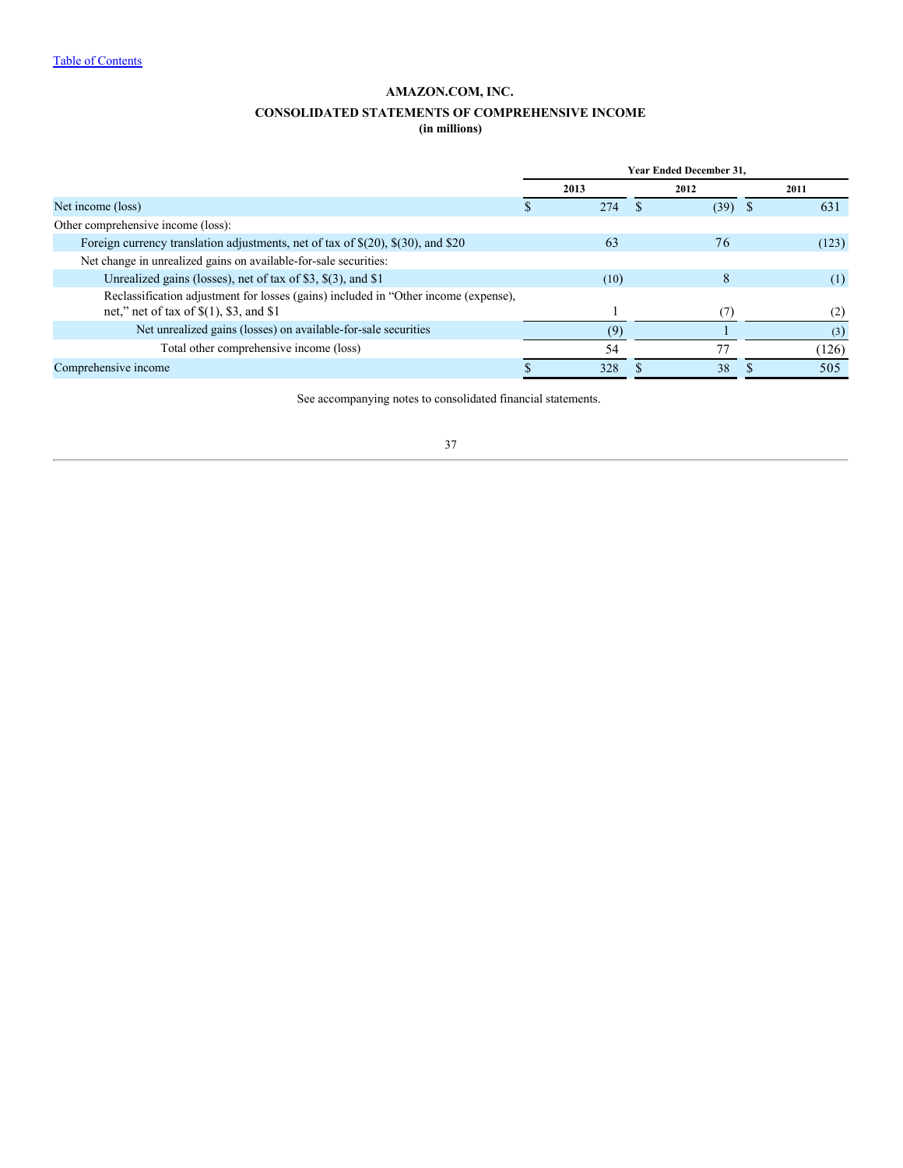## **AMAZON.COM, INC.**

# **CONSOLIDATED STATEMENTS OF COMPREHENSIVE INCOME**

**(in millions)**

|                                                                                                                                   | Year Ended December 31, |      |             |  |       |  |
|-----------------------------------------------------------------------------------------------------------------------------------|-------------------------|------|-------------|--|-------|--|
|                                                                                                                                   |                         | 2013 | 2012        |  | 2011  |  |
| Net income (loss)                                                                                                                 |                         | 274  | (39)        |  | 631   |  |
| Other comprehensive income (loss):                                                                                                |                         |      |             |  |       |  |
| Foreign currency translation adjustments, net of tax of $\S(20)$ , $\S(30)$ , and $\S20$                                          |                         | 63   | 76          |  | (123) |  |
| Net change in unrealized gains on available-for-sale securities:                                                                  |                         |      |             |  |       |  |
| Unrealized gains (losses), net of tax of \$3, $\$(3)$ , and \$1                                                                   |                         | (10) | 8           |  | (1)   |  |
| Reclassification adjustment for losses (gains) included in "Other income (expense),<br>net," net of tax of $\S(1)$ , \$3, and \$1 |                         |      |             |  | (2)   |  |
| Net unrealized gains (losses) on available-for-sale securities                                                                    |                         | (9   |             |  | (3)   |  |
| Total other comprehensive income (loss)                                                                                           |                         | 54   | $7^{\circ}$ |  | (126) |  |
| Comprehensive income                                                                                                              |                         | 328  | 38          |  | 505   |  |

See accompanying notes to consolidated financial statements.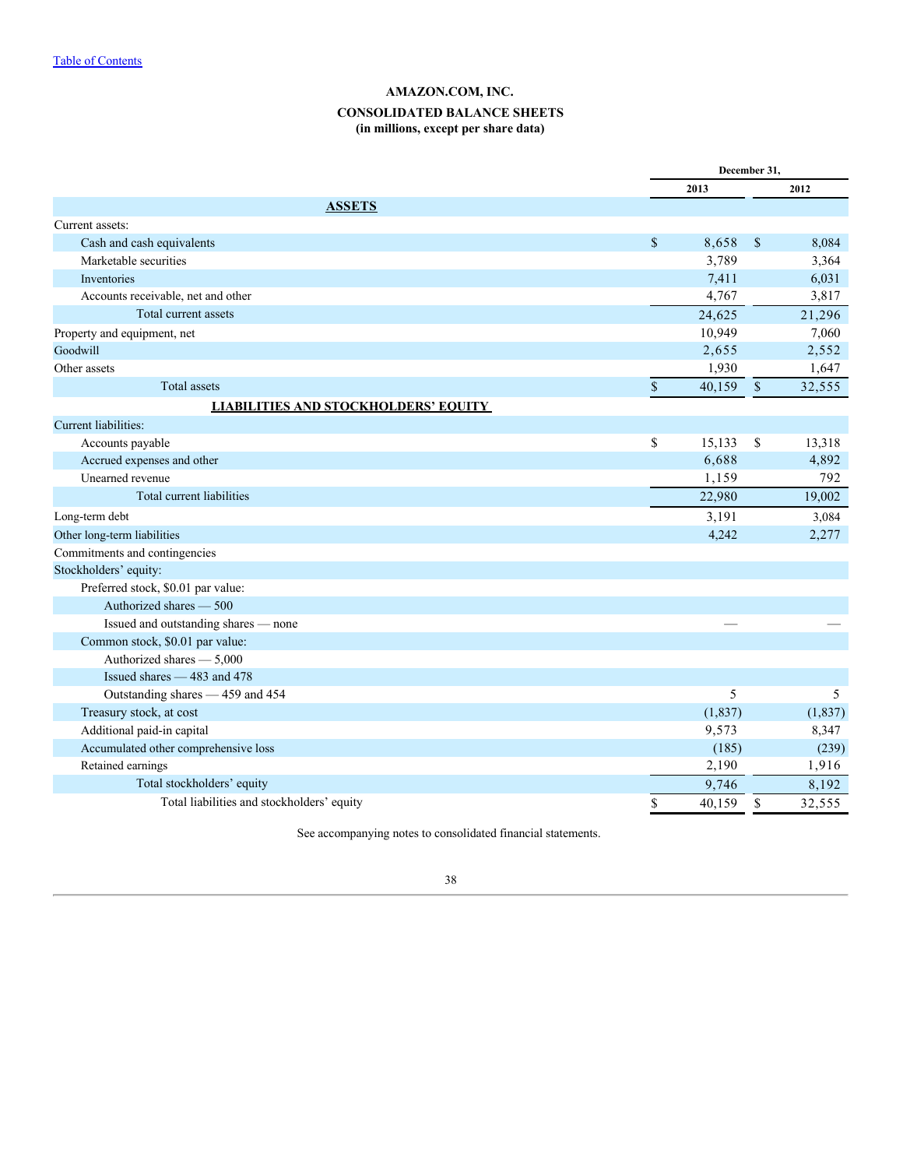# **AMAZON.COM, INC.**

### **CONSOLIDATED BALANCE SHEETS (in millions, except per share data)**

|                                             |              | December 31, |              |          |
|---------------------------------------------|--------------|--------------|--------------|----------|
|                                             |              | 2013         |              | 2012     |
| <b>ASSETS</b>                               |              |              |              |          |
| Current assets:                             |              |              |              |          |
| Cash and cash equivalents                   | $\mathbb{S}$ | 8,658        | $\mathbb{S}$ | 8,084    |
| Marketable securities                       |              | 3,789        |              | 3,364    |
| Inventories                                 |              | 7,411        |              | 6,031    |
| Accounts receivable, net and other          |              | 4,767        |              | 3,817    |
| Total current assets                        |              | 24,625       |              | 21,296   |
| Property and equipment, net                 |              | 10,949       |              | 7,060    |
| Goodwill                                    |              | 2,655        |              | 2,552    |
| Other assets                                |              | 1,930        |              | 1,647    |
| <b>Total</b> assets                         | $\mathbb{S}$ | 40,159       | $\mathbb S$  | 32,555   |
| <b>LIABILITIES AND STOCKHOLDERS' EQUITY</b> |              |              |              |          |
| Current liabilities:                        |              |              |              |          |
| Accounts payable                            | \$           | 15,133       | \$           | 13,318   |
| Accrued expenses and other                  |              | 6,688        |              | 4,892    |
| Unearned revenue                            |              | 1,159        |              | 792      |
| Total current liabilities                   |              | 22,980       |              | 19,002   |
| Long-term debt                              |              | 3,191        |              | 3,084    |
| Other long-term liabilities                 |              | 4,242        |              | 2,277    |
| Commitments and contingencies               |              |              |              |          |
| Stockholders' equity:                       |              |              |              |          |
| Preferred stock, \$0.01 par value:          |              |              |              |          |
| Authorized shares - 500                     |              |              |              |          |
| Issued and outstanding shares - none        |              |              |              |          |
| Common stock, \$0.01 par value:             |              |              |              |          |
| Authorized shares - 5,000                   |              |              |              |          |
| Issued shares $-483$ and 478                |              |              |              |          |
| Outstanding shares - 459 and 454            |              | 5            |              | 5        |
| Treasury stock, at cost                     |              | (1,837)      |              | (1, 837) |
| Additional paid-in capital                  |              | 9,573        |              | 8,347    |
| Accumulated other comprehensive loss        |              | (185)        |              | (239)    |
| Retained earnings                           |              | 2,190        |              | 1,916    |
| Total stockholders' equity                  |              | 9,746        |              | 8,192    |
| Total liabilities and stockholders' equity  | \$           | 40,159       | \$           | 32,555   |

See accompanying notes to consolidated financial statements.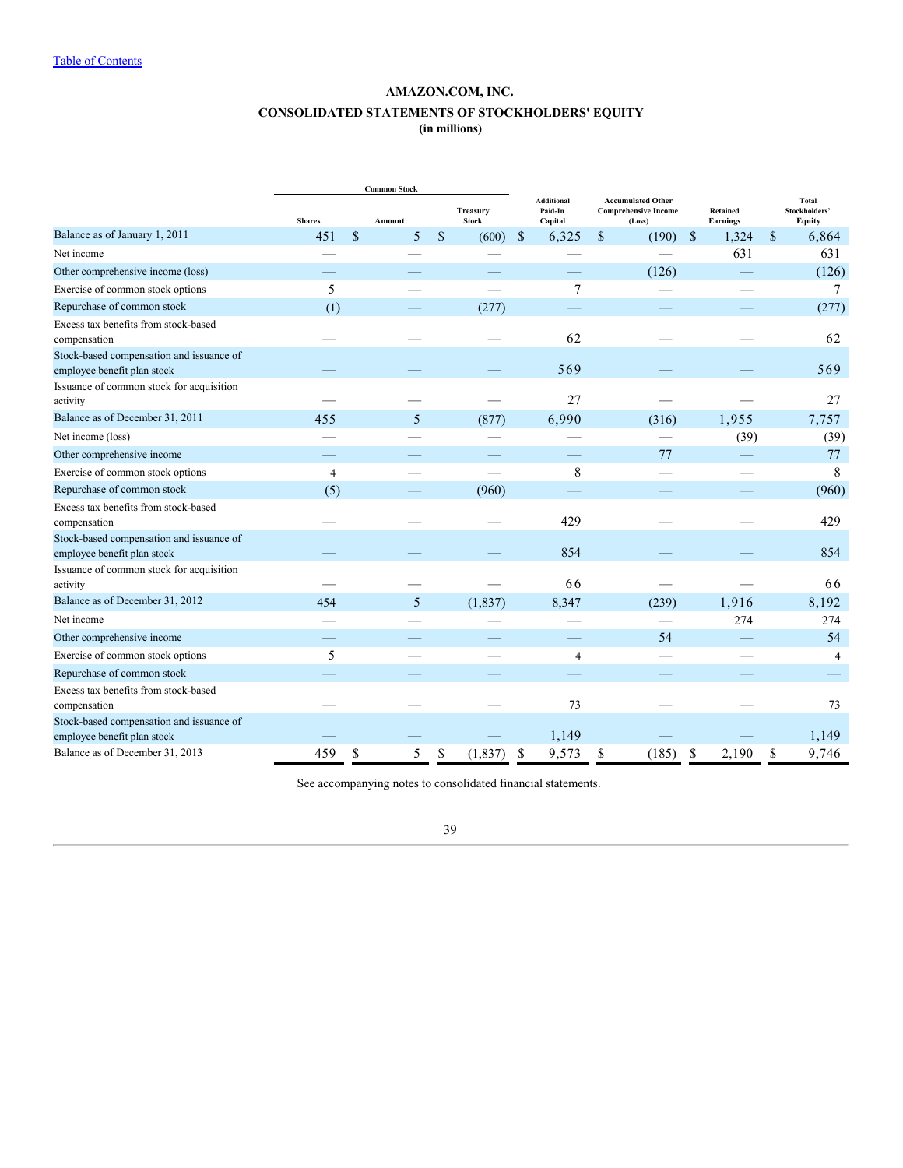# **AMAZON.COM, INC.**

# **CONSOLIDATED STATEMENTS OF STOCKHOLDERS' EQUITY**

**(in millions)**

|                                                                         |                | <b>Common Stock</b> |              |                   |               |                                         |              |                                                                   |      |                             |              |                                  |
|-------------------------------------------------------------------------|----------------|---------------------|--------------|-------------------|---------------|-----------------------------------------|--------------|-------------------------------------------------------------------|------|-----------------------------|--------------|----------------------------------|
|                                                                         | <b>Shares</b>  | Amount              |              | Treasury<br>Stock |               | <b>Additional</b><br>Paid-In<br>Capital |              | <b>Accumulated Other</b><br><b>Comprehensive Income</b><br>(Loss) |      | <b>Retained</b><br>Earnings |              | Total<br>Stockholders'<br>Equity |
| Balance as of January 1, 2011                                           | 451            | \$<br>5             | $\mathbb{S}$ | (600)             | $\mathbb{S}$  | 6,325                                   | $\mathbb{S}$ | (190)                                                             | $\$$ | 1,324                       | $\mathbb{S}$ | 6,864                            |
| Net income                                                              |                |                     |              |                   |               |                                         |              |                                                                   |      | 631                         |              | 631                              |
| Other comprehensive income (loss)                                       |                |                     |              |                   |               |                                         |              | (126)                                                             |      |                             |              | (126)                            |
| Exercise of common stock options                                        | 5              |                     |              |                   |               | 7                                       |              |                                                                   |      |                             |              | 7                                |
| Repurchase of common stock                                              | (1)            |                     |              | (277)             |               |                                         |              |                                                                   |      |                             |              | (277)                            |
| Excess tax benefits from stock-based<br>compensation                    |                |                     |              |                   |               | 62                                      |              |                                                                   |      |                             |              | 62                               |
| Stock-based compensation and issuance of<br>employee benefit plan stock |                |                     |              |                   |               | 569                                     |              |                                                                   |      |                             |              | 569                              |
| Issuance of common stock for acquisition<br>activity                    |                |                     |              |                   |               | 27                                      |              |                                                                   |      |                             |              | 27                               |
| Balance as of December 31, 2011                                         | 455            | 5                   |              | (877)             |               | 6,990                                   |              | (316)                                                             |      | 1,955                       |              | 7,757                            |
| Net income (loss)                                                       |                |                     |              |                   |               |                                         |              |                                                                   |      | (39)                        |              | (39)                             |
| Other comprehensive income                                              |                |                     |              |                   |               |                                         |              | 77                                                                |      |                             |              | 77                               |
| Exercise of common stock options                                        | $\overline{4}$ |                     |              |                   |               | 8                                       |              |                                                                   |      |                             |              | 8                                |
| Repurchase of common stock                                              | (5)            |                     |              | (960)             |               |                                         |              |                                                                   |      |                             |              | (960)                            |
| Excess tax benefits from stock-based<br>compensation                    |                |                     |              |                   |               | 429                                     |              |                                                                   |      |                             |              | 429                              |
| Stock-based compensation and issuance of<br>employee benefit plan stock |                |                     |              |                   |               | 854                                     |              |                                                                   |      |                             |              | 854                              |
| Issuance of common stock for acquisition<br>activity                    |                |                     |              |                   |               | 66                                      |              |                                                                   |      |                             |              | 66                               |
| Balance as of December 31, 2012                                         | 454            | 5                   |              | (1, 837)          |               | 8,347                                   |              | (239)                                                             |      | 1,916                       |              | 8,192                            |
| Net income                                                              |                |                     |              |                   |               |                                         |              | $\sim$                                                            |      | 274                         |              | 274                              |
| Other comprehensive income                                              |                |                     |              |                   |               |                                         |              | 54                                                                |      |                             |              | 54                               |
| Exercise of common stock options                                        | 5              |                     |              |                   |               | $\overline{4}$                          |              |                                                                   |      |                             |              | 4                                |
| Repurchase of common stock                                              |                |                     |              |                   |               |                                         |              |                                                                   |      |                             |              |                                  |
| Excess tax benefits from stock-based<br>compensation                    |                |                     |              |                   |               | 73                                      |              |                                                                   |      |                             |              | 73                               |
| Stock-based compensation and issuance of<br>employee benefit plan stock |                |                     |              |                   |               | 1,149                                   |              |                                                                   |      |                             |              | 1,149                            |
| Balance as of December 31, 2013                                         | 459            | \$<br>5             | \$           | (1,837)           | <sup>\$</sup> | 9,573                                   | \$           | (185)                                                             | \$   | 2.190                       | \$           | 9,746                            |

See accompanying notes to consolidated financial statements.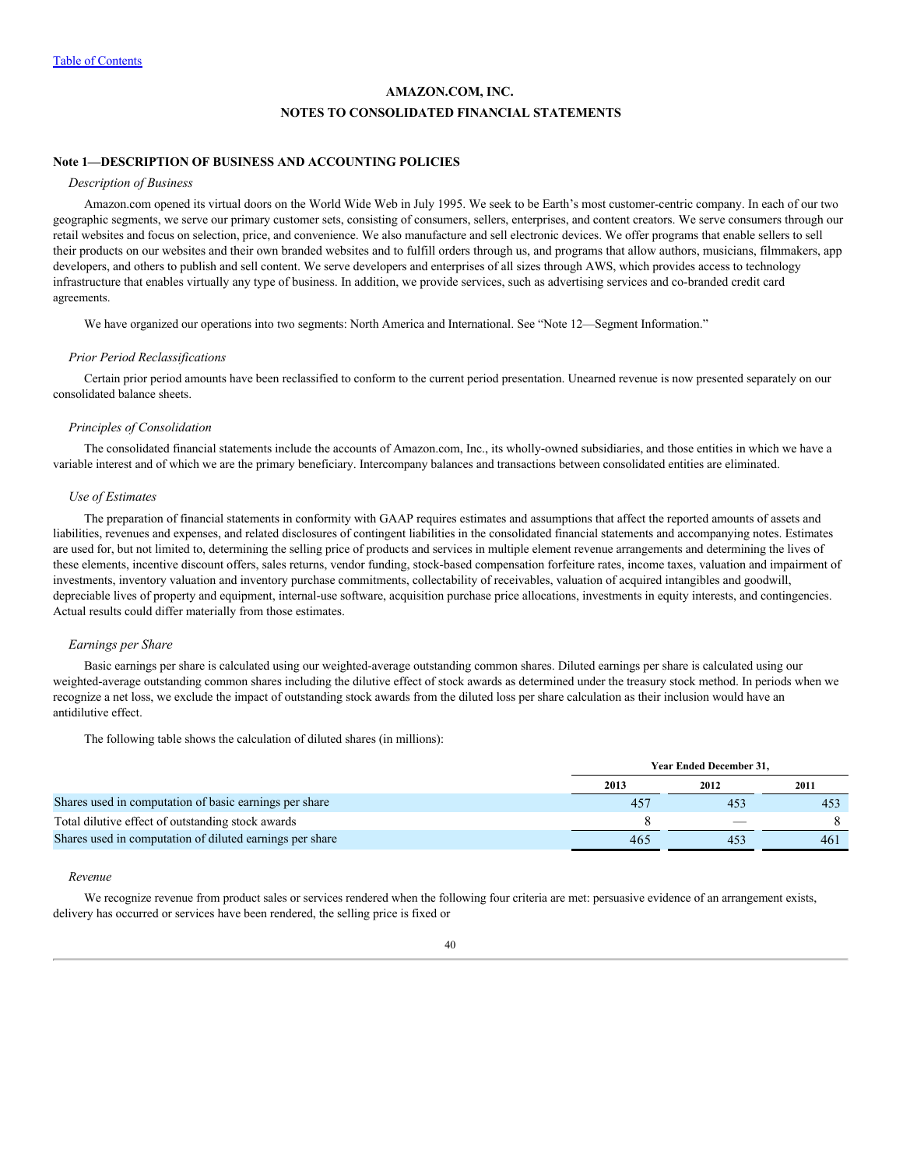# **AMAZON.COM, INC. NOTES TO CONSOLIDATED FINANCIAL STATEMENTS**

### **Note 1—DESCRIPTION OF BUSINESS AND ACCOUNTING POLICIES**

#### *Description of Business*

Amazon.com opened its virtual doors on the World Wide Web in July 1995. We seek to be Earth's most customer-centric company. In each of our two geographic segments, we serve our primary customer sets, consisting of consumers, sellers, enterprises, and content creators. We serve consumers through our retail websites and focus on selection, price, and convenience. We also manufacture and sell electronic devices. We offer programs that enable sellers to sell their products on our websites and their own branded websites and to fulfill orders through us, and programs that allow authors, musicians, filmmakers, app developers, and others to publish and sell content. We serve developers and enterprises of all sizes through AWS, which provides access to technology infrastructure that enables virtually any type of business. In addition, we provide services, such as advertising services and co-branded credit card agreements.

We have organized our operations into two segments: North America and International. See "Note 12—Segment Information."

#### *Prior Period Reclassifications*

Certain prior period amounts have been reclassified to conform to the current period presentation. Unearned revenue is now presented separately on our consolidated balance sheets.

### *Principles of Consolidation*

The consolidated financial statements include the accounts of Amazon.com, Inc., its wholly-owned subsidiaries, and those entities in which we have a variable interest and of which we are the primary beneficiary. Intercompany balances and transactions between consolidated entities are eliminated.

#### *Use of Estimates*

The preparation of financial statements in conformity with GAAP requires estimates and assumptions that affect the reported amounts of assets and liabilities, revenues and expenses, and related disclosures of contingent liabilities in the consolidated financial statements and accompanying notes. Estimates are used for, but not limited to, determining the selling price of products and services in multiple element revenue arrangements and determining the lives of these elements, incentive discount offers, sales returns, vendor funding, stock-based compensation forfeiture rates, income taxes, valuation and impairment of investments, inventory valuation and inventory purchase commitments, collectability of receivables, valuation of acquired intangibles and goodwill, depreciable lives of property and equipment, internal-use software, acquisition purchase price allocations, investments in equity interests, and contingencies. Actual results could differ materially from those estimates.

#### *Earnings per Share*

Basic earnings per share is calculated using our weighted-average outstanding common shares. Diluted earnings per share is calculated using our weighted-average outstanding common shares including the dilutive effect of stock awards as determined under the treasury stock method. In periods when we recognize a net loss, we exclude the impact of outstanding stock awards from the diluted loss per share calculation as their inclusion would have an antidilutive effect.

The following table shows the calculation of diluted shares (in millions):

|                                                          | Year Ended December 31, |      |                 |  |  |  |
|----------------------------------------------------------|-------------------------|------|-----------------|--|--|--|
|                                                          | 2013                    | 2012 | 2011            |  |  |  |
| Shares used in computation of basic earnings per share   | 457                     | 453  | 45.3            |  |  |  |
| Total dilutive effect of outstanding stock awards        |                         |      |                 |  |  |  |
| Shares used in computation of diluted earnings per share | 465                     | 453  | 46 <sub>1</sub> |  |  |  |

#### *Revenue*

We recognize revenue from product sales or services rendered when the following four criteria are met: persuasive evidence of an arrangement exists, delivery has occurred or services have been rendered, the selling price is fixed or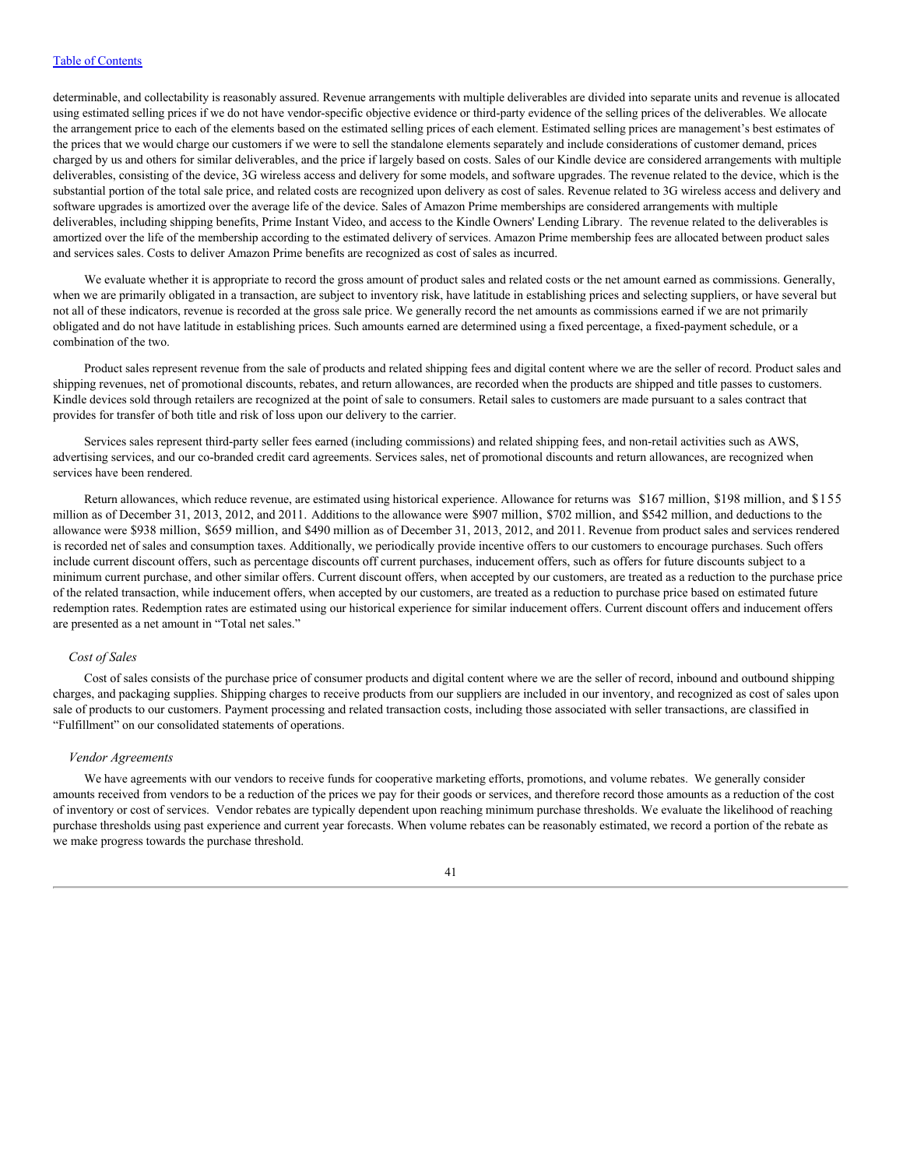determinable, and collectability is reasonably assured. Revenue arrangements with multiple deliverables are divided into separate units and revenue is allocated using estimated selling prices if we do not have vendor-specific objective evidence or third-party evidence of the selling prices of the deliverables. We allocate the arrangement price to each of the elements based on the estimated selling prices of each element. Estimated selling prices are management's best estimates of the prices that we would charge our customers if we were to sell the standalone elements separately and include considerations of customer demand, prices charged by us and others for similar deliverables, and the price if largely based on costs. Sales of our Kindle device are considered arrangements with multiple deliverables, consisting of the device, 3G wireless access and delivery for some models, and software upgrades. The revenue related to the device, which is the substantial portion of the total sale price, and related costs are recognized upon delivery as cost of sales. Revenue related to 3G wireless access and delivery and software upgrades is amortized over the average life of the device. Sales of Amazon Prime memberships are considered arrangements with multiple deliverables, including shipping benefits, Prime Instant Video, and access to the Kindle Owners' Lending Library. The revenue related to the deliverables is amortized over the life of the membership according to the estimated delivery of services. Amazon Prime membership fees are allocated between product sales and services sales. Costs to deliver Amazon Prime benefits are recognized as cost of sales as incurred.

We evaluate whether it is appropriate to record the gross amount of product sales and related costs or the net amount earned as commissions. Generally, when we are primarily obligated in a transaction, are subject to inventory risk, have latitude in establishing prices and selecting suppliers, or have several but not all of these indicators, revenue is recorded at the gross sale price. We generally record the net amounts as commissions earned if we are not primarily obligated and do not have latitude in establishing prices. Such amounts earned are determined using a fixed percentage, a fixed-payment schedule, or a combination of the two.

Product sales represent revenue from the sale of products and related shipping fees and digital content where we are the seller of record. Product sales and shipping revenues, net of promotional discounts, rebates, and return allowances, are recorded when the products are shipped and title passes to customers. Kindle devices sold through retailers are recognized at the point of sale to consumers. Retail sales to customers are made pursuant to a sales contract that provides for transfer of both title and risk of loss upon our delivery to the carrier.

Services sales represent third-party seller fees earned (including commissions) and related shipping fees, and non-retail activities such as AWS, advertising services, and our co-branded credit card agreements. Services sales, net of promotional discounts and return allowances, are recognized when services have been rendered.

Return allowances, which reduce revenue, are estimated using historical experience. Allowance for returns was \$167 million, \$198 million, and \$155 million as of December 31, 2013, 2012, and 2011. Additions to the allowance were \$907 million, \$702 million, and \$542 million, and deductions to the allowance were \$938 million, \$659 million, and \$490 million as of December 31, 2013, 2012, and 2011. Revenue from product sales and services rendered is recorded net of sales and consumption taxes. Additionally, we periodically provide incentive offers to our customers to encourage purchases. Such offers include current discount offers, such as percentage discounts off current purchases, inducement offers, such as offers for future discounts subject to a minimum current purchase, and other similar offers. Current discount offers, when accepted by our customers, are treated as a reduction to the purchase price of the related transaction, while inducement offers, when accepted by our customers, are treated as a reduction to purchase price based on estimated future redemption rates. Redemption rates are estimated using our historical experience for similar inducement offers. Current discount offers and inducement offers are presented as a net amount in "Total net sales."

### *Cost of Sales*

Cost of sales consists of the purchase price of consumer products and digital content where we are the seller of record, inbound and outbound shipping charges, and packaging supplies. Shipping charges to receive products from our suppliers are included in our inventory, and recognized as cost of sales upon sale of products to our customers. Payment processing and related transaction costs, including those associated with seller transactions, are classified in "Fulfillment" on our consolidated statements of operations.

#### *Vendor Agreements*

We have agreements with our vendors to receive funds for cooperative marketing efforts, promotions, and volume rebates. We generally consider amounts received from vendors to be a reduction of the prices we pay for their goods or services, and therefore record those amounts as a reduction of the cost of inventory or cost of services. Vendor rebates are typically dependent upon reaching minimum purchase thresholds. We evaluate the likelihood of reaching purchase thresholds using past experience and current year forecasts. When volume rebates can be reasonably estimated, we record a portion of the rebate as we make progress towards the purchase threshold.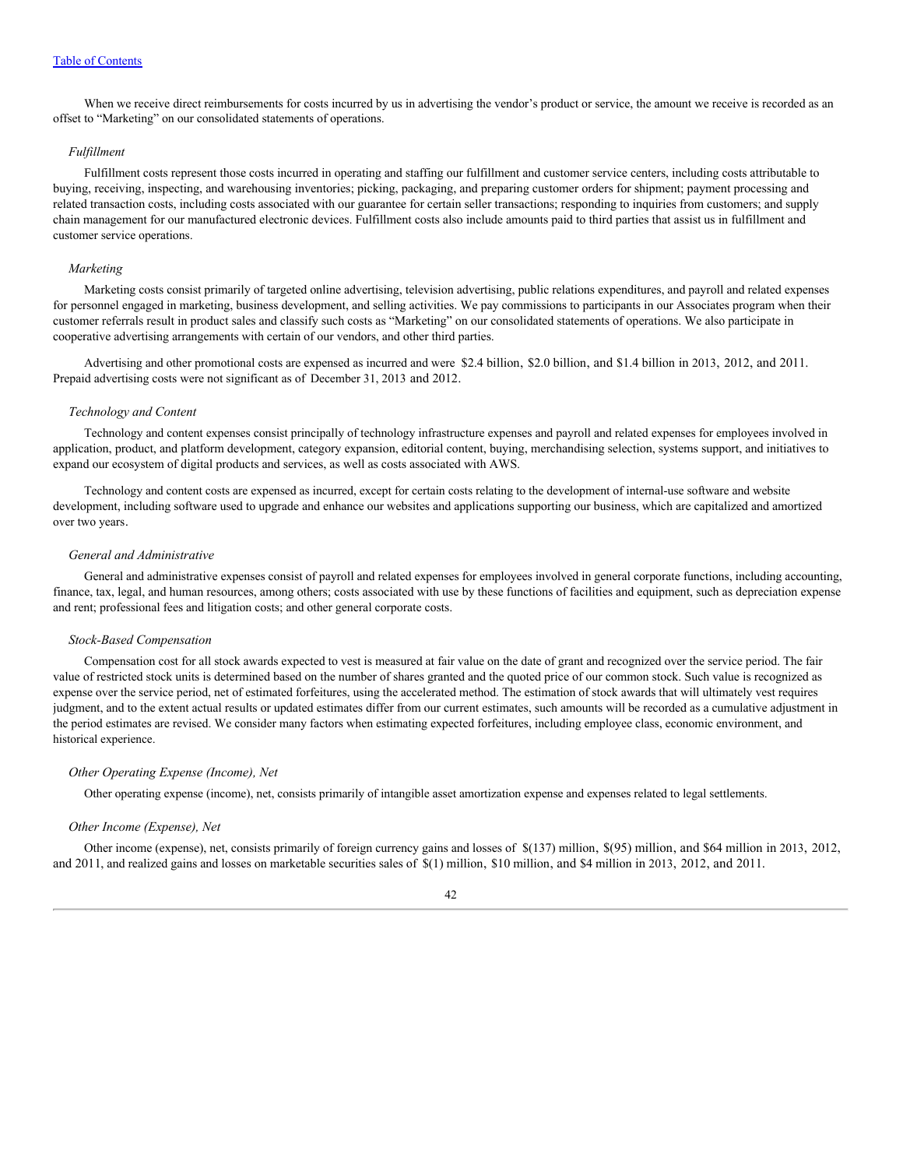When we receive direct reimbursements for costs incurred by us in advertising the vendor's product or service, the amount we receive is recorded as an offset to "Marketing" on our consolidated statements of operations.

### *Fulfillment*

Fulfillment costs represent those costs incurred in operating and staffing our fulfillment and customer service centers, including costs attributable to buying, receiving, inspecting, and warehousing inventories; picking, packaging, and preparing customer orders for shipment; payment processing and related transaction costs, including costs associated with our guarantee for certain seller transactions; responding to inquiries from customers; and supply chain management for our manufactured electronic devices. Fulfillment costs also include amounts paid to third parties that assist us in fulfillment and customer service operations.

### *Marketing*

Marketing costs consist primarily of targeted online advertising, television advertising, public relations expenditures, and payroll and related expenses for personnel engaged in marketing, business development, and selling activities. We pay commissions to participants in our Associates program when their customer referrals result in product sales and classify such costs as "Marketing" on our consolidated statements of operations. We also participate in cooperative advertising arrangements with certain of our vendors, and other third parties.

Advertising and other promotional costs are expensed as incurred and were \$2.4 billion, \$2.0 billion, and \$1.4 billion in 2013, 2012, and 2011. Prepaid advertising costs were not significant as of December 31, 2013 and 2012.

#### *Technology and Content*

Technology and content expenses consist principally of technology infrastructure expenses and payroll and related expenses for employees involved in application, product, and platform development, category expansion, editorial content, buying, merchandising selection, systems support, and initiatives to expand our ecosystem of digital products and services, as well as costs associated with AWS.

Technology and content costs are expensed as incurred, except for certain costs relating to the development of internal-use software and website development, including software used to upgrade and enhance our websites and applications supporting our business, which are capitalized and amortized over two years.

#### *General and Administrative*

General and administrative expenses consist of payroll and related expenses for employees involved in general corporate functions, including accounting, finance, tax, legal, and human resources, among others; costs associated with use by these functions of facilities and equipment, such as depreciation expense and rent; professional fees and litigation costs; and other general corporate costs.

#### *Stock-Based Compensation*

Compensation cost for all stock awards expected to vest is measured at fair value on the date of grant and recognized over the service period. The fair value of restricted stock units is determined based on the number of shares granted and the quoted price of our common stock. Such value is recognized as expense over the service period, net of estimated forfeitures, using the accelerated method. The estimation of stock awards that will ultimately vest requires judgment, and to the extent actual results or updated estimates differ from our current estimates, such amounts will be recorded as a cumulative adjustment in the period estimates are revised. We consider many factors when estimating expected forfeitures, including employee class, economic environment, and historical experience.

#### *Other Operating Expense (Income), Net*

Other operating expense (income), net, consists primarily of intangible asset amortization expense and expenses related to legal settlements.

#### *Other Income (Expense), Net*

Other income (expense), net, consists primarily of foreign currency gains and losses of \$(137) million, \$(95) million, and \$64 million in 2013, 2012, and 2011, and realized gains and losses on marketable securities sales of \$(1) million, \$10 million, and \$4 million in 2013, 2012, and 2011.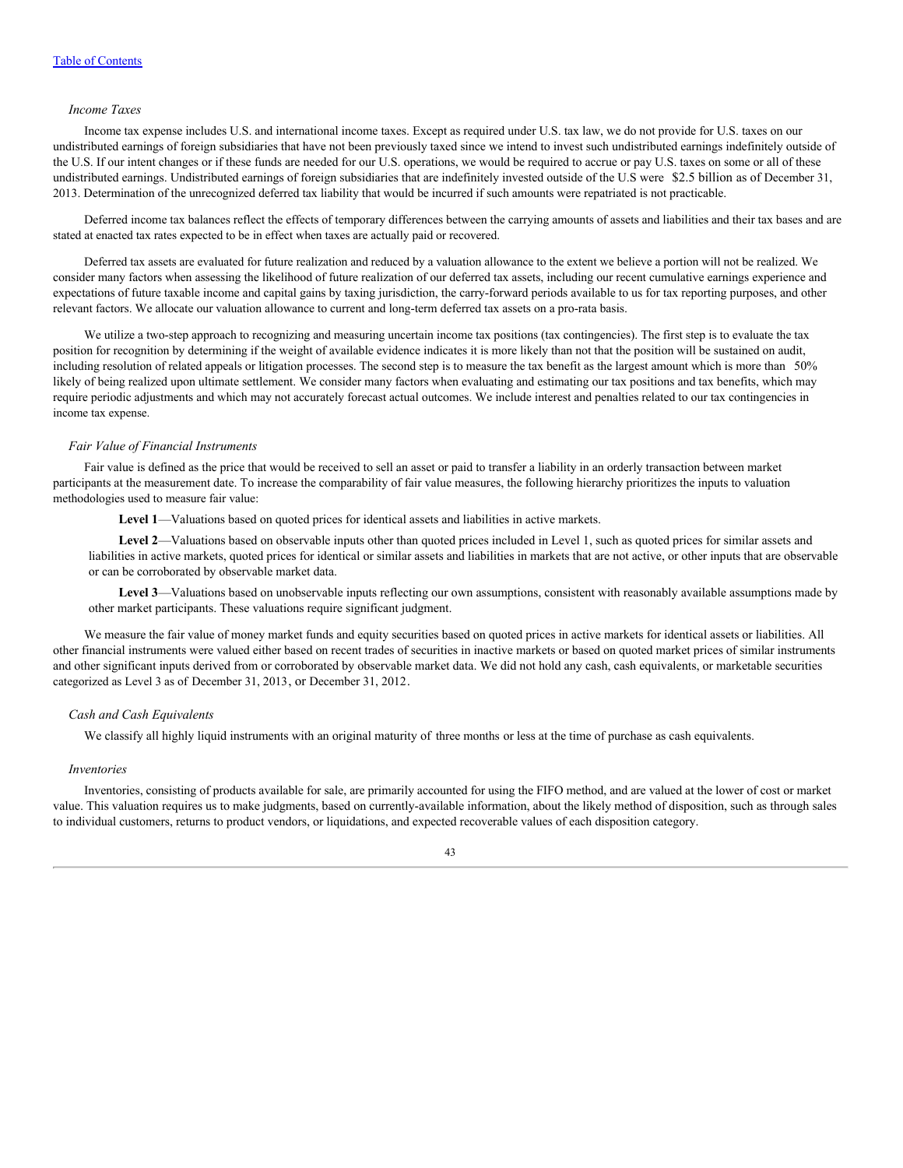### *Income Taxes*

Income tax expense includes U.S. and international income taxes. Except as required under U.S. tax law, we do not provide for U.S. taxes on our undistributed earnings of foreign subsidiaries that have not been previously taxed since we intend to invest such undistributed earnings indefinitely outside of the U.S. If our intent changes or if these funds are needed for our U.S. operations, we would be required to accrue or pay U.S. taxes on some or all of these undistributed earnings. Undistributed earnings of foreign subsidiaries that are indefinitely invested outside of the U.S were \$2.5 billion as of December 31, 2013. Determination of the unrecognized deferred tax liability that would be incurred if such amounts were repatriated is not practicable.

Deferred income tax balances reflect the effects of temporary differences between the carrying amounts of assets and liabilities and their tax bases and are stated at enacted tax rates expected to be in effect when taxes are actually paid or recovered.

Deferred tax assets are evaluated for future realization and reduced by a valuation allowance to the extent we believe a portion will not be realized. We consider many factors when assessing the likelihood of future realization of our deferred tax assets, including our recent cumulative earnings experience and expectations of future taxable income and capital gains by taxing jurisdiction, the carry-forward periods available to us for tax reporting purposes, and other relevant factors. We allocate our valuation allowance to current and long-term deferred tax assets on a pro-rata basis.

We utilize a two-step approach to recognizing and measuring uncertain income tax positions (tax contingencies). The first step is to evaluate the tax position for recognition by determining if the weight of available evidence indicates it is more likely than not that the position will be sustained on audit, including resolution of related appeals or litigation processes. The second step is to measure the tax benefit as the largest amount which is more than 50% likely of being realized upon ultimate settlement. We consider many factors when evaluating and estimating our tax positions and tax benefits, which may require periodic adjustments and which may not accurately forecast actual outcomes. We include interest and penalties related to our tax contingencies in income tax expense.

### *Fair Value of Financial Instruments*

Fair value is defined as the price that would be received to sell an asset or paid to transfer a liability in an orderly transaction between market participants at the measurement date. To increase the comparability of fair value measures, the following hierarchy prioritizes the inputs to valuation methodologies used to measure fair value:

**Level 1**—Valuations based on quoted prices for identical assets and liabilities in active markets.

**Level 2**—Valuations based on observable inputs other than quoted prices included in Level 1, such as quoted prices for similar assets and liabilities in active markets, quoted prices for identical or similar assets and liabilities in markets that are not active, or other inputs that are observable or can be corroborated by observable market data.

**Level 3**—Valuations based on unobservable inputs reflecting our own assumptions, consistent with reasonably available assumptions made by other market participants. These valuations require significant judgment.

We measure the fair value of money market funds and equity securities based on quoted prices in active markets for identical assets or liabilities. All other financial instruments were valued either based on recent trades of securities in inactive markets or based on quoted market prices of similar instruments and other significant inputs derived from or corroborated by observable market data. We did not hold any cash, cash equivalents, or marketable securities categorized as Level 3 as of December 31, 2013, or December 31, 2012.

### *Cash and Cash Equivalents*

We classify all highly liquid instruments with an original maturity of three months or less at the time of purchase as cash equivalents.

#### *Inventories*

Inventories, consisting of products available for sale, are primarily accounted for using the FIFO method, and are valued at the lower of cost or market value. This valuation requires us to make judgments, based on currently-available information, about the likely method of disposition, such as through sales to individual customers, returns to product vendors, or liquidations, and expected recoverable values of each disposition category.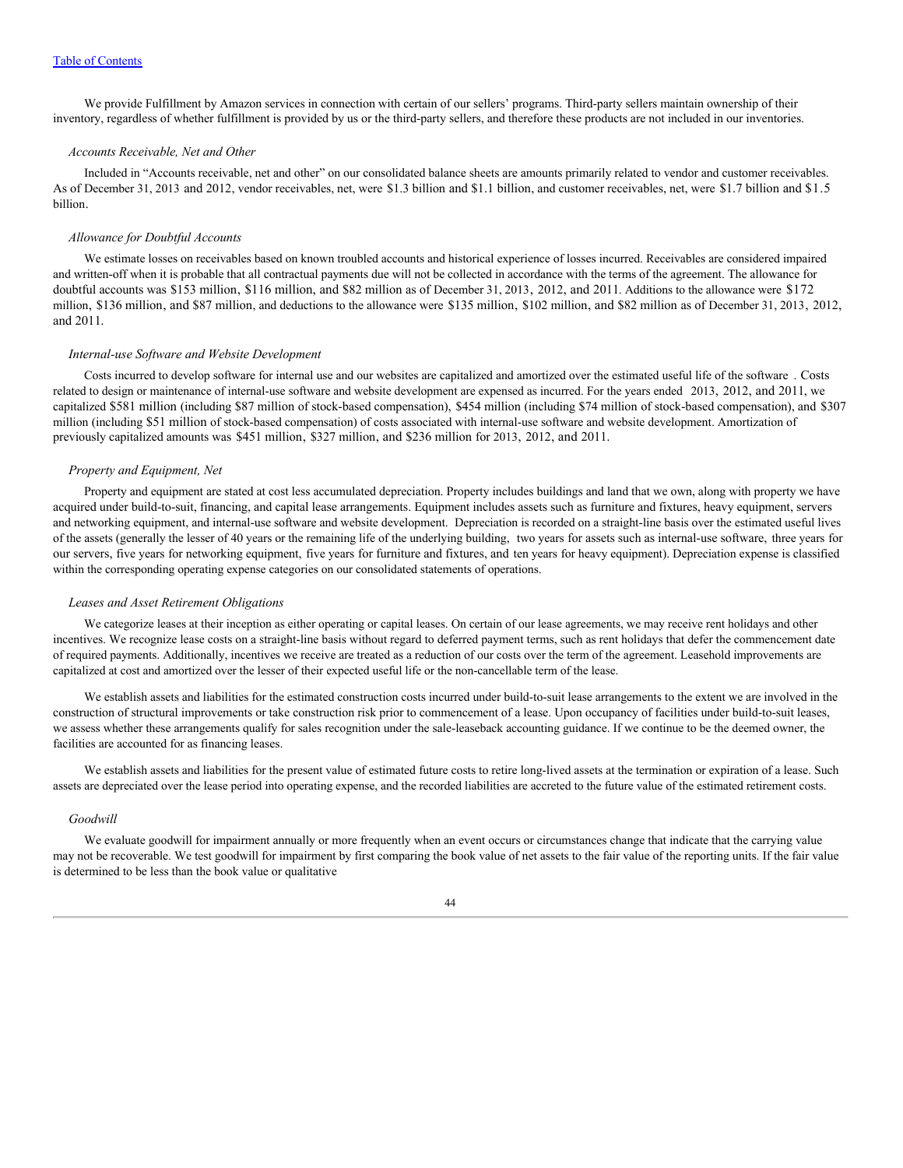We provide Fulfillment by Amazon services in connection with certain of our sellers' programs. Third-party sellers maintain ownership of their inventory, regardless of whether fulfillment is provided by us or the third-party sellers, and therefore these products are not included in our inventories.

### *Accounts Receivable, Net and Other*

Included in "Accounts receivable, net and other" on our consolidated balance sheets are amounts primarily related to vendor and customer receivables. As of December 31, 2013 and 2012, vendor receivables, net, were \$1.3 billion and \$1.1 billion, and customer receivables, net, were \$1.7 billion and \$1.5 billion.

#### *Allowance for Doubtful Accounts*

We estimate losses on receivables based on known troubled accounts and historical experience of losses incurred. Receivables are considered impaired and written-off when it is probable that all contractual payments due will not be collected in accordance with the terms of the agreement. The allowance for doubtful accounts was \$153 million, \$116 million, and \$82 million as of December 31, 2013, 2012, and 2011. Additions to the allowance were \$172 million, \$136 million, and \$87 million, and deductions to the allowance were \$135 million, \$102 million, and \$82 million as of December 31, 2013, 2012, and 2011.

#### *Internal-use Software and Website Development*

Costs incurred to develop software for internal use and our websites are capitalized and amortized over the estimated useful life of the software *.* Costs related to design or maintenance of internal-use software and website development are expensed as incurred. For the years ended 2013, 2012, and 2011, we capitalized \$581 million (including \$87 million of stock-based compensation), \$454 million (including \$74 million of stock-based compensation), and \$307 million (including \$51 million of stock-based compensation) of costs associated with internal-use software and website development. Amortization of previously capitalized amounts was \$451 million, \$327 million, and \$236 million for 2013, 2012, and 2011.

### *Property and Equipment, Net*

Property and equipment are stated at cost less accumulated depreciation. Property includes buildings and land that we own, along with property we have acquired under build-to-suit, financing, and capital lease arrangements. Equipment includes assets such as furniture and fixtures, heavy equipment, servers and networking equipment, and internal-use software and website development. Depreciation is recorded on a straight-line basis over the estimated useful lives of the assets (generally the lesser of 40 years or the remaining life of the underlying building, two years for assets such as internal-use software, three years for our servers, five years for networking equipment, five years for furniture and fixtures, and ten years for heavy equipment). Depreciation expense is classified within the corresponding operating expense categories on our consolidated statements of operations.

#### *Leases and Asset Retirement Obligations*

We categorize leases at their inception as either operating or capital leases. On certain of our lease agreements, we may receive rent holidays and other incentives. We recognize lease costs on a straight-line basis without regard to deferred payment terms, such as rent holidays that defer the commencement date of required payments. Additionally, incentives we receive are treated as a reduction of our costs over the term of the agreement. Leasehold improvements are capitalized at cost and amortized over the lesser of their expected useful life or the non-cancellable term of the lease.

We establish assets and liabilities for the estimated construction costs incurred under build-to-suit lease arrangements to the extent we are involved in the construction of structural improvements or take construction risk prior to commencement of a lease. Upon occupancy of facilities under build-to-suit leases, we assess whether these arrangements qualify for sales recognition under the sale-leaseback accounting guidance. If we continue to be the deemed owner, the facilities are accounted for as financing leases.

We establish assets and liabilities for the present value of estimated future costs to retire long-lived assets at the termination or expiration of a lease. Such assets are depreciated over the lease period into operating expense, and the recorded liabilities are accreted to the future value of the estimated retirement costs.

### *Goodwill*

We evaluate goodwill for impairment annually or more frequently when an event occurs or circumstances change that indicate that the carrying value may not be recoverable. We test goodwill for impairment by first comparing the book value of net assets to the fair value of the reporting units. If the fair value is determined to be less than the book value or qualitative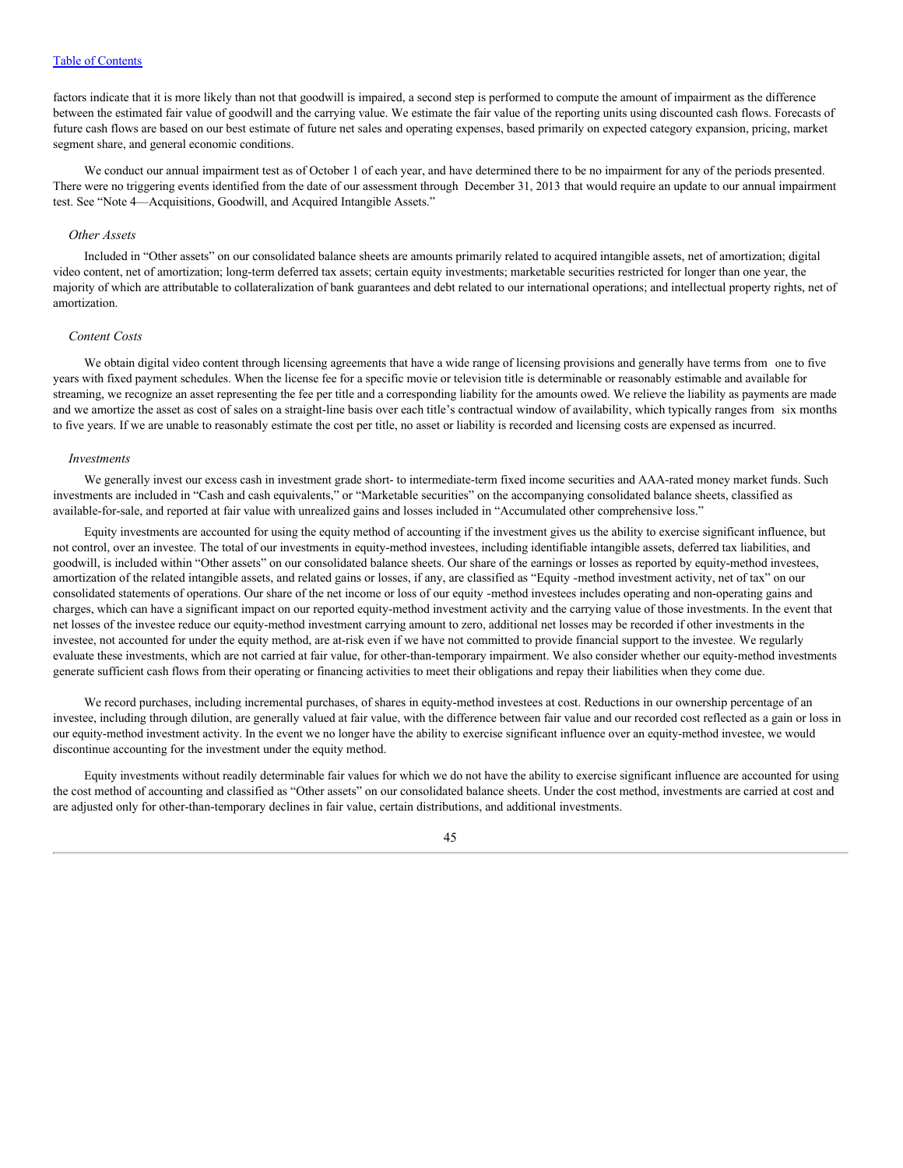factors indicate that it is more likely than not that goodwill is impaired, a second step is performed to compute the amount of impairment as the difference between the estimated fair value of goodwill and the carrying value. We estimate the fair value of the reporting units using discounted cash flows. Forecasts of future cash flows are based on our best estimate of future net sales and operating expenses, based primarily on expected category expansion, pricing, market segment share, and general economic conditions.

We conduct our annual impairment test as of October 1 of each year, and have determined there to be no impairment for any of the periods presented. There were no triggering events identified from the date of our assessment through December 31, 2013 that would require an update to our annual impairment test. See "Note 4—Acquisitions, Goodwill, and Acquired Intangible Assets."

### *Other Assets*

Included in "Other assets" on our consolidated balance sheets are amounts primarily related to acquired intangible assets, net of amortization; digital video content, net of amortization; long-term deferred tax assets; certain equity investments; marketable securities restricted for longer than one year, the majority of which are attributable to collateralization of bank guarantees and debt related to our international operations; and intellectual property rights, net of amortization.

### *Content Costs*

We obtain digital video content through licensing agreements that have a wide range of licensing provisions and generally have terms from one to five years with fixed payment schedules. When the license fee for a specific movie or television title is determinable or reasonably estimable and available for streaming, we recognize an asset representing the fee per title and a corresponding liability for the amounts owed. We relieve the liability as payments are made and we amortize the asset as cost of sales on a straight-line basis over each title's contractual window of availability, which typically ranges from six months to five years. If we are unable to reasonably estimate the cost per title, no asset or liability is recorded and licensing costs are expensed as incurred.

#### *Investments*

We generally invest our excess cash in investment grade short- to intermediate-term fixed income securities and AAA-rated money market funds. Such investments are included in "Cash and cash equivalents," or "Marketable securities" on the accompanying consolidated balance sheets, classified as available-for-sale, and reported at fair value with unrealized gains and losses included in "Accumulated other comprehensive loss."

Equity investments are accounted for using the equity method of accounting if the investment gives us the ability to exercise significant influence, but not control, over an investee. The total of our investments in equity-method investees, including identifiable intangible assets, deferred tax liabilities, and goodwill, is included within "Other assets" on our consolidated balance sheets. Our share of the earnings or losses as reported by equity-method investees, amortization of the related intangible assets, and related gains or losses, if any, are classified as "Equity *-*method investment activity, net of tax" on our consolidated statements of operations. Our share of the net income or loss of our equity *-*method investees includes operating and non-operating gains and charges, which can have a significant impact on our reported equity-method investment activity and the carrying value of those investments. In the event that net losses of the investee reduce our equity-method investment carrying amount to zero, additional net losses may be recorded if other investments in the investee, not accounted for under the equity method, are at-risk even if we have not committed to provide financial support to the investee. We regularly evaluate these investments, which are not carried at fair value, for other-than-temporary impairment. We also consider whether our equity-method investments generate sufficient cash flows from their operating or financing activities to meet their obligations and repay their liabilities when they come due.

We record purchases, including incremental purchases, of shares in equity-method investees at cost. Reductions in our ownership percentage of an investee, including through dilution, are generally valued at fair value, with the difference between fair value and our recorded cost reflected as a gain or loss in our equity-method investment activity. In the event we no longer have the ability to exercise significant influence over an equity-method investee, we would discontinue accounting for the investment under the equity method.

Equity investments without readily determinable fair values for which we do not have the ability to exercise significant influence are accounted for using the cost method of accounting and classified as "Other assets" on our consolidated balance sheets. Under the cost method, investments are carried at cost and are adjusted only for other-than-temporary declines in fair value, certain distributions, and additional investments.

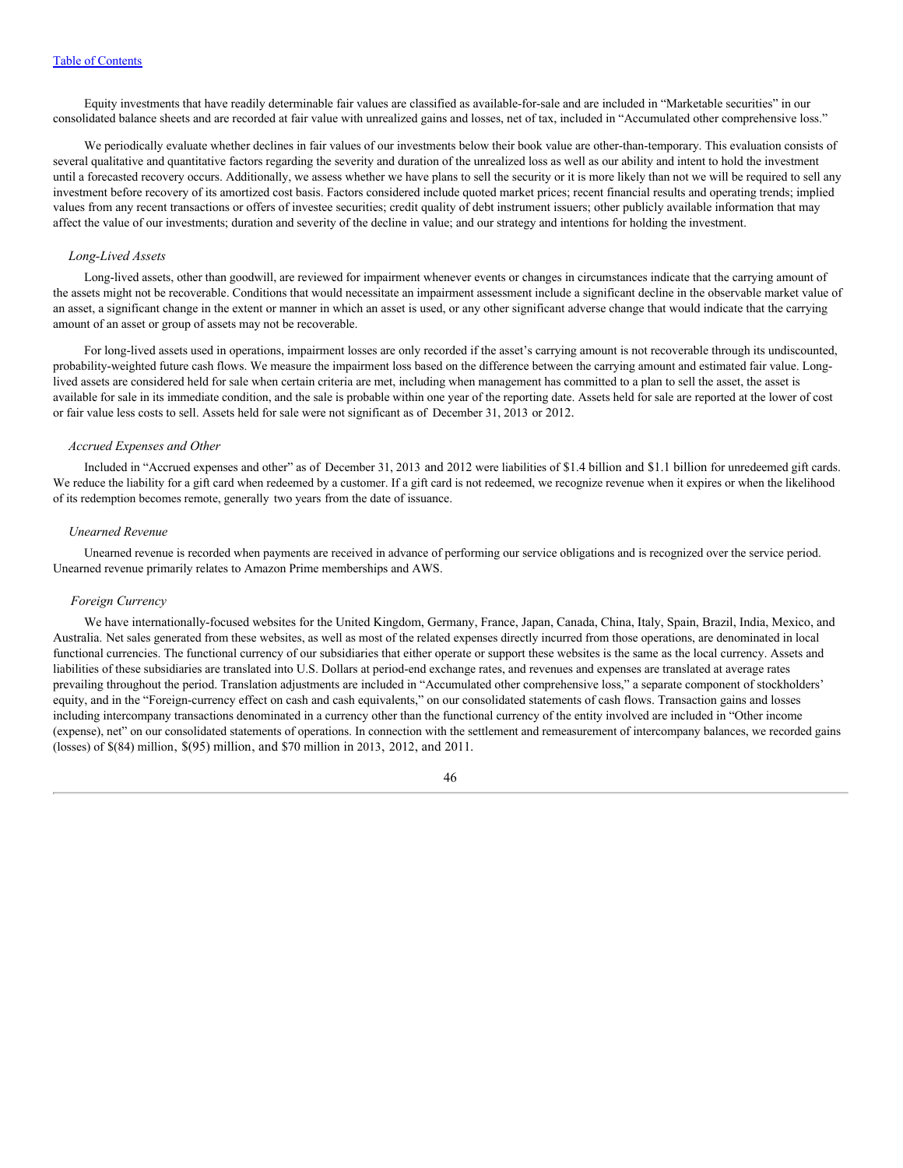Equity investments that have readily determinable fair values are classified as available-for-sale and are included in "Marketable securities" in our consolidated balance sheets and are recorded at fair value with unrealized gains and losses, net of tax, included in "Accumulated other comprehensive loss."

We periodically evaluate whether declines in fair values of our investments below their book value are other-than-temporary. This evaluation consists of several qualitative and quantitative factors regarding the severity and duration of the unrealized loss as well as our ability and intent to hold the investment until a forecasted recovery occurs. Additionally, we assess whether we have plans to sell the security or it is more likely than not we will be required to sell any investment before recovery of its amortized cost basis. Factors considered include quoted market prices; recent financial results and operating trends; implied values from any recent transactions or offers of investee securities; credit quality of debt instrument issuers; other publicly available information that may affect the value of our investments; duration and severity of the decline in value; and our strategy and intentions for holding the investment.

### *Long-Lived Assets*

Long-lived assets, other than goodwill, are reviewed for impairment whenever events or changes in circumstances indicate that the carrying amount of the assets might not be recoverable. Conditions that would necessitate an impairment assessment include a significant decline in the observable market value of an asset, a significant change in the extent or manner in which an asset is used, or any other significant adverse change that would indicate that the carrying amount of an asset or group of assets may not be recoverable.

For long-lived assets used in operations, impairment losses are only recorded if the asset's carrying amount is not recoverable through its undiscounted, probability-weighted future cash flows. We measure the impairment loss based on the difference between the carrying amount and estimated fair value. Longlived assets are considered held for sale when certain criteria are met, including when management has committed to a plan to sell the asset, the asset is available for sale in its immediate condition, and the sale is probable within one year of the reporting date. Assets held for sale are reported at the lower of cost or fair value less costs to sell. Assets held for sale were not significant as of December 31, 2013 or 2012.

#### *Accrued Expenses and Other*

Included in "Accrued expenses and other" as of December 31, 2013 and 2012 were liabilities of \$1.4 billion and \$1.1 billion for unredeemed gift cards. We reduce the liability for a gift card when redeemed by a customer. If a gift card is not redeemed, we recognize revenue when it expires or when the likelihood of its redemption becomes remote, generally two years from the date of issuance.

#### *Unearned Revenue*

Unearned revenue is recorded when payments are received in advance of performing our service obligations and is recognized over the service period. Unearned revenue primarily relates to Amazon Prime memberships and AWS.

#### *Foreign Currency*

We have internationally-focused websites for the United Kingdom, Germany, France, Japan, Canada, China, Italy, Spain, Brazil, India, Mexico, and Australia*.* Net sales generated from these websites, as well as most of the related expenses directly incurred from those operations, are denominated in local functional currencies. The functional currency of our subsidiaries that either operate or support these websites is the same as the local currency. Assets and liabilities of these subsidiaries are translated into U.S. Dollars at period-end exchange rates, and revenues and expenses are translated at average rates prevailing throughout the period. Translation adjustments are included in "Accumulated other comprehensive loss," a separate component of stockholders' equity, and in the "Foreign-currency effect on cash and cash equivalents," on our consolidated statements of cash flows. Transaction gains and losses including intercompany transactions denominated in a currency other than the functional currency of the entity involved are included in "Other income (expense), net" on our consolidated statements of operations. In connection with the settlement and remeasurement of intercompany balances, we recorded gains (losses) of \$(84) million, \$(95) million, and \$70 million in 2013, 2012, and 2011.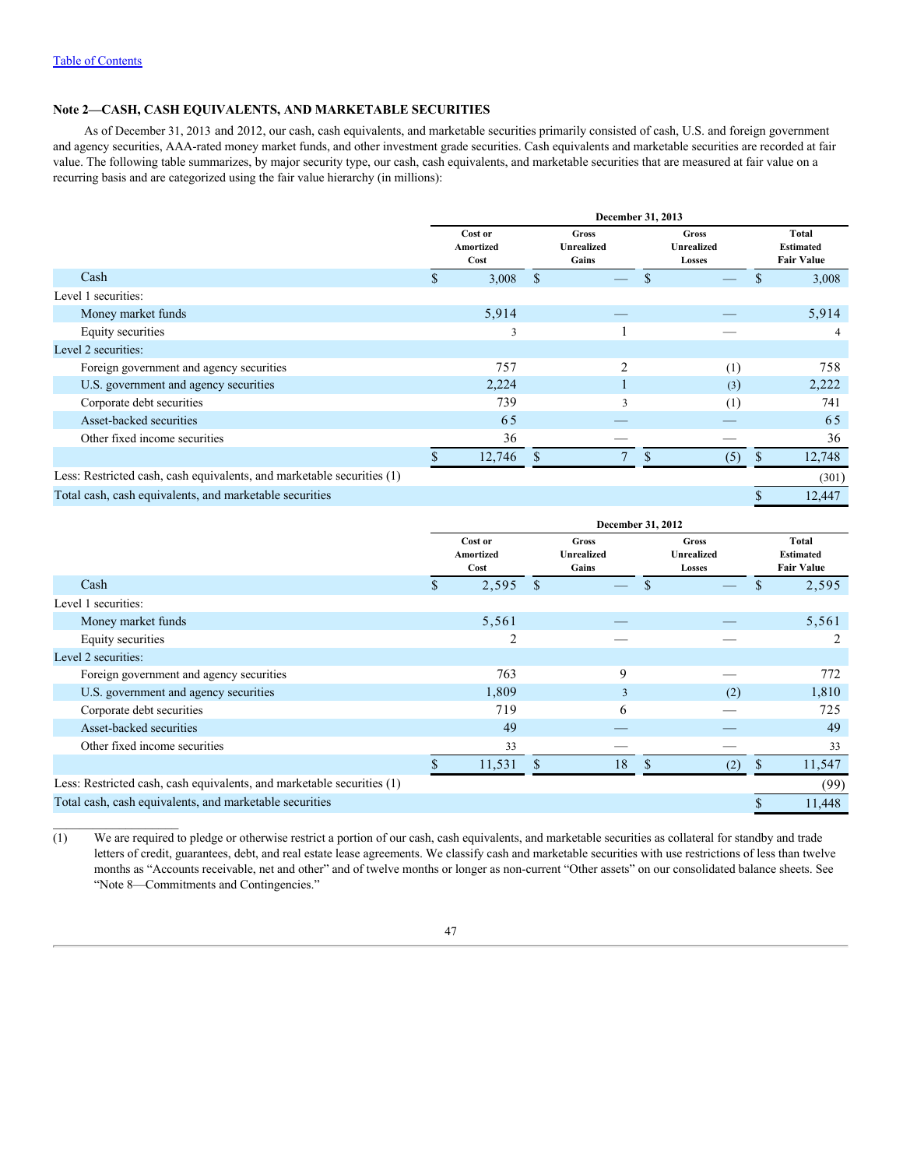$\mathcal{L}_\text{max}$ 

### **Note 2—CASH, CASH EQUIVALENTS, AND MARKETABLE SECURITIES**

As of December 31, 2013 and 2012, our cash, cash equivalents, and marketable securities primarily consisted of cash, U.S. and foreign government and agency securities, AAA-rated money market funds, and other investment grade securities. Cash equivalents and marketable securities are recorded at fair value. The following table summarizes, by major security type, our cash, cash equivalents, and marketable securities that are measured at fair value on a recurring basis and are categorized using the fair value hierarchy (in millions):

|                                                                        | December 31, 2013 |                              |               |                                     |        |                                             |   |                                                       |
|------------------------------------------------------------------------|-------------------|------------------------------|---------------|-------------------------------------|--------|---------------------------------------------|---|-------------------------------------------------------|
|                                                                        |                   | Cost or<br>Amortized<br>Cost |               | <b>Gross</b><br>Unrealized<br>Gains |        | <b>Gross</b><br><b>Unrealized</b><br>Losses |   | <b>Total</b><br><b>Estimated</b><br><b>Fair Value</b> |
| Cash                                                                   | S.                | 3,008                        | <sup>\$</sup> |                                     | \$     |                                             | S | 3,008                                                 |
| Level 1 securities:                                                    |                   |                              |               |                                     |        |                                             |   |                                                       |
| Money market funds                                                     |                   | 5,914                        |               |                                     |        |                                             |   | 5,914                                                 |
| Equity securities                                                      |                   | 3                            |               |                                     |        |                                             |   | 4                                                     |
| Level 2 securities:                                                    |                   |                              |               |                                     |        |                                             |   |                                                       |
| Foreign government and agency securities                               |                   | 757                          |               | $\overline{c}$                      |        | (1)                                         |   | 758                                                   |
| U.S. government and agency securities                                  |                   | 2,224                        |               |                                     |        | (3)                                         |   | 2,222                                                 |
| Corporate debt securities                                              |                   | 739                          |               | 3                                   |        | (1)                                         |   | 741                                                   |
| Asset-backed securities                                                |                   | 65                           |               |                                     |        |                                             |   | 65                                                    |
| Other fixed income securities                                          |                   | 36                           |               |                                     |        |                                             |   | 36                                                    |
|                                                                        |                   | 12,746                       | \$.           | 7                                   | $\Phi$ | (5)                                         |   | 12,748                                                |
| Less: Restricted cash, cash equivalents, and marketable securities (1) |                   |                              |               |                                     |        |                                             |   | (301)                                                 |
| Total cash, cash equivalents, and marketable securities                |                   |                              |               |                                     |        |                                             | ъ | 12,447                                                |

|                                                                        | December 31, 2012            |                |               |                                     |               |                                             |               |                                                |
|------------------------------------------------------------------------|------------------------------|----------------|---------------|-------------------------------------|---------------|---------------------------------------------|---------------|------------------------------------------------|
|                                                                        | Cost or<br>Amortized<br>Cost |                |               | <b>Gross</b><br>Unrealized<br>Gains |               | <b>Gross</b><br><b>Unrealized</b><br>Losses |               | Total<br><b>Estimated</b><br><b>Fair Value</b> |
| Cash                                                                   | S.                           | 2,595          | <sup>\$</sup> |                                     | <sup>\$</sup> |                                             | S             | 2,595                                          |
| Level 1 securities:                                                    |                              |                |               |                                     |               |                                             |               |                                                |
| Money market funds                                                     |                              | 5,561          |               |                                     |               |                                             |               | 5,561                                          |
| Equity securities                                                      |                              | $\overline{2}$ |               |                                     |               |                                             |               | 2                                              |
| Level 2 securities:                                                    |                              |                |               |                                     |               |                                             |               |                                                |
| Foreign government and agency securities                               |                              | 763            |               | 9                                   |               |                                             |               | 772                                            |
| U.S. government and agency securities                                  |                              | 1,809          |               | $\overline{3}$                      |               | (2)                                         |               | 1,810                                          |
| Corporate debt securities                                              |                              | 719            |               | 6                                   |               |                                             |               | 725                                            |
| Asset-backed securities                                                |                              | 49             |               |                                     |               |                                             |               | 49                                             |
| Other fixed income securities                                          |                              | 33             |               |                                     |               |                                             |               | 33                                             |
|                                                                        |                              | 11,531         | \$.           | 18                                  |               | (2)                                         | <sup>\$</sup> | 11,547                                         |
| Less: Restricted cash, cash equivalents, and marketable securities (1) |                              |                |               |                                     |               |                                             |               | (99)                                           |
| Total cash, cash equivalents, and marketable securities                |                              |                |               |                                     |               |                                             | \$            | 11,448                                         |

(1) We are required to pledge or otherwise restrict a portion of our cash, cash equivalents, and marketable securities as collateral for standby and trade letters of credit, guarantees, debt, and real estate lease agreements. We classify cash and marketable securities with use restrictions of less than twelve months as "Accounts receivable, net and other" and of twelve months or longer as non-current "Other assets" on our consolidated balance sheets. See "Note 8—Commitments and Contingencies."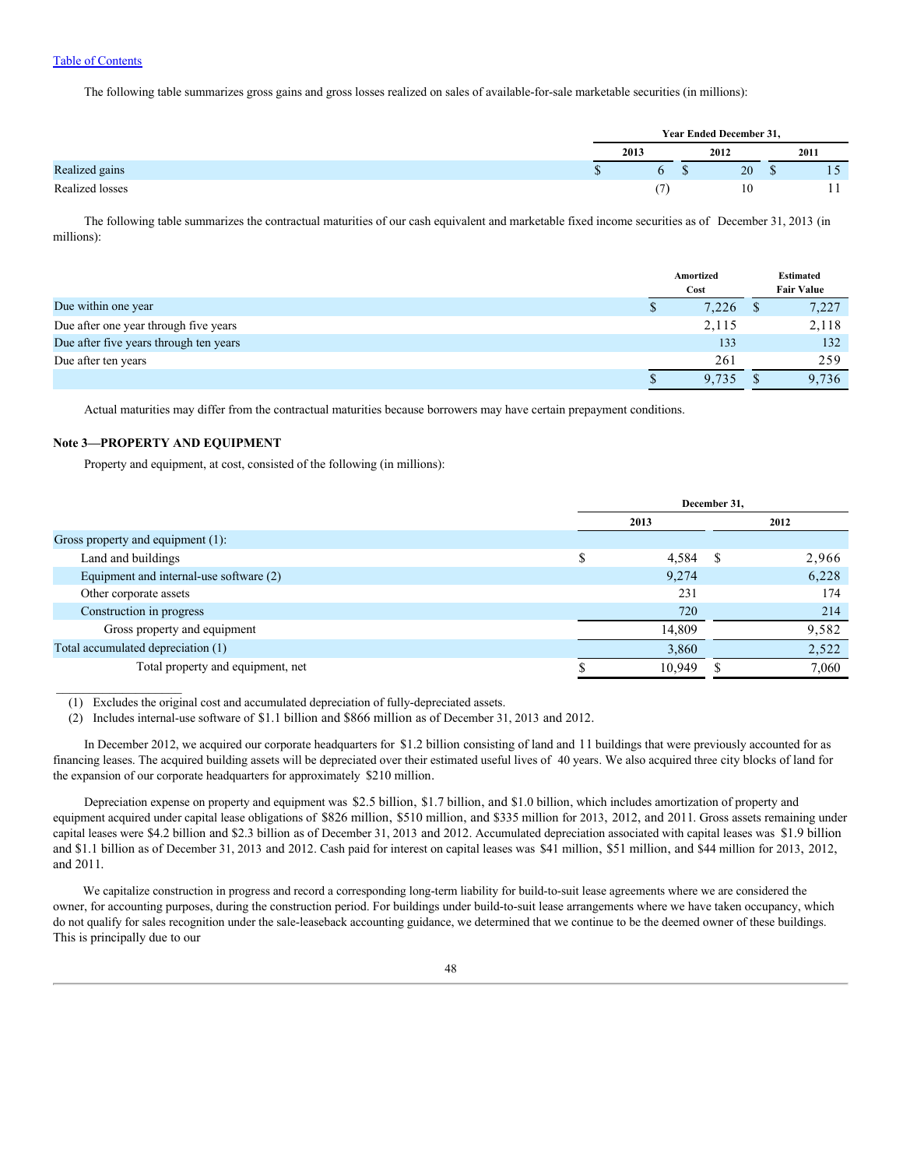#### [Table of Contents](#page-1-0)

The following table summarizes gross gains and gross losses realized on sales of available-for-sale marketable securities (in millions):

|                 |      | Year Ended December 31, |      |
|-----------------|------|-------------------------|------|
|                 | 2013 | 2012                    | 2011 |
| Realized gains  |      | 20                      | 10   |
| Realized losses |      | 10                      | 11   |

The following table summarizes the contractual maturities of our cash equivalent and marketable fixed income securities as of December 31, 2013 (in millions):

|                                        |   | Amortized<br>Cost | <b>Estimated</b><br><b>Fair Value</b> |
|----------------------------------------|---|-------------------|---------------------------------------|
| Due within one year                    | P | 7,226             | 7,227                                 |
| Due after one year through five years  |   | 2,115             | 2,118                                 |
| Due after five years through ten years |   | 133               | 132                                   |
| Due after ten years                    |   | 261               | 259                                   |
|                                        |   | 9.735             | 9,736                                 |

Actual maturities may differ from the contractual maturities because borrowers may have certain prepayment conditions.

### **Note 3—PROPERTY AND EQUIPMENT**

Property and equipment, at cost, consisted of the following (in millions):

|                                         | December 31, |        |      |       |  |  |
|-----------------------------------------|--------------|--------|------|-------|--|--|
|                                         |              | 2013   | 2012 |       |  |  |
| Gross property and equipment (1):       |              |        |      |       |  |  |
| Land and buildings                      |              | 4.584  | S    | 2,966 |  |  |
| Equipment and internal-use software (2) |              | 9,274  |      | 6,228 |  |  |
| Other corporate assets                  |              | 231    |      | 174   |  |  |
| Construction in progress                |              | 720    |      | 214   |  |  |
| Gross property and equipment            |              | 14,809 |      | 9,582 |  |  |
| Total accumulated depreciation (1)      |              | 3,860  |      | 2,522 |  |  |
| Total property and equipment, net       |              | 10.949 |      | 7.060 |  |  |

(1) Excludes the original cost and accumulated depreciation of fully-depreciated assets.

(2) Includes internal-use software of \$1.1 billion and \$866 million as of December 31, 2013 and 2012.

In December 2012, we acquired our corporate headquarters for \$1.2 billion consisting of land and 11 buildings that were previously accounted for as financing leases. The acquired building assets will be depreciated over their estimated useful lives of 40 years. We also acquired three city blocks of land for the expansion of our corporate headquarters for approximately \$210 million.

Depreciation expense on property and equipment was \$2.5 billion, \$1.7 billion, and \$1.0 billion, which includes amortization of property and equipment acquired under capital lease obligations of \$826 million, \$510 million, and \$335 million for 2013, 2012, and 2011. Gross assets remaining under capital leases were \$4.2 billion and \$2.3 billion as of December 31, 2013 and 2012. Accumulated depreciation associated with capital leases was \$1.9 billion and \$1.1 billion as of December 31, 2013 and 2012. Cash paid for interest on capital leases was \$41 million, \$51 million, and \$44 million for 2013, 2012, and 2011.

We capitalize construction in progress and record a corresponding long-term liability for build-to-suit lease agreements where we are considered the owner, for accounting purposes, during the construction period. For buildings under build-to-suit lease arrangements where we have taken occupancy, which do not qualify for sales recognition under the sale-leaseback accounting guidance, we determined that we continue to be the deemed owner of these buildings. This is principally due to our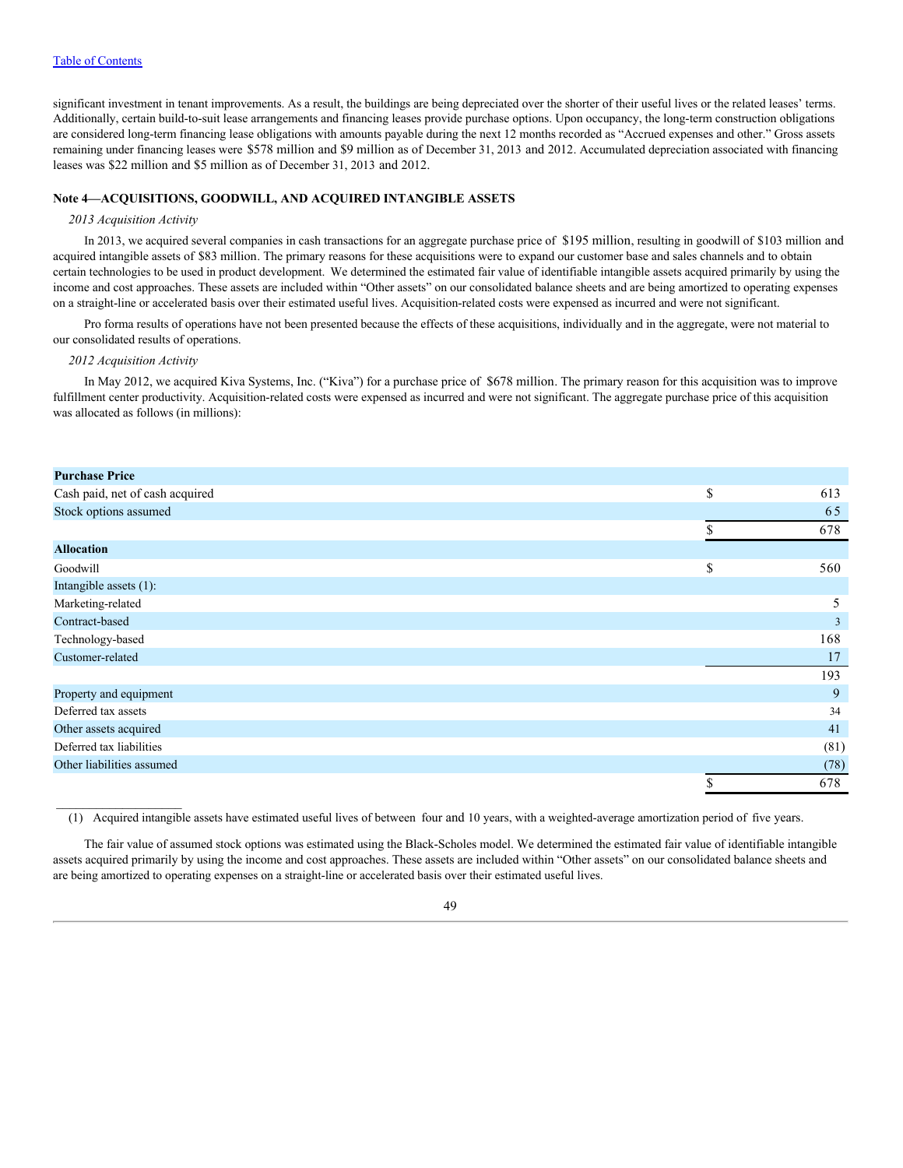significant investment in tenant improvements. As a result, the buildings are being depreciated over the shorter of their useful lives or the related leases' terms. Additionally, certain build-to-suit lease arrangements and financing leases provide purchase options. Upon occupancy, the long-term construction obligations are considered long-term financing lease obligations with amounts payable during the next 12 months recorded as "Accrued expenses and other." Gross assets remaining under financing leases were \$578 million and \$9 million as of December 31, 2013 and 2012. Accumulated depreciation associated with financing leases was \$22 million and \$5 million as of December 31, 2013 and 2012.

#### **Note 4—ACQUISITIONS, GOODWILL, AND ACQUIRED INTANGIBLE ASSETS**

### *2013 Acquisition Activity*

In 2013, we acquired several companies in cash transactions for an aggregate purchase price of \$195 million, resulting in goodwill of \$103 million and acquired intangible assets of \$83 million. The primary reasons for these acquisitions were to expand our customer base and sales channels and to obtain certain technologies to be used in product development. We determined the estimated fair value of identifiable intangible assets acquired primarily by using the income and cost approaches. These assets are included within "Other assets" on our consolidated balance sheets and are being amortized to operating expenses on a straight-line or accelerated basis over their estimated useful lives. Acquisition-related costs were expensed as incurred and were not significant.

Pro forma results of operations have not been presented because the effects of these acquisitions, individually and in the aggregate, were not material to our consolidated results of operations.

### *2012 Acquisition Activity*

In May 2012, we acquired Kiva Systems, Inc. ("Kiva") for a purchase price of \$678 million. The primary reason for this acquisition was to improve fulfillment center productivity. Acquisition-related costs were expensed as incurred and were not significant. The aggregate purchase price of this acquisition was allocated as follows (in millions):

| <b>Purchase Price</b>           |           |
|---------------------------------|-----------|
| Cash paid, net of cash acquired | \$<br>613 |
| Stock options assumed           | 65        |
|                                 | \$<br>678 |
| <b>Allocation</b>               |           |
| Goodwill                        | \$<br>560 |
| Intangible assets (1):          |           |
| Marketing-related               | 5         |
| Contract-based                  | 3         |
| Technology-based                | 168       |
| Customer-related                | 17        |
|                                 | 193       |
| Property and equipment          | 9         |
| Deferred tax assets             | 34        |
| Other assets acquired           | 41        |
| Deferred tax liabilities        | (81)      |
| Other liabilities assumed       | (78)      |
|                                 | 678       |
|                                 |           |

(1) Acquired intangible assets have estimated useful lives of between four and 10 years, with a weighted-average amortization period of five years.

The fair value of assumed stock options was estimated using the Black-Scholes model. We determined the estimated fair value of identifiable intangible assets acquired primarily by using the income and cost approaches. These assets are included within "Other assets" on our consolidated balance sheets and are being amortized to operating expenses on a straight-line or accelerated basis over their estimated useful lives.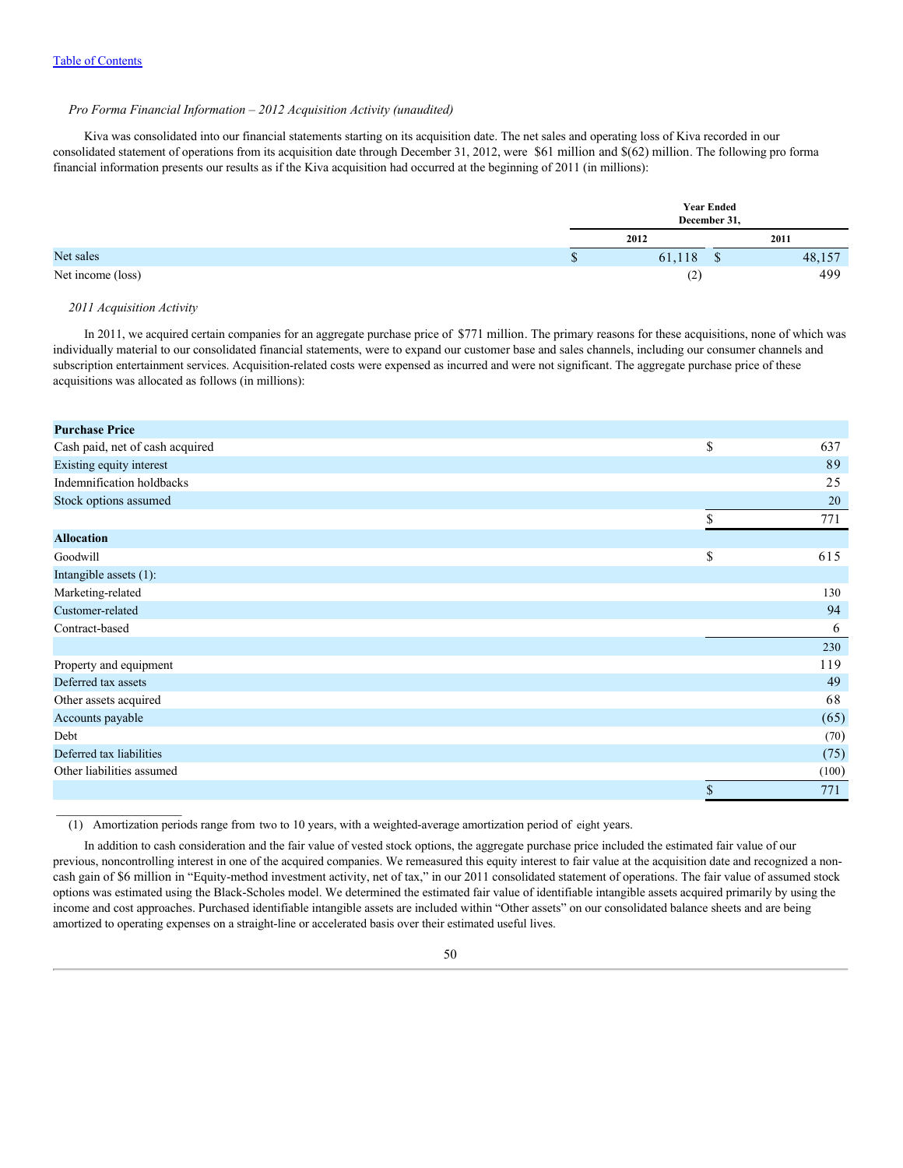### *Pro Forma Financial Information – 2012 Acquisition Activity (unaudited)*

Kiva was consolidated into our financial statements starting on its acquisition date. The net sales and operating loss of Kiva recorded in our consolidated statement of operations from its acquisition date through December 31, 2012, were \$61 million and \$(62) million. The following pro forma financial information presents our results as if the Kiva acquisition had occurred at the beginning of 2011 (in millions):

|                   |   |        | <b>Year Ended</b><br>December 31. |
|-------------------|---|--------|-----------------------------------|
|                   |   | 2012   | 2011                              |
| Net sales         | w | 61,118 | 48,157                            |
| Net income (loss) |   | (2)    | 499                               |

### *2011 Acquisition Activity*

In 2011, we acquired certain companies for an aggregate purchase price of \$771 million. The primary reasons for these acquisitions, none of which was individually material to our consolidated financial statements, were to expand our customer base and sales channels, including our consumer channels and subscription entertainment services. Acquisition-related costs were expensed as incurred and were not significant. The aggregate purchase price of these acquisitions was allocated as follows (in millions):

| <b>Purchase Price</b>           |              |       |
|---------------------------------|--------------|-------|
| Cash paid, net of cash acquired | \$           | 637   |
| Existing equity interest        |              | 89    |
| Indemnification holdbacks       |              | 25    |
| Stock options assumed           |              | 20    |
|                                 | \$           | 771   |
| <b>Allocation</b>               |              |       |
| Goodwill                        | \$           | 615   |
| Intangible assets (1):          |              |       |
| Marketing-related               |              | 130   |
| Customer-related                |              | 94    |
| Contract-based                  |              | 6     |
|                                 |              | 230   |
| Property and equipment          |              | 119   |
| Deferred tax assets             |              | 49    |
| Other assets acquired           |              | 68    |
| Accounts payable                |              | (65)  |
| Debt                            |              | (70)  |
| Deferred tax liabilities        |              | (75)  |
| Other liabilities assumed       |              | (100) |
|                                 | $\mathbb{S}$ | 771   |
|                                 |              |       |

(1) Amortization periods range from two to 10 years, with a weighted-average amortization period of eight years.

In addition to cash consideration and the fair value of vested stock options, the aggregate purchase price included the estimated fair value of our previous, noncontrolling interest in one of the acquired companies. We remeasured this equity interest to fair value at the acquisition date and recognized a noncash gain of \$6 million in "Equity-method investment activity, net of tax," in our 2011 consolidated statement of operations. The fair value of assumed stock options was estimated using the Black-Scholes model. We determined the estimated fair value of identifiable intangible assets acquired primarily by using the income and cost approaches. Purchased identifiable intangible assets are included within "Other assets" on our consolidated balance sheets and are being amortized to operating expenses on a straight-line or accelerated basis over their estimated useful lives.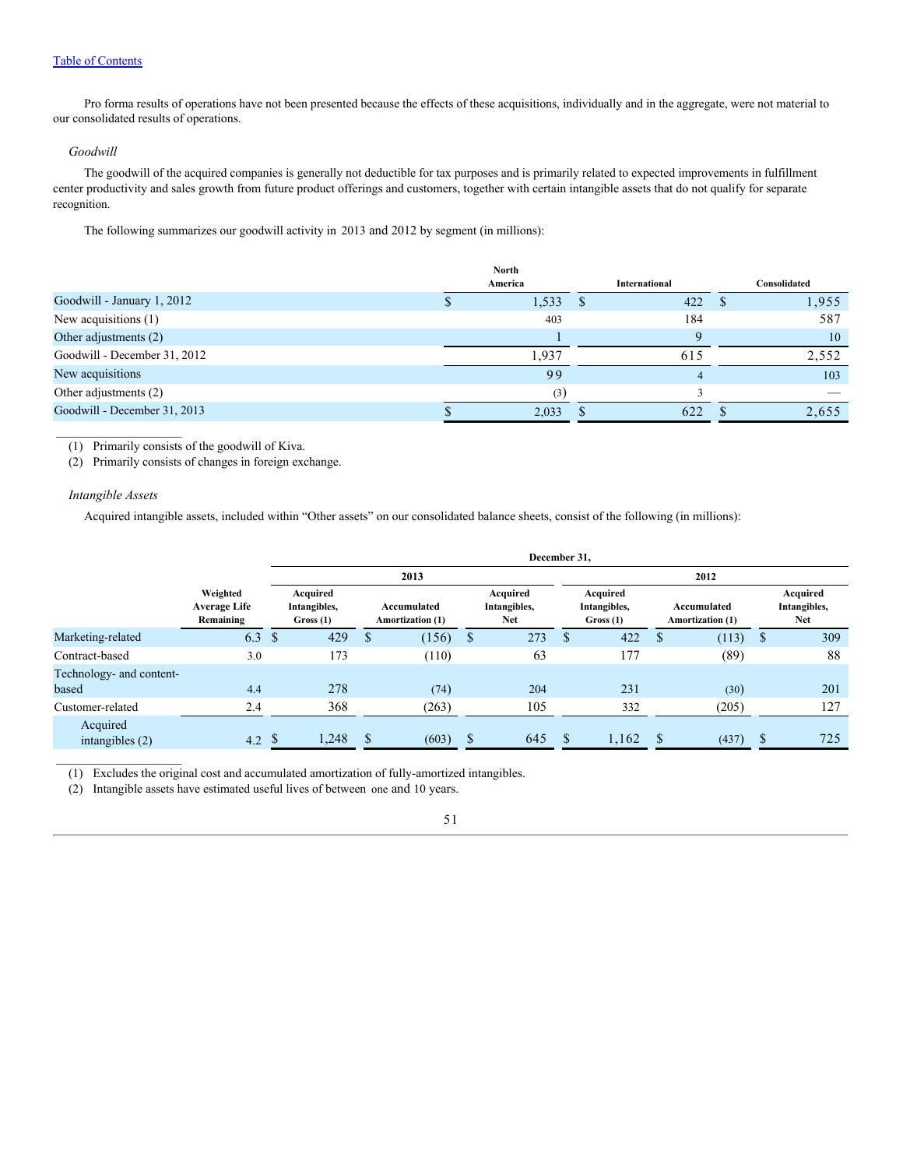Pro forma results of operations have not been presented because the effects of these acquisitions, individually and in the aggregate, were not material to our consolidated results of operations.

### *Goodwill*

The goodwill of the acquired companies is generally not deductible for tax purposes and is primarily related to expected improvements in fulfillment center productivity and sales growth from future product offerings and customers, together with certain intangible assets that do not qualify for separate recognition.

The following summarizes our goodwill activity in 2013 and 2012 by segment (in millions):

|                              | North   |                      |              |
|------------------------------|---------|----------------------|--------------|
|                              | America | <b>International</b> | Consolidated |
| Goodwill - January 1, 2012   | 1,533   | 422                  | 1,955        |
| New acquisitions $(1)$       | 403     | 184                  | 587          |
| Other adjustments (2)        |         | $\mathbf o$          | 10           |
| Goodwill - December 31, 2012 | 1.937   | 615                  | 2,552        |
| New acquisitions             | 99      |                      | 103          |
| Other adjustments (2)        | (3)     |                      |              |
| Goodwill - December 31, 2013 | 2,033   | 622                  | 2,655        |

(1) Primarily consists of the goodwill of Kiva.

(2) Primarily consists of changes in foreign exchange.

### *Intangible Assets*

Acquired intangible assets, included within "Other assets" on our consolidated balance sheets, consist of the following (in millions):

|                                   |                                              |                                      | December 31, |                                 |       |                                 |     |                                      |       |                                 |       |      |                                 |  |  |
|-----------------------------------|----------------------------------------------|--------------------------------------|--------------|---------------------------------|-------|---------------------------------|-----|--------------------------------------|-------|---------------------------------|-------|------|---------------------------------|--|--|
|                                   |                                              |                                      |              | 2013                            |       |                                 |     |                                      | 2012  |                                 |       |      |                                 |  |  |
|                                   | Weighted<br><b>Average Life</b><br>Remaining | Acquired<br>Intangibles,<br>Gross(1) |              | Accumulated<br>Amortization (1) |       | Acquired<br>Intangibles,<br>Net |     | Acquired<br>Intangibles,<br>Gross(1) |       | Accumulated<br>Amortization (1) |       |      | Acquired<br>Intangibles,<br>Net |  |  |
| Marketing-related                 | 6.3                                          | - \$                                 | 429          | S                               | (156) | \$                              | 273 | S                                    | 422   | S                               | (113) | - \$ | 309                             |  |  |
| Contract-based                    | 3.0                                          |                                      | 173          |                                 | (110) |                                 | 63  |                                      | 177   |                                 | (89)  |      | 88                              |  |  |
| Technology- and content-<br>based | 4.4                                          |                                      | 278          |                                 | (74)  |                                 | 204 |                                      | 231   |                                 | (30)  |      | 201                             |  |  |
| Customer-related                  | 2.4                                          |                                      | 368          |                                 | (263) |                                 | 105 |                                      | 332   |                                 | (205) |      | 127                             |  |  |
| Acquired<br>intangibles $(2)$     | 4.2                                          | -\$                                  | 1,248        | <sup>\$</sup>                   | (603) | \$                              | 645 | \$                                   | 1,162 |                                 | (437) |      | 725                             |  |  |

(1) Excludes the original cost and accumulated amortization of fully-amortized intangibles.

(2) Intangible assets have estimated useful lives of between one and 10 years.

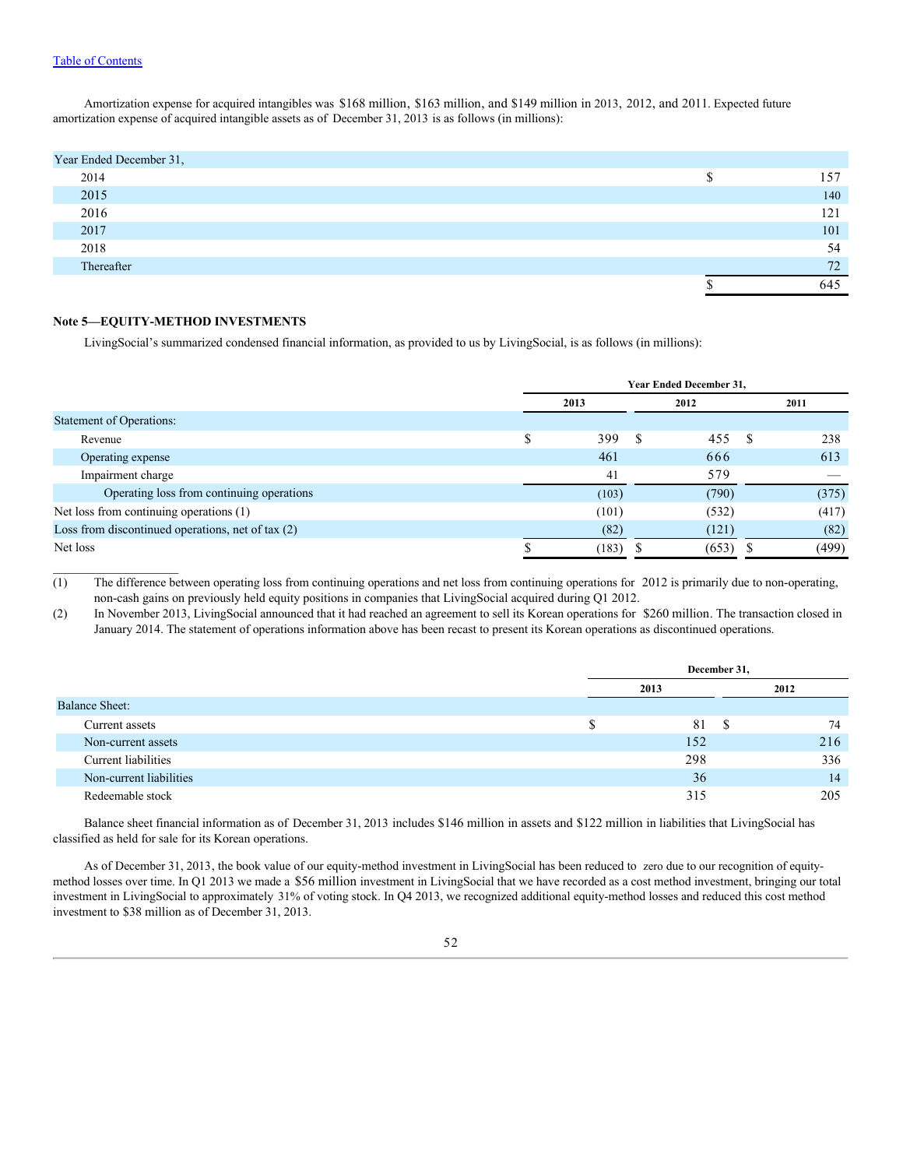Amortization expense for acquired intangibles was \$168 million, \$163 million, and \$149 million in 2013, 2012, and 2011. Expected future amortization expense of acquired intangible assets as of December 31, 2013 is as follows (in millions):

| Year Ended December 31, |    |     |
|-------------------------|----|-----|
| 2014                    | د∪ | 157 |
| 2015                    |    | 140 |
| 2016                    |    | 121 |
| 2017                    |    | 101 |
| 2018                    |    | 54  |
| Thereafter              |    | 72  |
|                         |    | 645 |

### **Note 5—EQUITY-METHOD INVESTMENTS**

LivingSocial's summarized condensed financial information, as provided to us by LivingSocial, is as follows (in millions):

| <b>Year Ended December 31,</b> |       |  |       |   |       |  |  |  |
|--------------------------------|-------|--|-------|---|-------|--|--|--|
|                                | 2013  |  | 2012  |   | 2011  |  |  |  |
|                                |       |  |       |   |       |  |  |  |
| đ                              | 399   |  | 455   | S | 238   |  |  |  |
|                                | 461   |  | 666   |   | 613   |  |  |  |
|                                | 41    |  | 579   |   |       |  |  |  |
|                                | (103) |  | (790) |   | (375) |  |  |  |
|                                | (101) |  | (532) |   | (417) |  |  |  |
|                                | (82)  |  | (121) |   | (82)  |  |  |  |
|                                | (183) |  | (653) |   | (499) |  |  |  |
|                                |       |  |       |   |       |  |  |  |

(1) The difference between operating loss from continuing operations and net loss from continuing operations for 2012 is primarily due to non-operating, non-cash gains on previously held equity positions in companies that LivingSocial acquired during Q1 2012.

(2) In November 2013, LivingSocial announced that it had reached an agreement to sell its Korean operations for \$260 million. The transaction closed in January 2014. The statement of operations information above has been recast to present its Korean operations as discontinued operations.

|                         |   | December 31, |          |  |  |  |  |  |
|-------------------------|---|--------------|----------|--|--|--|--|--|
|                         |   | 2013         | 2012     |  |  |  |  |  |
| <b>Balance Sheet:</b>   |   |              |          |  |  |  |  |  |
| Current assets          | Φ | 81           | -S<br>74 |  |  |  |  |  |
| Non-current assets      |   | 152          | 216      |  |  |  |  |  |
| Current liabilities     |   | 298          | 336      |  |  |  |  |  |
| Non-current liabilities |   | 36           | 14       |  |  |  |  |  |
| Redeemable stock        |   | 315          | 205      |  |  |  |  |  |

Balance sheet financial information as of December 31, 2013 includes \$146 million in assets and \$122 million in liabilities that LivingSocial has classified as held for sale for its Korean operations.

As of December 31, 2013, the book value of our equity-method investment in LivingSocial has been reduced to zero due to our recognition of equitymethod losses over time. In Q1 2013 we made a \$56 million investment in LivingSocial that we have recorded as a cost method investment, bringing our total investment in LivingSocial to approximately 31% of voting stock. In Q4 2013, we recognized additional equity-method losses and reduced this cost method investment to \$38 million as of December 31, 2013.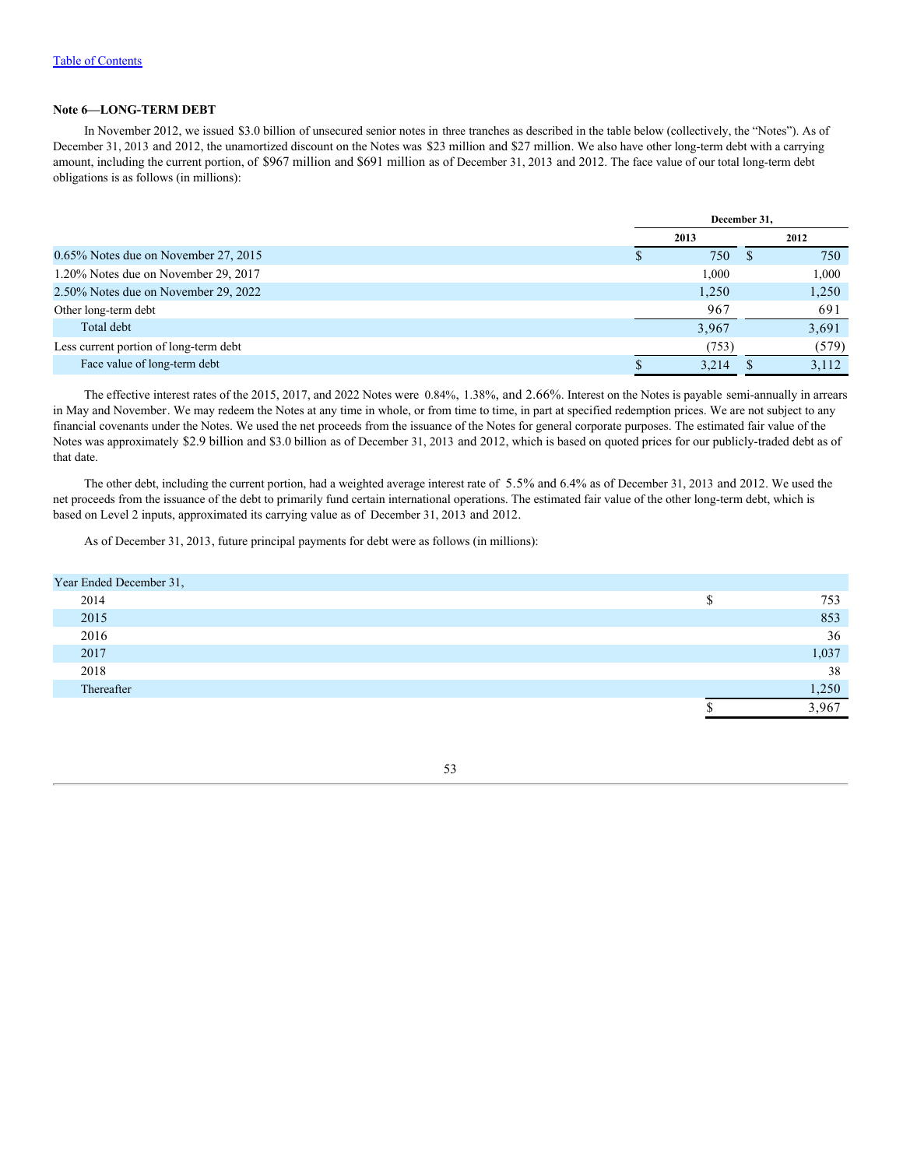### **Note 6—LONG-TERM DEBT**

In November 2012, we issued \$3.0 billion of unsecured senior notes in three tranches as described in the table below (collectively, the "Notes"). As of December 31, 2013 and 2012, the unamortized discount on the Notes was \$23 million and \$27 million. We also have other long-term debt with a carrying amount, including the current portion, of \$967 million and \$691 million as of December 31, 2013 and 2012. The face value of our total long-term debt obligations is as follows (in millions):

|                                         | December 31. |      |       |  |  |  |  |
|-----------------------------------------|--------------|------|-------|--|--|--|--|
|                                         | 2013         | 2012 |       |  |  |  |  |
| $0.65\%$ Notes due on November 27, 2015 | 750          | Ж    | 750   |  |  |  |  |
| 1.20% Notes due on November 29, 2017    | 1,000        |      | 1,000 |  |  |  |  |
| 2.50% Notes due on November 29, 2022    | 1,250        |      | 1,250 |  |  |  |  |
| Other long-term debt                    | 967          |      | 691   |  |  |  |  |
| Total debt                              | 3,967        |      | 3,691 |  |  |  |  |
| Less current portion of long-term debt  | (753)        |      | (579) |  |  |  |  |
| Face value of long-term debt            | 3.214        |      | 3.112 |  |  |  |  |

The effective interest rates of the 2015, 2017, and 2022 Notes were 0.84%, 1.38%, and 2.66%. Interest on the Notes is payable semi-annually in arrears in May and November. We may redeem the Notes at any time in whole, or from time to time, in part at specified redemption prices. We are not subject to any financial covenants under the Notes. We used the net proceeds from the issuance of the Notes for general corporate purposes. The estimated fair value of the Notes was approximately \$2.9 billion and \$3.0 billion as of December 31, 2013 and 2012, which is based on quoted prices for our publicly-traded debt as of that date.

The other debt, including the current portion, had a weighted average interest rate of 5.5% and 6.4% as of December 31, 2013 and 2012. We used the net proceeds from the issuance of the debt to primarily fund certain international operations. The estimated fair value of the other long-term debt, which is based on Level 2 inputs, approximated its carrying value as of December 31, 2013 and 2012.

As of December 31, 2013, future principal payments for debt were as follows (in millions):

| Year Ended December 31, |    |       |
|-------------------------|----|-------|
| 2014                    | υD | 753   |
| 2015                    |    | 853   |
| 2016                    |    | 36    |
| 2017                    |    | 1,037 |
| 2018                    |    | 38    |
| Thereafter              |    | 1,250 |
|                         |    | 3.967 |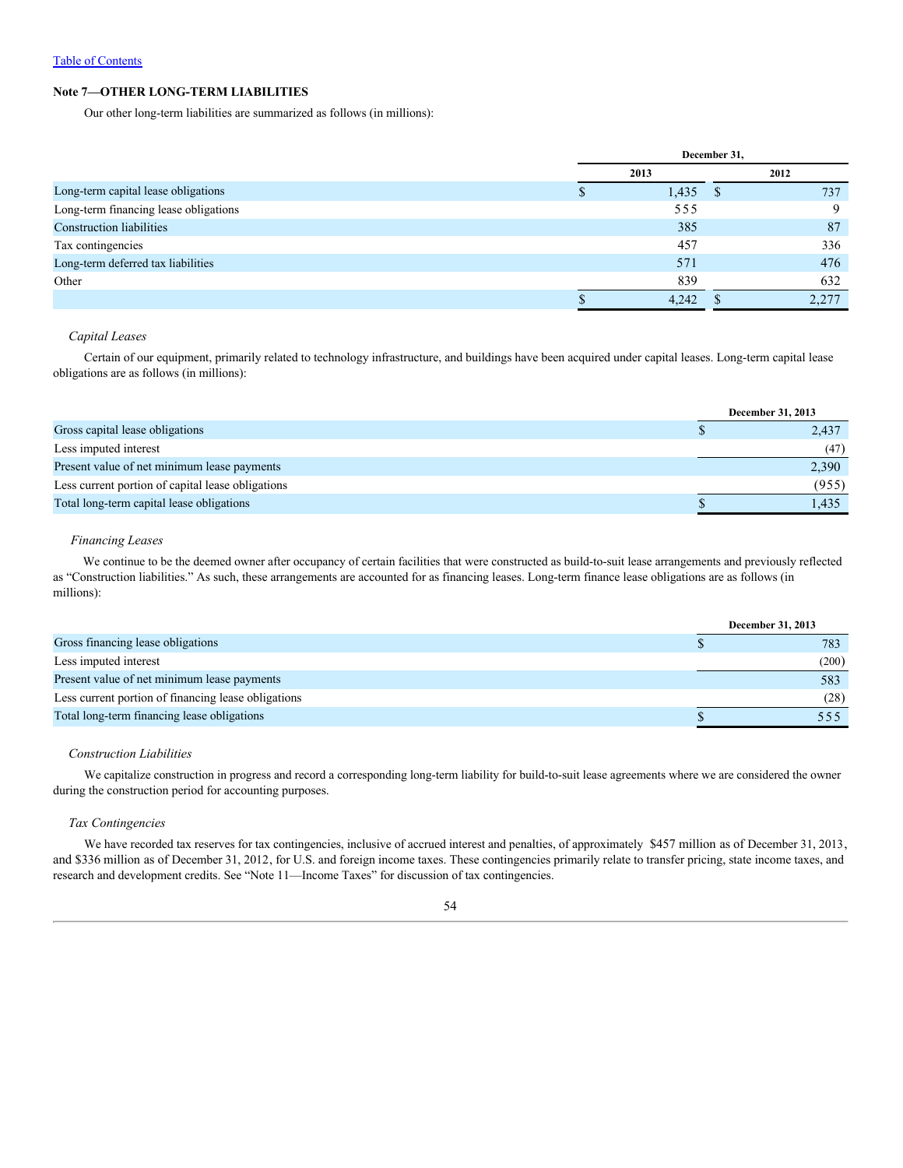### [Table of Contents](#page-1-0)

### **Note 7—OTHER LONG-TERM LIABILITIES**

Our other long-term liabilities are summarized as follows (in millions):

|                                       | December 31, |       |  |       |  |  |  |
|---------------------------------------|--------------|-------|--|-------|--|--|--|
|                                       | 2013         |       |  | 2012  |  |  |  |
| Long-term capital lease obligations   |              | 1,435 |  | 737   |  |  |  |
| Long-term financing lease obligations |              | 555   |  |       |  |  |  |
| <b>Construction liabilities</b>       |              | 385   |  | 87    |  |  |  |
| Tax contingencies                     |              | 457   |  | 336   |  |  |  |
| Long-term deferred tax liabilities    |              | 571   |  | 476   |  |  |  |
| Other                                 |              | 839   |  | 632   |  |  |  |
|                                       |              | 4.242 |  | 2.277 |  |  |  |

### *Capital Leases*

Certain of our equipment, primarily related to technology infrastructure, and buildings have been acquired under capital leases. Long-term capital lease obligations are as follows (in millions):

|                                                   | December 31, 2013 |
|---------------------------------------------------|-------------------|
| Gross capital lease obligations                   | 2,437             |
| Less imputed interest                             | (47)              |
| Present value of net minimum lease payments       | 2,390             |
| Less current portion of capital lease obligations | (955)             |
| Total long-term capital lease obligations         | 1.435             |

### *Financing Leases*

We continue to be the deemed owner after occupancy of certain facilities that were constructed as build-to-suit lease arrangements and previously reflected as "Construction liabilities." As such, these arrangements are accounted for as financing leases. Long-term finance lease obligations are as follows (in millions):

|                                                     | December 31, 2013 |
|-----------------------------------------------------|-------------------|
| Gross financing lease obligations                   | 783               |
| Less imputed interest                               | (200)             |
| Present value of net minimum lease payments         | 583               |
| Less current portion of financing lease obligations | (28)              |
| Total long-term financing lease obligations         | 555               |

### *Construction Liabilities*

We capitalize construction in progress and record a corresponding long-term liability for build-to-suit lease agreements where we are considered the owner during the construction period for accounting purposes.

### *Tax Contingencies*

We have recorded tax reserves for tax contingencies, inclusive of accrued interest and penalties, of approximately \$457 million as of December 31, 2013, and \$336 million as of December 31, 2012, for U.S. and foreign income taxes. These contingencies primarily relate to transfer pricing, state income taxes, and research and development credits. See "Note 11—Income Taxes" for discussion of tax contingencies.

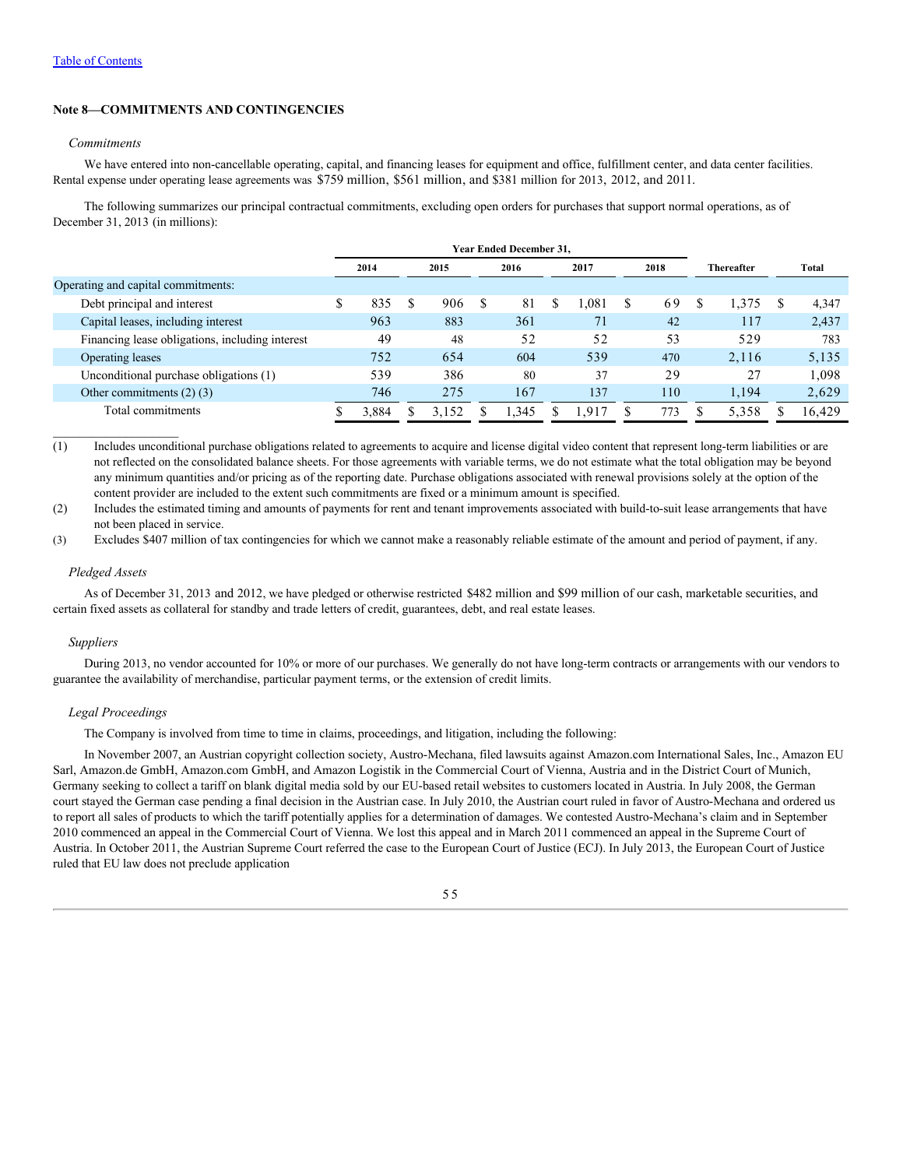### **Note 8—COMMITMENTS AND CONTINGENCIES**

### *Commitments*

We have entered into non-cancellable operating, capital, and financing leases for equipment and office, fulfillment center, and data center facilities. Rental expense under operating lease agreements was \$759 million, \$561 million, and \$381 million for 2013, 2012, and 2011.

The following summarizes our principal contractual commitments, excluding open orders for purchases that support normal operations, as of December 31, 2013 (in millions):

|                                                 |      | <b>Year Ended December 31.</b> |      |           |          |      |  |      |   |      |                   |       |    |        |
|-------------------------------------------------|------|--------------------------------|------|-----------|----------|------|--|------|---|------|-------------------|-------|----|--------|
|                                                 | 2014 |                                | 2015 |           |          | 2016 |  | 2017 |   | 2018 | <b>Thereafter</b> |       |    | Total  |
| Operating and capital commitments:              |      |                                |      |           |          |      |  |      |   |      |                   |       |    |        |
| Debt principal and interest                     |      | 835                            |      | 906       | <b>S</b> | 81   |  | .081 | S | 69   |                   | .375  | -S | 4,347  |
| Capital leases, including interest              |      | 963                            |      | 883       |          | 361  |  | 71   |   | 42   |                   | 117   |    | 2,437  |
| Financing lease obligations, including interest |      | 49                             |      | 48        |          | 52   |  | 52   |   | 53   |                   | 529   |    | 783    |
| Operating leases                                |      | 752                            |      | 654       |          | 604  |  | 539  |   | 470  |                   | 2,116 |    | 5,135  |
| Unconditional purchase obligations (1)          |      | 539                            |      | 386       |          | 80   |  | 37   |   | 29   |                   | 27    |    | 1.098  |
| Other commitments $(2)$ $(3)$                   |      | 746                            |      | 275       |          | 167  |  | 137  |   | 110  |                   | 1,194 |    | 2,629  |
| Total commitments                               |      | 3.884                          |      | 52<br>3.1 |          | .345 |  | .917 |   | 773  |                   | 5,358 |    | 16.429 |

(1) Includes unconditional purchase obligations related to agreements to acquire and license digital video content that represent long-term liabilities or are not reflected on the consolidated balance sheets. For those agreements with variable terms, we do not estimate what the total obligation may be beyond any minimum quantities and/or pricing as of the reporting date. Purchase obligations associated with renewal provisions solely at the option of the content provider are included to the extent such commitments are fixed or a minimum amount is specified.

(2) Includes the estimated timing and amounts of payments for rent and tenant improvements associated with build-to-suit lease arrangements that have not been placed in service.

(3) Excludes \$407 million of tax contingencies for which we cannot make a reasonably reliable estimate of the amount and period of payment, if any.

### *Pledged Assets*

As of December 31, 2013 and 2012, we have pledged or otherwise restricted \$482 million and \$99 million of our cash, marketable securities, and certain fixed assets as collateral for standby and trade letters of credit, guarantees, debt, and real estate leases.

### *Suppliers*

During 2013, no vendor accounted for 10% or more of our purchases. We generally do not have long-term contracts or arrangements with our vendors to guarantee the availability of merchandise, particular payment terms, or the extension of credit limits.

#### *Legal Proceedings*

The Company is involved from time to time in claims, proceedings, and litigation, including the following:

In November 2007, an Austrian copyright collection society, Austro-Mechana, filed lawsuits against Amazon.com International Sales, Inc., Amazon EU Sarl, Amazon.de GmbH, Amazon.com GmbH, and Amazon Logistik in the Commercial Court of Vienna, Austria and in the District Court of Munich, Germany seeking to collect a tariff on blank digital media sold by our EU-based retail websites to customers located in Austria. In July 2008, the German court stayed the German case pending a final decision in the Austrian case. In July 2010, the Austrian court ruled in favor of Austro-Mechana and ordered us to report all sales of products to which the tariff potentially applies for a determination of damages. We contested Austro-Mechana's claim and in September 2010 commenced an appeal in the Commercial Court of Vienna. We lost this appeal and in March 2011 commenced an appeal in the Supreme Court of Austria. In October 2011, the Austrian Supreme Court referred the case to the European Court of Justice (ECJ). In July 2013, the European Court of Justice ruled that EU law does not preclude application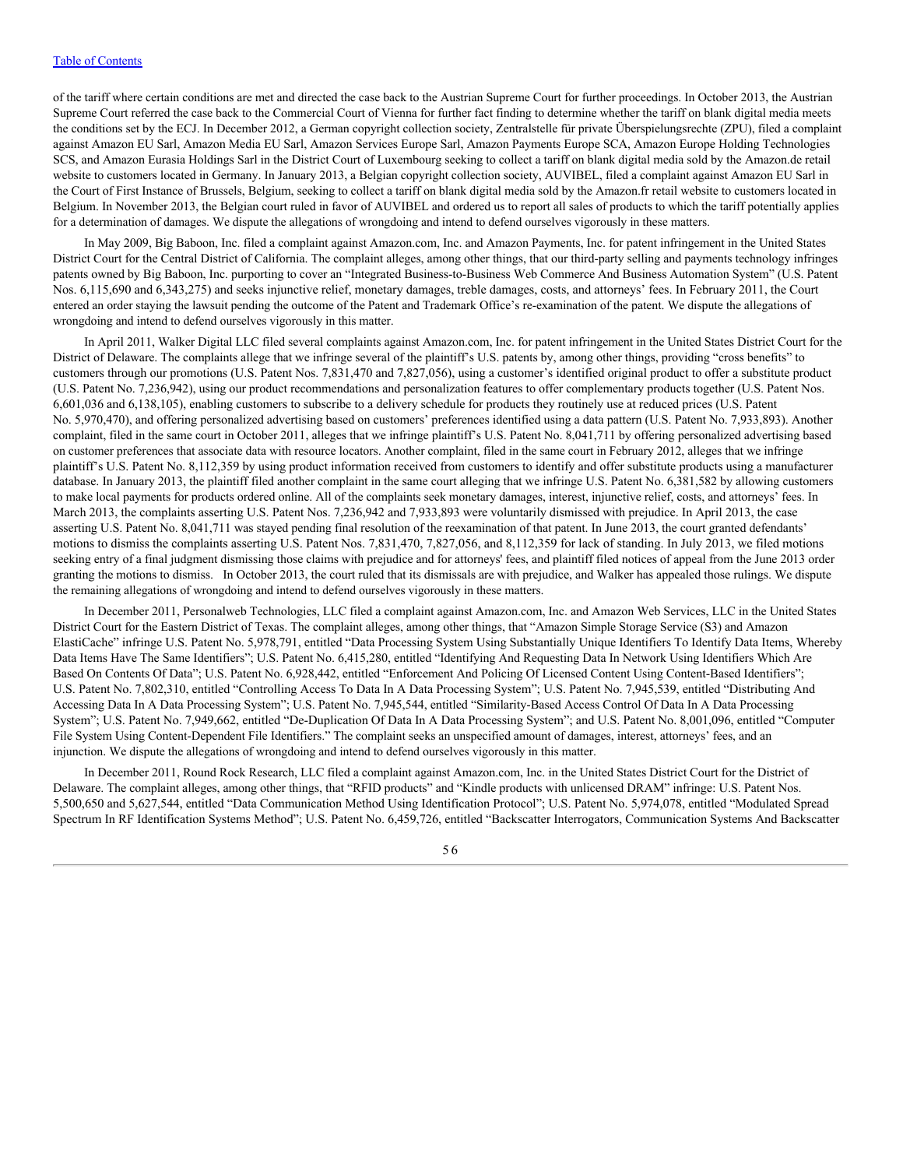of the tariff where certain conditions are met and directed the case back to the Austrian Supreme Court for further proceedings. In October 2013, the Austrian Supreme Court referred the case back to the Commercial Court of Vienna for further fact finding to determine whether the tariff on blank digital media meets the conditions set by the ECJ. In December 2012, a German copyright collection society, Zentralstelle für private Überspielungsrechte (ZPU), filed a complaint against Amazon EU Sarl, Amazon Media EU Sarl, Amazon Services Europe Sarl, Amazon Payments Europe SCA, Amazon Europe Holding Technologies SCS, and Amazon Eurasia Holdings Sarl in the District Court of Luxembourg seeking to collect a tariff on blank digital media sold by the Amazon.de retail website to customers located in Germany. In January 2013, a Belgian copyright collection society, AUVIBEL, filed a complaint against Amazon EU Sarl in the Court of First Instance of Brussels, Belgium, seeking to collect a tariff on blank digital media sold by the Amazon.fr retail website to customers located in Belgium. In November 2013, the Belgian court ruled in favor of AUVIBEL and ordered us to report all sales of products to which the tariff potentially applies for a determination of damages. We dispute the allegations of wrongdoing and intend to defend ourselves vigorously in these matters.

In May 2009, Big Baboon, Inc. filed a complaint against Amazon.com, Inc. and Amazon Payments, Inc. for patent infringement in the United States District Court for the Central District of California. The complaint alleges, among other things, that our third-party selling and payments technology infringes patents owned by Big Baboon, Inc. purporting to cover an "Integrated Business-to-Business Web Commerce And Business Automation System" (U.S. Patent Nos. 6,115,690 and 6,343,275) and seeks injunctive relief, monetary damages, treble damages, costs, and attorneys' fees. In February 2011, the Court entered an order staying the lawsuit pending the outcome of the Patent and Trademark Office's re-examination of the patent. We dispute the allegations of wrongdoing and intend to defend ourselves vigorously in this matter.

In April 2011, Walker Digital LLC filed several complaints against Amazon.com, Inc. for patent infringement in the United States District Court for the District of Delaware. The complaints allege that we infringe several of the plaintiff's U.S. patents by, among other things, providing "cross benefits" to customers through our promotions (U.S. Patent Nos. 7,831,470 and 7,827,056), using a customer's identified original product to offer a substitute product (U.S. Patent No. 7,236,942), using our product recommendations and personalization features to offer complementary products together (U.S. Patent Nos. 6,601,036 and 6,138,105), enabling customers to subscribe to a delivery schedule for products they routinely use at reduced prices (U.S. Patent No. 5,970,470), and offering personalized advertising based on customers' preferences identified using a data pattern (U.S. Patent No. 7,933,893). Another complaint, filed in the same court in October 2011, alleges that we infringe plaintiff's U.S. Patent No. 8,041,711 by offering personalized advertising based on customer preferences that associate data with resource locators. Another complaint, filed in the same court in February 2012, alleges that we infringe plaintiff's U.S. Patent No. 8,112,359 by using product information received from customers to identify and offer substitute products using a manufacturer database. In January 2013, the plaintiff filed another complaint in the same court alleging that we infringe U.S. Patent No. 6,381,582 by allowing customers to make local payments for products ordered online. All of the complaints seek monetary damages, interest, injunctive relief, costs, and attorneys' fees. In March 2013, the complaints asserting U.S. Patent Nos. 7,236,942 and 7,933,893 were voluntarily dismissed with prejudice. In April 2013, the case asserting U.S. Patent No. 8,041,711 was stayed pending final resolution of the reexamination of that patent. In June 2013, the court granted defendants' motions to dismiss the complaints asserting U.S. Patent Nos. 7,831,470, 7,827,056, and 8,112,359 for lack of standing. In July 2013, we filed motions seeking entry of a final judgment dismissing those claims with prejudice and for attorneys' fees, and plaintiff filed notices of appeal from the June 2013 order granting the motions to dismiss. In October 2013, the court ruled that its dismissals are with prejudice, and Walker has appealed those rulings. We dispute the remaining allegations of wrongdoing and intend to defend ourselves vigorously in these matters.

In December 2011, Personalweb Technologies, LLC filed a complaint against Amazon.com, Inc. and Amazon Web Services, LLC in the United States District Court for the Eastern District of Texas. The complaint alleges, among other things, that "Amazon Simple Storage Service (S3) and Amazon ElastiCache" infringe U.S. Patent No. 5,978,791, entitled "Data Processing System Using Substantially Unique Identifiers To Identify Data Items, Whereby Data Items Have The Same Identifiers"; U.S. Patent No. 6,415,280, entitled "Identifying And Requesting Data In Network Using Identifiers Which Are Based On Contents Of Data"; U.S. Patent No. 6,928,442, entitled "Enforcement And Policing Of Licensed Content Using Content-Based Identifiers"; U.S. Patent No. 7,802,310, entitled "Controlling Access To Data In A Data Processing System"; U.S. Patent No. 7,945,539, entitled "Distributing And Accessing Data In A Data Processing System"; U.S. Patent No. 7,945,544, entitled "Similarity-Based Access Control Of Data In A Data Processing System"; U.S. Patent No. 7,949,662, entitled "De-Duplication Of Data In A Data Processing System"; and U.S. Patent No. 8,001,096, entitled "Computer File System Using Content-Dependent File Identifiers." The complaint seeks an unspecified amount of damages, interest, attorneys' fees, and an injunction. We dispute the allegations of wrongdoing and intend to defend ourselves vigorously in this matter.

In December 2011, Round Rock Research, LLC filed a complaint against Amazon.com, Inc. in the United States District Court for the District of Delaware. The complaint alleges, among other things, that "RFID products" and "Kindle products with unlicensed DRAM" infringe: U.S. Patent Nos. 5,500,650 and 5,627,544, entitled "Data Communication Method Using Identification Protocol"; U.S. Patent No. 5,974,078, entitled "Modulated Spread Spectrum In RF Identification Systems Method"; U.S. Patent No. 6,459,726, entitled "Backscatter Interrogators, Communication Systems And Backscatter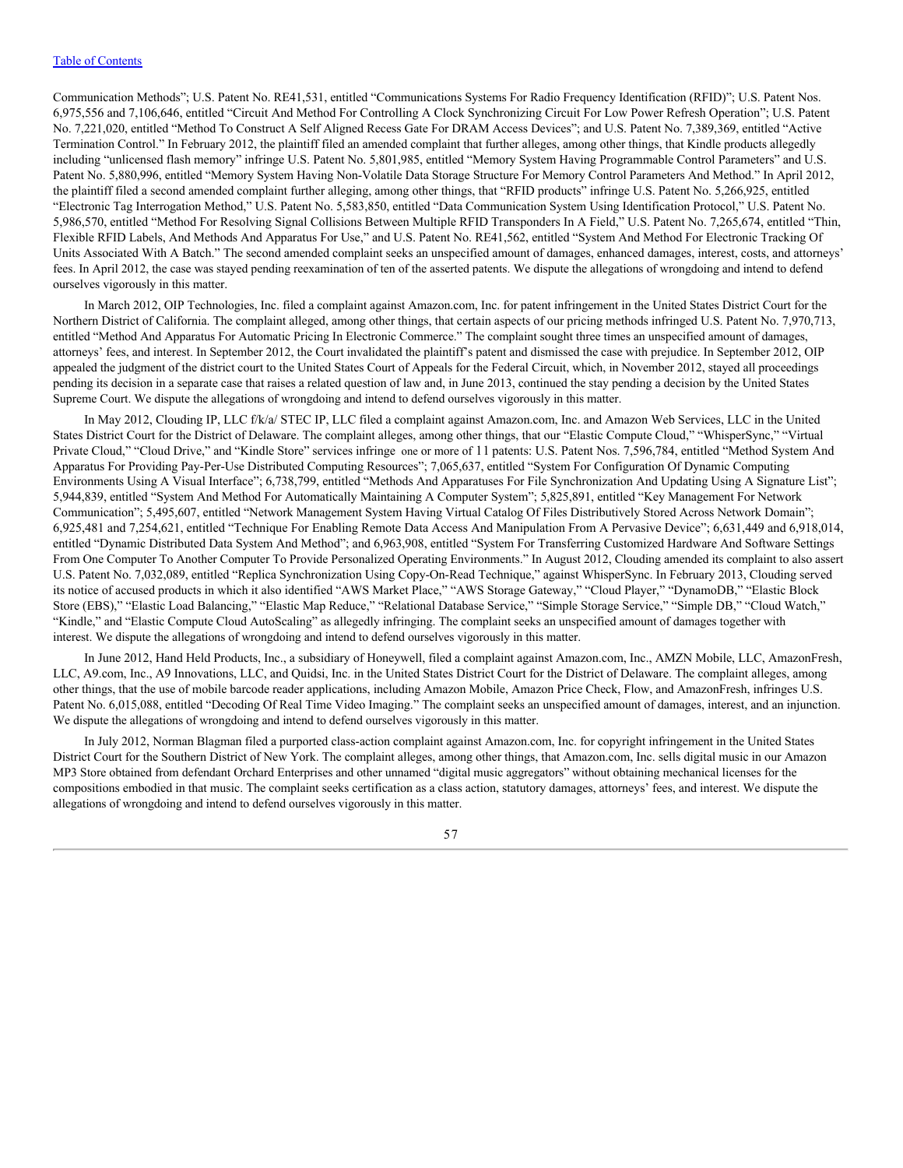Communication Methods"; U.S. Patent No. RE41,531, entitled "Communications Systems For Radio Frequency Identification (RFID)"; U.S. Patent Nos. 6,975,556 and 7,106,646, entitled "Circuit And Method For Controlling A Clock Synchronizing Circuit For Low Power Refresh Operation"; U.S. Patent No. 7,221,020, entitled "Method To Construct A Self Aligned Recess Gate For DRAM Access Devices"; and U.S. Patent No. 7,389,369, entitled "Active Termination Control." In February 2012, the plaintiff filed an amended complaint that further alleges, among other things, that Kindle products allegedly including "unlicensed flash memory" infringe U.S. Patent No. 5,801,985, entitled "Memory System Having Programmable Control Parameters" and U.S. Patent No. 5,880,996, entitled "Memory System Having Non-Volatile Data Storage Structure For Memory Control Parameters And Method." In April 2012, the plaintiff filed a second amended complaint further alleging, among other things, that "RFID products" infringe U.S. Patent No. 5,266,925, entitled "Electronic Tag Interrogation Method," U.S. Patent No. 5,583,850, entitled "Data Communication System Using Identification Protocol," U.S. Patent No. 5,986,570, entitled "Method For Resolving Signal Collisions Between Multiple RFID Transponders In A Field," U.S. Patent No. 7,265,674, entitled "Thin, Flexible RFID Labels, And Methods And Apparatus For Use," and U.S. Patent No. RE41,562, entitled "System And Method For Electronic Tracking Of Units Associated With A Batch." The second amended complaint seeks an unspecified amount of damages, enhanced damages, interest, costs, and attorneys' fees. In April 2012, the case was stayed pending reexamination of ten of the asserted patents. We dispute the allegations of wrongdoing and intend to defend ourselves vigorously in this matter.

In March 2012, OIP Technologies, Inc. filed a complaint against Amazon.com, Inc. for patent infringement in the United States District Court for the Northern District of California. The complaint alleged, among other things, that certain aspects of our pricing methods infringed U.S. Patent No. 7,970,713, entitled "Method And Apparatus For Automatic Pricing In Electronic Commerce." The complaint sought three times an unspecified amount of damages, attorneys' fees, and interest. In September 2012, the Court invalidated the plaintiff's patent and dismissed the case with prejudice. In September 2012, OIP appealed the judgment of the district court to the United States Court of Appeals for the Federal Circuit, which, in November 2012, stayed all proceedings pending its decision in a separate case that raises a related question of law and, in June 2013, continued the stay pending a decision by the United States Supreme Court. We dispute the allegations of wrongdoing and intend to defend ourselves vigorously in this matter.

In May 2012, Clouding IP, LLC f/k/a/ STEC IP, LLC filed a complaint against Amazon.com, Inc. and Amazon Web Services, LLC in the United States District Court for the District of Delaware. The complaint alleges, among other things, that our "Elastic Compute Cloud," "WhisperSync," "Virtual Private Cloud," "Cloud Drive," and "Kindle Store" services infringe one or more of 11 patents: U.S. Patent Nos. 7,596,784, entitled "Method System And Apparatus For Providing Pay-Per-Use Distributed Computing Resources"; 7,065,637, entitled "System For Configuration Of Dynamic Computing Environments Using A Visual Interface"; 6,738,799, entitled "Methods And Apparatuses For File Synchronization And Updating Using A Signature List"; 5,944,839, entitled "System And Method For Automatically Maintaining A Computer System"; 5,825,891, entitled "Key Management For Network Communication"; 5,495,607, entitled "Network Management System Having Virtual Catalog Of Files Distributively Stored Across Network Domain"; 6,925,481 and 7,254,621, entitled "Technique For Enabling Remote Data Access And Manipulation From A Pervasive Device"; 6,631,449 and 6,918,014, entitled "Dynamic Distributed Data System And Method"; and 6,963,908, entitled "System For Transferring Customized Hardware And Software Settings From One Computer To Another Computer To Provide Personalized Operating Environments." In August 2012, Clouding amended its complaint to also assert U.S. Patent No. 7,032,089, entitled "Replica Synchronization Using Copy-On-Read Technique," against WhisperSync. In February 2013, Clouding served its notice of accused products in which it also identified "AWS Market Place," "AWS Storage Gateway," "Cloud Player," "DynamoDB," "Elastic Block Store (EBS)," "Elastic Load Balancing," "Elastic Map Reduce," "Relational Database Service," "Simple Storage Service," "Simple DB," "Cloud Watch," "Kindle," and "Elastic Compute Cloud AutoScaling" as allegedly infringing. The complaint seeks an unspecified amount of damages together with interest. We dispute the allegations of wrongdoing and intend to defend ourselves vigorously in this matter.

In June 2012, Hand Held Products, Inc., a subsidiary of Honeywell, filed a complaint against Amazon.com, Inc., AMZN Mobile, LLC, AmazonFresh, LLC, A9.com, Inc., A9 Innovations, LLC, and Quidsi, Inc. in the United States District Court for the District of Delaware. The complaint alleges, among other things, that the use of mobile barcode reader applications, including Amazon Mobile, Amazon Price Check, Flow, and AmazonFresh, infringes U.S. Patent No. 6,015,088, entitled "Decoding Of Real Time Video Imaging." The complaint seeks an unspecified amount of damages, interest, and an injunction. We dispute the allegations of wrongdoing and intend to defend ourselves vigorously in this matter.

In July 2012, Norman Blagman filed a purported class-action complaint against Amazon.com, Inc. for copyright infringement in the United States District Court for the Southern District of New York. The complaint alleges, among other things, that Amazon.com, Inc. sells digital music in our Amazon MP3 Store obtained from defendant Orchard Enterprises and other unnamed "digital music aggregators" without obtaining mechanical licenses for the compositions embodied in that music. The complaint seeks certification as a class action, statutory damages, attorneys' fees, and interest. We dispute the allegations of wrongdoing and intend to defend ourselves vigorously in this matter.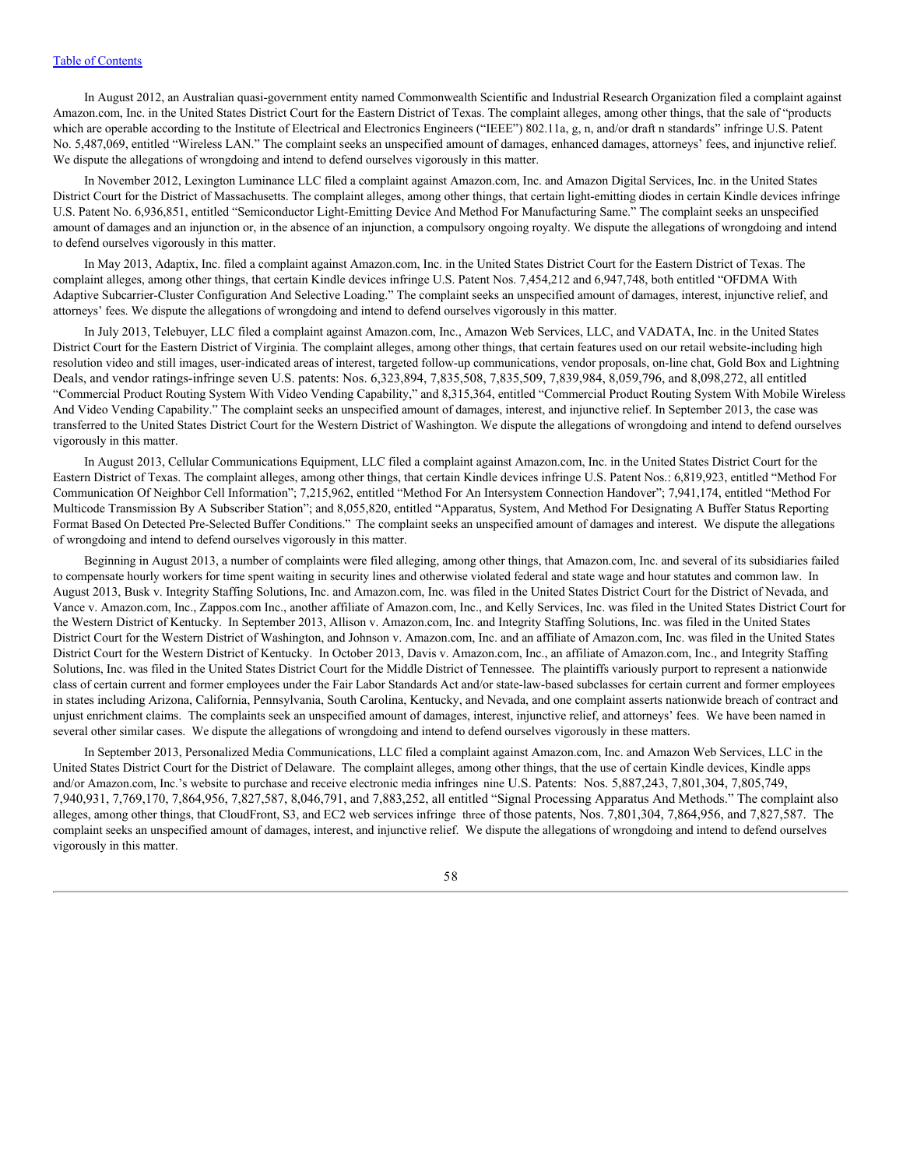In August 2012, an Australian quasi-government entity named Commonwealth Scientific and Industrial Research Organization filed a complaint against Amazon.com, Inc. in the United States District Court for the Eastern District of Texas. The complaint alleges, among other things, that the sale of "products which are operable according to the Institute of Electrical and Electronics Engineers ("IEEE") 802.11a, g, n, and/or draft n standards" infringe U.S. Patent No. 5,487,069, entitled "Wireless LAN." The complaint seeks an unspecified amount of damages, enhanced damages, attorneys' fees, and injunctive relief. We dispute the allegations of wrongdoing and intend to defend ourselves vigorously in this matter.

In November 2012, Lexington Luminance LLC filed a complaint against Amazon.com, Inc. and Amazon Digital Services, Inc. in the United States District Court for the District of Massachusetts. The complaint alleges, among other things, that certain light-emitting diodes in certain Kindle devices infringe U.S. Patent No. 6,936,851, entitled "Semiconductor Light-Emitting Device And Method For Manufacturing Same." The complaint seeks an unspecified amount of damages and an injunction or, in the absence of an injunction, a compulsory ongoing royalty. We dispute the allegations of wrongdoing and intend to defend ourselves vigorously in this matter.

In May 2013, Adaptix, Inc. filed a complaint against Amazon.com, Inc. in the United States District Court for the Eastern District of Texas. The complaint alleges, among other things, that certain Kindle devices infringe U.S. Patent Nos. 7,454,212 and 6,947,748, both entitled "OFDMA With Adaptive Subcarrier-Cluster Configuration And Selective Loading." The complaint seeks an unspecified amount of damages, interest, injunctive relief, and attorneys' fees. We dispute the allegations of wrongdoing and intend to defend ourselves vigorously in this matter.

In July 2013, Telebuyer, LLC filed a complaint against Amazon.com, Inc., Amazon Web Services, LLC, and VADATA, Inc. in the United States District Court for the Eastern District of Virginia. The complaint alleges, among other things, that certain features used on our retail website-including high resolution video and still images, user-indicated areas of interest, targeted follow-up communications, vendor proposals, on-line chat, Gold Box and Lightning Deals, and vendor ratings-infringe seven U.S. patents: Nos. 6,323,894, 7,835,508, 7,835,509, 7,839,984, 8,059,796, and 8,098,272, all entitled "Commercial Product Routing System With Video Vending Capability," and 8,315,364, entitled "Commercial Product Routing System With Mobile Wireless And Video Vending Capability." The complaint seeks an unspecified amount of damages, interest, and injunctive relief. In September 2013, the case was transferred to the United States District Court for the Western District of Washington. We dispute the allegations of wrongdoing and intend to defend ourselves vigorously in this matter.

In August 2013, Cellular Communications Equipment, LLC filed a complaint against Amazon.com, Inc. in the United States District Court for the Eastern District of Texas. The complaint alleges, among other things, that certain Kindle devices infringe U.S. Patent Nos.: 6,819,923, entitled "Method For Communication Of Neighbor Cell Information"; 7,215,962, entitled "Method For An Intersystem Connection Handover"; 7,941,174, entitled "Method For Multicode Transmission By A Subscriber Station"; and 8,055,820, entitled "Apparatus, System, And Method For Designating A Buffer Status Reporting Format Based On Detected Pre-Selected Buffer Conditions." The complaint seeks an unspecified amount of damages and interest. We dispute the allegations of wrongdoing and intend to defend ourselves vigorously in this matter.

Beginning in August 2013, a number of complaints were filed alleging, among other things, that Amazon.com, Inc. and several of its subsidiaries failed to compensate hourly workers for time spent waiting in security lines and otherwise violated federal and state wage and hour statutes and common law. In August 2013, Busk v. Integrity Staffing Solutions, Inc. and Amazon.com, Inc. was filed in the United States District Court for the District of Nevada, and Vance v. Amazon.com, Inc., Zappos.com Inc., another affiliate of Amazon.com, Inc., and Kelly Services, Inc. was filed in the United States District Court for the Western District of Kentucky. In September 2013, Allison v. Amazon.com, Inc. and Integrity Staffing Solutions, Inc. was filed in the United States District Court for the Western District of Washington, and Johnson v. Amazon.com, Inc. and an affiliate of Amazon.com, Inc. was filed in the United States District Court for the Western District of Kentucky. In October 2013, Davis v. Amazon.com, Inc., an affiliate of Amazon.com, Inc., and Integrity Staffing Solutions, Inc. was filed in the United States District Court for the Middle District of Tennessee. The plaintiffs variously purport to represent a nationwide class of certain current and former employees under the Fair Labor Standards Act and/or state-law-based subclasses for certain current and former employees in states including Arizona, California, Pennsylvania, South Carolina, Kentucky, and Nevada, and one complaint asserts nationwide breach of contract and unjust enrichment claims. The complaints seek an unspecified amount of damages, interest, injunctive relief, and attorneys' fees. We have been named in several other similar cases. We dispute the allegations of wrongdoing and intend to defend ourselves vigorously in these matters.

In September 2013, Personalized Media Communications, LLC filed a complaint against Amazon.com, Inc. and Amazon Web Services, LLC in the United States District Court for the District of Delaware. The complaint alleges, among other things, that the use of certain Kindle devices, Kindle apps and/or Amazon.com, Inc.'s website to purchase and receive electronic media infringes nine U.S. Patents: Nos. 5,887,243, 7,801,304, 7,805,749, 7,940,931, 7,769,170, 7,864,956, 7,827,587, 8,046,791, and 7,883,252, all entitled "Signal Processing Apparatus And Methods." The complaint also alleges, among other things, that CloudFront, S3, and EC2 web services infringe three of those patents, Nos. 7,801,304, 7,864,956, and 7,827,587. The complaint seeks an unspecified amount of damages, interest, and injunctive relief. We dispute the allegations of wrongdoing and intend to defend ourselves vigorously in this matter.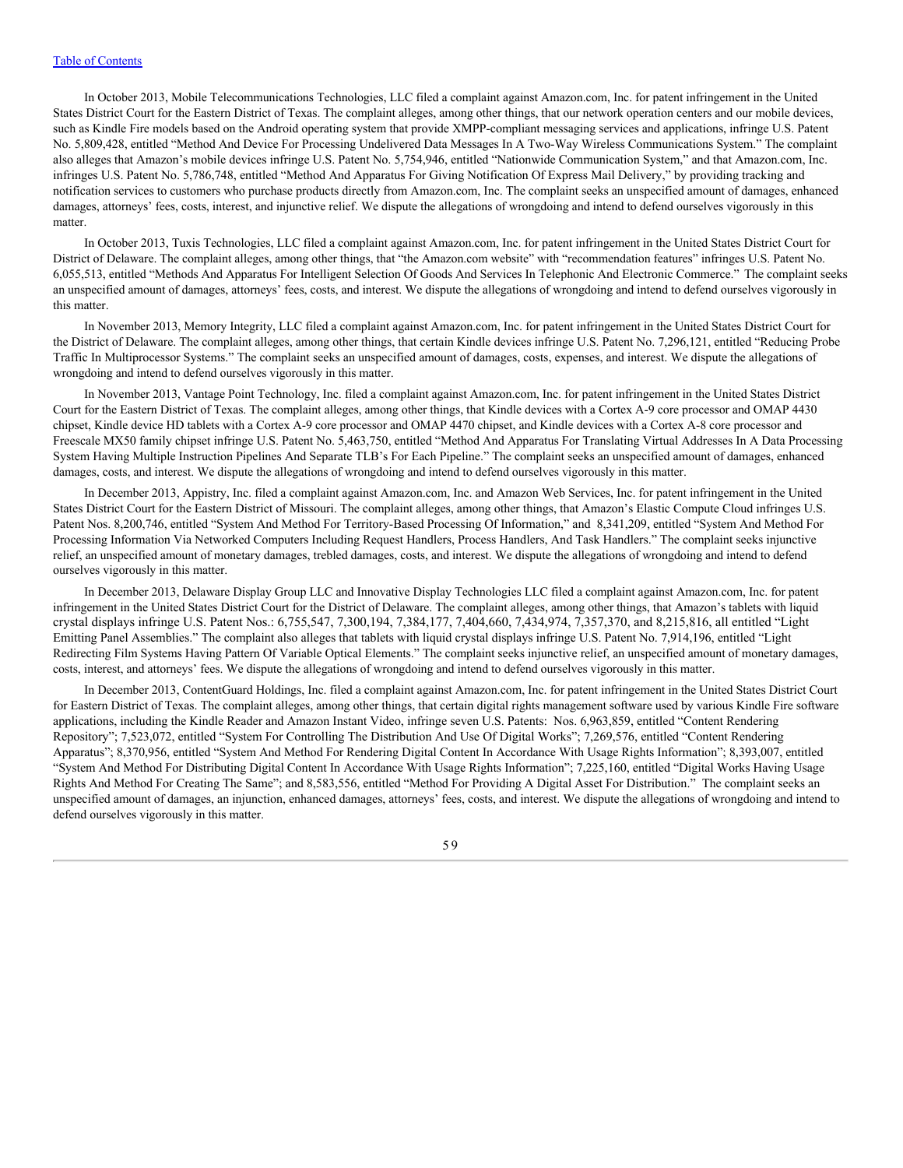In October 2013, Mobile Telecommunications Technologies, LLC filed a complaint against Amazon.com, Inc. for patent infringement in the United States District Court for the Eastern District of Texas. The complaint alleges, among other things, that our network operation centers and our mobile devices, such as Kindle Fire models based on the Android operating system that provide XMPP-compliant messaging services and applications, infringe U.S. Patent No. 5,809,428, entitled "Method And Device For Processing Undelivered Data Messages In A Two-Way Wireless Communications System." The complaint also alleges that Amazon's mobile devices infringe U.S. Patent No. 5,754,946, entitled "Nationwide Communication System," and that Amazon.com, Inc. infringes U.S. Patent No. 5,786,748, entitled "Method And Apparatus For Giving Notification Of Express Mail Delivery," by providing tracking and notification services to customers who purchase products directly from Amazon.com, Inc. The complaint seeks an unspecified amount of damages, enhanced damages, attorneys' fees, costs, interest, and injunctive relief. We dispute the allegations of wrongdoing and intend to defend ourselves vigorously in this matter.

In October 2013, Tuxis Technologies, LLC filed a complaint against Amazon.com, Inc. for patent infringement in the United States District Court for District of Delaware. The complaint alleges, among other things, that "the Amazon.com website" with "recommendation features" infringes U.S. Patent No. 6,055,513, entitled "Methods And Apparatus For Intelligent Selection Of Goods And Services In Telephonic And Electronic Commerce." The complaint seeks an unspecified amount of damages, attorneys' fees, costs, and interest. We dispute the allegations of wrongdoing and intend to defend ourselves vigorously in this matter.

In November 2013, Memory Integrity, LLC filed a complaint against Amazon.com, Inc. for patent infringement in the United States District Court for the District of Delaware. The complaint alleges, among other things, that certain Kindle devices infringe U.S. Patent No. 7,296,121, entitled "Reducing Probe Traffic In Multiprocessor Systems." The complaint seeks an unspecified amount of damages, costs, expenses, and interest. We dispute the allegations of wrongdoing and intend to defend ourselves vigorously in this matter.

In November 2013, Vantage Point Technology, Inc. filed a complaint against Amazon.com, Inc. for patent infringement in the United States District Court for the Eastern District of Texas. The complaint alleges, among other things, that Kindle devices with a Cortex A-9 core processor and OMAP 4430 chipset, Kindle device HD tablets with a Cortex A-9 core processor and OMAP 4470 chipset, and Kindle devices with a Cortex A-8 core processor and Freescale MX50 family chipset infringe U.S. Patent No. 5,463,750, entitled "Method And Apparatus For Translating Virtual Addresses In A Data Processing System Having Multiple Instruction Pipelines And Separate TLB's For Each Pipeline." The complaint seeks an unspecified amount of damages, enhanced damages, costs, and interest. We dispute the allegations of wrongdoing and intend to defend ourselves vigorously in this matter.

In December 2013, Appistry, Inc. filed a complaint against Amazon.com, Inc. and Amazon Web Services, Inc. for patent infringement in the United States District Court for the Eastern District of Missouri. The complaint alleges, among other things, that Amazon's Elastic Compute Cloud infringes U.S. Patent Nos. 8,200,746, entitled "System And Method For Territory-Based Processing Of Information," and 8,341,209, entitled "System And Method For Processing Information Via Networked Computers Including Request Handlers, Process Handlers, And Task Handlers." The complaint seeks injunctive relief, an unspecified amount of monetary damages, trebled damages, costs, and interest. We dispute the allegations of wrongdoing and intend to defend ourselves vigorously in this matter.

In December 2013, Delaware Display Group LLC and Innovative Display Technologies LLC filed a complaint against Amazon.com, Inc. for patent infringement in the United States District Court for the District of Delaware. The complaint alleges, among other things, that Amazon's tablets with liquid crystal displays infringe U.S. Patent Nos.: 6,755,547, 7,300,194, 7,384,177, 7,404,660, 7,434,974, 7,357,370, and 8,215,816, all entitled "Light Emitting Panel Assemblies." The complaint also alleges that tablets with liquid crystal displays infringe U.S. Patent No. 7,914,196, entitled "Light Redirecting Film Systems Having Pattern Of Variable Optical Elements." The complaint seeks injunctive relief, an unspecified amount of monetary damages, costs, interest, and attorneys' fees. We dispute the allegations of wrongdoing and intend to defend ourselves vigorously in this matter.

In December 2013, ContentGuard Holdings, Inc. filed a complaint against Amazon.com, Inc. for patent infringement in the United States District Court for Eastern District of Texas. The complaint alleges, among other things, that certain digital rights management software used by various Kindle Fire software applications, including the Kindle Reader and Amazon Instant Video, infringe seven U.S. Patents: Nos. 6,963,859, entitled "Content Rendering Repository"; 7,523,072, entitled "System For Controlling The Distribution And Use Of Digital Works"; 7,269,576, entitled "Content Rendering Apparatus"; 8,370,956, entitled "System And Method For Rendering Digital Content In Accordance With Usage Rights Information"; 8,393,007, entitled "System And Method For Distributing Digital Content In Accordance With Usage Rights Information"; 7,225,160, entitled "Digital Works Having Usage Rights And Method For Creating The Same"; and 8,583,556, entitled "Method For Providing A Digital Asset For Distribution." The complaint seeks an unspecified amount of damages, an injunction, enhanced damages, attorneys' fees, costs, and interest. We dispute the allegations of wrongdoing and intend to defend ourselves vigorously in this matter.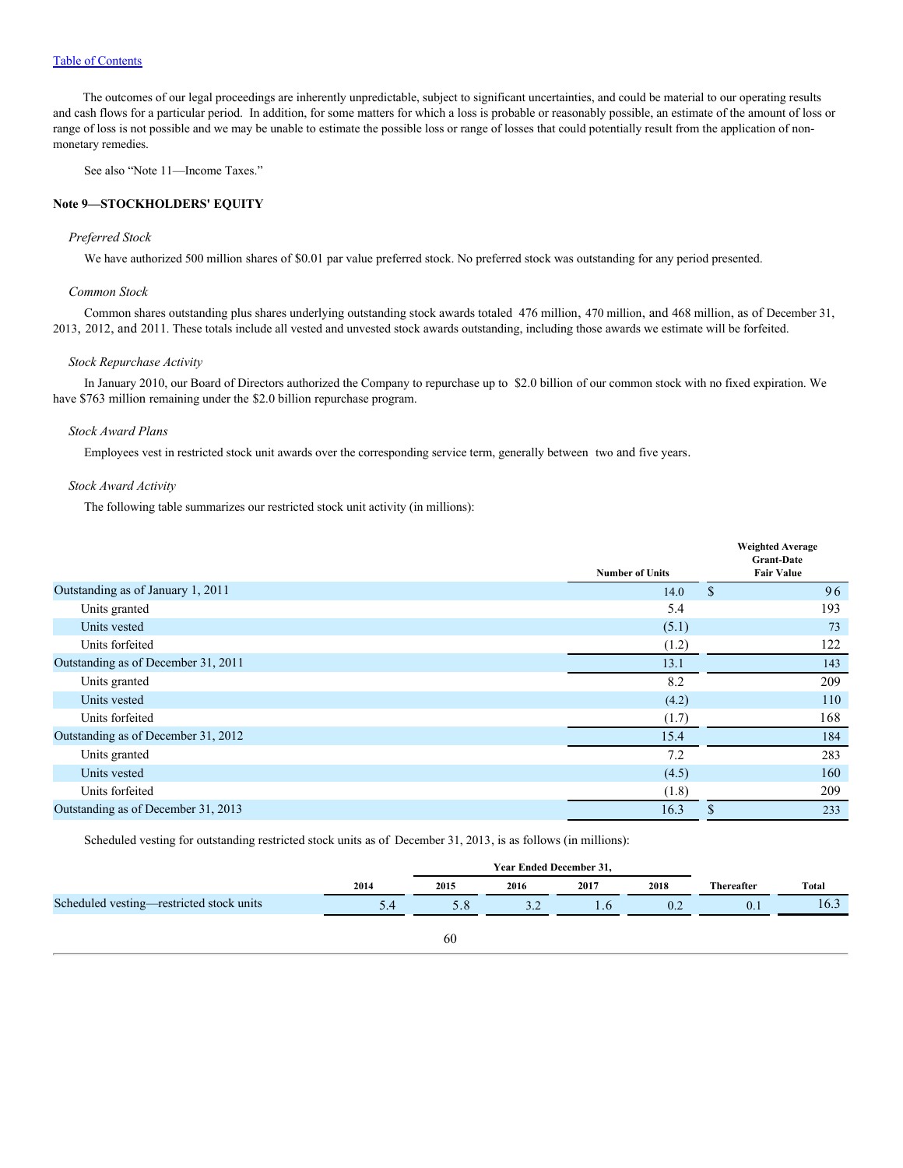The outcomes of our legal proceedings are inherently unpredictable, subject to significant uncertainties, and could be material to our operating results and cash flows for a particular period. In addition, for some matters for which a loss is probable or reasonably possible, an estimate of the amount of loss or range of loss is not possible and we may be unable to estimate the possible loss or range of losses that could potentially result from the application of nonmonetary remedies.

See also "Note 11—Income Taxes."

### **Note 9—STOCKHOLDERS' EQUITY**

### *Preferred Stock*

We have authorized 500 million shares of \$0.01 par value preferred stock. No preferred stock was outstanding for any period presented.

### *Common Stock*

Common shares outstanding plus shares underlying outstanding stock awards totaled 476 million, 470 million, and 468 million, as of December 31, 2013, 2012, and 2011. These totals include all vested and unvested stock awards outstanding, including those awards we estimate will be forfeited.

### *Stock Repurchase Activity*

In January 2010, our Board of Directors authorized the Company to repurchase up to \$2.0 billion of our common stock with no fixed expiration. We have \$763 million remaining under the \$2.0 billion repurchase program.

#### *Stock Award Plans*

Employees vest in restricted stock unit awards over the corresponding service term, generally between two and five years.

#### *Stock Award Activity*

The following table summarizes our restricted stock unit activity (in millions):

|                                     |                        | <b>Weighted Average</b><br><b>Grant-Date</b> |
|-------------------------------------|------------------------|----------------------------------------------|
|                                     | <b>Number of Units</b> | <b>Fair Value</b>                            |
| Outstanding as of January 1, 2011   | 14.0                   | $\mathbb{S}$<br>96                           |
| Units granted                       | 5.4                    | 193                                          |
| Units vested                        | (5.1)                  | 73                                           |
| Units forfeited                     | (1.2)                  | 122                                          |
| Outstanding as of December 31, 2011 | 13.1                   | 143                                          |
| Units granted                       | 8.2                    | 209                                          |
| Units vested                        | (4.2)                  | 110                                          |
| Units forfeited                     | (1.7)                  | 168                                          |
| Outstanding as of December 31, 2012 | 15.4                   | 184                                          |
| Units granted                       | 7.2                    | 283                                          |
| Units vested                        | (4.5)                  | 160                                          |
| Units forfeited                     | (1.8)                  | 209                                          |
| Outstanding as of December 31, 2013 | 16.3                   | \$.<br>233                                   |

Scheduled vesting for outstanding restricted stock units as of December 31, 2013, is as follows (in millions):

|                                          | 2014 | 2015 | 2016 | 2017 | 2018 | Thereafter | Total |
|------------------------------------------|------|------|------|------|------|------------|-------|
| Scheduled vesting-restricted stock units | ້    |      | ے .  |      |      | 0.1        | 16.3  |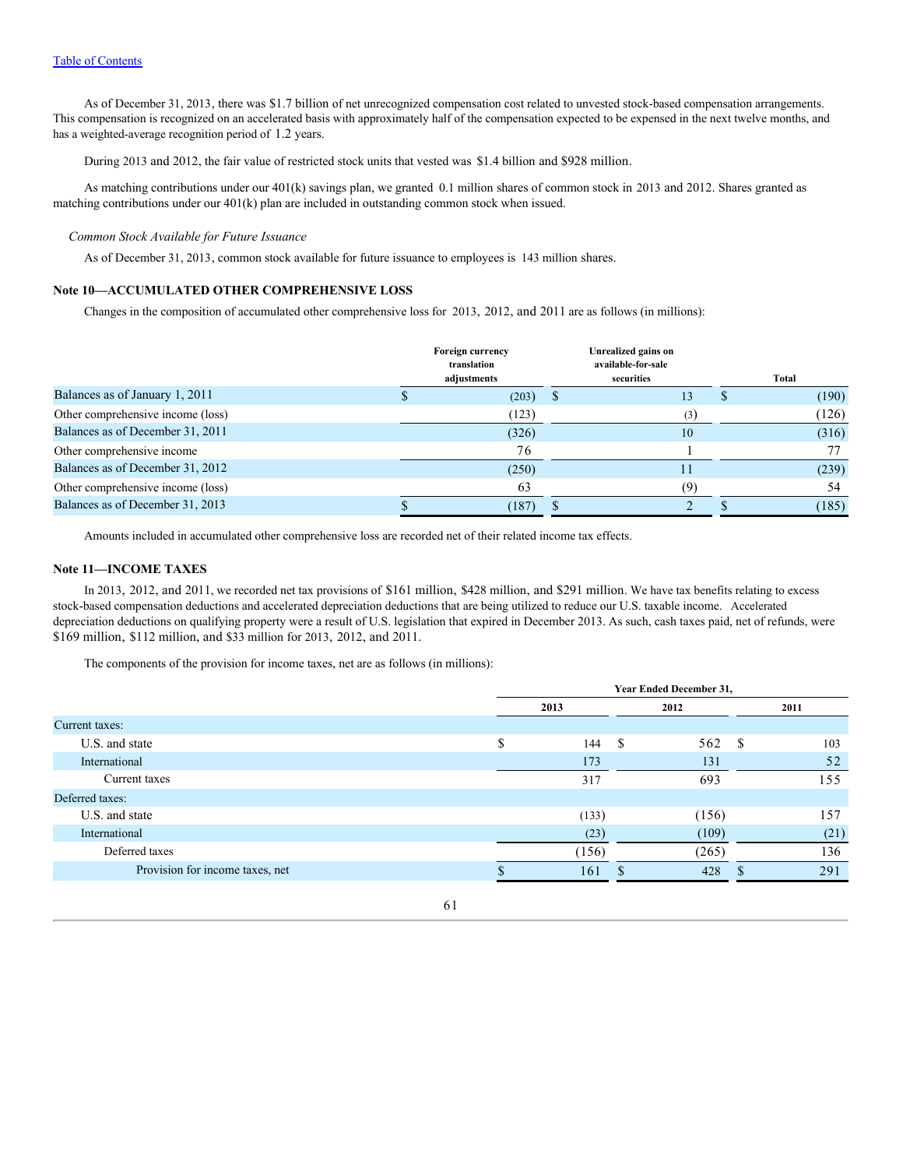As of December 31, 2013, there was \$1.7 billion of net unrecognized compensation cost related to unvested stock-based compensation arrangements. This compensation is recognized on an accelerated basis with approximately half of the compensation expected to be expensed in the next twelve months, and has a weighted-average recognition period of 1.2 years.

During 2013 and 2012, the fair value of restricted stock units that vested was \$1.4 billion and \$928 million.

As matching contributions under our 401(k) savings plan, we granted 0.1 million shares of common stock in 2013 and 2012. Shares granted as matching contributions under our 401(k) plan are included in outstanding common stock when issued.

### *Common Stock Available for Future Issuance*

As of December 31, 2013, common stock available for future issuance to employees is 143 million shares.

### **Note 10—ACCUMULATED OTHER COMPREHENSIVE LOSS**

Changes in the composition of accumulated other comprehensive loss for 2013, 2012, and 2011 are as follows (in millions):

|                                   | <b>Foreign currency</b><br>translation<br>adjustments | Unrealized gains on<br>available-for-sale<br>securities | Total |
|-----------------------------------|-------------------------------------------------------|---------------------------------------------------------|-------|
| Balances as of January 1, 2011    | (203)                                                 | 13<br>D                                                 | (190) |
| Other comprehensive income (loss) | (123)                                                 | (3)                                                     | (126) |
| Balances as of December 31, 2011  | (326)                                                 | 10                                                      | (316) |
| Other comprehensive income        | 76                                                    |                                                         |       |
| Balances as of December 31, 2012  | (250)                                                 |                                                         | (239) |
| Other comprehensive income (loss) | 63                                                    | (9)                                                     | 54    |
| Balances as of December 31, 2013  | (187)                                                 |                                                         | (185) |

Amounts included in accumulated other comprehensive loss are recorded net of their related income tax effects.

### **Note 11—INCOME TAXES**

In 2013, 2012, and 2011, we recorded net tax provisions of \$161 million, \$428 million, and \$291 million. We have tax benefits relating to excess stock-based compensation deductions and accelerated depreciation deductions that are being utilized to reduce our U.S. taxable income. Accelerated depreciation deductions on qualifying property were a result of U.S. legislation that expired in December 2013. As such, cash taxes paid, net of refunds, were \$169 million, \$112 million, and \$33 million for 2013, 2012, and 2011.

The components of the provision for income taxes, net are as follows (in millions):

|                                 | <b>Year Ended December 31,</b> |       |      |       |    |      |  |
|---------------------------------|--------------------------------|-------|------|-------|----|------|--|
|                                 | 2013                           |       | 2012 |       |    | 2011 |  |
| Current taxes:                  |                                |       |      |       |    |      |  |
| U.S. and state                  | D                              | 144   | -S   | 562   | -S | 103  |  |
| International                   |                                | 173   |      | 131   |    | 52   |  |
| Current taxes                   |                                | 317   |      | 693   |    | 155  |  |
| Deferred taxes:                 |                                |       |      |       |    |      |  |
| U.S. and state                  |                                | (133) |      | (156) |    | 157  |  |
| International                   |                                | (23)  |      | (109) |    | (21) |  |
| Deferred taxes                  |                                | (156) |      | (265) |    | 136  |  |
| Provision for income taxes, net |                                | 161   |      | 428   |    | 291  |  |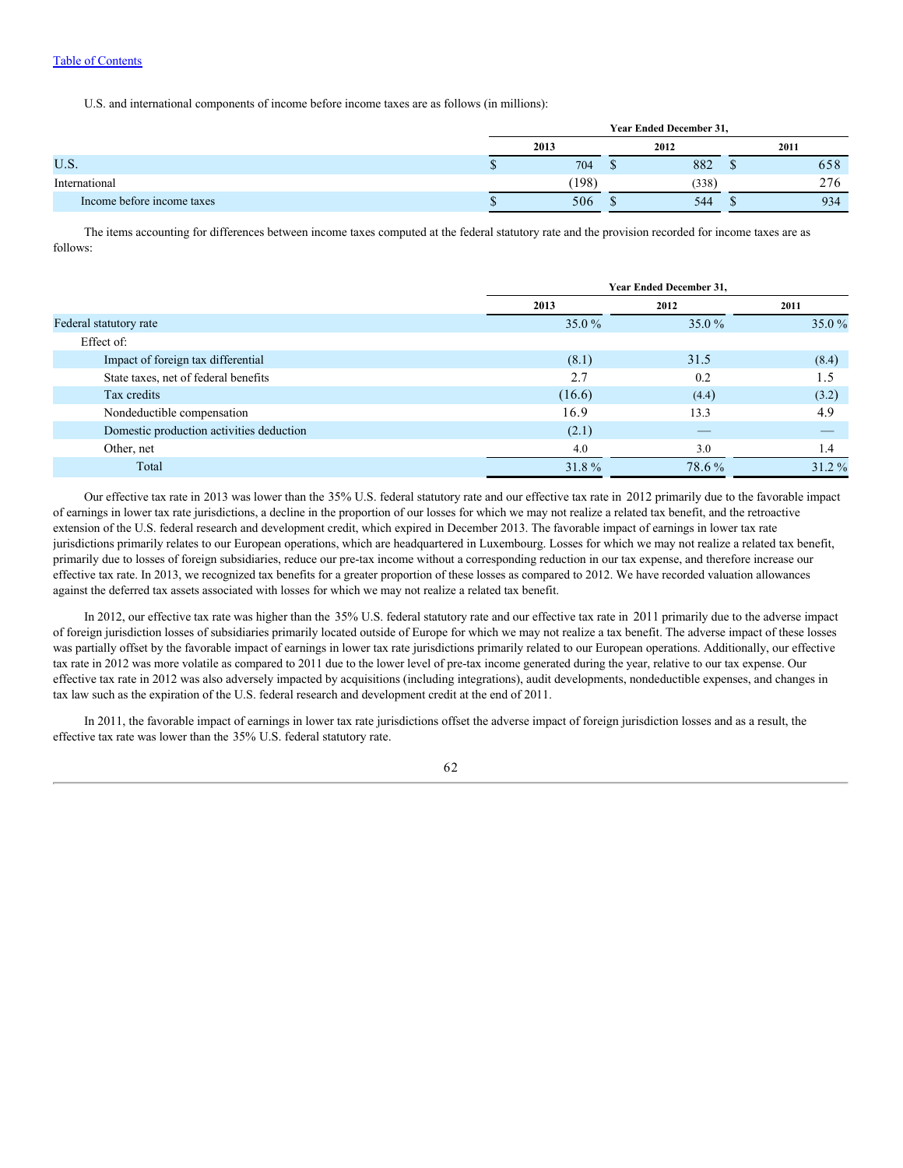### [Table of Contents](#page-1-0)

U.S. and international components of income before income taxes are as follows (in millions):

|                            | <b>Year Ended December 31,</b> |       |             |       |   |     |      |  |
|----------------------------|--------------------------------|-------|-------------|-------|---|-----|------|--|
|                            | 2013                           |       |             | 2012  |   |     | 2011 |  |
| U.S.                       | ω                              | 704   |             | 882   | ω | 658 |      |  |
| International              |                                | (198) |             | (338) |   | 276 |      |  |
| Income before income taxes |                                | 506   | $\triangle$ | 544   |   | 934 |      |  |

The items accounting for differences between income taxes computed at the federal statutory rate and the provision recorded for income taxes are as follows:

|                                          | Year Ended December 31, |        |          |  |  |  |  |
|------------------------------------------|-------------------------|--------|----------|--|--|--|--|
|                                          | 2013                    | 2012   | 2011     |  |  |  |  |
| Federal statutory rate                   | <b>35.0</b> %           | 35.0 % | 35.0 $%$ |  |  |  |  |
| Effect of:                               |                         |        |          |  |  |  |  |
| Impact of foreign tax differential       | (8.1)                   | 31.5   | (8.4)    |  |  |  |  |
| State taxes, net of federal benefits     | 2.7                     | 0.2    | 1.5      |  |  |  |  |
| Tax credits                              | (16.6)                  | (4.4)  | (3.2)    |  |  |  |  |
| Nondeductible compensation               | 16.9                    | 13.3   | 4.9      |  |  |  |  |
| Domestic production activities deduction | (2.1)                   |        |          |  |  |  |  |
| Other, net                               | 4.0                     | 3.0    | 1.4      |  |  |  |  |
| Total                                    | 31.8%                   | 78.6%  | 31.2 %   |  |  |  |  |

Our effective tax rate in 2013 was lower than the 35% U.S. federal statutory rate and our effective tax rate in 2012 primarily due to the favorable impact of earnings in lower tax rate jurisdictions, a decline in the proportion of our losses for which we may not realize a related tax benefit, and the retroactive extension of the U.S. federal research and development credit, which expired in December 2013. The favorable impact of earnings in lower tax rate jurisdictions primarily relates to our European operations, which are headquartered in Luxembourg. Losses for which we may not realize a related tax benefit, primarily due to losses of foreign subsidiaries, reduce our pre-tax income without a corresponding reduction in our tax expense, and therefore increase our effective tax rate. In 2013, we recognized tax benefits for a greater proportion of these losses as compared to 2012. We have recorded valuation allowances against the deferred tax assets associated with losses for which we may not realize a related tax benefit.

In 2012, our effective tax rate was higher than the 35% U.S. federal statutory rate and our effective tax rate in 2011 primarily due to the adverse impact of foreign jurisdiction losses of subsidiaries primarily located outside of Europe for which we may not realize a tax benefit. The adverse impact of these losses was partially offset by the favorable impact of earnings in lower tax rate jurisdictions primarily related to our European operations. Additionally, our effective tax rate in 2012 was more volatile as compared to 2011 due to the lower level of pre-tax income generated during the year, relative to our tax expense. Our effective tax rate in 2012 was also adversely impacted by acquisitions (including integrations), audit developments, nondeductible expenses, and changes in tax law such as the expiration of the U.S. federal research and development credit at the end of 2011.

In 2011, the favorable impact of earnings in lower tax rate jurisdictions offset the adverse impact of foreign jurisdiction losses and as a result, the effective tax rate was lower than the 35% U.S. federal statutory rate.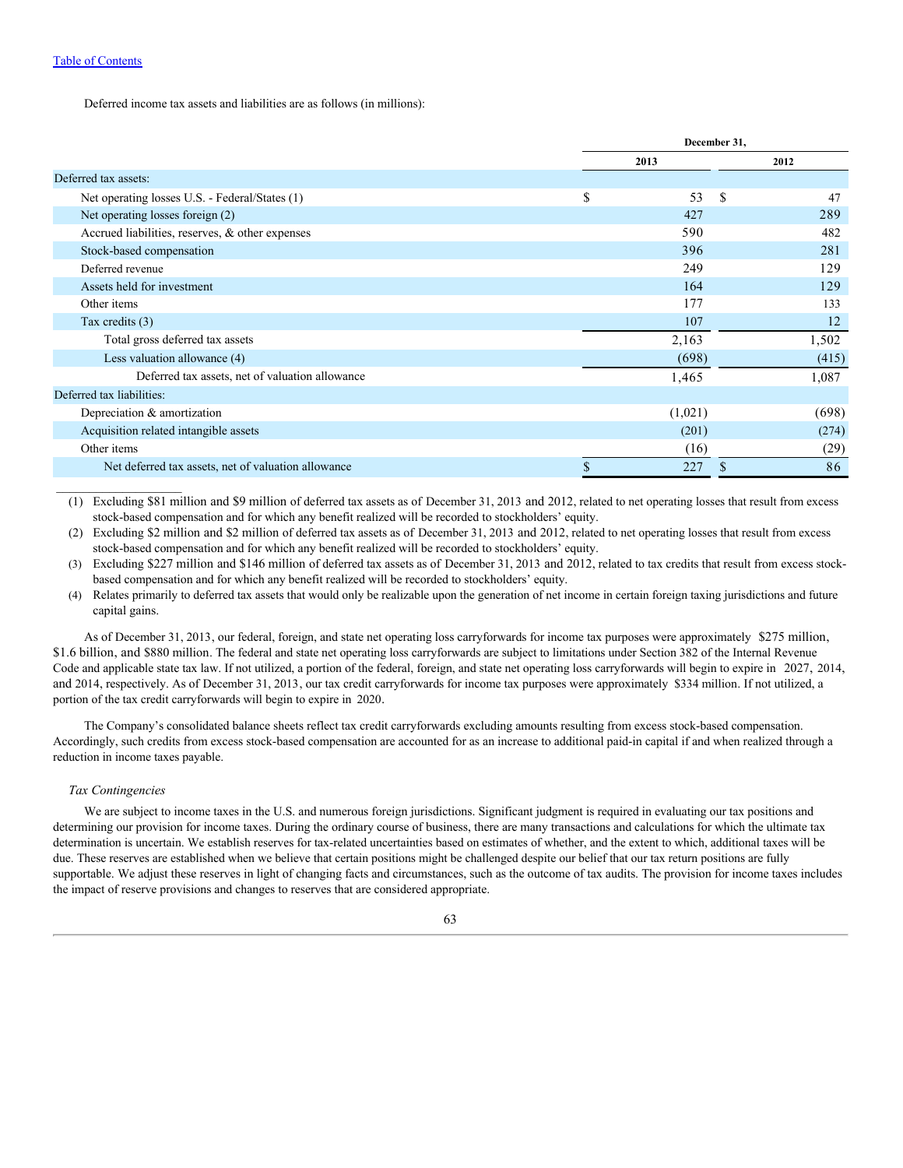#### [Table of Contents](#page-1-0)

Deferred income tax assets and liabilities are as follows (in millions):

|                                                     | December 31, |      |       |  |  |
|-----------------------------------------------------|--------------|------|-------|--|--|
|                                                     | 2013         | 2012 |       |  |  |
| Deferred tax assets:                                |              |      |       |  |  |
| Net operating losses U.S. - Federal/States (1)      | \$<br>53     | -S   | 47    |  |  |
| Net operating losses foreign (2)                    | 427          |      | 289   |  |  |
| Accrued liabilities, reserves, & other expenses     | 590          |      | 482   |  |  |
| Stock-based compensation                            | 396          |      | 281   |  |  |
| Deferred revenue                                    | 249          |      | 129   |  |  |
| Assets held for investment                          | 164          |      | 129   |  |  |
| Other items                                         | 177          |      | 133   |  |  |
| Tax credits $(3)$                                   | 107          |      | 12    |  |  |
| Total gross deferred tax assets                     | 2,163        |      | 1,502 |  |  |
| Less valuation allowance (4)                        | (698)        |      | (415) |  |  |
| Deferred tax assets, net of valuation allowance     | 1,465        |      | 1,087 |  |  |
| Deferred tax liabilities:                           |              |      |       |  |  |
| Depreciation & amortization                         | (1,021)      |      | (698) |  |  |
| Acquisition related intangible assets               | (201)        |      | (274) |  |  |
| Other items                                         | (16)         |      | (29)  |  |  |
| Net deferred tax assets, net of valuation allowance | \$<br>227    |      | 86    |  |  |

(1) Excluding \$81 million and \$9 million of deferred tax assets as of December 31, 2013 and 2012, related to net operating losses that result from excess stock-based compensation and for which any benefit realized will be recorded to stockholders' equity.

(2) Excluding \$2 million and \$2 million of deferred tax assets as of December 31, 2013 and 2012, related to net operating losses that result from excess stock-based compensation and for which any benefit realized will be recorded to stockholders' equity.

(3) Excluding \$227 million and \$146 million of deferred tax assets as of December 31, 2013 and 2012, related to tax credits that result from excess stockbased compensation and for which any benefit realized will be recorded to stockholders' equity.

(4) Relates primarily to deferred tax assets that would only be realizable upon the generation of net income in certain foreign taxing jurisdictions and future capital gains.

As of December 31, 2013, our federal, foreign, and state net operating loss carryforwards for income tax purposes were approximately \$275 million, \$1.6 billion, and \$880 million. The federal and state net operating loss carryforwards are subject to limitations under Section 382 of the Internal Revenue Code and applicable state tax law. If not utilized, a portion of the federal, foreign, and state net operating loss carryforwards will begin to expire in 2027, 2014, and 2014, respectively. As of December 31, 2013, our tax credit carryforwards for income tax purposes were approximately \$334 million. If not utilized, a portion of the tax credit carryforwards will begin to expire in 2020.

The Company's consolidated balance sheets reflect tax credit carryforwards excluding amounts resulting from excess stock-based compensation. Accordingly, such credits from excess stock-based compensation are accounted for as an increase to additional paid-in capital if and when realized through a reduction in income taxes payable.

### *Tax Contingencies*

 $\mathcal{L}_\text{max}$ 

We are subject to income taxes in the U.S. and numerous foreign jurisdictions. Significant judgment is required in evaluating our tax positions and determining our provision for income taxes. During the ordinary course of business, there are many transactions and calculations for which the ultimate tax determination is uncertain. We establish reserves for tax-related uncertainties based on estimates of whether, and the extent to which, additional taxes will be due. These reserves are established when we believe that certain positions might be challenged despite our belief that our tax return positions are fully supportable. We adjust these reserves in light of changing facts and circumstances, such as the outcome of tax audits. The provision for income taxes includes the impact of reserve provisions and changes to reserves that are considered appropriate.

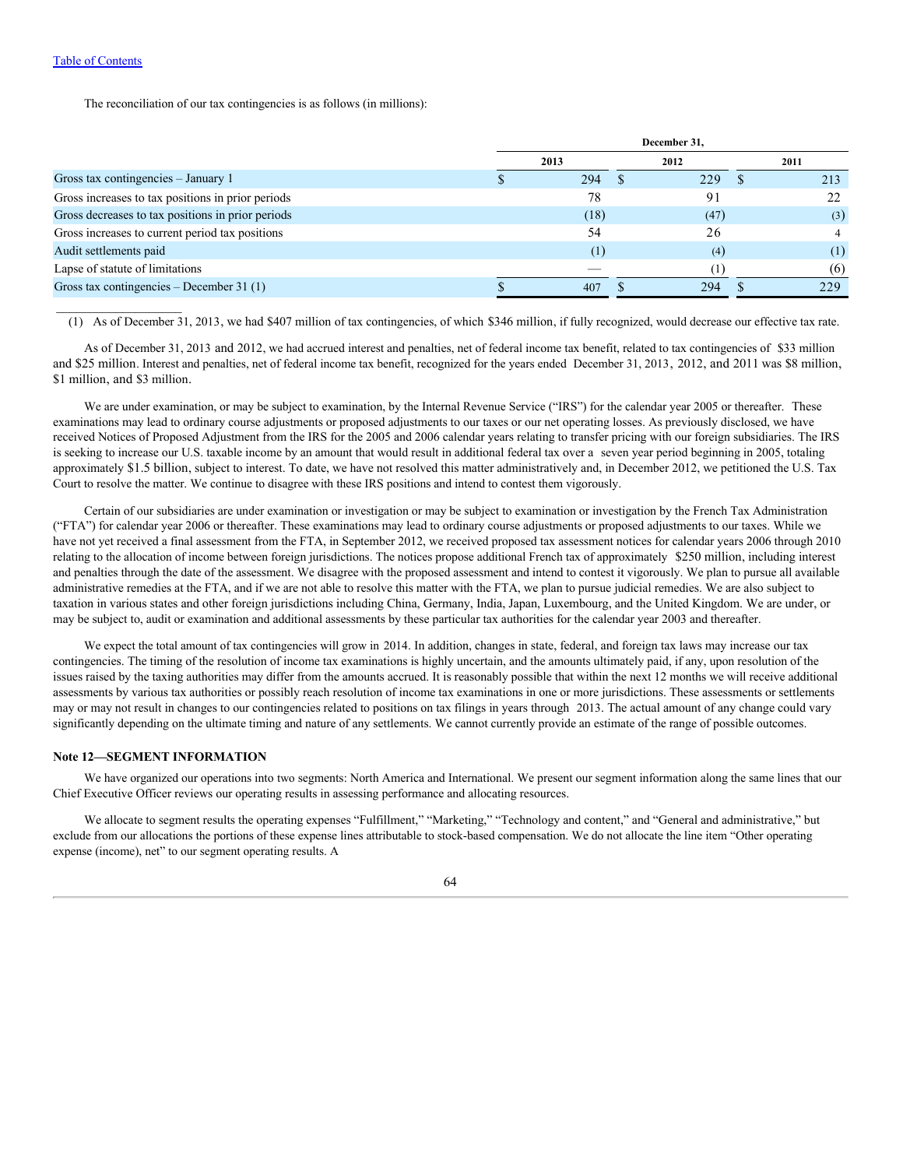The reconciliation of our tax contingencies is as follows (in millions):

|                                                   | December 31, |  |      |  |      |  |  |  |
|---------------------------------------------------|--------------|--|------|--|------|--|--|--|
|                                                   | 2013         |  | 2012 |  | 2011 |  |  |  |
| Gross tax contingencies $-$ January 1             | 294          |  | 229  |  | 213  |  |  |  |
| Gross increases to tax positions in prior periods | 78           |  | 91   |  | 22   |  |  |  |
| Gross decreases to tax positions in prior periods | (18)         |  | (47) |  | (3)  |  |  |  |
| Gross increases to current period tax positions   | 54           |  | 26   |  |      |  |  |  |
| Audit settlements paid                            | (1)          |  | (4)  |  | (1)  |  |  |  |
| Lapse of statute of limitations                   |              |  |      |  | (6)  |  |  |  |
| Gross tax contingencies – December 31 $(1)$       | 407          |  | 294  |  | 229  |  |  |  |
|                                                   |              |  |      |  |      |  |  |  |

(1) As of December 31, 2013, we had \$407 million of tax contingencies, of which \$346 million, if fully recognized, would decrease our effective tax rate.

As of December 31, 2013 and 2012, we had accrued interest and penalties, net of federal income tax benefit, related to tax contingencies of \$33 million and \$25 million. Interest and penalties, net of federal income tax benefit, recognized for the years ended December 31, 2013, 2012, and 2011 was \$8 million, \$1 million, and \$3 million.

We are under examination, or may be subject to examination, by the Internal Revenue Service ("IRS") for the calendar year 2005 or thereafter. These examinations may lead to ordinary course adjustments or proposed adjustments to our taxes or our net operating losses. As previously disclosed, we have received Notices of Proposed Adjustment from the IRS for the 2005 and 2006 calendar years relating to transfer pricing with our foreign subsidiaries. The IRS is seeking to increase our U.S. taxable income by an amount that would result in additional federal tax over a seven year period beginning in 2005, totaling approximately \$1.5 billion, subject to interest. To date, we have not resolved this matter administratively and, in December 2012, we petitioned the U.S. Tax Court to resolve the matter. We continue to disagree with these IRS positions and intend to contest them vigorously.

Certain of our subsidiaries are under examination or investigation or may be subject to examination or investigation by the French Tax Administration ("FTA") for calendar year 2006 or thereafter. These examinations may lead to ordinary course adjustments or proposed adjustments to our taxes. While we have not yet received a final assessment from the FTA, in September 2012, we received proposed tax assessment notices for calendar years 2006 through 2010 relating to the allocation of income between foreign jurisdictions. The notices propose additional French tax of approximately \$250 million, including interest and penalties through the date of the assessment. We disagree with the proposed assessment and intend to contest it vigorously. We plan to pursue all available administrative remedies at the FTA, and if we are not able to resolve this matter with the FTA, we plan to pursue judicial remedies. We are also subject to taxation in various states and other foreign jurisdictions including China, Germany, India, Japan, Luxembourg, and the United Kingdom. We are under, or may be subject to, audit or examination and additional assessments by these particular tax authorities for the calendar year 2003 and thereafter.

We expect the total amount of tax contingencies will grow in 2014. In addition, changes in state, federal, and foreign tax laws may increase our tax contingencies. The timing of the resolution of income tax examinations is highly uncertain, and the amounts ultimately paid, if any, upon resolution of the issues raised by the taxing authorities may differ from the amounts accrued. It is reasonably possible that within the next 12 months we will receive additional assessments by various tax authorities or possibly reach resolution of income tax examinations in one or more jurisdictions. These assessments or settlements may or may not result in changes to our contingencies related to positions on tax filings in years through 2013. The actual amount of any change could vary significantly depending on the ultimate timing and nature of any settlements. We cannot currently provide an estimate of the range of possible outcomes.

### **Note 12—SEGMENT INFORMATION**

We have organized our operations into two segments: North America and International. We present our segment information along the same lines that our Chief Executive Officer reviews our operating results in assessing performance and allocating resources.

We allocate to segment results the operating expenses "Fulfillment," "Marketing," "Technology and content," and "General and administrative," but exclude from our allocations the portions of these expense lines attributable to stock-based compensation. We do not allocate the line item "Other operating expense (income), net" to our segment operating results. A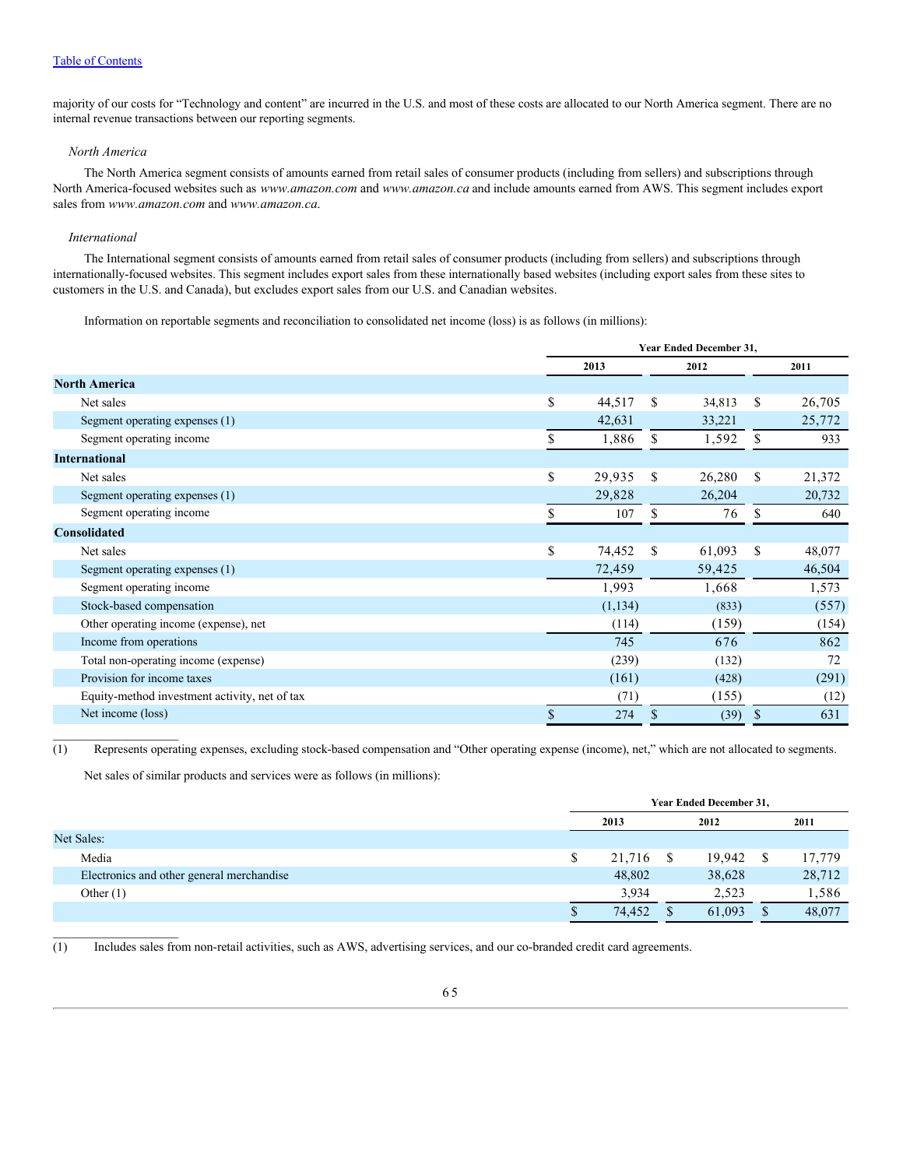majority of our costs for "Technology and content" are incurred in the U.S. and most of these costs are allocated to our North America segment. There are no internal revenue transactions between our reporting segments.

### *North America*

The North America segment consists of amounts earned from retail sales of consumer products (including from sellers) and subscriptions through North America-focused websites such as *www.amazon.com* and *www.amazon.ca* and include amounts earned from AWS. This segment includes export sales from *www.amazon.com* and *www.amazon.ca*.

### *International*

The International segment consists of amounts earned from retail sales of consumer products (including from sellers) and subscriptions through internationally-focused websites. This segment includes export sales from these internationally based websites (including export sales from these sites to customers in the U.S. and Canada), but excludes export sales from our U.S. and Canadian websites.

Information on reportable segments and reconciliation to consolidated net income (loss) is as follows (in millions):

|                                               | Year Ended December 31, |          |               |        |    |        |  |
|-----------------------------------------------|-------------------------|----------|---------------|--------|----|--------|--|
|                                               |                         | 2013     |               | 2012   |    | 2011   |  |
| <b>North America</b>                          |                         |          |               |        |    |        |  |
| Net sales                                     | $\mathbb{S}$            | 44,517   | S             | 34,813 | S  | 26,705 |  |
| Segment operating expenses (1)                |                         | 42,631   |               | 33,221 |    | 25,772 |  |
| Segment operating income                      |                         | 1,886    | S.            | 1,592  | \$ | 933    |  |
| <b>International</b>                          |                         |          |               |        |    |        |  |
| Net sales                                     | <sup>\$</sup>           | 29,935   | <sup>\$</sup> | 26,280 | \$ | 21,372 |  |
| Segment operating expenses (1)                |                         | 29,828   |               | 26,204 |    | 20,732 |  |
| Segment operating income                      |                         | 107      | S.            | 76     | S  | 640    |  |
| <b>Consolidated</b>                           |                         |          |               |        |    |        |  |
| Net sales                                     | <sup>\$</sup>           | 74,452   | \$            | 61,093 | \$ | 48,077 |  |
| Segment operating expenses (1)                |                         | 72,459   |               | 59,425 |    | 46,504 |  |
| Segment operating income                      |                         | 1,993    |               | 1,668  |    | 1,573  |  |
| Stock-based compensation                      |                         | (1, 134) |               | (833)  |    | (557)  |  |
| Other operating income (expense), net         |                         | (114)    |               | (159)  |    | (154)  |  |
| Income from operations                        |                         | 745      |               | 676    |    | 862    |  |
| Total non-operating income (expense)          |                         | (239)    |               | (132)  |    | 72     |  |
| Provision for income taxes                    |                         | (161)    |               | (428)  |    | (291)  |  |
| Equity-method investment activity, net of tax |                         | (71)     |               | (155)  |    | (12)   |  |
| Net income (loss)                             | \$.                     | 274      | $\mathcal{S}$ | (39)   | \$ | 631    |  |

(1) Represents operating expenses, excluding stock-based compensation and "Other operating expense (income), net," which are not allocated to segments.

Net sales of similar products and services were as follows (in millions):

|                                           | <b>Year Ended December 31,</b> |  |        |  |        |  |  |
|-------------------------------------------|--------------------------------|--|--------|--|--------|--|--|
|                                           | 2013                           |  | 2012   |  | 2011   |  |  |
| Net Sales:                                |                                |  |        |  |        |  |  |
| Media                                     | 21,716                         |  | 19.942 |  | 17,779 |  |  |
| Electronics and other general merchandise | 48,802                         |  | 38,628 |  | 28,712 |  |  |
| Other $(1)$                               | 3.934                          |  | 2.523  |  | 1,586  |  |  |
|                                           | 74,452                         |  | 61,093 |  | 48,077 |  |  |

(1) Includes sales from non-retail activities, such as AWS, advertising services, and our co-branded credit card agreements.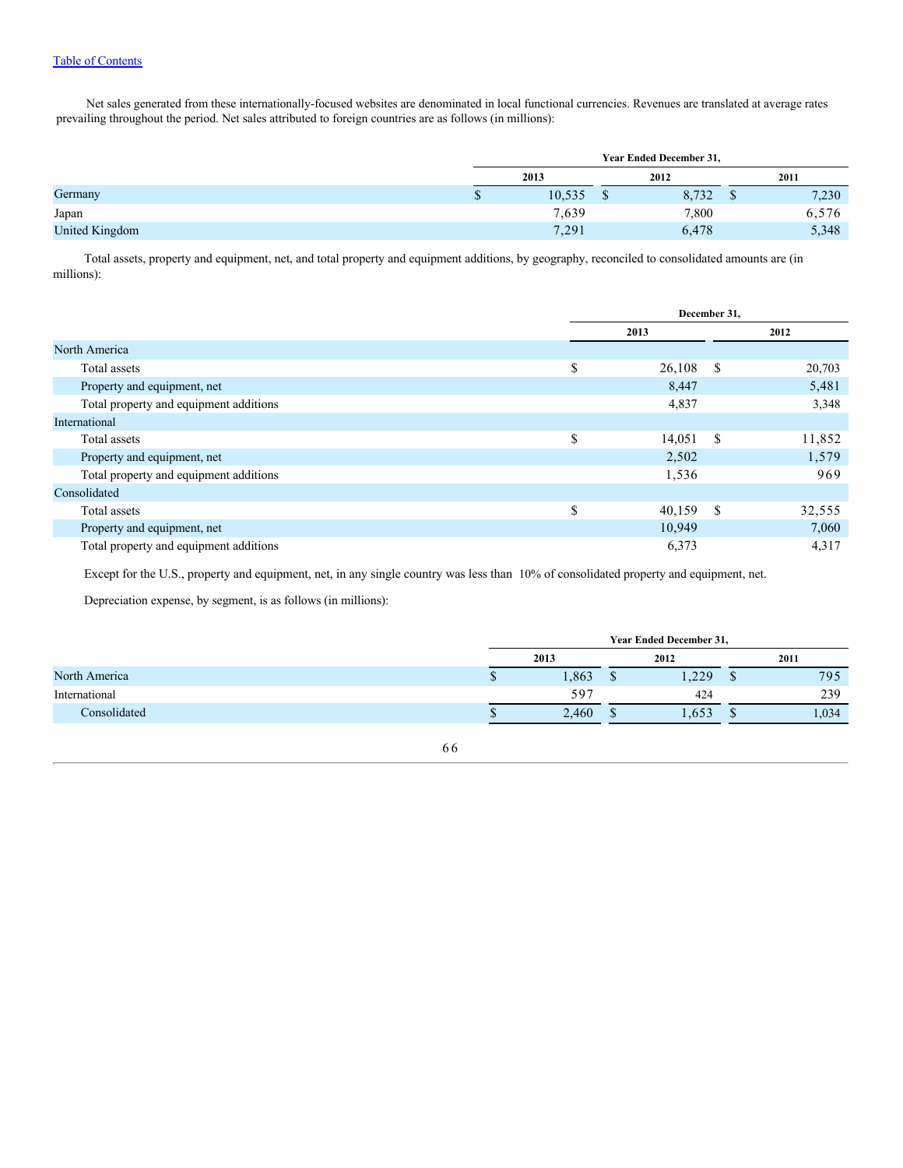Net sales generated from these internationally-focused websites are denominated in local functional currencies. Revenues are translated at average rates prevailing throughout the period. Net sales attributed to foreign countries are as follows (in millions):

|                |   | Year Ended December 31, |      |       |  |       |  |  |  |
|----------------|---|-------------------------|------|-------|--|-------|--|--|--|
|                |   | 2013                    | 2012 |       |  | 2011  |  |  |  |
| Germany        | Φ | 10,535                  |      | 8,732 |  | 7,230 |  |  |  |
| Japan          |   | 7,639                   |      | 7,800 |  | 6,576 |  |  |  |
| United Kingdom |   | 7,291                   |      | 6,478 |  | 5,348 |  |  |  |

Total assets, property and equipment, net, and total property and equipment additions, by geography, reconciled to consolidated amounts are (in millions):

|                                        | December 31, |        |               |        |  |
|----------------------------------------|--------------|--------|---------------|--------|--|
|                                        |              | 2013   |               | 2012   |  |
| North America                          |              |        |               |        |  |
| Total assets                           | S            | 26,108 | <sup>\$</sup> | 20,703 |  |
| Property and equipment, net            |              | 8,447  |               | 5,481  |  |
| Total property and equipment additions |              | 4,837  |               | 3,348  |  |
| <b>International</b>                   |              |        |               |        |  |
| Total assets                           | S            | 14,051 | <sup>\$</sup> | 11,852 |  |
| Property and equipment, net            |              | 2,502  |               | 1,579  |  |
| Total property and equipment additions |              | 1,536  |               | 969    |  |
| Consolidated                           |              |        |               |        |  |
| Total assets                           | Φ<br>J.      | 40,159 | <sup>\$</sup> | 32,555 |  |
| Property and equipment, net            |              | 10,949 |               | 7,060  |  |
| Total property and equipment additions |              | 6,373  |               | 4,317  |  |

Except for the U.S., property and equipment, net, in any single country was less than 10% of consolidated property and equipment, net.

Depreciation expense, by segment, is as follows (in millions):

|               | Year Ended December 31, |       |    |       |      |       |  |  |
|---------------|-------------------------|-------|----|-------|------|-------|--|--|
|               |                         | 2013  |    | 2012  | 2011 |       |  |  |
| North America |                         | .863  | N) | .229  |      | 795   |  |  |
| International |                         | 597   |    | 424   |      | 239   |  |  |
| Consolidated  |                         | 2,460 |    | 1,653 |      | 1,034 |  |  |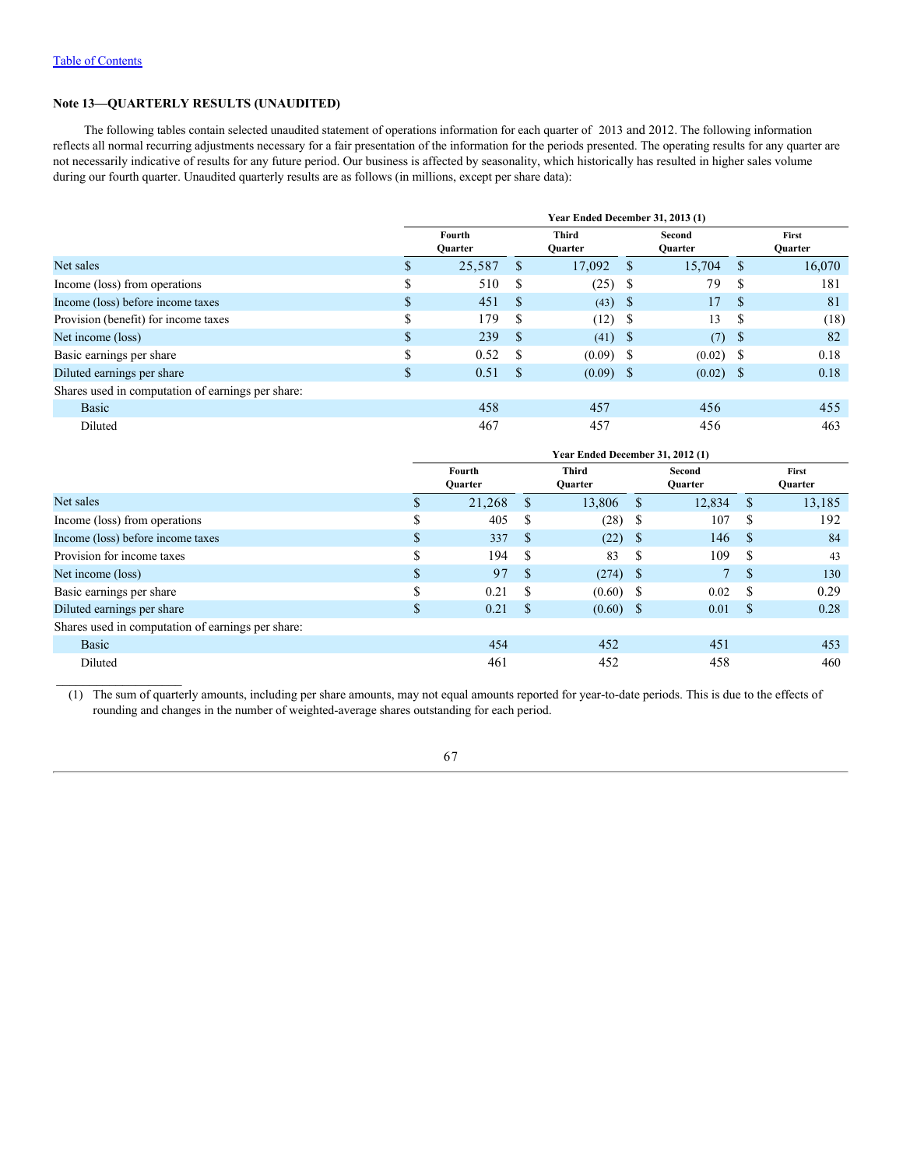### **Note 13—QUARTERLY RESULTS (UNAUDITED)**

The following tables contain selected unaudited statement of operations information for each quarter of 2013 and 2012. The following information reflects all normal recurring adjustments necessary for a fair presentation of the information for the periods presented. The operating results for any quarter are not necessarily indicative of results for any future period. Our business is affected by seasonality, which historically has resulted in higher sales volume during our fourth quarter. Unaudited quarterly results are as follows (in millions, except per share data):

|                                                   |    | Year Ended December 31, 2013 (1) |              |                                |                          |                 |              |                         |  |  |
|---------------------------------------------------|----|----------------------------------|--------------|--------------------------------|--------------------------|-----------------|--------------|-------------------------|--|--|
|                                                   |    | Fourth<br><b>Ouarter</b>         |              | <b>Third</b><br><b>Ouarter</b> | Second<br><b>Ouarter</b> |                 |              | First<br><b>Ouarter</b> |  |  |
| Net sales                                         | Ф  | 25,587                           | -S           | 17,092                         | <sup>S</sup>             | 15,704          | -S           | 16,070                  |  |  |
| Income (loss) from operations                     | S  | 510                              | S            | (25)                           | - \$                     | 79              | -S           | 181                     |  |  |
| Income (loss) before income taxes                 | \$ | 451                              | - \$         |                                |                          | 17 <sup>7</sup> | <sup>S</sup> | 81                      |  |  |
| Provision (benefit) for income taxes              | ъ  | 179                              | S            | $(12)$ \$                      |                          | 13              | -S           | (18)                    |  |  |
| Net income (loss)                                 | \$ | 239                              | -S           | $(41)$ \$                      |                          | (7)             | - \$         | 82                      |  |  |
| Basic earnings per share                          | S  | 0.52                             | -S           | $(0.09)$ \$                    |                          | $(0.02)$ \$     |              | 0.18                    |  |  |
| Diluted earnings per share                        | \$ | 0.51                             | <sup>S</sup> | $(0.09)$ \$                    |                          | $(0.02)$ \$     |              | 0.18                    |  |  |
| Shares used in computation of earnings per share: |    |                                  |              |                                |                          |                 |              |                         |  |  |
| <b>Basic</b>                                      |    | 458                              |              | 457                            |                          | 456             |              | 455                     |  |  |
| Diluted                                           |    | 467                              |              | 457                            |                          | 456             |              | 463                     |  |  |

|                                                   |                          | Year Ended December 31, 2012 (1) |                                |             |                          |        |                         |        |  |
|---------------------------------------------------|--------------------------|----------------------------------|--------------------------------|-------------|--------------------------|--------|-------------------------|--------|--|
|                                                   | Fourth<br><b>Ouarter</b> |                                  | <b>Third</b><br><b>Ouarter</b> |             | Second<br><b>Ouarter</b> |        | First<br><b>Ouarter</b> |        |  |
| Net sales                                         | \$.                      | 21,268                           | S.                             | 13,806      | <sup>S</sup>             | 12,834 | S                       | 13,185 |  |
| Income (loss) from operations                     | \$                       | 405                              | S                              | (28)        | - \$                     | 107    | S                       | 192    |  |
| Income (loss) before income taxes                 | \$                       | 337                              | <sup>S</sup>                   | (22)        | - \$                     | 146    | <sup>S</sup>            | 84     |  |
| Provision for income taxes                        | \$                       | 194                              | -S                             | 83          | <sup>S</sup>             | 109    | -S                      | 43     |  |
| Net income (loss)                                 | $\mathbf S$              | 97                               | <sup>S</sup>                   | $(274)$ \$  |                          |        | S                       | 130    |  |
| Basic earnings per share                          | \$                       | 0.21                             | -S                             | $(0.60)$ \$ |                          | 0.02   | S                       | 0.29   |  |
| Diluted earnings per share                        | \$                       | 0.21                             | <sup>S</sup>                   | $(0.60)$ \$ |                          | 0.01   | S                       | 0.28   |  |
| Shares used in computation of earnings per share: |                          |                                  |                                |             |                          |        |                         |        |  |
| <b>Basic</b>                                      |                          | 454                              |                                | 452         |                          | 451    |                         | 453    |  |
| Diluted                                           |                          | 461                              |                                | 452         |                          | 458    |                         | 460    |  |

(1) The sum of quarterly amounts, including per share amounts, may not equal amounts reported for year-to-date periods. This is due to the effects of rounding and changes in the number of weighted-average shares outstanding for each period.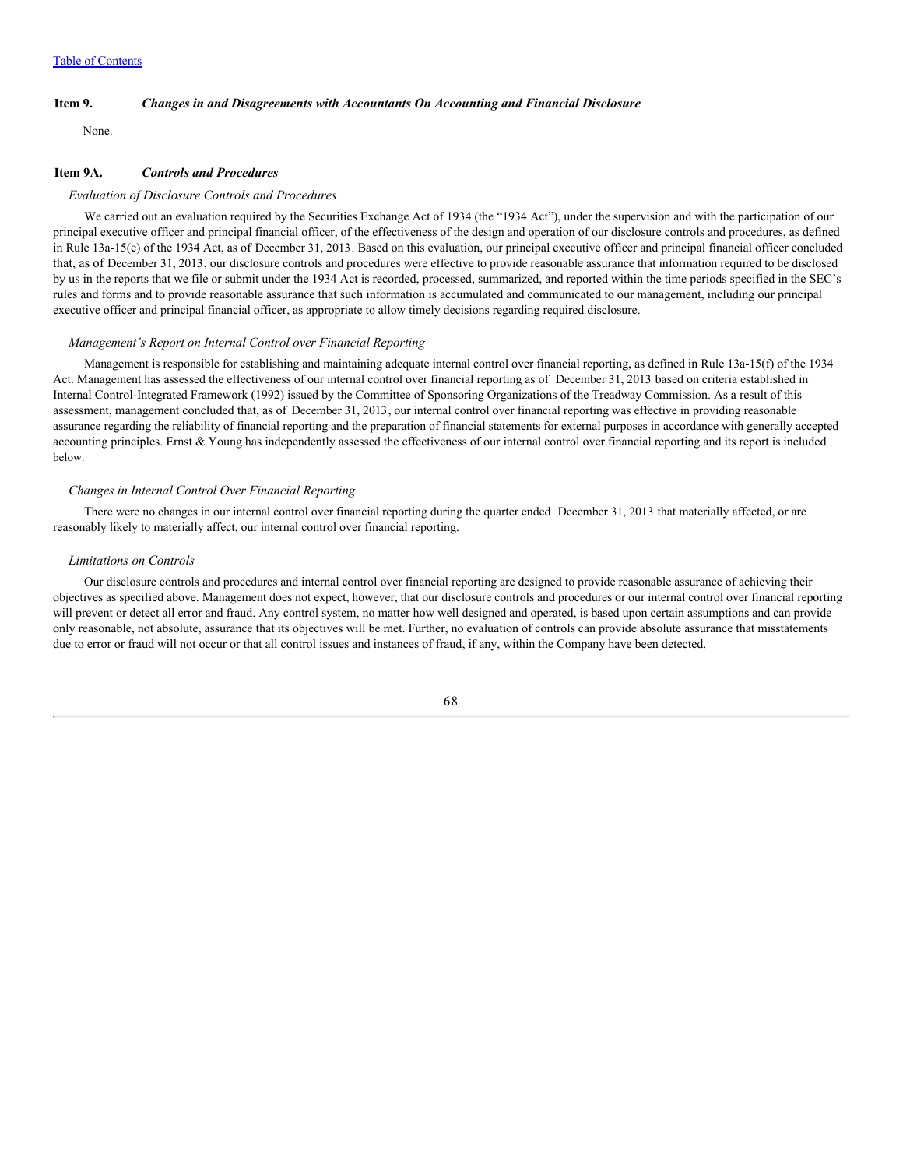#### **Item 9.** *Changes in and Disagreements with Accountants On Accounting and Financial Disclosure*

None.

### **Item 9A.** *Controls and Procedures*

### *Evaluation of Disclosure Controls and Procedures*

We carried out an evaluation required by the Securities Exchange Act of 1934 (the "1934 Act"), under the supervision and with the participation of our principal executive officer and principal financial officer, of the effectiveness of the design and operation of our disclosure controls and procedures, as defined in Rule 13a-15(e) of the 1934 Act, as of December 31, 2013. Based on this evaluation, our principal executive officer and principal financial officer concluded that, as of December 31, 2013, our disclosure controls and procedures were effective to provide reasonable assurance that information required to be disclosed by us in the reports that we file or submit under the 1934 Act is recorded, processed, summarized, and reported within the time periods specified in the SEC's rules and forms and to provide reasonable assurance that such information is accumulated and communicated to our management, including our principal executive officer and principal financial officer, as appropriate to allow timely decisions regarding required disclosure.

#### *Management's Report on Internal Control over Financial Reporting*

Management is responsible for establishing and maintaining adequate internal control over financial reporting, as defined in Rule 13a-15(f) of the 1934 Act. Management has assessed the effectiveness of our internal control over financial reporting as of December 31, 2013 based on criteria established in Internal Control-Integrated Framework (1992) issued by the Committee of Sponsoring Organizations of the Treadway Commission. As a result of this assessment, management concluded that, as of December 31, 2013, our internal control over financial reporting was effective in providing reasonable assurance regarding the reliability of financial reporting and the preparation of financial statements for external purposes in accordance with generally accepted accounting principles. Ernst & Young has independently assessed the effectiveness of our internal control over financial reporting and its report is included below.

### *Changes in Internal Control Over Financial Reporting*

There were no changes in our internal control over financial reporting during the quarter ended December 31, 2013 that materially affected, or are reasonably likely to materially affect, our internal control over financial reporting.

#### *Limitations on Controls*

Our disclosure controls and procedures and internal control over financial reporting are designed to provide reasonable assurance of achieving their objectives as specified above. Management does not expect, however, that our disclosure controls and procedures or our internal control over financial reporting will prevent or detect all error and fraud. Any control system, no matter how well designed and operated, is based upon certain assumptions and can provide only reasonable, not absolute, assurance that its objectives will be met. Further, no evaluation of controls can provide absolute assurance that misstatements due to error or fraud will not occur or that all control issues and instances of fraud, if any, within the Company have been detected.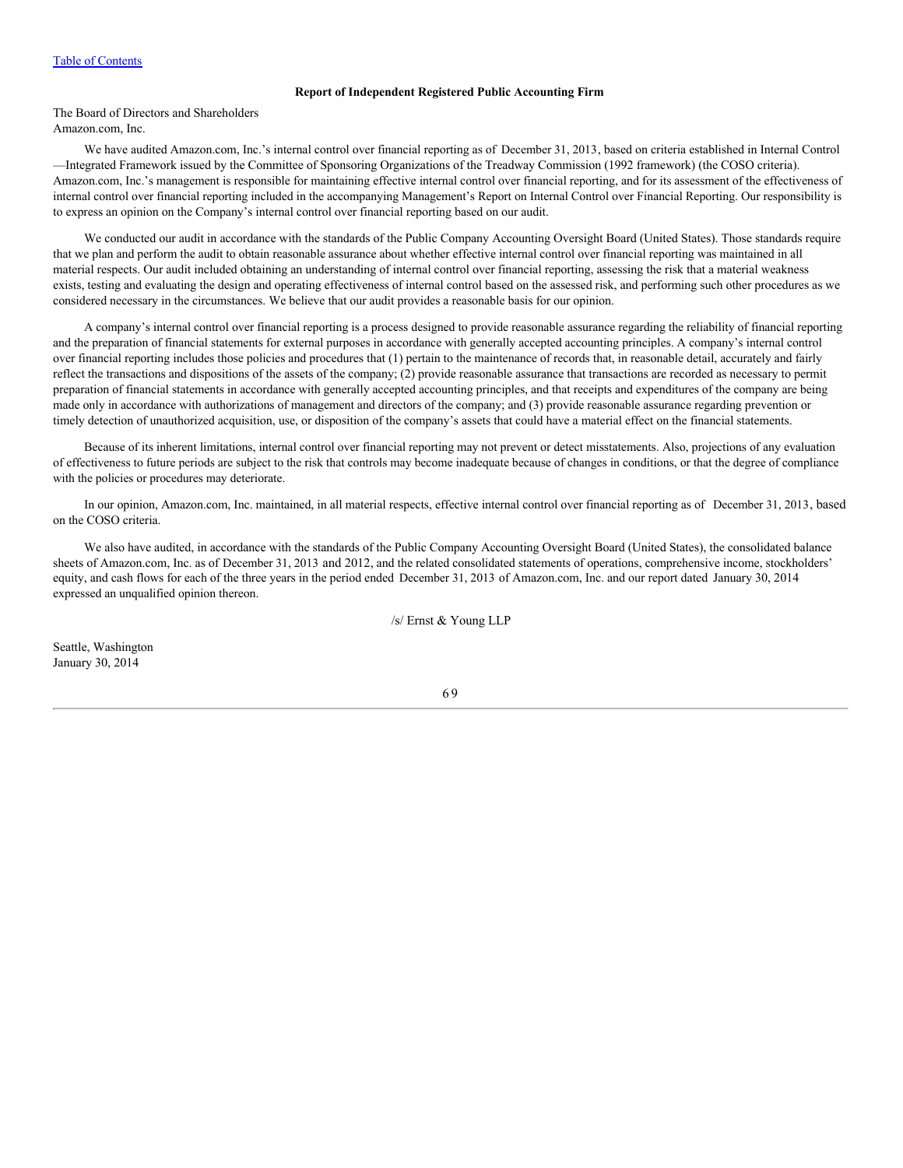### **Report of Independent Registered Public Accounting Firm**

The Board of Directors and Shareholders Amazon.com, Inc.

We have audited Amazon.com, Inc.'s internal control over financial reporting as of December 31, 2013, based on criteria established in Internal Control —Integrated Framework issued by the Committee of Sponsoring Organizations of the Treadway Commission (1992 framework) (the COSO criteria). Amazon.com, Inc.'s management is responsible for maintaining effective internal control over financial reporting, and for its assessment of the effectiveness of internal control over financial reporting included in the accompanying Management's Report on Internal Control over Financial Reporting. Our responsibility is to express an opinion on the Company's internal control over financial reporting based on our audit.

We conducted our audit in accordance with the standards of the Public Company Accounting Oversight Board (United States). Those standards require that we plan and perform the audit to obtain reasonable assurance about whether effective internal control over financial reporting was maintained in all material respects. Our audit included obtaining an understanding of internal control over financial reporting, assessing the risk that a material weakness exists, testing and evaluating the design and operating effectiveness of internal control based on the assessed risk, and performing such other procedures as we considered necessary in the circumstances. We believe that our audit provides a reasonable basis for our opinion.

A company's internal control over financial reporting is a process designed to provide reasonable assurance regarding the reliability of financial reporting and the preparation of financial statements for external purposes in accordance with generally accepted accounting principles. A company's internal control over financial reporting includes those policies and procedures that (1) pertain to the maintenance of records that, in reasonable detail, accurately and fairly reflect the transactions and dispositions of the assets of the company; (2) provide reasonable assurance that transactions are recorded as necessary to permit preparation of financial statements in accordance with generally accepted accounting principles, and that receipts and expenditures of the company are being made only in accordance with authorizations of management and directors of the company; and (3) provide reasonable assurance regarding prevention or timely detection of unauthorized acquisition, use, or disposition of the company's assets that could have a material effect on the financial statements.

Because of its inherent limitations, internal control over financial reporting may not prevent or detect misstatements. Also, projections of any evaluation of effectiveness to future periods are subject to the risk that controls may become inadequate because of changes in conditions, or that the degree of compliance with the policies or procedures may deteriorate.

In our opinion, Amazon.com, Inc. maintained, in all material respects, effective internal control over financial reporting as of December 31, 2013, based on the COSO criteria.

We also have audited, in accordance with the standards of the Public Company Accounting Oversight Board (United States), the consolidated balance sheets of Amazon.com, Inc. as of December 31, 2013 and 2012, and the related consolidated statements of operations, comprehensive income, stockholders' equity, and cash flows for each of the three years in the period ended December 31, 2013 of Amazon.com, Inc. and our report dated January 30, 2014 expressed an unqualified opinion thereon.

/s/ Ernst & Young LLP

Seattle, Washington January 30, 2014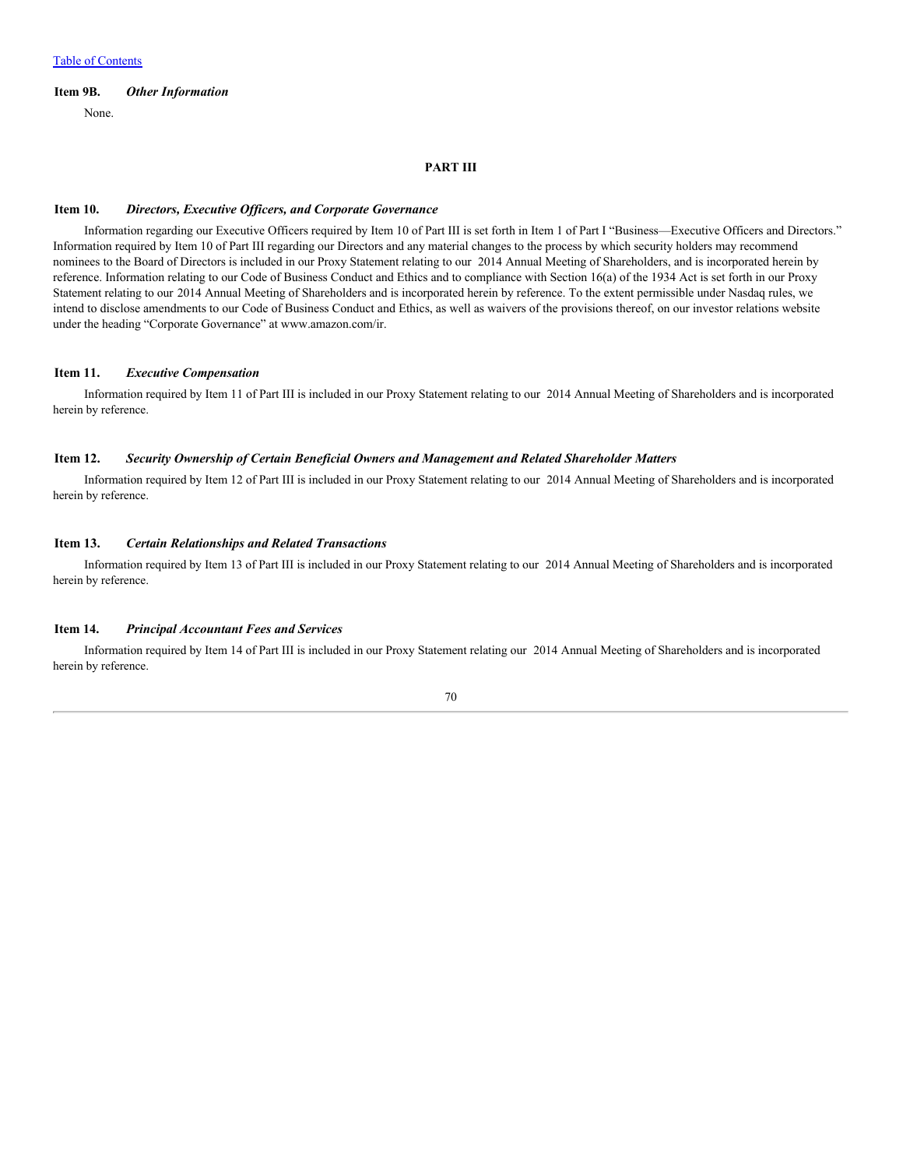### **Item 9B.** *Other Information*

None.

### **PART III**

#### **Item 10.** *Directors, Executive Officers, and Corporate Governance*

Information regarding our Executive Officers required by Item 10 of Part III is set forth in Item 1 of Part I "Business—Executive Officers and Directors." Information required by Item 10 of Part III regarding our Directors and any material changes to the process by which security holders may recommend nominees to the Board of Directors is included in our Proxy Statement relating to our 2014 Annual Meeting of Shareholders, and is incorporated herein by reference. Information relating to our Code of Business Conduct and Ethics and to compliance with Section 16(a) of the 1934 Act is set forth in our Proxy Statement relating to our 2014 Annual Meeting of Shareholders and is incorporated herein by reference. To the extent permissible under Nasdaq rules, we intend to disclose amendments to our Code of Business Conduct and Ethics, as well as waivers of the provisions thereof, on our investor relations website under the heading "Corporate Governance" at www.amazon.com/ir.

#### **Item 11.** *Executive Compensation*

Information required by Item 11 of Part III is included in our Proxy Statement relating to our 2014 Annual Meeting of Shareholders and is incorporated herein by reference.

#### **Item 12.** *Security Ownership of Certain Beneficial Owners and Management and Related Shareholder Matters*

Information required by Item 12 of Part III is included in our Proxy Statement relating to our 2014 Annual Meeting of Shareholders and is incorporated herein by reference.

### **Item 13.** *Certain Relationships and Related Transactions*

Information required by Item 13 of Part III is included in our Proxy Statement relating to our 2014 Annual Meeting of Shareholders and is incorporated herein by reference.

### **Item 14.** *Principal Accountant Fees and Services*

Information required by Item 14 of Part III is included in our Proxy Statement relating our 2014 Annual Meeting of Shareholders and is incorporated herein by reference.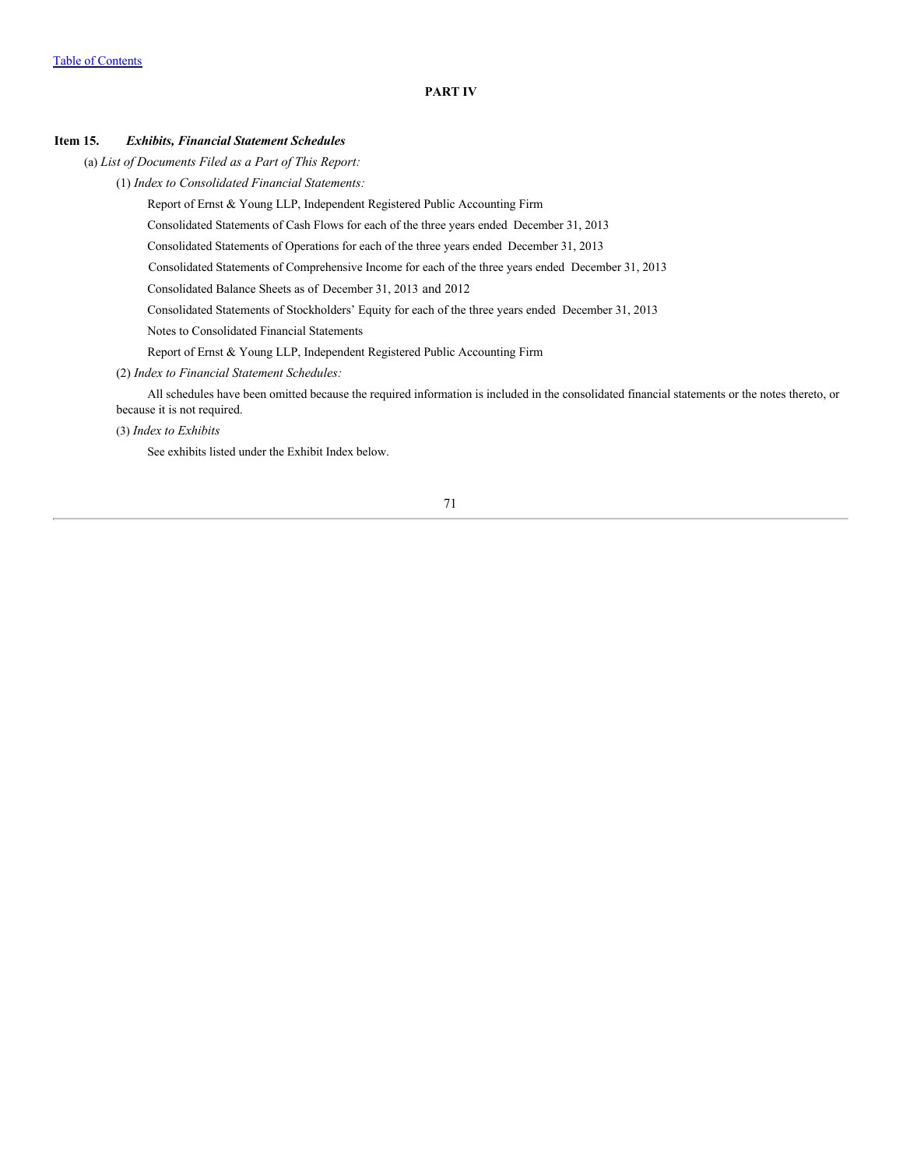### **PART IV**

### **Item 15.** *Exhibits, Financial Statement Schedules*

(a) *List of Documents Filed as a Part of This Report:*

(1) *Index to Consolidated Financial Statements:*

Report of Ernst & Young LLP, Independent Registered Public Accounting Firm

Consolidated Statements of Cash Flows for each of the three years ended December 31, 2013

Consolidated Statements of Operations for each of the three years ended December 31, 2013

Consolidated Statements of Comprehensive Income for each of the three years ended December 31, 2013

Consolidated Balance Sheets as of December 31, 2013 and 2012

Consolidated Statements of Stockholders' Equity for each of the three years ended December 31, 2013

Notes to Consolidated Financial Statements

Report of Ernst & Young LLP, Independent Registered Public Accounting Firm

(2) *Index to Financial Statement Schedules:*

All schedules have been omitted because the required information is included in the consolidated financial statements or the notes thereto, or because it is not required.

(3) *Index to Exhibits*

See exhibits listed under the Exhibit Index below.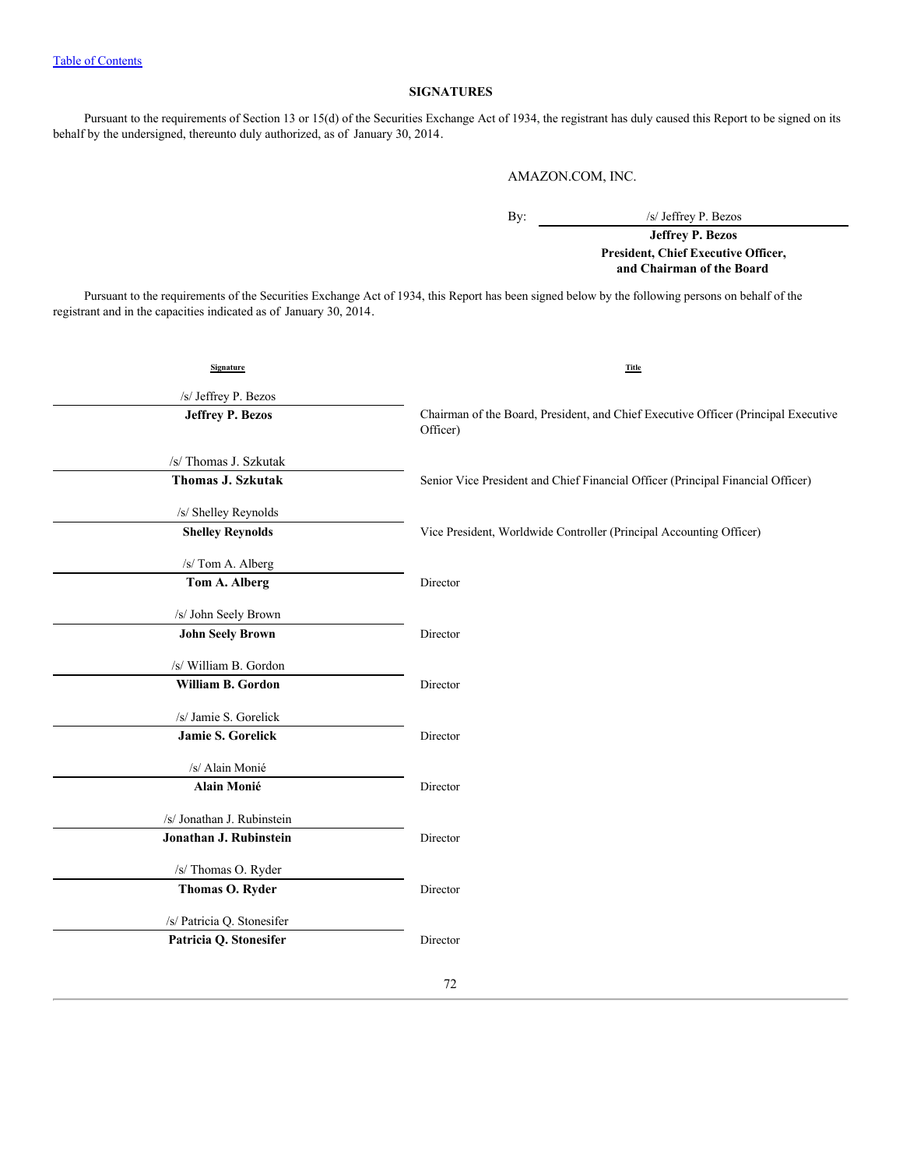## **SIGNATURES**

Pursuant to the requirements of Section 13 or 15(d) of the Securities Exchange Act of 1934, the registrant has duly caused this Report to be signed on its behalf by the undersigned, thereunto duly authorized, as of January 30, 2014.

### AMAZON.COM, INC.

By:  $\frac{1}{s}$  Jeffrey P. Bezos

**Jeffrey P. Bezos President, Chief Executive Officer, and Chairman of the Board**

Pursuant to the requirements of the Securities Exchange Act of 1934, this Report has been signed below by the following persons on behalf of the registrant and in the capacities indicated as of January 30, 2014.

| <b>Signature</b>           | <b>Title</b>                                                                                   |  |  |  |  |
|----------------------------|------------------------------------------------------------------------------------------------|--|--|--|--|
| /s/ Jeffrey P. Bezos       |                                                                                                |  |  |  |  |
| <b>Jeffrey P. Bezos</b>    | Chairman of the Board, President, and Chief Executive Officer (Principal Executive<br>Officer) |  |  |  |  |
| /s/ Thomas J. Szkutak      |                                                                                                |  |  |  |  |
| Thomas J. Szkutak          | Senior Vice President and Chief Financial Officer (Principal Financial Officer)                |  |  |  |  |
| /s/ Shelley Reynolds       |                                                                                                |  |  |  |  |
| <b>Shelley Reynolds</b>    | Vice President, Worldwide Controller (Principal Accounting Officer)                            |  |  |  |  |
| /s/ Tom A. Alberg          |                                                                                                |  |  |  |  |
| Tom A. Alberg              | Director                                                                                       |  |  |  |  |
| /s/ John Seely Brown       |                                                                                                |  |  |  |  |
| <b>John Seely Brown</b>    | Director                                                                                       |  |  |  |  |
| /s/ William B. Gordon      |                                                                                                |  |  |  |  |
| William B. Gordon          | Director                                                                                       |  |  |  |  |
| /s/ Jamie S. Gorelick      |                                                                                                |  |  |  |  |
| Jamie S. Gorelick          | Director                                                                                       |  |  |  |  |
| /s/ Alain Monié            |                                                                                                |  |  |  |  |
| Alain Monié                | Director                                                                                       |  |  |  |  |
| /s/ Jonathan J. Rubinstein |                                                                                                |  |  |  |  |
| Jonathan J. Rubinstein     | Director                                                                                       |  |  |  |  |
| /s/ Thomas O. Ryder        |                                                                                                |  |  |  |  |
| Thomas O. Ryder            | Director                                                                                       |  |  |  |  |
| /s/ Patricia Q. Stonesifer |                                                                                                |  |  |  |  |
| Patricia Q. Stonesifer     | Director                                                                                       |  |  |  |  |
|                            |                                                                                                |  |  |  |  |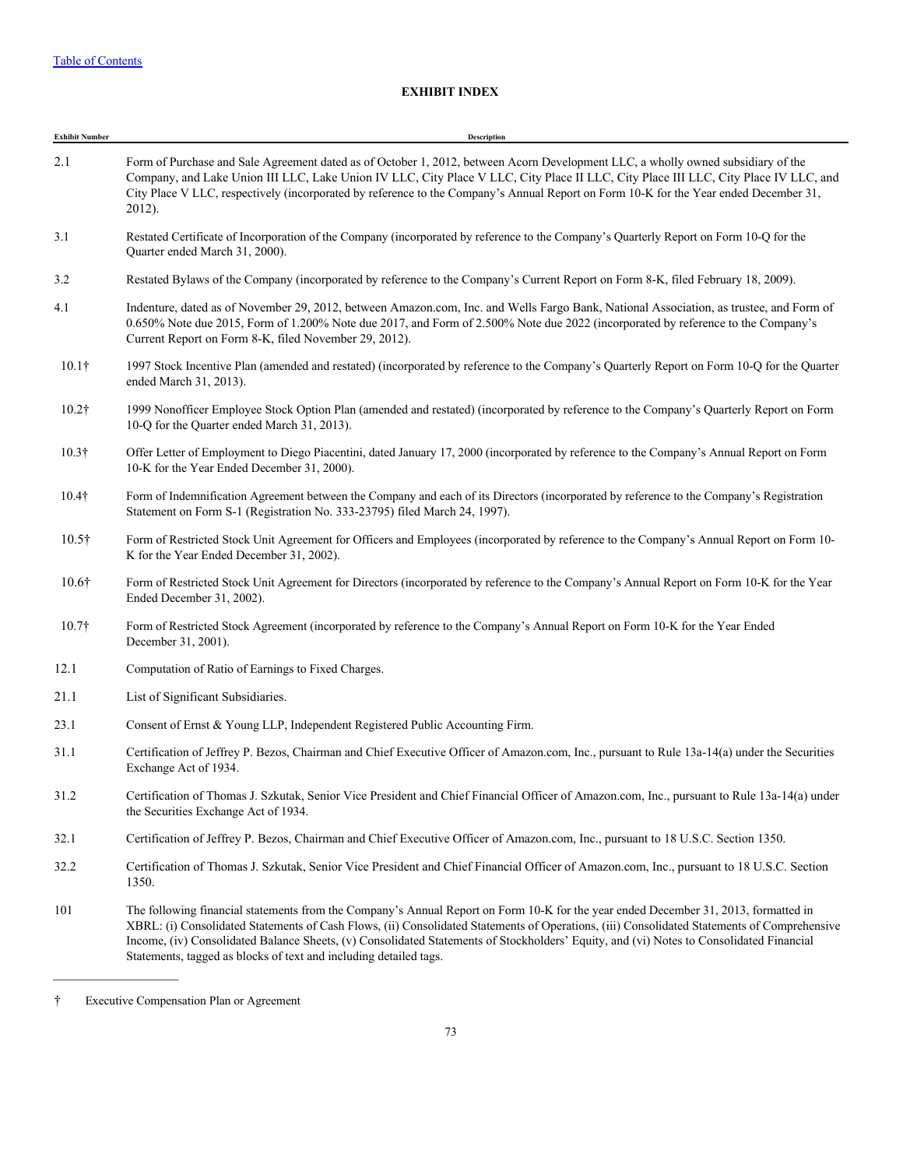# **EXHIBIT INDEX**

| <b>Exhibit Number</b> | Description                                                                                                                                                                                                                                                                                                                                                                                                                   |
|-----------------------|-------------------------------------------------------------------------------------------------------------------------------------------------------------------------------------------------------------------------------------------------------------------------------------------------------------------------------------------------------------------------------------------------------------------------------|
| 2.1                   | Form of Purchase and Sale Agreement dated as of October 1, 2012, between Acorn Development LLC, a wholly owned subsidiary of the<br>Company, and Lake Union III LLC, Lake Union IV LLC, City Place V LLC, City Place II LLC, City Place III LLC, City Place IV LLC, and<br>City Place V LLC, respectively (incorporated by reference to the Company's Annual Report on Form 10-K for the Year ended December 31,<br>2012).    |
| 3.1                   | Restated Certificate of Incorporation of the Company (incorporated by reference to the Company's Quarterly Report on Form 10-Q for the<br>Quarter ended March 31, 2000).                                                                                                                                                                                                                                                      |
| 3.2                   | Restated Bylaws of the Company (incorporated by reference to the Company's Current Report on Form 8-K, filed February 18, 2009).                                                                                                                                                                                                                                                                                              |
| 4.1                   | Indenture, dated as of November 29, 2012, between Amazon.com, Inc. and Wells Fargo Bank, National Association, as trustee, and Form of<br>0.650% Note due 2015, Form of 1.200% Note due 2017, and Form of 2.500% Note due 2022 (incorporated by reference to the Company's<br>Current Report on Form 8-K, filed November 29, 2012).                                                                                           |
| $10.1$ †              | 1997 Stock Incentive Plan (amended and restated) (incorporated by reference to the Company's Quarterly Report on Form 10-Q for the Quarter<br>ended March 31, 2013).                                                                                                                                                                                                                                                          |
| $10.2\dagger$         | 1999 Nonofficer Employee Stock Option Plan (amended and restated) (incorporated by reference to the Company's Quarterly Report on Form<br>10-Q for the Quarter ended March 31, 2013).                                                                                                                                                                                                                                         |
| $10.3\dagger$         | Offer Letter of Employment to Diego Piacentini, dated January 17, 2000 (incorporated by reference to the Company's Annual Report on Form<br>10-K for the Year Ended December 31, 2000).                                                                                                                                                                                                                                       |
| $10.4\dagger$         | Form of Indemnification Agreement between the Company and each of its Directors (incorporated by reference to the Company's Registration<br>Statement on Form S-1 (Registration No. 333-23795) filed March 24, 1997).                                                                                                                                                                                                         |
| $10.5\dagger$         | Form of Restricted Stock Unit Agreement for Officers and Employees (incorporated by reference to the Company's Annual Report on Form 10-<br>K for the Year Ended December 31, 2002).                                                                                                                                                                                                                                          |
| $10.6\dagger$         | Form of Restricted Stock Unit Agreement for Directors (incorporated by reference to the Company's Annual Report on Form 10-K for the Year<br>Ended December 31, 2002).                                                                                                                                                                                                                                                        |
| $10.7\dagger$         | Form of Restricted Stock Agreement (incorporated by reference to the Company's Annual Report on Form 10-K for the Year Ended<br>December 31, 2001).                                                                                                                                                                                                                                                                           |
| 12.1                  | Computation of Ratio of Earnings to Fixed Charges.                                                                                                                                                                                                                                                                                                                                                                            |
| 21.1                  | List of Significant Subsidiaries.                                                                                                                                                                                                                                                                                                                                                                                             |
| 23.1                  | Consent of Ernst & Young LLP, Independent Registered Public Accounting Firm.                                                                                                                                                                                                                                                                                                                                                  |
| 31.1                  | Certification of Jeffrey P. Bezos, Chairman and Chief Executive Officer of Amazon.com, Inc., pursuant to Rule 13a-14(a) under the Securities<br>Exchange Act of 1934.                                                                                                                                                                                                                                                         |
| 31.2                  | Certification of Thomas J. Szkutak, Senior Vice President and Chief Financial Officer of Amazon.com, Inc., pursuant to Rule 13a-14(a) under<br>the Securities Exchange Act of 1934.                                                                                                                                                                                                                                           |
| 32.1                  | Certification of Jeffrey P. Bezos, Chairman and Chief Executive Officer of Amazon.com, Inc., pursuant to 18 U.S.C. Section 1350.                                                                                                                                                                                                                                                                                              |
| 32.2                  | Certification of Thomas J. Szkutak, Senior Vice President and Chief Financial Officer of Amazon.com, Inc., pursuant to 18 U.S.C. Section<br>1350.                                                                                                                                                                                                                                                                             |
| 101                   | The following financial statements from the Company's Annual Report on Form 10-K for the year ended December 31, 2013, formatted in<br>XBRL: (i) Consolidated Statements of Cash Flows, (ii) Consolidated Statements of Operations, (iii) Consolidated Statements of Comprehensive<br>Income, (iv) Consolidated Balance Sheets, (v) Consolidated Statements of Stockholders' Equity, and (vi) Notes to Consolidated Financial |

Statements, tagged as blocks of text and including detailed tags.

<sup>†</sup> Executive Compensation Plan or Agreement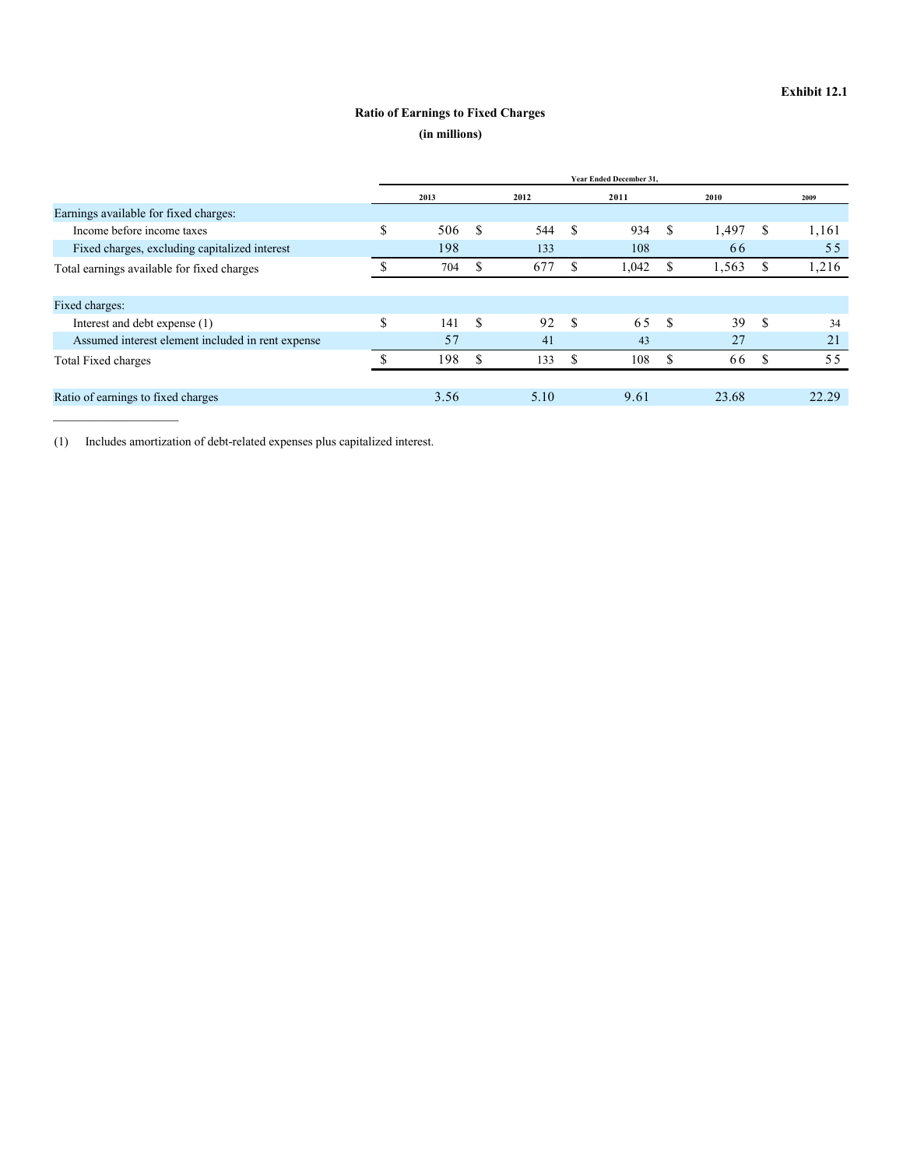# **Ratio of Earnings to Fixed Charges**

**(in millions)**

|                                                   | Year Ended December 31, |      |               |      |    |       |               |       |    |       |
|---------------------------------------------------|-------------------------|------|---------------|------|----|-------|---------------|-------|----|-------|
|                                                   |                         | 2013 |               | 2012 |    | 2011  |               | 2010  |    | 2009  |
| Earnings available for fixed charges:             |                         |      |               |      |    |       |               |       |    |       |
| Income before income taxes                        | \$                      | 506  | <b>S</b>      | 544  | S  | 934   | <sup>\$</sup> | 1,497 | S  | 1,161 |
| Fixed charges, excluding capitalized interest     |                         | 198  |               | 133  |    | 108   |               | 66    |    | 55    |
| Total earnings available for fixed charges        |                         | 704  | S             | 677  |    | 1,042 | S             | 1,563 |    | 1,216 |
|                                                   |                         |      |               |      |    |       |               |       |    |       |
| Fixed charges:                                    |                         |      |               |      |    |       |               |       |    |       |
| Interest and debt expense (1)                     | \$                      | 141  | <sup>\$</sup> | 92   | -S | 65    | - \$          | 39    | -S | 34    |
| Assumed interest element included in rent expense |                         | 57   |               | 41   |    | 43    |               | 27    |    | 21    |
| Total Fixed charges                               |                         | 198  |               | 133  | S  | 108   |               | 66    | -S | 55    |
|                                                   |                         |      |               |      |    |       |               |       |    |       |
| Ratio of earnings to fixed charges                |                         | 3.56 |               | 5.10 |    | 9.61  |               | 23.68 |    | 22.29 |

(1) Includes amortization of debt-related expenses plus capitalized interest.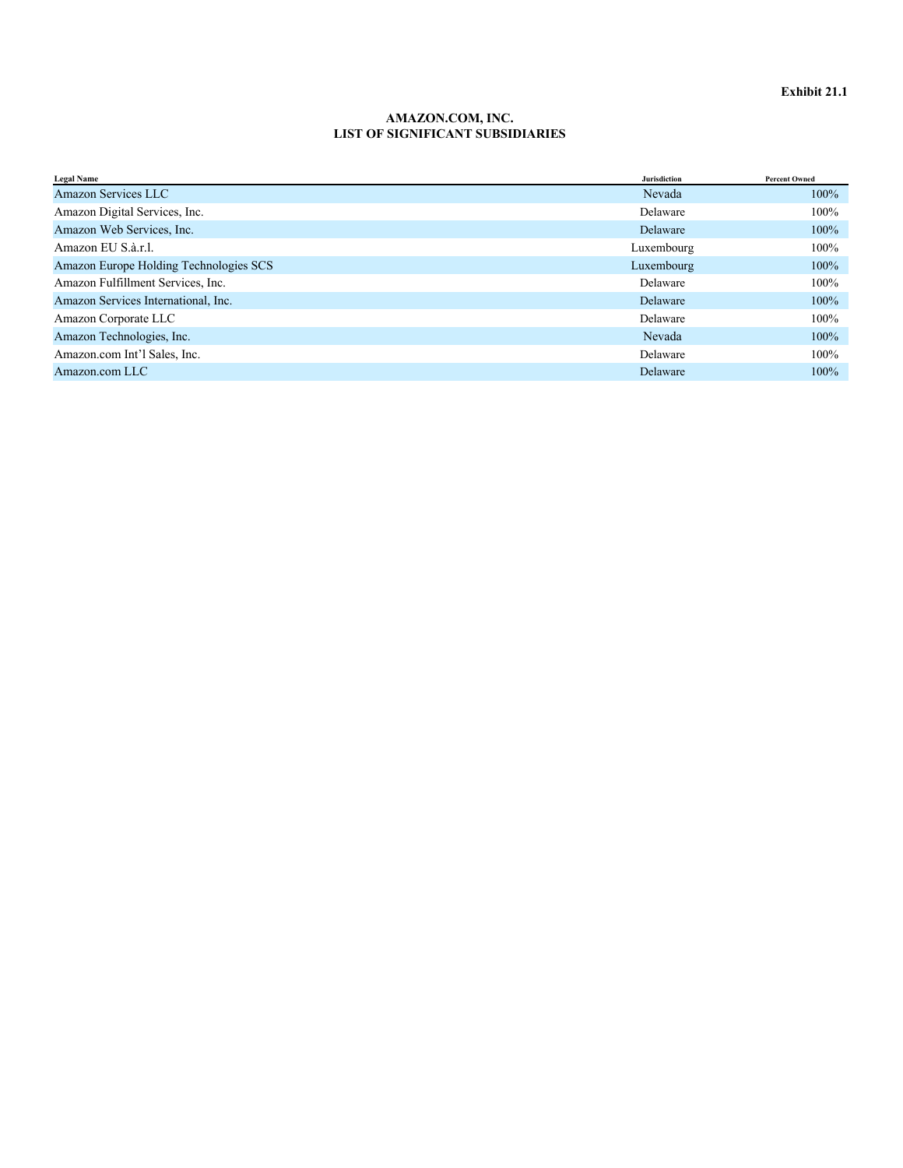## **AMAZON.COM, INC. LIST OF SIGNIFICANT SUBSIDIARIES**

| <b>Legal Name</b>                      | <b>Jurisdiction</b> | <b>Percent Owned</b> |
|----------------------------------------|---------------------|----------------------|
| <b>Amazon Services LLC</b>             | Nevada              | $100\%$              |
| Amazon Digital Services, Inc.          | Delaware            | 100%                 |
| Amazon Web Services, Inc.              | Delaware            | $100\%$              |
| Amazon EU S.à.r.l.                     | Luxembourg          | 100%                 |
| Amazon Europe Holding Technologies SCS | Luxembourg          | $100\%$              |
| Amazon Fulfillment Services, Inc.      | Delaware            | 100%                 |
| Amazon Services International, Inc.    | Delaware            | $100\%$              |
| Amazon Corporate LLC                   | Delaware            | 100%                 |
| Amazon Technologies, Inc.              | Nevada              | $100\%$              |
| Amazon.com Int'l Sales, Inc.           | Delaware            | $100\%$              |
| Amazon.com LLC                         | Delaware            | 100%                 |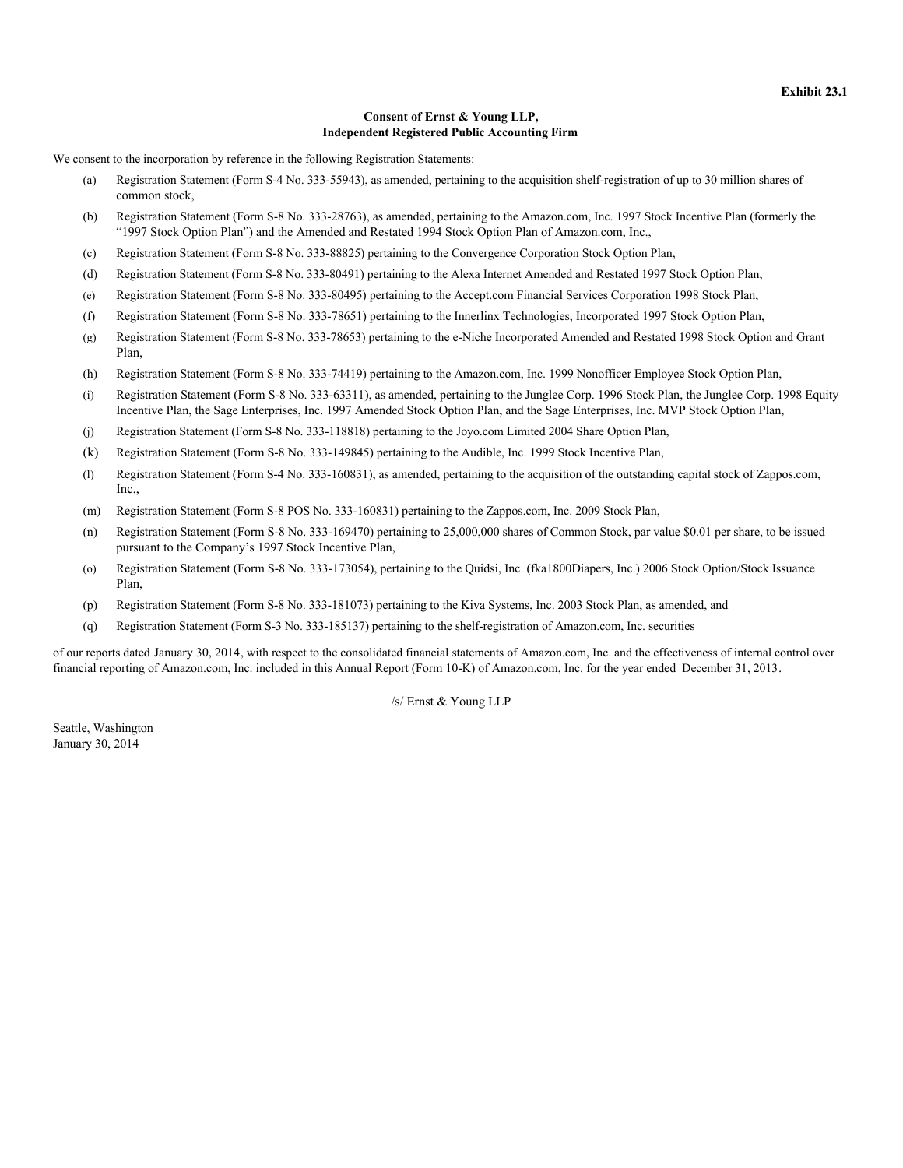### **Consent of Ernst & Young LLP, Independent Registered Public Accounting Firm**

We consent to the incorporation by reference in the following Registration Statements:

- (a) Registration Statement (Form S-4 No. 333-55943), as amended, pertaining to the acquisition shelf-registration of up to 30 million shares of common stock,
- (b) Registration Statement (Form S-8 No. 333-28763), as amended, pertaining to the Amazon.com, Inc. 1997 Stock Incentive Plan (formerly the "1997 Stock Option Plan") and the Amended and Restated 1994 Stock Option Plan of Amazon.com, Inc.,
- (c) Registration Statement (Form S-8 No. 333-88825) pertaining to the Convergence Corporation Stock Option Plan,
- (d) Registration Statement (Form S-8 No. 333-80491) pertaining to the Alexa Internet Amended and Restated 1997 Stock Option Plan,
- (e) Registration Statement (Form S-8 No. 333-80495) pertaining to the Accept.com Financial Services Corporation 1998 Stock Plan,
- (f) Registration Statement (Form S-8 No. 333-78651) pertaining to the Innerlinx Technologies, Incorporated 1997 Stock Option Plan,
- (g) Registration Statement (Form S-8 No. 333-78653) pertaining to the e-Niche Incorporated Amended and Restated 1998 Stock Option and Grant Plan,
- (h) Registration Statement (Form S-8 No. 333-74419) pertaining to the Amazon.com, Inc. 1999 Nonofficer Employee Stock Option Plan,
- (i) Registration Statement (Form S-8 No. 333-63311), as amended, pertaining to the Junglee Corp. 1996 Stock Plan, the Junglee Corp. 1998 Equity Incentive Plan, the Sage Enterprises, Inc. 1997 Amended Stock Option Plan, and the Sage Enterprises, Inc. MVP Stock Option Plan,
- (j) Registration Statement (Form S-8 No. 333-118818) pertaining to the Joyo.com Limited 2004 Share Option Plan,
- (k) Registration Statement (Form S-8 No. 333-149845) pertaining to the Audible, Inc. 1999 Stock Incentive Plan,
- (l) Registration Statement (Form S-4 No. 333-160831), as amended, pertaining to the acquisition of the outstanding capital stock of Zappos.com, Inc.,
- (m) Registration Statement (Form S-8 POS No. 333-160831) pertaining to the Zappos.com, Inc. 2009 Stock Plan,
- (n) Registration Statement (Form S-8 No. 333-169470) pertaining to 25,000,000 shares of Common Stock, par value \$0.01 per share, to be issued pursuant to the Company's 1997 Stock Incentive Plan,
- (o) Registration Statement (Form S-8 No. 333-173054), pertaining to the Quidsi, Inc. (fka1800Diapers, Inc.) 2006 Stock Option/Stock Issuance Plan,
- (p) Registration Statement (Form S-8 No. 333-181073) pertaining to the Kiva Systems, Inc. 2003 Stock Plan, as amended, and
- (q) Registration Statement (Form S-3 No. 333-185137) pertaining to the shelf-registration of Amazon.com, Inc. securities

of our reports dated January 30, 2014, with respect to the consolidated financial statements of Amazon.com, Inc. and the effectiveness of internal control over financial reporting of Amazon.com, Inc. included in this Annual Report (Form 10-K) of Amazon.com, Inc. for the year ended December 31, 2013.

/s/ Ernst & Young LLP

Seattle, Washington January 30, 2014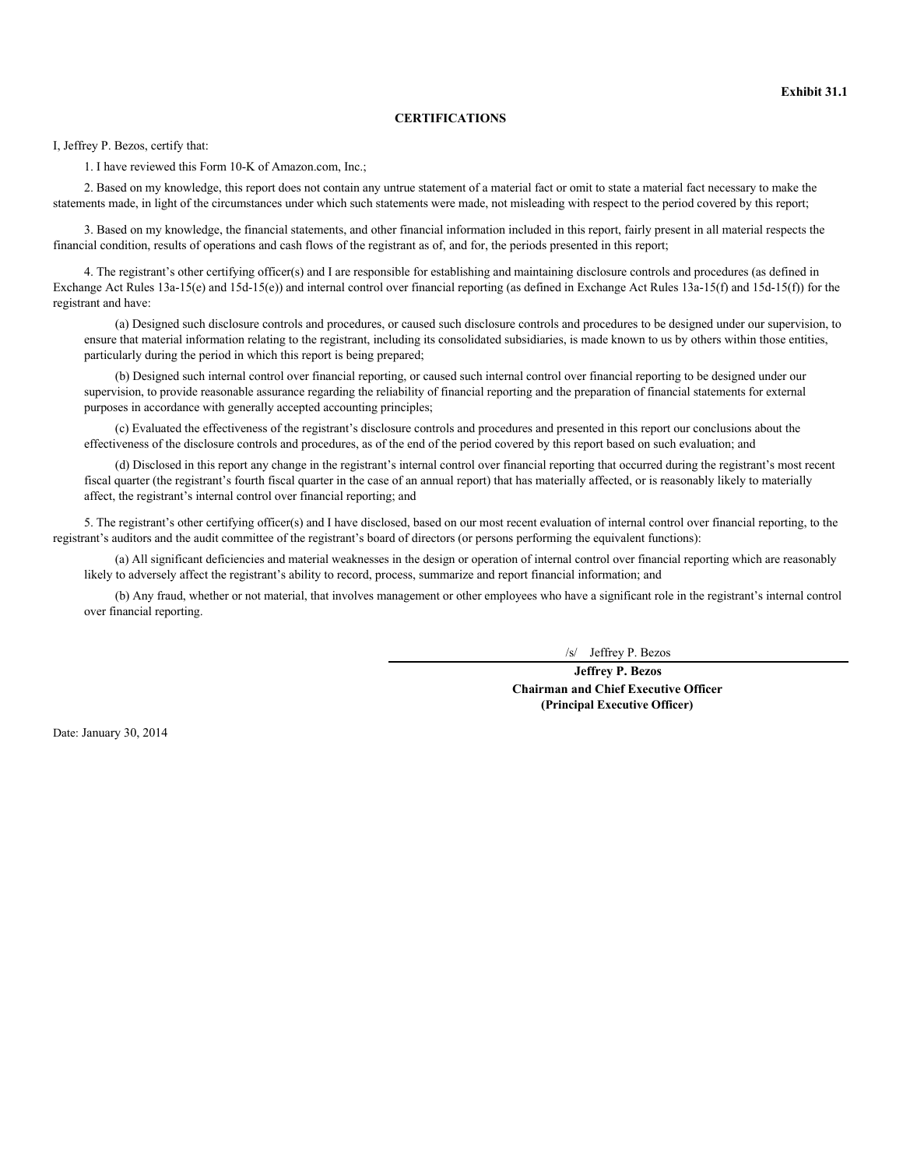#### **CERTIFICATIONS**

I, Jeffrey P. Bezos, certify that:

1. I have reviewed this Form 10-K of Amazon.com, Inc.;

2. Based on my knowledge, this report does not contain any untrue statement of a material fact or omit to state a material fact necessary to make the statements made, in light of the circumstances under which such statements were made, not misleading with respect to the period covered by this report;

3. Based on my knowledge, the financial statements, and other financial information included in this report, fairly present in all material respects the financial condition, results of operations and cash flows of the registrant as of, and for, the periods presented in this report;

4. The registrant's other certifying officer(s) and I are responsible for establishing and maintaining disclosure controls and procedures (as defined in Exchange Act Rules 13a-15(e) and 15d-15(e)) and internal control over financial reporting (as defined in Exchange Act Rules 13a-15(f) and 15d-15(f)) for the registrant and have:

(a) Designed such disclosure controls and procedures, or caused such disclosure controls and procedures to be designed under our supervision, to ensure that material information relating to the registrant, including its consolidated subsidiaries, is made known to us by others within those entities, particularly during the period in which this report is being prepared;

(b) Designed such internal control over financial reporting, or caused such internal control over financial reporting to be designed under our supervision, to provide reasonable assurance regarding the reliability of financial reporting and the preparation of financial statements for external purposes in accordance with generally accepted accounting principles;

(c) Evaluated the effectiveness of the registrant's disclosure controls and procedures and presented in this report our conclusions about the effectiveness of the disclosure controls and procedures, as of the end of the period covered by this report based on such evaluation; and

(d) Disclosed in this report any change in the registrant's internal control over financial reporting that occurred during the registrant's most recent fiscal quarter (the registrant's fourth fiscal quarter in the case of an annual report) that has materially affected, or is reasonably likely to materially affect, the registrant's internal control over financial reporting; and

5. The registrant's other certifying officer(s) and I have disclosed, based on our most recent evaluation of internal control over financial reporting, to the registrant's auditors and the audit committee of the registrant's board of directors (or persons performing the equivalent functions):

(a) All significant deficiencies and material weaknesses in the design or operation of internal control over financial reporting which are reasonably likely to adversely affect the registrant's ability to record, process, summarize and report financial information; and

(b) Any fraud, whether or not material, that involves management or other employees who have a significant role in the registrant's internal control over financial reporting.

/s/ Jeffrey P. Bezos

**Jeffrey P. Bezos Chairman and Chief Executive Officer (Principal Executive Officer)**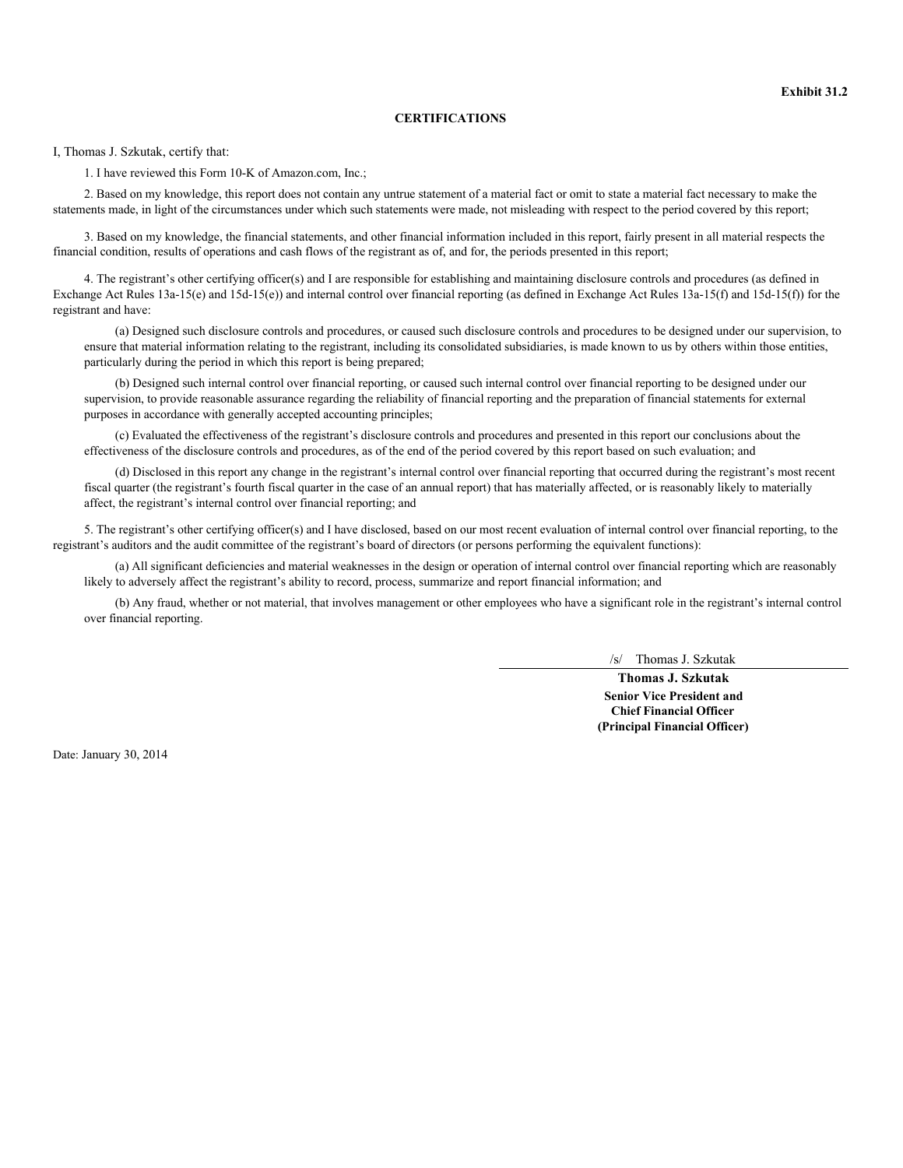#### **CERTIFICATIONS**

I, Thomas J. Szkutak, certify that:

1. I have reviewed this Form 10-K of Amazon.com, Inc.;

2. Based on my knowledge, this report does not contain any untrue statement of a material fact or omit to state a material fact necessary to make the statements made, in light of the circumstances under which such statements were made, not misleading with respect to the period covered by this report;

3. Based on my knowledge, the financial statements, and other financial information included in this report, fairly present in all material respects the financial condition, results of operations and cash flows of the registrant as of, and for, the periods presented in this report;

4. The registrant's other certifying officer(s) and I are responsible for establishing and maintaining disclosure controls and procedures (as defined in Exchange Act Rules 13a-15(e) and 15d-15(e)) and internal control over financial reporting (as defined in Exchange Act Rules 13a-15(f) and 15d-15(f)) for the registrant and have:

(a) Designed such disclosure controls and procedures, or caused such disclosure controls and procedures to be designed under our supervision, to ensure that material information relating to the registrant, including its consolidated subsidiaries, is made known to us by others within those entities, particularly during the period in which this report is being prepared;

(b) Designed such internal control over financial reporting, or caused such internal control over financial reporting to be designed under our supervision, to provide reasonable assurance regarding the reliability of financial reporting and the preparation of financial statements for external purposes in accordance with generally accepted accounting principles;

(c) Evaluated the effectiveness of the registrant's disclosure controls and procedures and presented in this report our conclusions about the effectiveness of the disclosure controls and procedures, as of the end of the period covered by this report based on such evaluation; and

(d) Disclosed in this report any change in the registrant's internal control over financial reporting that occurred during the registrant's most recent fiscal quarter (the registrant's fourth fiscal quarter in the case of an annual report) that has materially affected, or is reasonably likely to materially affect, the registrant's internal control over financial reporting; and

5. The registrant's other certifying officer(s) and I have disclosed, based on our most recent evaluation of internal control over financial reporting, to the registrant's auditors and the audit committee of the registrant's board of directors (or persons performing the equivalent functions):

(a) All significant deficiencies and material weaknesses in the design or operation of internal control over financial reporting which are reasonably likely to adversely affect the registrant's ability to record, process, summarize and report financial information; and

(b) Any fraud, whether or not material, that involves management or other employees who have a significant role in the registrant's internal control over financial reporting.

/s/ Thomas J. Szkutak

**Thomas J. Szkutak Senior Vice President and Chief Financial Officer (Principal Financial Officer)**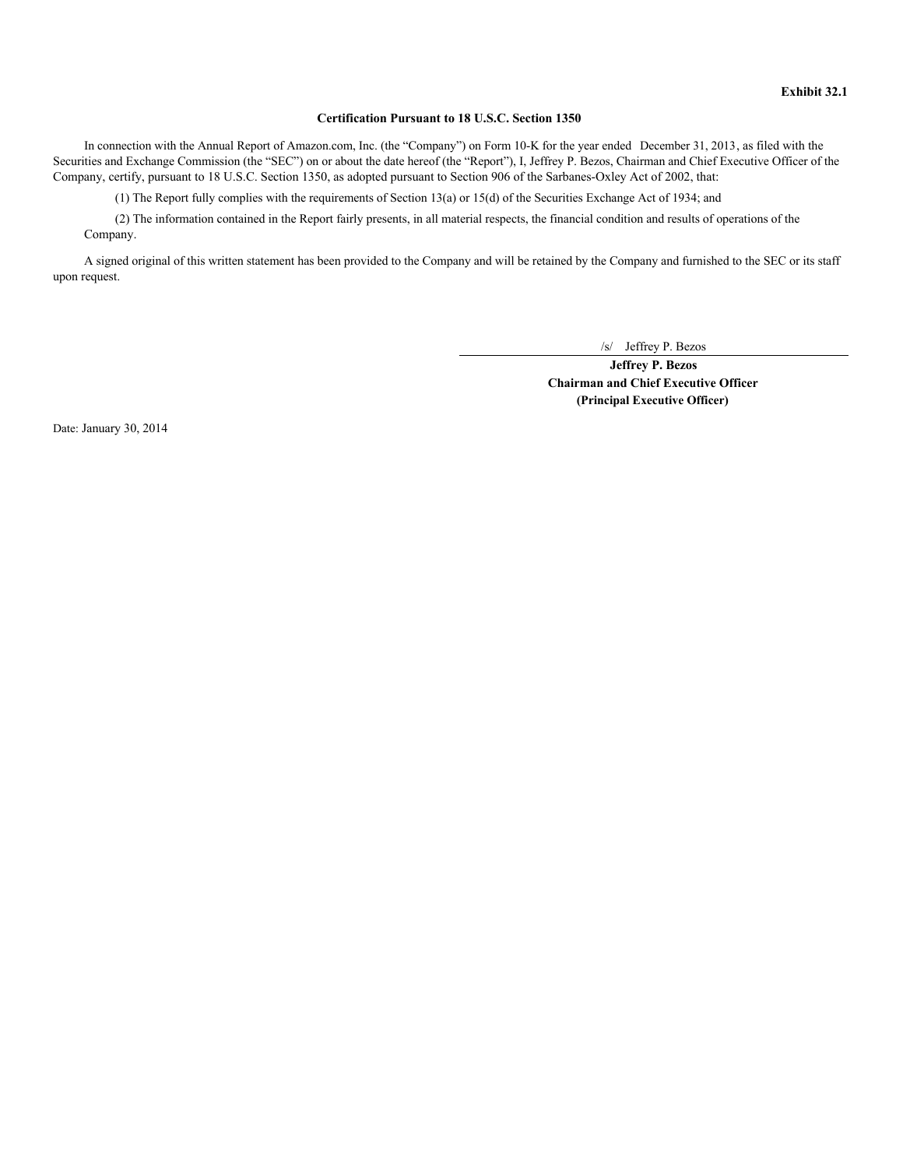#### **Certification Pursuant to 18 U.S.C. Section 1350**

In connection with the Annual Report of Amazon.com, Inc. (the "Company") on Form 10-K for the year ended December 31, 2013, as filed with the Securities and Exchange Commission (the "SEC") on or about the date hereof (the "Report"), I, Jeffrey P. Bezos, Chairman and Chief Executive Officer of the Company, certify, pursuant to 18 U.S.C. Section 1350, as adopted pursuant to Section 906 of the Sarbanes-Oxley Act of 2002, that:

(1) The Report fully complies with the requirements of Section 13(a) or 15(d) of the Securities Exchange Act of 1934; and

(2) The information contained in the Report fairly presents, in all material respects, the financial condition and results of operations of the Company.

A signed original of this written statement has been provided to the Company and will be retained by the Company and furnished to the SEC or its staff upon request.

/s/ Jeffrey P. Bezos

**Jeffrey P. Bezos Chairman and Chief Executive Officer (Principal Executive Officer)**